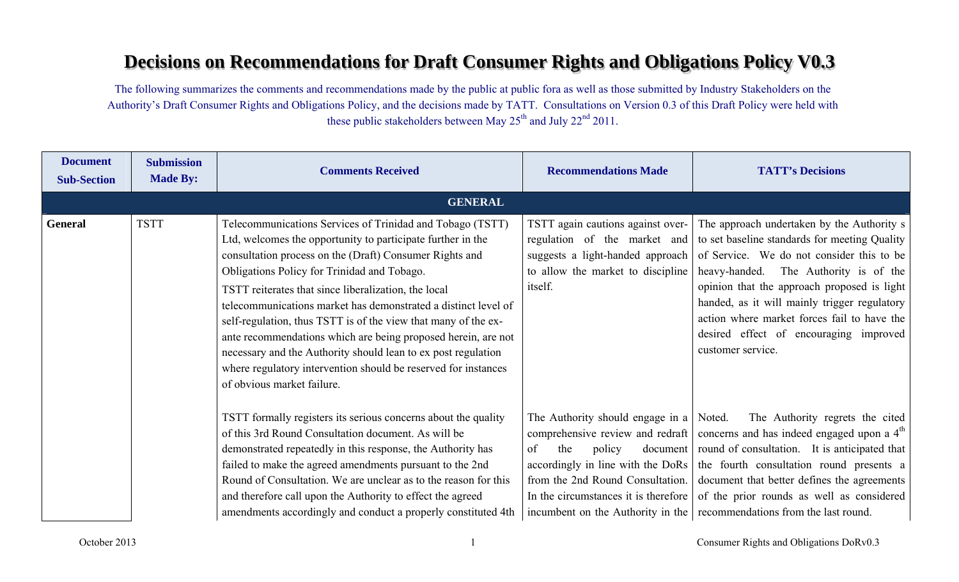## **Decisions on Recommendations for Draft Consumer Rights and Obligations Policy V0.3**

The following summarizes the comments and recommendations made by the public at public fora as well as those submitted by Industry Stakeholders on the Authority's Draft Consumer Rights and Obligations Policy, and the decisions made by TATT. Consultations on Version 0.3 of this Draft Policy were held with these public stakeholders between May  $25<sup>th</sup>$  and July  $22<sup>nd</sup>$  2011.

| <b>Document</b><br><b>Sub-Section</b> | <b>Submission</b><br><b>Made By:</b> | <b>Comments Received</b>                                                                                                                                                                                                                                                                                                                                                                                                                                                                                                                                                                                                                                         | <b>Recommendations Made</b>                                                                                                                                                                                                              | <b>TATT's Decisions</b>                                                                                                                                                                                                                                                                                                                                                                        |
|---------------------------------------|--------------------------------------|------------------------------------------------------------------------------------------------------------------------------------------------------------------------------------------------------------------------------------------------------------------------------------------------------------------------------------------------------------------------------------------------------------------------------------------------------------------------------------------------------------------------------------------------------------------------------------------------------------------------------------------------------------------|------------------------------------------------------------------------------------------------------------------------------------------------------------------------------------------------------------------------------------------|------------------------------------------------------------------------------------------------------------------------------------------------------------------------------------------------------------------------------------------------------------------------------------------------------------------------------------------------------------------------------------------------|
|                                       |                                      | <b>GENERAL</b>                                                                                                                                                                                                                                                                                                                                                                                                                                                                                                                                                                                                                                                   |                                                                                                                                                                                                                                          |                                                                                                                                                                                                                                                                                                                                                                                                |
| <b>General</b>                        | <b>TSTT</b>                          | Telecommunications Services of Trinidad and Tobago (TSTT)<br>Ltd, welcomes the opportunity to participate further in the<br>consultation process on the (Draft) Consumer Rights and<br>Obligations Policy for Trinidad and Tobago.<br>TSTT reiterates that since liberalization, the local<br>telecommunications market has demonstrated a distinct level of<br>self-regulation, thus TSTT is of the view that many of the ex-<br>ante recommendations which are being proposed herein, are not<br>necessary and the Authority should lean to ex post regulation<br>where regulatory intervention should be reserved for instances<br>of obvious market failure. | TSTT again cautions against over-<br>regulation of the market and<br>suggests a light-handed approach<br>to allow the market to discipline<br>itself.                                                                                    | The approach undertaken by the Authority s<br>to set baseline standards for meeting Quality<br>of Service. We do not consider this to be<br>heavy-handed. The Authority is of the<br>opinion that the approach proposed is light<br>handed, as it will mainly trigger regulatory<br>action where market forces fail to have the<br>desired effect of encouraging improved<br>customer service. |
|                                       |                                      | TSTT formally registers its serious concerns about the quality<br>of this 3rd Round Consultation document. As will be<br>demonstrated repeatedly in this response, the Authority has<br>failed to make the agreed amendments pursuant to the 2nd<br>Round of Consultation. We are unclear as to the reason for this<br>and therefore call upon the Authority to effect the agreed<br>amendments accordingly and conduct a properly constituted 4th                                                                                                                                                                                                               | The Authority should engage in a $\vert$ Noted.<br>of<br>policy<br>the<br>document<br>accordingly in line with the DoRs<br>from the 2nd Round Consultation.<br>In the circumstances it is therefore<br>incumbent on the Authority in the | The Authority regrets the cited<br>comprehensive review and redraft concerns and has indeed engaged upon a $4th$<br>round of consultation. It is anticipated that<br>the fourth consultation round presents a<br>document that better defines the agreements<br>of the prior rounds as well as considered<br>recommendations from the last round.                                              |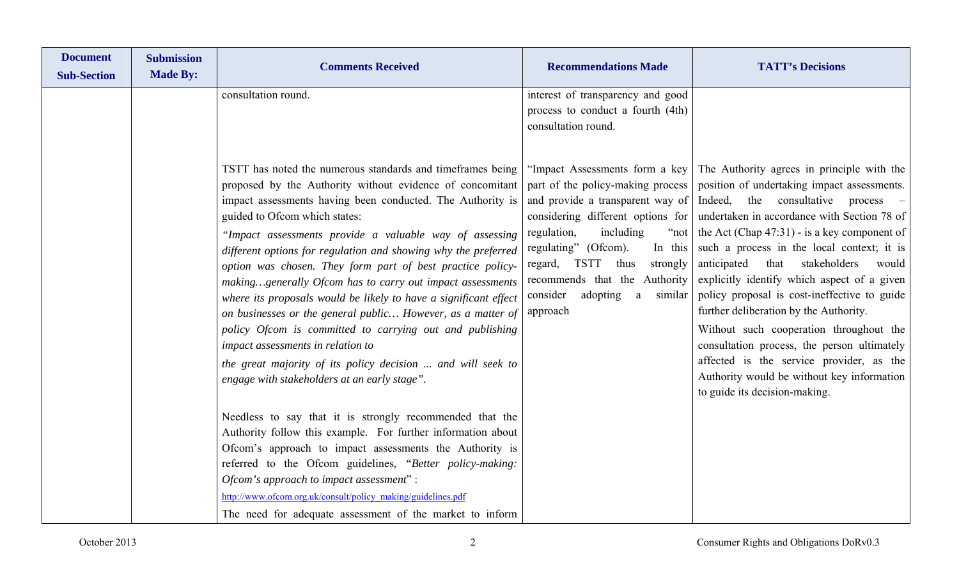| <b>Document</b><br><b>Sub-Section</b> | <b>Submission</b><br><b>Made By:</b> | <b>Comments Received</b>                                                                                                                                                                                                                                                                                                                                                                                                                                                                                                                                                                                                                                                                                                                                                                                                                                 | <b>Recommendations Made</b>                                                                                                                                                                                                                                                                                                                                                                                                                      | <b>TATT's Decisions</b>                                                                                                                                                                                                                                                                                                                                                                                                                                                                                                                                                                                                                                           |
|---------------------------------------|--------------------------------------|----------------------------------------------------------------------------------------------------------------------------------------------------------------------------------------------------------------------------------------------------------------------------------------------------------------------------------------------------------------------------------------------------------------------------------------------------------------------------------------------------------------------------------------------------------------------------------------------------------------------------------------------------------------------------------------------------------------------------------------------------------------------------------------------------------------------------------------------------------|--------------------------------------------------------------------------------------------------------------------------------------------------------------------------------------------------------------------------------------------------------------------------------------------------------------------------------------------------------------------------------------------------------------------------------------------------|-------------------------------------------------------------------------------------------------------------------------------------------------------------------------------------------------------------------------------------------------------------------------------------------------------------------------------------------------------------------------------------------------------------------------------------------------------------------------------------------------------------------------------------------------------------------------------------------------------------------------------------------------------------------|
|                                       |                                      | consultation round.<br>TSTT has noted the numerous standards and timeframes being<br>proposed by the Authority without evidence of concomitant<br>impact assessments having been conducted. The Authority is<br>guided to Ofcom which states:<br>"Impact assessments provide a valuable way of assessing<br>different options for regulation and showing why the preferred<br>option was chosen. They form part of best practice policy-<br>makinggenerally Ofcom has to carry out impact assessments<br>where its proposals would be likely to have a significant effect<br>on businesses or the general public However, as a matter of<br>policy Ofcom is committed to carrying out and publishing<br>impact assessments in relation to<br>the great majority of its policy decision  and will seek to<br>engage with stakeholders at an early stage". | interest of transparency and good<br>process to conduct a fourth (4th)<br>consultation round.<br>"Impact Assessments form a key<br>part of the policy-making process<br>and provide a transparent way of<br>considering different options for<br>regulation,<br>including<br>" $not$<br>regulating" (Ofcom).<br>In this<br>regard, TSTT<br>thus<br>strongly<br>recommends that the Authority<br>consider<br>adopting<br>similar<br>a<br>approach | The Authority agrees in principle with the<br>position of undertaking impact assessments.<br>Indeed, the consultative<br>$process -$<br>undertaken in accordance with Section 78 of<br>the Act (Chap $47:31$ ) - is a key component of<br>such a process in the local context; it is<br>anticipated<br>stakeholders<br>that<br>would<br>explicitly identify which aspect of a given<br>policy proposal is cost-ineffective to guide<br>further deliberation by the Authority.<br>Without such cooperation throughout the<br>consultation process, the person ultimately<br>affected is the service provider, as the<br>Authority would be without key information |
|                                       |                                      | Needless to say that it is strongly recommended that the<br>Authority follow this example. For further information about<br>Ofcom's approach to impact assessments the Authority is<br>referred to the Ofcom guidelines, "Better policy-making:<br>Ofcom's approach to impact assessment":<br>http://www.ofcom.org.uk/consult/policy_making/guidelines.pdf<br>The need for adequate assessment of the market to inform                                                                                                                                                                                                                                                                                                                                                                                                                                   |                                                                                                                                                                                                                                                                                                                                                                                                                                                  | to guide its decision-making.                                                                                                                                                                                                                                                                                                                                                                                                                                                                                                                                                                                                                                     |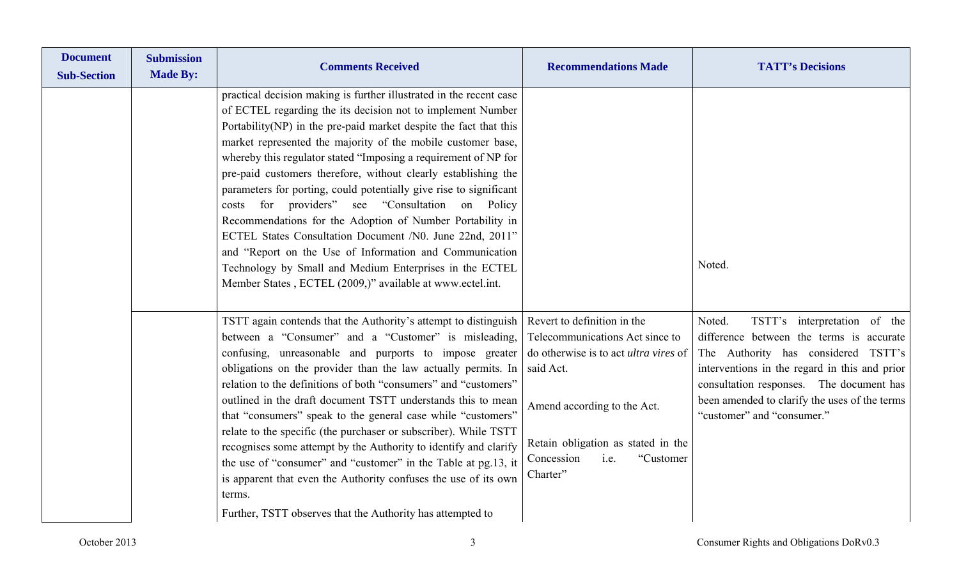| <b>Document</b><br><b>Sub-Section</b> | <b>Submission</b><br><b>Made By:</b> | <b>Comments Received</b>                                                                                                                                                                                                                                                                                                                                                                                                                                                                                                                                                                                                                                                                                                                                                                                                                           | <b>Recommendations Made</b>                                                                                                                                                                                                                     | <b>TATT's Decisions</b>                                                                                                                                                                                                                                                                               |
|---------------------------------------|--------------------------------------|----------------------------------------------------------------------------------------------------------------------------------------------------------------------------------------------------------------------------------------------------------------------------------------------------------------------------------------------------------------------------------------------------------------------------------------------------------------------------------------------------------------------------------------------------------------------------------------------------------------------------------------------------------------------------------------------------------------------------------------------------------------------------------------------------------------------------------------------------|-------------------------------------------------------------------------------------------------------------------------------------------------------------------------------------------------------------------------------------------------|-------------------------------------------------------------------------------------------------------------------------------------------------------------------------------------------------------------------------------------------------------------------------------------------------------|
|                                       |                                      | practical decision making is further illustrated in the recent case<br>of ECTEL regarding the its decision not to implement Number<br>Portability(NP) in the pre-paid market despite the fact that this<br>market represented the majority of the mobile customer base,<br>whereby this regulator stated "Imposing a requirement of NP for<br>pre-paid customers therefore, without clearly establishing the<br>parameters for porting, could potentially give rise to significant<br>costs for providers" see "Consultation on Policy<br>Recommendations for the Adoption of Number Portability in<br>ECTEL States Consultation Document /N0. June 22nd, 2011"<br>and "Report on the Use of Information and Communication<br>Technology by Small and Medium Enterprises in the ECTEL<br>Member States, ECTEL (2009,)" available at www.ectel.int. |                                                                                                                                                                                                                                                 | Noted.                                                                                                                                                                                                                                                                                                |
|                                       |                                      | TSTT again contends that the Authority's attempt to distinguish<br>between a "Consumer" and a "Customer" is misleading,<br>confusing, unreasonable and purports to impose greater<br>obligations on the provider than the law actually permits. In<br>relation to the definitions of both "consumers" and "customers"<br>outlined in the draft document TSTT understands this to mean<br>that "consumers" speak to the general case while "customers"<br>relate to the specific (the purchaser or subscriber). While TSTT<br>recognises some attempt by the Authority to identify and clarify<br>the use of "consumer" and "customer" in the Table at pg.13, it<br>is apparent that even the Authority confuses the use of its own<br>terms.<br>Further, TSTT observes that the Authority has attempted to                                         | Revert to definition in the<br>Telecommunications Act since to<br>do otherwise is to act <i>ultra vires</i> of<br>said Act.<br>Amend according to the Act.<br>Retain obligation as stated in the<br>"Customer<br>Concession<br>i.e.<br>Charter" | TSTT's interpretation of the<br>Noted.<br>difference between the terms is accurate<br>The Authority has considered TSTT's<br>interventions in the regard in this and prior<br>consultation responses. The document has<br>been amended to clarify the uses of the terms<br>"customer" and "consumer." |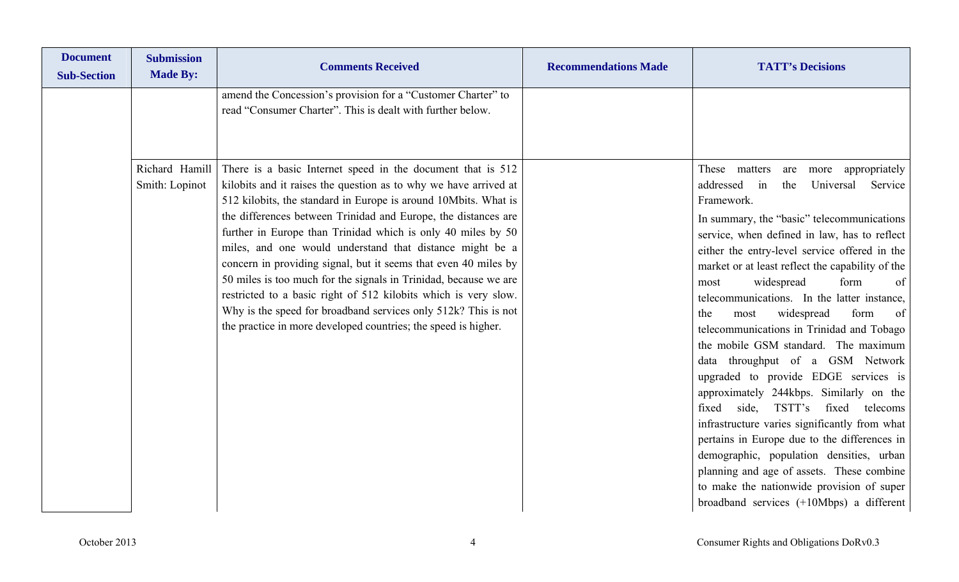| <b>Document</b><br><b>Sub-Section</b> | <b>Submission</b><br><b>Made By:</b> | <b>Comments Received</b>                                                                                                                                                                                                                                                                                                                                                                                                                                                                                                                                                                                                                                                                                                                       | <b>Recommendations Made</b> | <b>TATT's Decisions</b>                                                                                                                                                                                                                                                                                                                                                                                                                                                                                                                                                                                                                                                                                                                                                                                                                                                                                                                                                                          |
|---------------------------------------|--------------------------------------|------------------------------------------------------------------------------------------------------------------------------------------------------------------------------------------------------------------------------------------------------------------------------------------------------------------------------------------------------------------------------------------------------------------------------------------------------------------------------------------------------------------------------------------------------------------------------------------------------------------------------------------------------------------------------------------------------------------------------------------------|-----------------------------|--------------------------------------------------------------------------------------------------------------------------------------------------------------------------------------------------------------------------------------------------------------------------------------------------------------------------------------------------------------------------------------------------------------------------------------------------------------------------------------------------------------------------------------------------------------------------------------------------------------------------------------------------------------------------------------------------------------------------------------------------------------------------------------------------------------------------------------------------------------------------------------------------------------------------------------------------------------------------------------------------|
|                                       |                                      | amend the Concession's provision for a "Customer Charter" to<br>read "Consumer Charter". This is dealt with further below.                                                                                                                                                                                                                                                                                                                                                                                                                                                                                                                                                                                                                     |                             |                                                                                                                                                                                                                                                                                                                                                                                                                                                                                                                                                                                                                                                                                                                                                                                                                                                                                                                                                                                                  |
|                                       | Richard Hamill<br>Smith: Lopinot     | There is a basic Internet speed in the document that is 512<br>kilobits and it raises the question as to why we have arrived at<br>512 kilobits, the standard in Europe is around 10Mbits. What is<br>the differences between Trinidad and Europe, the distances are<br>further in Europe than Trinidad which is only 40 miles by 50<br>miles, and one would understand that distance might be a<br>concern in providing signal, but it seems that even 40 miles by<br>50 miles is too much for the signals in Trinidad, because we are<br>restricted to a basic right of 512 kilobits which is very slow.<br>Why is the speed for broadband services only 512k? This is not<br>the practice in more developed countries; the speed is higher. |                             | These<br>matters<br>appropriately<br>are<br>more<br>addressed<br>the<br>Universal<br>Service<br>in<br>Framework.<br>In summary, the "basic" telecommunications<br>service, when defined in law, has to reflect<br>either the entry-level service offered in the<br>market or at least reflect the capability of the<br>widespread<br>form<br>of<br>most<br>telecommunications. In the latter instance,<br>widespread<br>form<br>the<br>of<br>most<br>telecommunications in Trinidad and Tobago<br>the mobile GSM standard. The maximum<br>data throughput of a GSM Network<br>upgraded to provide EDGE services is<br>approximately 244kbps. Similarly on the<br>side, TSTT's<br>fixed<br>fixed<br>telecoms<br>infrastructure varies significantly from what<br>pertains in Europe due to the differences in<br>demographic, population densities, urban<br>planning and age of assets. These combine<br>to make the nationwide provision of super<br>broadband services $(+10Mbps)$ a different |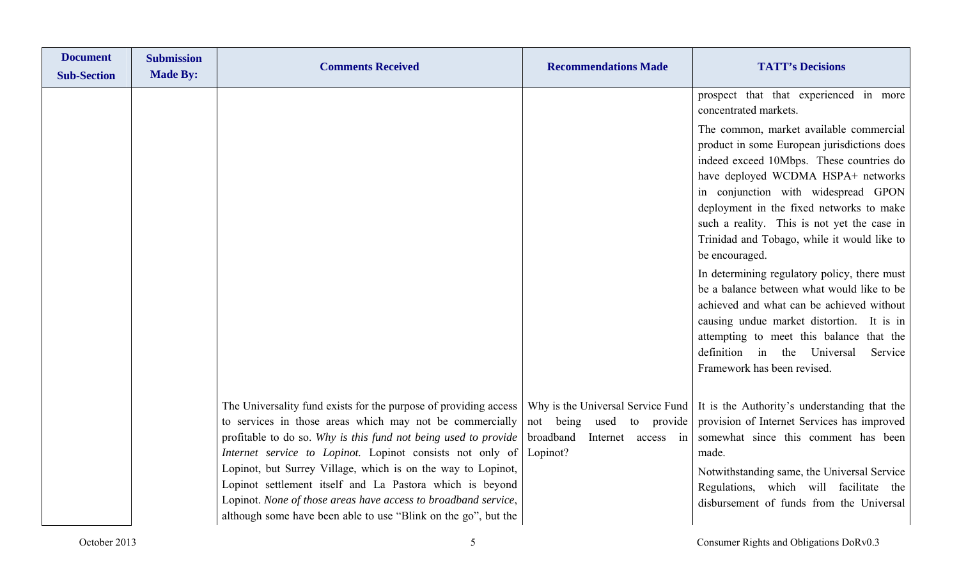| <b>Document</b><br><b>Sub-Section</b> | <b>Submission</b><br><b>Made By:</b> | <b>Comments Received</b>                                                                                                                                                                                                                                                                                                                                                                                                                                                                                                     | <b>Recommendations Made</b>                                                                                   | <b>TATT's Decisions</b>                                                                                                                                                                                                                                                                                                                                                                                                                                                                                                                                                                                                                                                                                                                                     |
|---------------------------------------|--------------------------------------|------------------------------------------------------------------------------------------------------------------------------------------------------------------------------------------------------------------------------------------------------------------------------------------------------------------------------------------------------------------------------------------------------------------------------------------------------------------------------------------------------------------------------|---------------------------------------------------------------------------------------------------------------|-------------------------------------------------------------------------------------------------------------------------------------------------------------------------------------------------------------------------------------------------------------------------------------------------------------------------------------------------------------------------------------------------------------------------------------------------------------------------------------------------------------------------------------------------------------------------------------------------------------------------------------------------------------------------------------------------------------------------------------------------------------|
|                                       |                                      |                                                                                                                                                                                                                                                                                                                                                                                                                                                                                                                              |                                                                                                               | prospect that that experienced in more<br>concentrated markets.<br>The common, market available commercial<br>product in some European jurisdictions does<br>indeed exceed 10Mbps. These countries do<br>have deployed WCDMA HSPA+ networks<br>in conjunction with widespread GPON<br>deployment in the fixed networks to make<br>such a reality. This is not yet the case in<br>Trinidad and Tobago, while it would like to<br>be encouraged.<br>In determining regulatory policy, there must<br>be a balance between what would like to be<br>achieved and what can be achieved without<br>causing undue market distortion. It is in<br>attempting to meet this balance that the<br>definition in the Universal<br>Service<br>Framework has been revised. |
|                                       |                                      | The Universality fund exists for the purpose of providing access<br>to services in those areas which may not be commercially<br>profitable to do so. Why is this fund not being used to provide<br>Internet service to Lopinot. Lopinot consists not only of<br>Lopinot, but Surrey Village, which is on the way to Lopinot,<br>Lopinot settlement itself and La Pastora which is beyond<br>Lopinot. None of those areas have access to broadband service,<br>although some have been able to use "Blink on the go", but the | Why is the Universal Service Fund<br>not being used to provide<br>broadband<br>Internet access in<br>Lopinot? | It is the Authority's understanding that the<br>provision of Internet Services has improved<br>somewhat since this comment has been<br>made.<br>Notwithstanding same, the Universal Service<br>Regulations, which will facilitate the<br>disbursement of funds from the Universal                                                                                                                                                                                                                                                                                                                                                                                                                                                                           |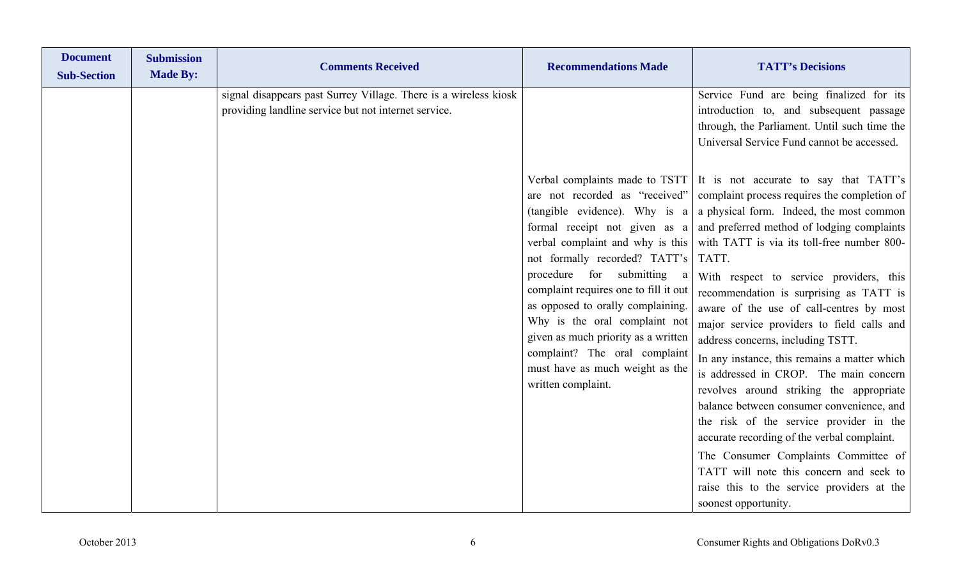| <b>Document</b><br><b>Sub-Section</b> | <b>Submission</b><br><b>Made By:</b> | <b>Comments Received</b>                                                                                                 | <b>Recommendations Made</b>                                                                                                                                                                                                                                                                                                                                                                                           | <b>TATT's Decisions</b>                                                                                                                                                                                                                                                                                                                                                                                                                                                                                                                                                                                                                                                                                                                                                                                                                                                                                                                                                                                                                                                              |
|---------------------------------------|--------------------------------------|--------------------------------------------------------------------------------------------------------------------------|-----------------------------------------------------------------------------------------------------------------------------------------------------------------------------------------------------------------------------------------------------------------------------------------------------------------------------------------------------------------------------------------------------------------------|--------------------------------------------------------------------------------------------------------------------------------------------------------------------------------------------------------------------------------------------------------------------------------------------------------------------------------------------------------------------------------------------------------------------------------------------------------------------------------------------------------------------------------------------------------------------------------------------------------------------------------------------------------------------------------------------------------------------------------------------------------------------------------------------------------------------------------------------------------------------------------------------------------------------------------------------------------------------------------------------------------------------------------------------------------------------------------------|
|                                       |                                      | signal disappears past Surrey Village. There is a wireless kiosk<br>providing landline service but not internet service. | are not recorded as "received"<br>(tangible evidence). Why is a<br>verbal complaint and why is this<br>not formally recorded? TATT's<br>procedure for submitting<br>a<br>complaint requires one to fill it out<br>as opposed to orally complaining.<br>Why is the oral complaint not<br>given as much priority as a written<br>complaint? The oral complaint<br>must have as much weight as the<br>written complaint. | Service Fund are being finalized for its<br>introduction to, and subsequent passage<br>through, the Parliament. Until such time the<br>Universal Service Fund cannot be accessed.<br>Verbal complaints made to TSTT It is not accurate to say that TATT's<br>complaint process requires the completion of<br>a physical form. Indeed, the most common<br>formal receipt not given as $a \mid$ and preferred method of lodging complaints<br>with TATT is via its toll-free number 800-<br>TATT.<br>With respect to service providers, this<br>recommendation is surprising as TATT is<br>aware of the use of call-centres by most<br>major service providers to field calls and<br>address concerns, including TSTT.<br>In any instance, this remains a matter which<br>is addressed in CROP. The main concern<br>revolves around striking the appropriate<br>balance between consumer convenience, and<br>the risk of the service provider in the<br>accurate recording of the verbal complaint.<br>The Consumer Complaints Committee of<br>TATT will note this concern and seek to |
|                                       |                                      |                                                                                                                          |                                                                                                                                                                                                                                                                                                                                                                                                                       | raise this to the service providers at the<br>soonest opportunity.                                                                                                                                                                                                                                                                                                                                                                                                                                                                                                                                                                                                                                                                                                                                                                                                                                                                                                                                                                                                                   |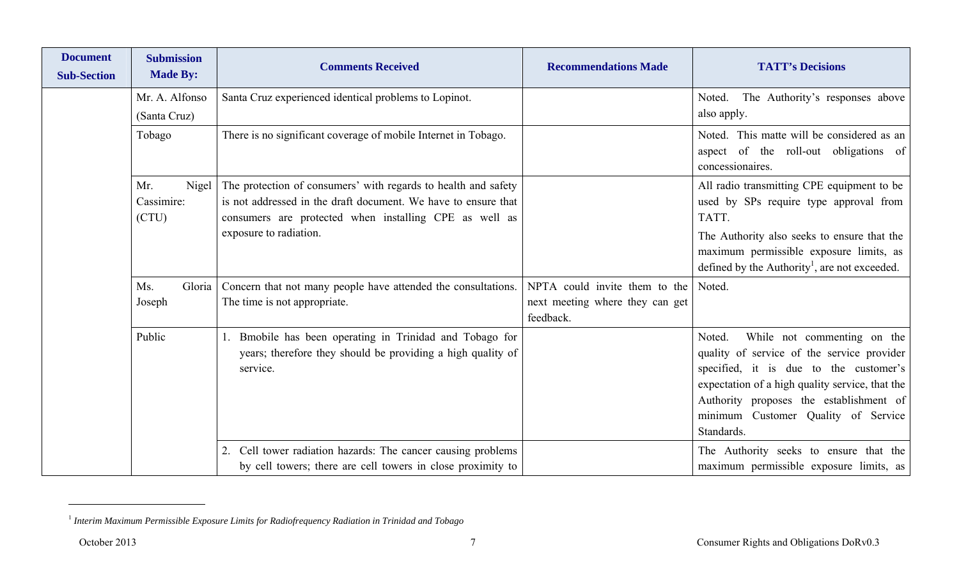| <b>Document</b><br><b>Sub-Section</b> | <b>Submission</b><br><b>Made By:</b> | <b>Comments Received</b>                                                                      | <b>Recommendations Made</b>     | <b>TATT's Decisions</b>                                                                                 |
|---------------------------------------|--------------------------------------|-----------------------------------------------------------------------------------------------|---------------------------------|---------------------------------------------------------------------------------------------------------|
|                                       | Mr. A. Alfonso                       | Santa Cruz experienced identical problems to Lopinot.                                         |                                 | The Authority's responses above<br>Noted.                                                               |
|                                       | (Santa Cruz)                         |                                                                                               |                                 | also apply.                                                                                             |
|                                       | Tobago                               | There is no significant coverage of mobile Internet in Tobago.                                |                                 | Noted. This matte will be considered as an<br>aspect of the roll-out obligations of<br>concessionaires. |
|                                       | Mr.<br>Nigel                         | The protection of consumers' with regards to health and safety                                |                                 | All radio transmitting CPE equipment to be                                                              |
|                                       | Cassimire:                           | is not addressed in the draft document. We have to ensure that                                |                                 | used by SPs require type approval from                                                                  |
|                                       | (CTU)                                | consumers are protected when installing CPE as well as                                        |                                 | TATT.                                                                                                   |
|                                       |                                      | exposure to radiation.                                                                        |                                 | The Authority also seeks to ensure that the                                                             |
|                                       |                                      |                                                                                               |                                 | maximum permissible exposure limits, as<br>defined by the Authority <sup>1</sup> , are not exceeded.    |
|                                       | Ms.                                  |                                                                                               | NPTA could invite them to the   | Noted.                                                                                                  |
|                                       | Gloria<br>Joseph                     | Concern that not many people have attended the consultations.<br>The time is not appropriate. | next meeting where they can get |                                                                                                         |
|                                       |                                      |                                                                                               | feedback.                       |                                                                                                         |
|                                       | Public                               | Bmobile has been operating in Trinidad and Tobago for                                         |                                 | While not commenting on the<br>Noted.                                                                   |
|                                       |                                      | years; therefore they should be providing a high quality of                                   |                                 | quality of service of the service provider                                                              |
|                                       |                                      | service.                                                                                      |                                 | specified, it is due to the customer's                                                                  |
|                                       |                                      |                                                                                               |                                 | expectation of a high quality service, that the                                                         |
|                                       |                                      |                                                                                               |                                 | Authority proposes the establishment of<br>minimum Customer Quality of Service                          |
|                                       |                                      |                                                                                               |                                 | Standards.                                                                                              |
|                                       |                                      | Cell tower radiation hazards: The cancer causing problems                                     |                                 | The Authority seeks to ensure that the                                                                  |
|                                       |                                      | by cell towers; there are cell towers in close proximity to                                   |                                 | maximum permissible exposure limits, as                                                                 |

<sup>1</sup> *Interim Maximum Permissible Exposure Limits for Radiofrequency Radiation in Trinidad and Tobago*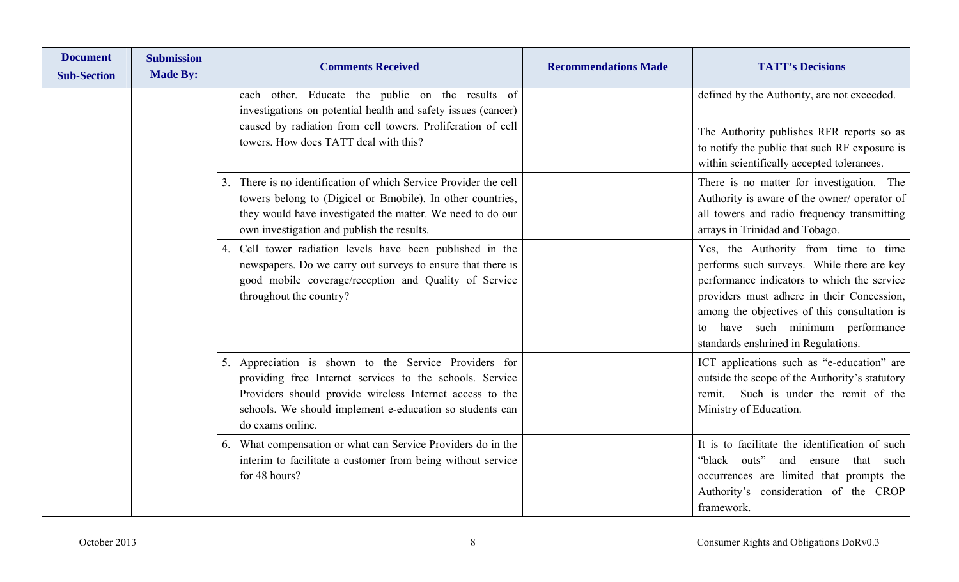| <b>Document</b><br><b>Sub-Section</b> | <b>Submission</b><br><b>Made By:</b> | <b>Comments Received</b>                                                                                                                                                                                                                                         | <b>Recommendations Made</b> | <b>TATT's Decisions</b>                                                                                                                                                                                                                                                                                       |
|---------------------------------------|--------------------------------------|------------------------------------------------------------------------------------------------------------------------------------------------------------------------------------------------------------------------------------------------------------------|-----------------------------|---------------------------------------------------------------------------------------------------------------------------------------------------------------------------------------------------------------------------------------------------------------------------------------------------------------|
|                                       |                                      | each other. Educate the public on the results of<br>investigations on potential health and safety issues (cancer)<br>caused by radiation from cell towers. Proliferation of cell<br>towers. How does TATT deal with this?                                        |                             | defined by the Authority, are not exceeded.<br>The Authority publishes RFR reports so as<br>to notify the public that such RF exposure is<br>within scientifically accepted tolerances.                                                                                                                       |
|                                       |                                      | There is no identification of which Service Provider the cell<br>3.<br>towers belong to (Digicel or Bmobile). In other countries,<br>they would have investigated the matter. We need to do our<br>own investigation and publish the results.                    |                             | There is no matter for investigation. The<br>Authority is aware of the owner/ operator of<br>all towers and radio frequency transmitting<br>arrays in Trinidad and Tobago.                                                                                                                                    |
|                                       |                                      | 4. Cell tower radiation levels have been published in the<br>newspapers. Do we carry out surveys to ensure that there is<br>good mobile coverage/reception and Quality of Service<br>throughout the country?                                                     |                             | Yes, the Authority from time to time<br>performs such surveys. While there are key<br>performance indicators to which the service<br>providers must adhere in their Concession,<br>among the objectives of this consultation is<br>have such minimum performance<br>to<br>standards enshrined in Regulations. |
|                                       |                                      | Appreciation is shown to the Service Providers for<br>5.<br>providing free Internet services to the schools. Service<br>Providers should provide wireless Internet access to the<br>schools. We should implement e-education so students can<br>do exams online. |                             | ICT applications such as "e-education" are<br>outside the scope of the Authority's statutory<br>Such is under the remit of the<br>remit.<br>Ministry of Education.                                                                                                                                            |
|                                       |                                      | What compensation or what can Service Providers do in the<br>6.<br>interim to facilitate a customer from being without service<br>for 48 hours?                                                                                                                  |                             | It is to facilitate the identification of such<br>"black outs"<br>and ensure<br>that<br>such<br>occurrences are limited that prompts the<br>Authority's consideration of the CROP<br>framework.                                                                                                               |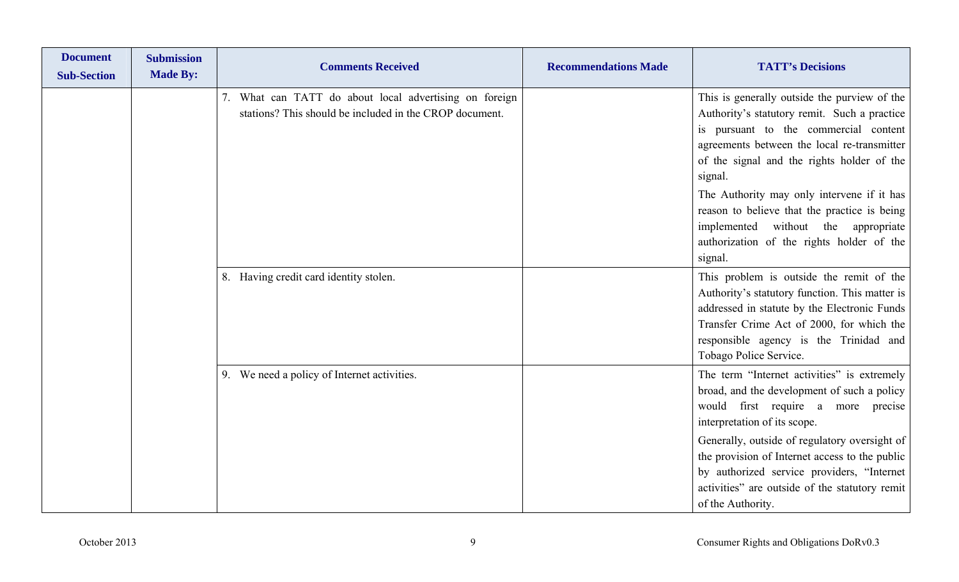| <b>Document</b><br><b>Sub-Section</b> | <b>Submission</b><br><b>Made By:</b> | <b>Comments Received</b>                                                                                          | <b>Recommendations Made</b> | <b>TATT's Decisions</b>                                                                                                                                                                                                                                                                                                                                                                                                                    |
|---------------------------------------|--------------------------------------|-------------------------------------------------------------------------------------------------------------------|-----------------------------|--------------------------------------------------------------------------------------------------------------------------------------------------------------------------------------------------------------------------------------------------------------------------------------------------------------------------------------------------------------------------------------------------------------------------------------------|
|                                       |                                      | 7. What can TATT do about local advertising on foreign<br>stations? This should be included in the CROP document. |                             | This is generally outside the purview of the<br>Authority's statutory remit. Such a practice<br>is pursuant to the commercial content<br>agreements between the local re-transmitter<br>of the signal and the rights holder of the<br>signal.<br>The Authority may only intervene if it has<br>reason to believe that the practice is being<br>implemented without the appropriate<br>authorization of the rights holder of the<br>signal. |
|                                       |                                      | 8. Having credit card identity stolen.                                                                            |                             | This problem is outside the remit of the<br>Authority's statutory function. This matter is<br>addressed in statute by the Electronic Funds<br>Transfer Crime Act of 2000, for which the<br>responsible agency is the Trinidad and<br>Tobago Police Service.                                                                                                                                                                                |
|                                       |                                      | 9. We need a policy of Internet activities.                                                                       |                             | The term "Internet activities" is extremely<br>broad, and the development of such a policy<br>would first require a more precise<br>interpretation of its scope.<br>Generally, outside of regulatory oversight of<br>the provision of Internet access to the public<br>by authorized service providers, "Internet<br>activities" are outside of the statutory remit<br>of the Authority.                                                   |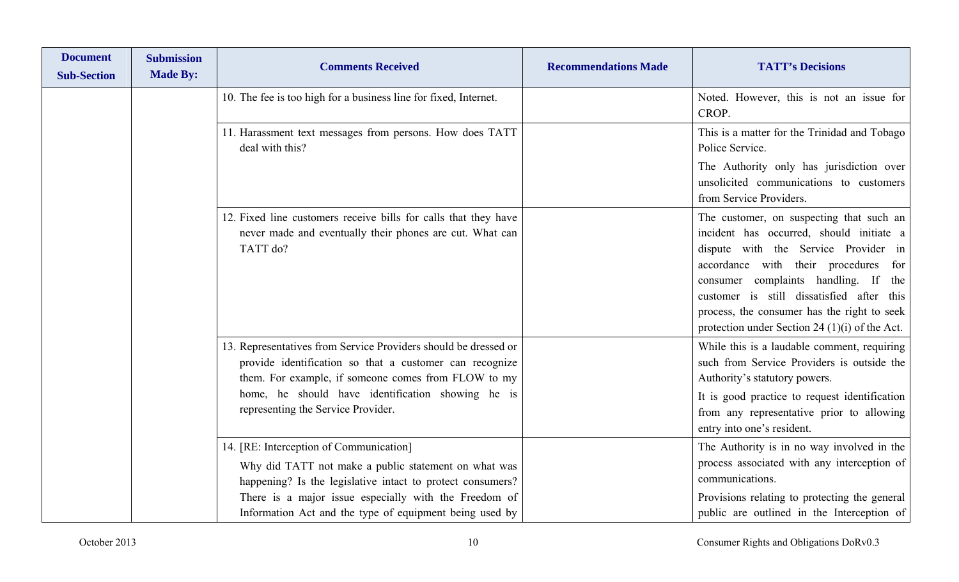| <b>Document</b><br><b>Sub-Section</b> | <b>Submission</b><br><b>Made By:</b> | <b>Comments Received</b>                                                                                                                                                          | <b>Recommendations Made</b> | <b>TATT's Decisions</b>                                                                                                                                                                                                                                                                                                                                      |
|---------------------------------------|--------------------------------------|-----------------------------------------------------------------------------------------------------------------------------------------------------------------------------------|-----------------------------|--------------------------------------------------------------------------------------------------------------------------------------------------------------------------------------------------------------------------------------------------------------------------------------------------------------------------------------------------------------|
|                                       |                                      | 10. The fee is too high for a business line for fixed, Internet.                                                                                                                  |                             | Noted. However, this is not an issue for<br>CROP.                                                                                                                                                                                                                                                                                                            |
|                                       |                                      | 11. Harassment text messages from persons. How does TATT<br>deal with this?                                                                                                       |                             | This is a matter for the Trinidad and Tobago<br>Police Service.                                                                                                                                                                                                                                                                                              |
|                                       |                                      |                                                                                                                                                                                   |                             | The Authority only has jurisdiction over<br>unsolicited communications to customers<br>from Service Providers.                                                                                                                                                                                                                                               |
|                                       |                                      | 12. Fixed line customers receive bills for calls that they have<br>never made and eventually their phones are cut. What can<br>TATT do?                                           |                             | The customer, on suspecting that such an<br>incident has occurred, should initiate a<br>dispute with the Service Provider in<br>accordance with their procedures for<br>consumer complaints handling. If the<br>customer is still dissatisfied after this<br>process, the consumer has the right to seek<br>protection under Section 24 $(1)(i)$ of the Act. |
|                                       |                                      | 13. Representatives from Service Providers should be dressed or<br>provide identification so that a customer can recognize<br>them. For example, if someone comes from FLOW to my |                             | While this is a laudable comment, requiring<br>such from Service Providers is outside the<br>Authority's statutory powers.                                                                                                                                                                                                                                   |
|                                       |                                      | home, he should have identification showing he is<br>representing the Service Provider.                                                                                           |                             | It is good practice to request identification<br>from any representative prior to allowing<br>entry into one's resident.                                                                                                                                                                                                                                     |
|                                       |                                      | 14. [RE: Interception of Communication]<br>Why did TATT not make a public statement on what was<br>happening? Is the legislative intact to protect consumers?                     |                             | The Authority is in no way involved in the<br>process associated with any interception of<br>communications.                                                                                                                                                                                                                                                 |
|                                       |                                      | There is a major issue especially with the Freedom of<br>Information Act and the type of equipment being used by                                                                  |                             | Provisions relating to protecting the general<br>public are outlined in the Interception of                                                                                                                                                                                                                                                                  |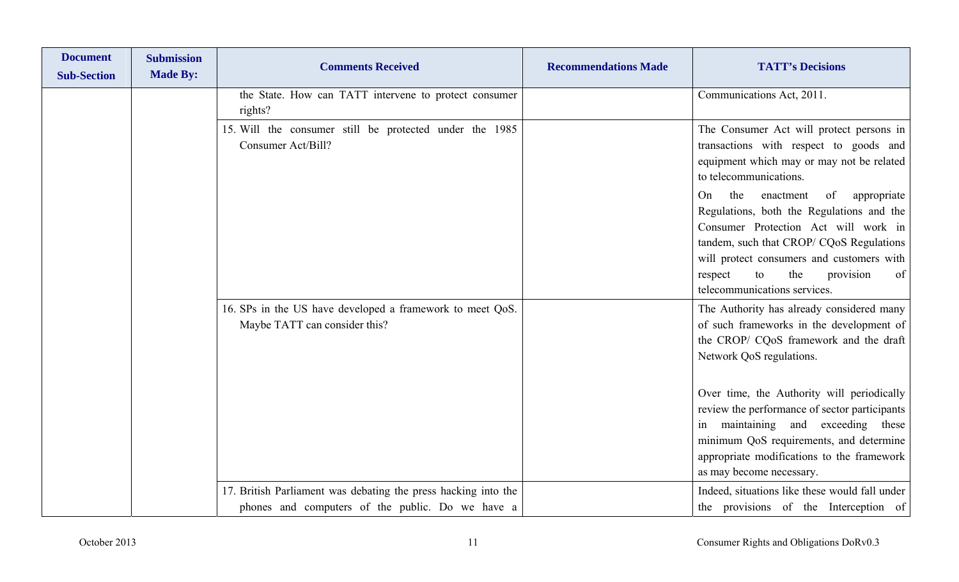| <b>Document</b><br><b>Sub-Section</b> | <b>Submission</b><br><b>Made By:</b> | <b>Comments Received</b>                                                                                           | <b>Recommendations Made</b> | <b>TATT's Decisions</b>                                                                                                                                                                                                                                                                                                                                                                                               |
|---------------------------------------|--------------------------------------|--------------------------------------------------------------------------------------------------------------------|-----------------------------|-----------------------------------------------------------------------------------------------------------------------------------------------------------------------------------------------------------------------------------------------------------------------------------------------------------------------------------------------------------------------------------------------------------------------|
|                                       |                                      | the State. How can TATT intervene to protect consumer<br>rights?                                                   |                             | Communications Act, 2011.                                                                                                                                                                                                                                                                                                                                                                                             |
|                                       |                                      | 15. Will the consumer still be protected under the 1985<br>Consumer Act/Bill?                                      |                             | The Consumer Act will protect persons in<br>transactions with respect to goods and<br>equipment which may or may not be related<br>to telecommunications.                                                                                                                                                                                                                                                             |
|                                       |                                      |                                                                                                                    |                             | the<br>enactment<br>of<br>appropriate<br>On<br>Regulations, both the Regulations and the<br>Consumer Protection Act will work in<br>tandem, such that CROP/ CQoS Regulations<br>will protect consumers and customers with<br>the<br>of<br>respect<br>to<br>provision<br>telecommunications services.                                                                                                                  |
|                                       |                                      | 16. SPs in the US have developed a framework to meet QoS.<br>Maybe TATT can consider this?                         |                             | The Authority has already considered many<br>of such frameworks in the development of<br>the CROP/ CQoS framework and the draft<br>Network QoS regulations.<br>Over time, the Authority will periodically<br>review the performance of sector participants<br>in maintaining and exceeding these<br>minimum QoS requirements, and determine<br>appropriate modifications to the framework<br>as may become necessary. |
|                                       |                                      | 17. British Parliament was debating the press hacking into the<br>phones and computers of the public. Do we have a |                             | Indeed, situations like these would fall under<br>the provisions of the Interception of                                                                                                                                                                                                                                                                                                                               |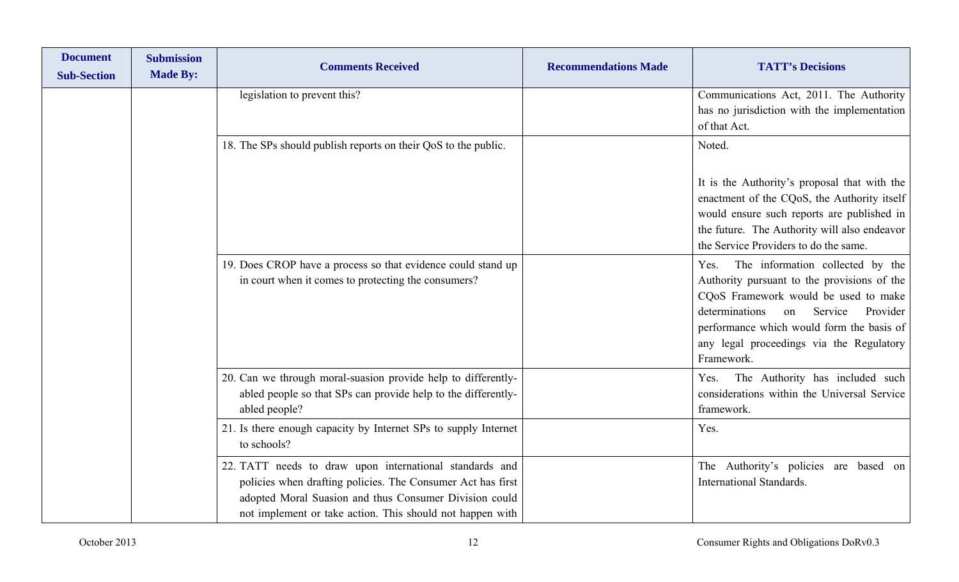| <b>Document</b><br><b>Sub-Section</b> | <b>Submission</b><br><b>Made By:</b> | <b>Comments Received</b>                                                                                                                                                                                                                      | <b>Recommendations Made</b> | <b>TATT's Decisions</b>                                                                                                                                                                                                                                                               |
|---------------------------------------|--------------------------------------|-----------------------------------------------------------------------------------------------------------------------------------------------------------------------------------------------------------------------------------------------|-----------------------------|---------------------------------------------------------------------------------------------------------------------------------------------------------------------------------------------------------------------------------------------------------------------------------------|
|                                       |                                      | legislation to prevent this?                                                                                                                                                                                                                  |                             | Communications Act, 2011. The Authority<br>has no jurisdiction with the implementation<br>of that Act.                                                                                                                                                                                |
|                                       |                                      | 18. The SPs should publish reports on their QoS to the public.                                                                                                                                                                                |                             | Noted.                                                                                                                                                                                                                                                                                |
|                                       |                                      |                                                                                                                                                                                                                                               |                             | It is the Authority's proposal that with the<br>enactment of the CQoS, the Authority itself<br>would ensure such reports are published in<br>the future. The Authority will also endeavor<br>the Service Providers to do the same.                                                    |
|                                       |                                      | 19. Does CROP have a process so that evidence could stand up<br>in court when it comes to protecting the consumers?                                                                                                                           |                             | The information collected by the<br>Yes.<br>Authority pursuant to the provisions of the<br>CQoS Framework would be used to make<br>determinations<br>Service<br>on<br>Provider<br>performance which would form the basis of<br>any legal proceedings via the Regulatory<br>Framework. |
|                                       |                                      | 20. Can we through moral-suasion provide help to differently-<br>abled people so that SPs can provide help to the differently-<br>abled people?                                                                                               |                             | The Authority has included such<br>Yes.<br>considerations within the Universal Service<br>framework.                                                                                                                                                                                  |
|                                       |                                      | 21. Is there enough capacity by Internet SPs to supply Internet<br>to schools?                                                                                                                                                                |                             | Yes.                                                                                                                                                                                                                                                                                  |
|                                       |                                      | 22. TATT needs to draw upon international standards and<br>policies when drafting policies. The Consumer Act has first<br>adopted Moral Suasion and thus Consumer Division could<br>not implement or take action. This should not happen with |                             | The Authority's policies are based on<br><b>International Standards.</b>                                                                                                                                                                                                              |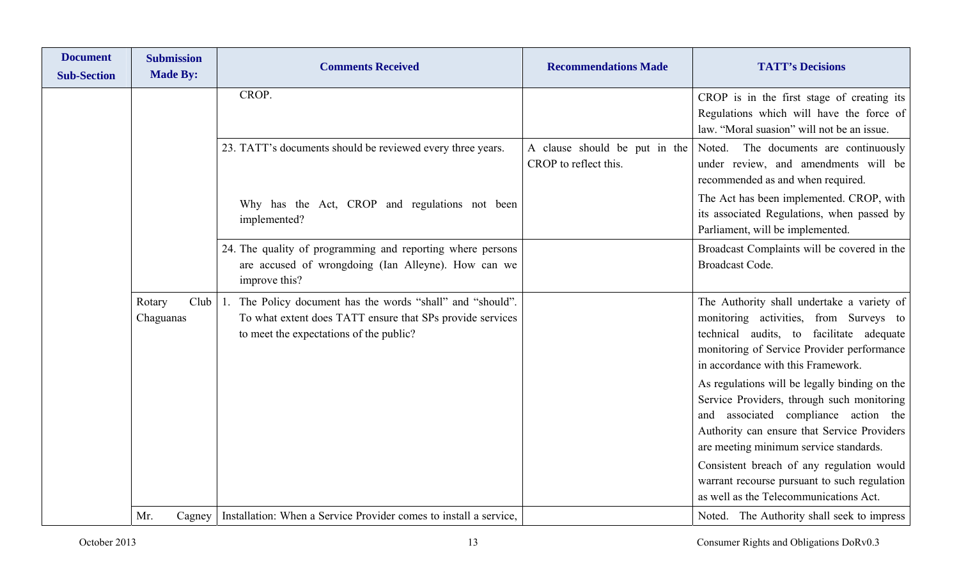| <b>Document</b><br><b>Sub-Section</b> | <b>Submission</b><br><b>Made By:</b> | <b>Comments Received</b>                                                                                                                                           | <b>Recommendations Made</b>                            | <b>TATT's Decisions</b>                                                                                                                                                                                                                                                                                                                                                                                                                                                                                                                           |
|---------------------------------------|--------------------------------------|--------------------------------------------------------------------------------------------------------------------------------------------------------------------|--------------------------------------------------------|---------------------------------------------------------------------------------------------------------------------------------------------------------------------------------------------------------------------------------------------------------------------------------------------------------------------------------------------------------------------------------------------------------------------------------------------------------------------------------------------------------------------------------------------------|
|                                       |                                      | CROP.                                                                                                                                                              |                                                        | CROP is in the first stage of creating its<br>Regulations which will have the force of<br>law. "Moral suasion" will not be an issue.                                                                                                                                                                                                                                                                                                                                                                                                              |
|                                       |                                      | 23. TATT's documents should be reviewed every three years.                                                                                                         | A clause should be put in the<br>CROP to reflect this. | The documents are continuously<br>Noted.<br>under review, and amendments will be<br>recommended as and when required.                                                                                                                                                                                                                                                                                                                                                                                                                             |
|                                       |                                      | Why has the Act, CROP and regulations not been<br>implemented?                                                                                                     |                                                        | The Act has been implemented. CROP, with<br>its associated Regulations, when passed by<br>Parliament, will be implemented.                                                                                                                                                                                                                                                                                                                                                                                                                        |
|                                       |                                      | 24. The quality of programming and reporting where persons<br>are accused of wrongdoing (Ian Alleyne). How can we<br>improve this?                                 |                                                        | Broadcast Complaints will be covered in the<br><b>Broadcast Code.</b>                                                                                                                                                                                                                                                                                                                                                                                                                                                                             |
|                                       | Club<br>Rotary<br>Chaguanas          | 1. The Policy document has the words "shall" and "should".<br>To what extent does TATT ensure that SPs provide services<br>to meet the expectations of the public? |                                                        | The Authority shall undertake a variety of<br>monitoring activities, from Surveys to<br>technical audits, to facilitate adequate<br>monitoring of Service Provider performance<br>in accordance with this Framework.<br>As regulations will be legally binding on the<br>Service Providers, through such monitoring<br>and associated compliance action the<br>Authority can ensure that Service Providers<br>are meeting minimum service standards.<br>Consistent breach of any regulation would<br>warrant recourse pursuant to such regulation |
|                                       | Mr.<br>Cagney                        | Installation: When a Service Provider comes to install a service,                                                                                                  |                                                        | as well as the Telecommunications Act.<br>Noted. The Authority shall seek to impress                                                                                                                                                                                                                                                                                                                                                                                                                                                              |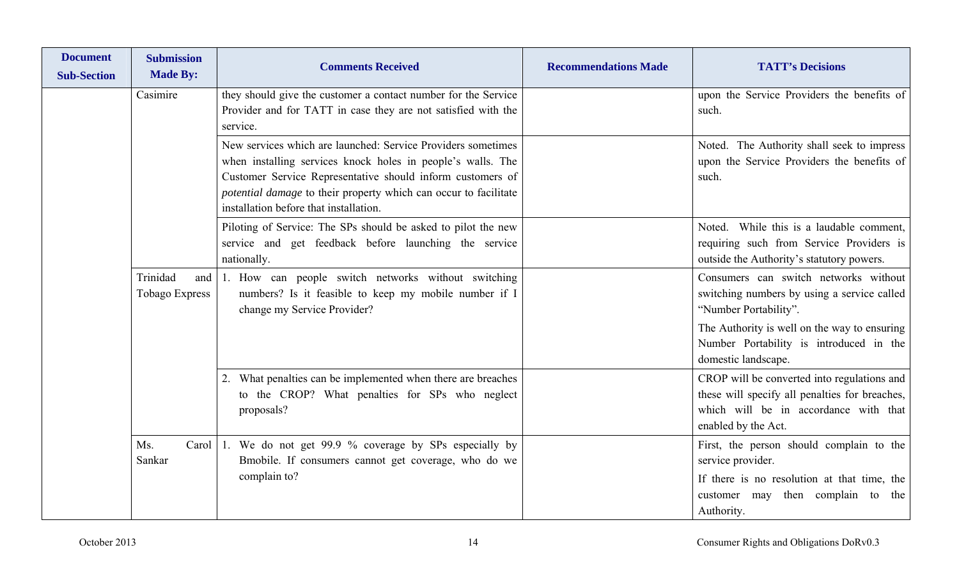| <b>Document</b><br><b>Sub-Section</b> | <b>Submission</b><br><b>Made By:</b> | <b>Comments Received</b>                                                                                                                                                                                                                                                                                | <b>Recommendations Made</b> | <b>TATT's Decisions</b>                                                                                                                                         |
|---------------------------------------|--------------------------------------|---------------------------------------------------------------------------------------------------------------------------------------------------------------------------------------------------------------------------------------------------------------------------------------------------------|-----------------------------|-----------------------------------------------------------------------------------------------------------------------------------------------------------------|
|                                       | Casimire                             | they should give the customer a contact number for the Service<br>Provider and for TATT in case they are not satisfied with the<br>service.                                                                                                                                                             |                             | upon the Service Providers the benefits of<br>such.                                                                                                             |
|                                       |                                      | New services which are launched: Service Providers sometimes<br>when installing services knock holes in people's walls. The<br>Customer Service Representative should inform customers of<br>potential damage to their property which can occur to facilitate<br>installation before that installation. |                             | Noted. The Authority shall seek to impress<br>upon the Service Providers the benefits of<br>such.                                                               |
|                                       |                                      | Piloting of Service: The SPs should be asked to pilot the new<br>service and get feedback before launching the service<br>nationally.                                                                                                                                                                   |                             | Noted. While this is a laudable comment,<br>requiring such from Service Providers is<br>outside the Authority's statutory powers.                               |
|                                       | Trinidad<br>and<br>Tobago Express    | 1. How can people switch networks without switching<br>numbers? Is it feasible to keep my mobile number if I<br>change my Service Provider?                                                                                                                                                             |                             | Consumers can switch networks without<br>switching numbers by using a service called<br>"Number Portability".                                                   |
|                                       |                                      |                                                                                                                                                                                                                                                                                                         |                             | The Authority is well on the way to ensuring<br>Number Portability is introduced in the<br>domestic landscape.                                                  |
|                                       |                                      | 2. What penalties can be implemented when there are breaches<br>to the CROP? What penalties for SPs who neglect<br>proposals?                                                                                                                                                                           |                             | CROP will be converted into regulations and<br>these will specify all penalties for breaches,<br>which will be in accordance with that<br>enabled by the Act.   |
|                                       | Ms.<br>Carol<br>Sankar               | 1. We do not get 99.9 % coverage by SPs especially by<br>Bmobile. If consumers cannot get coverage, who do we<br>complain to?                                                                                                                                                                           |                             | First, the person should complain to the<br>service provider.<br>If there is no resolution at that time, the<br>customer may then complain to the<br>Authority. |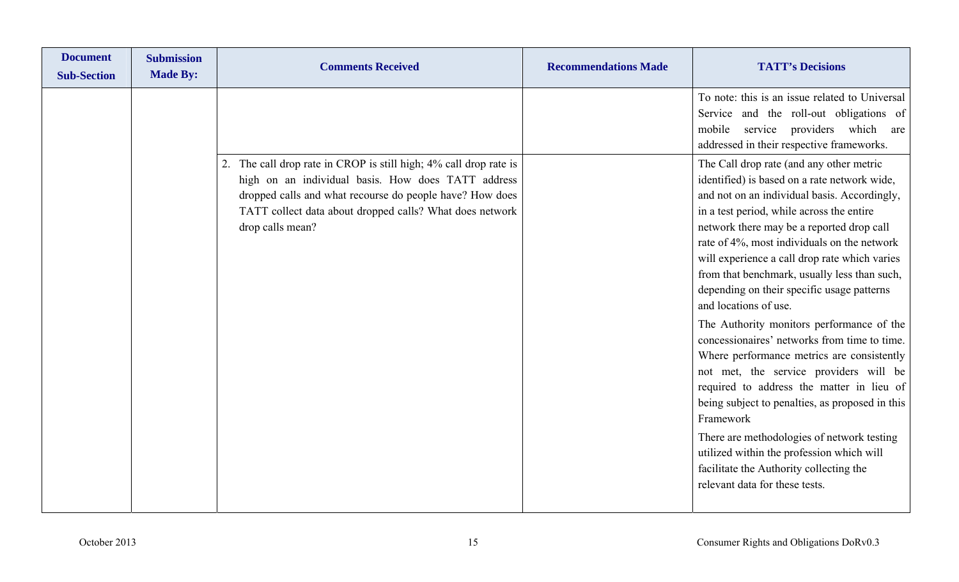| <b>Document</b><br><b>Submission</b><br><b>Made By:</b><br><b>Sub-Section</b> | <b>Comments Received</b>                                                                                                                                                                                                                                            | <b>Recommendations Made</b> | <b>TATT's Decisions</b>                                                                                                                                                                                                                                                                                                                                                                                                                                                                                                                                                                                                                                                                                                                                                                                                                                                                                                             |
|-------------------------------------------------------------------------------|---------------------------------------------------------------------------------------------------------------------------------------------------------------------------------------------------------------------------------------------------------------------|-----------------------------|-------------------------------------------------------------------------------------------------------------------------------------------------------------------------------------------------------------------------------------------------------------------------------------------------------------------------------------------------------------------------------------------------------------------------------------------------------------------------------------------------------------------------------------------------------------------------------------------------------------------------------------------------------------------------------------------------------------------------------------------------------------------------------------------------------------------------------------------------------------------------------------------------------------------------------------|
|                                                                               |                                                                                                                                                                                                                                                                     |                             | To note: this is an issue related to Universal<br>Service and the roll-out obligations of<br>mobile service providers which are<br>addressed in their respective frameworks.                                                                                                                                                                                                                                                                                                                                                                                                                                                                                                                                                                                                                                                                                                                                                        |
|                                                                               | 2. The call drop rate in CROP is still high; 4% call drop rate is<br>high on an individual basis. How does TATT address<br>dropped calls and what recourse do people have? How does<br>TATT collect data about dropped calls? What does network<br>drop calls mean? |                             | The Call drop rate (and any other metric<br>identified) is based on a rate network wide,<br>and not on an individual basis. Accordingly,<br>in a test period, while across the entire<br>network there may be a reported drop call<br>rate of 4%, most individuals on the network<br>will experience a call drop rate which varies<br>from that benchmark, usually less than such,<br>depending on their specific usage patterns<br>and locations of use.<br>The Authority monitors performance of the<br>concessionaires' networks from time to time.<br>Where performance metrics are consistently<br>not met, the service providers will be<br>required to address the matter in lieu of<br>being subject to penalties, as proposed in this<br>Framework<br>There are methodologies of network testing<br>utilized within the profession which will<br>facilitate the Authority collecting the<br>relevant data for these tests. |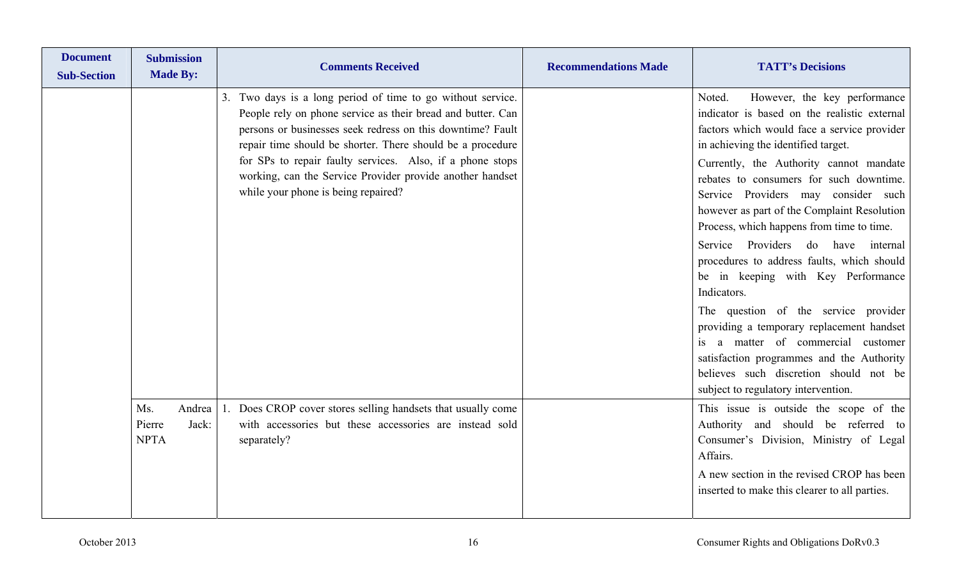| <b>Document</b><br><b>Sub-Section</b> | <b>Submission</b><br><b>Made By:</b>            | <b>Comments Received</b>                                                                                                                                                                                                                                                                                                                                                                                                   | <b>Recommendations Made</b> | <b>TATT's Decisions</b>                                                                                                                                                                                                                                                                                                                                                                                                                                                                                                                                                                                                                                                                                                                                                                              |
|---------------------------------------|-------------------------------------------------|----------------------------------------------------------------------------------------------------------------------------------------------------------------------------------------------------------------------------------------------------------------------------------------------------------------------------------------------------------------------------------------------------------------------------|-----------------------------|------------------------------------------------------------------------------------------------------------------------------------------------------------------------------------------------------------------------------------------------------------------------------------------------------------------------------------------------------------------------------------------------------------------------------------------------------------------------------------------------------------------------------------------------------------------------------------------------------------------------------------------------------------------------------------------------------------------------------------------------------------------------------------------------------|
|                                       |                                                 | Two days is a long period of time to go without service.<br>3.<br>People rely on phone service as their bread and butter. Can<br>persons or businesses seek redress on this downtime? Fault<br>repair time should be shorter. There should be a procedure<br>for SPs to repair faulty services. Also, if a phone stops<br>working, can the Service Provider provide another handset<br>while your phone is being repaired? |                             | However, the key performance<br>Noted.<br>indicator is based on the realistic external<br>factors which would face a service provider<br>in achieving the identified target.<br>Currently, the Authority cannot mandate<br>rebates to consumers for such downtime.<br>Service Providers may consider such<br>however as part of the Complaint Resolution<br>Process, which happens from time to time.<br>Service Providers do have internal<br>procedures to address faults, which should<br>be in keeping with Key Performance<br>Indicators.<br>The question of the service provider<br>providing a temporary replacement handset<br>a matter of commercial customer<br>satisfaction programmes and the Authority<br>believes such discretion should not be<br>subject to regulatory intervention. |
|                                       | Andrea<br>Ms.<br>Pierre<br>Jack:<br><b>NPTA</b> | Does CROP cover stores selling handsets that usually come<br>with accessories but these accessories are instead sold<br>separately?                                                                                                                                                                                                                                                                                        |                             | This issue is outside the scope of the<br>Authority and should be referred to<br>Consumer's Division, Ministry of Legal<br>Affairs.<br>A new section in the revised CROP has been<br>inserted to make this clearer to all parties.                                                                                                                                                                                                                                                                                                                                                                                                                                                                                                                                                                   |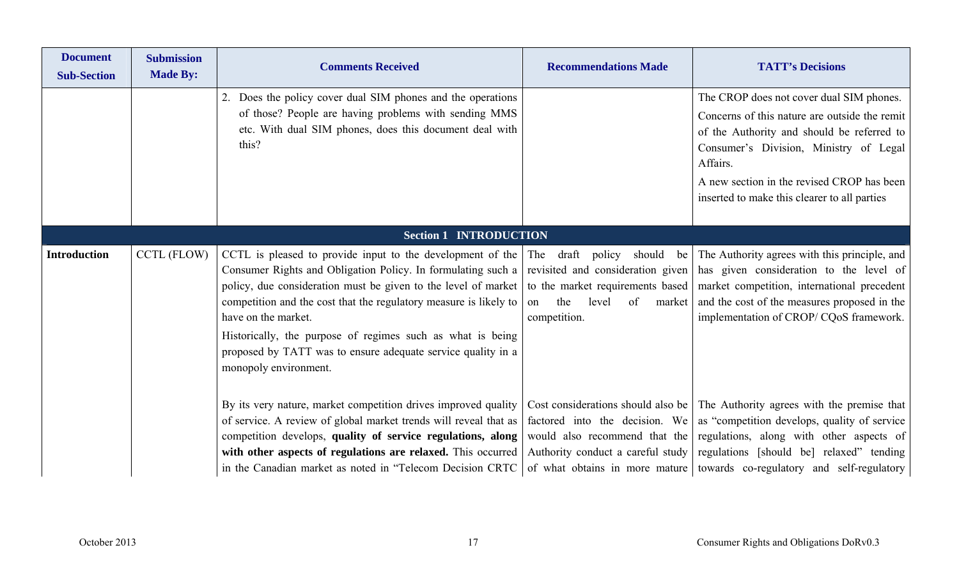| <b>Document</b><br><b>Sub-Section</b> | <b>Submission</b><br><b>Made By:</b> | <b>Comments Received</b>                                                                                                                                                                                                                                                                                                                                                                                                                                                                                                                          | <b>Recommendations Made</b>                                                                          | <b>TATT's Decisions</b>                                                                                                                                                                                                                                                                           |
|---------------------------------------|--------------------------------------|---------------------------------------------------------------------------------------------------------------------------------------------------------------------------------------------------------------------------------------------------------------------------------------------------------------------------------------------------------------------------------------------------------------------------------------------------------------------------------------------------------------------------------------------------|------------------------------------------------------------------------------------------------------|---------------------------------------------------------------------------------------------------------------------------------------------------------------------------------------------------------------------------------------------------------------------------------------------------|
|                                       |                                      | 2. Does the policy cover dual SIM phones and the operations<br>of those? People are having problems with sending MMS<br>etc. With dual SIM phones, does this document deal with<br>this?                                                                                                                                                                                                                                                                                                                                                          |                                                                                                      | The CROP does not cover dual SIM phones.<br>Concerns of this nature are outside the remit<br>of the Authority and should be referred to<br>Consumer's Division, Ministry of Legal<br>Affairs.<br>A new section in the revised CROP has been<br>inserted to make this clearer to all parties       |
|                                       |                                      | <b>Section 1 INTRODUCTION</b>                                                                                                                                                                                                                                                                                                                                                                                                                                                                                                                     |                                                                                                      |                                                                                                                                                                                                                                                                                                   |
| <b>Introduction</b>                   | CCTL (FLOW)                          | CCTL is pleased to provide input to the development of the The draft policy should be<br>Consumer Rights and Obligation Policy. In formulating such a revisited and consideration given<br>policy, due consideration must be given to the level of market   to the market requirements based  <br>competition and the cost that the regulatory measure is likely to<br>have on the market.<br>Historically, the purpose of regimes such as what is being<br>proposed by TATT was to ensure adequate service quality in a<br>monopoly environment. | of<br>the<br>level<br>on<br>market<br>competition.                                                   | The Authority agrees with this principle, and<br>has given consideration to the level of<br>market competition, international precedent<br>and the cost of the measures proposed in the<br>implementation of CROP/CQoS framework.                                                                 |
|                                       |                                      | By its very nature, market competition drives improved quality<br>of service. A review of global market trends will reveal that as<br>competition develops, quality of service regulations, along<br>with other aspects of regulations are relaxed. This occurred<br>in the Canadian market as noted in "Telecom Decision CRTC                                                                                                                                                                                                                    | factored into the decision. We<br>would also recommend that the<br>Authority conduct a careful study | Cost considerations should also be The Authority agrees with the premise that<br>as "competition develops, quality of service<br>regulations, along with other aspects of<br>regulations [should be] relaxed" tending<br>of what obtains in more mature towards co-regulatory and self-regulatory |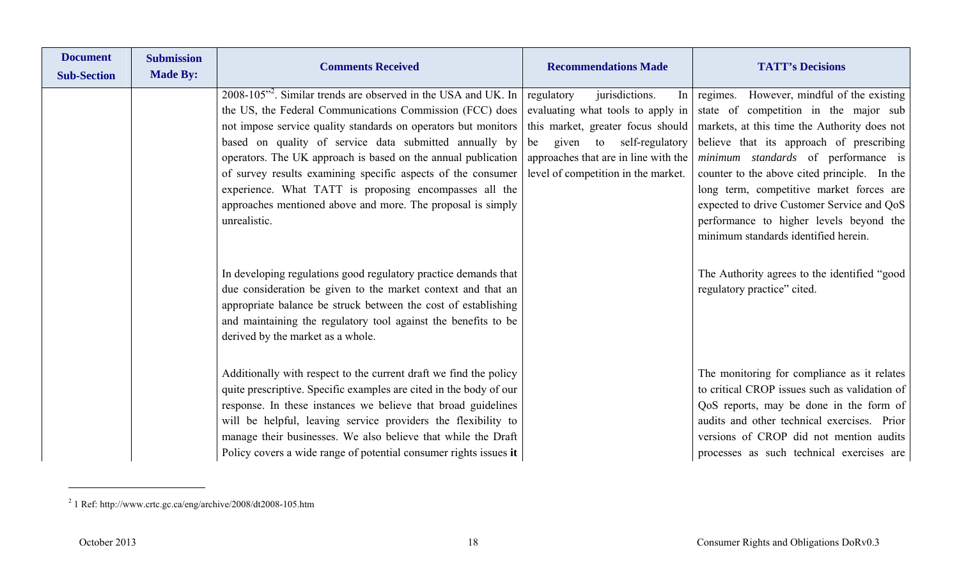| <b>Document</b><br><b>Sub-Section</b> | <b>Submission</b><br><b>Made By:</b> | <b>Comments Received</b>                                                                                                                                                                                                                                                                                                                                                                                                                                                                                                                    | <b>Recommendations Made</b>                                                                                                                                                                                                                | <b>TATT's Decisions</b>                                                                                                                                                                                                                                                                                                                                                                                                                               |
|---------------------------------------|--------------------------------------|---------------------------------------------------------------------------------------------------------------------------------------------------------------------------------------------------------------------------------------------------------------------------------------------------------------------------------------------------------------------------------------------------------------------------------------------------------------------------------------------------------------------------------------------|--------------------------------------------------------------------------------------------------------------------------------------------------------------------------------------------------------------------------------------------|-------------------------------------------------------------------------------------------------------------------------------------------------------------------------------------------------------------------------------------------------------------------------------------------------------------------------------------------------------------------------------------------------------------------------------------------------------|
|                                       |                                      | 2008-105 <sup>"</sup> . Similar trends are observed in the USA and UK. In<br>the US, the Federal Communications Commission (FCC) does<br>not impose service quality standards on operators but monitors<br>based on quality of service data submitted annually by<br>operators. The UK approach is based on the annual publication<br>of survey results examining specific aspects of the consumer<br>experience. What TATT is proposing encompasses all the<br>approaches mentioned above and more. The proposal is simply<br>unrealistic. | jurisdictions.<br>regulatory<br>In <sub>1</sub><br>evaluating what tools to apply in<br>this market, greater focus should<br>given to self-regulatory<br>be<br>approaches that are in line with the<br>level of competition in the market. | However, mindful of the existing<br>regimes.<br>state of competition in the major sub<br>markets, at this time the Authority does not<br>believe that its approach of prescribing<br>minimum standards of performance is<br>counter to the above cited principle. In the<br>long term, competitive market forces are<br>expected to drive Customer Service and QoS<br>performance to higher levels beyond the<br>minimum standards identified herein. |
|                                       |                                      | In developing regulations good regulatory practice demands that<br>due consideration be given to the market context and that an<br>appropriate balance be struck between the cost of establishing<br>and maintaining the regulatory tool against the benefits to be<br>derived by the market as a whole.                                                                                                                                                                                                                                    |                                                                                                                                                                                                                                            | The Authority agrees to the identified "good<br>regulatory practice" cited.                                                                                                                                                                                                                                                                                                                                                                           |
|                                       |                                      | Additionally with respect to the current draft we find the policy<br>quite prescriptive. Specific examples are cited in the body of our<br>response. In these instances we believe that broad guidelines<br>will be helpful, leaving service providers the flexibility to<br>manage their businesses. We also believe that while the Draft<br>Policy covers a wide range of potential consumer rights issues it                                                                                                                             |                                                                                                                                                                                                                                            | The monitoring for compliance as it relates<br>to critical CROP issues such as validation of<br>QoS reports, may be done in the form of<br>audits and other technical exercises. Prior<br>versions of CROP did not mention audits<br>processes as such technical exercises are                                                                                                                                                                        |

<sup>2 1</sup> Ref: http://www.crtc.gc.ca/eng/archive/2008/dt2008-105.htm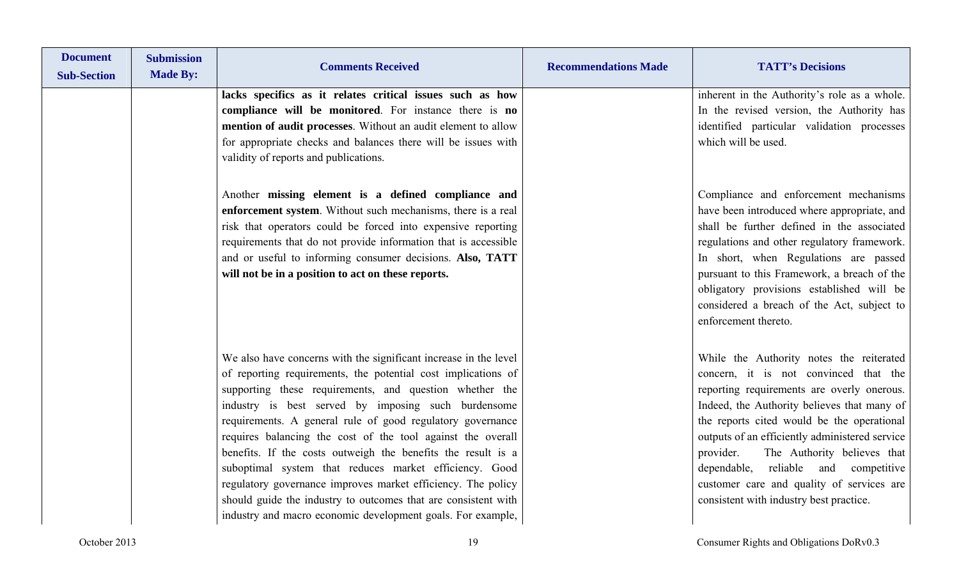| <b>Document</b><br><b>Sub-Section</b> | <b>Submission</b><br><b>Made By:</b> | <b>Comments Received</b>                                                                                                                                                                                                                                                                                                                                                                                                                                                                                                                                                                                                                                                                                    | <b>Recommendations Made</b> | <b>TATT's Decisions</b>                                                                                                                                                                                                                                                                                                                                                                                                                                    |
|---------------------------------------|--------------------------------------|-------------------------------------------------------------------------------------------------------------------------------------------------------------------------------------------------------------------------------------------------------------------------------------------------------------------------------------------------------------------------------------------------------------------------------------------------------------------------------------------------------------------------------------------------------------------------------------------------------------------------------------------------------------------------------------------------------------|-----------------------------|------------------------------------------------------------------------------------------------------------------------------------------------------------------------------------------------------------------------------------------------------------------------------------------------------------------------------------------------------------------------------------------------------------------------------------------------------------|
|                                       |                                      | lacks specifics as it relates critical issues such as how<br>compliance will be monitored. For instance there is no<br>mention of audit processes. Without an audit element to allow<br>for appropriate checks and balances there will be issues with<br>validity of reports and publications.                                                                                                                                                                                                                                                                                                                                                                                                              |                             | inherent in the Authority's role as a whole.<br>In the revised version, the Authority has<br>identified particular validation processes<br>which will be used.                                                                                                                                                                                                                                                                                             |
|                                       |                                      | Another missing element is a defined compliance and<br>enforcement system. Without such mechanisms, there is a real<br>risk that operators could be forced into expensive reporting<br>requirements that do not provide information that is accessible<br>and or useful to informing consumer decisions. Also, TATT<br>will not be in a position to act on these reports.                                                                                                                                                                                                                                                                                                                                   |                             | Compliance and enforcement mechanisms<br>have been introduced where appropriate, and<br>shall be further defined in the associated<br>regulations and other regulatory framework.<br>In short, when Regulations are passed<br>pursuant to this Framework, a breach of the<br>obligatory provisions established will be<br>considered a breach of the Act, subject to<br>enforcement thereto.                                                               |
|                                       |                                      | We also have concerns with the significant increase in the level<br>of reporting requirements, the potential cost implications of<br>supporting these requirements, and question whether the<br>industry is best served by imposing such burdensome<br>requirements. A general rule of good regulatory governance<br>requires balancing the cost of the tool against the overall<br>benefits. If the costs outweigh the benefits the result is a<br>suboptimal system that reduces market efficiency. Good<br>regulatory governance improves market efficiency. The policy<br>should guide the industry to outcomes that are consistent with<br>industry and macro economic development goals. For example, |                             | While the Authority notes the reiterated<br>concern, it is not convinced that the<br>reporting requirements are overly onerous.<br>Indeed, the Authority believes that many of<br>the reports cited would be the operational<br>outputs of an efficiently administered service<br>provider.<br>The Authority believes that<br>dependable, reliable and competitive<br>customer care and quality of services are<br>consistent with industry best practice. |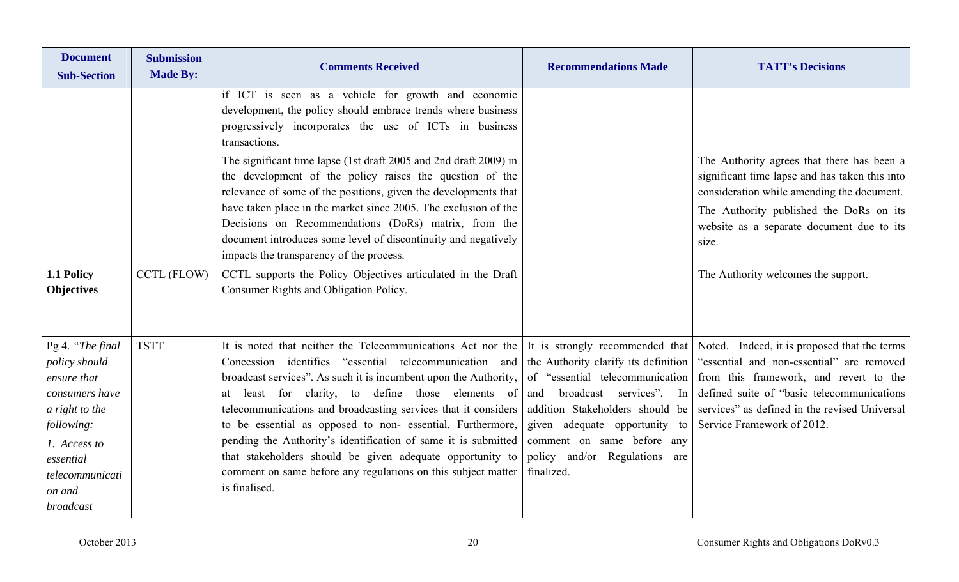| <b>Document</b><br><b>Sub-Section</b>                                                                                                                                     | <b>Submission</b><br><b>Made By:</b> | <b>Comments Received</b>                                                                                                                                                                                                                                                                                                                                                                                                                                                                                                                                                                          | <b>Recommendations Made</b>                                                                                                                                                                                                                                                                   | <b>TATT's Decisions</b>                                                                                                                                                                                                                                           |
|---------------------------------------------------------------------------------------------------------------------------------------------------------------------------|--------------------------------------|---------------------------------------------------------------------------------------------------------------------------------------------------------------------------------------------------------------------------------------------------------------------------------------------------------------------------------------------------------------------------------------------------------------------------------------------------------------------------------------------------------------------------------------------------------------------------------------------------|-----------------------------------------------------------------------------------------------------------------------------------------------------------------------------------------------------------------------------------------------------------------------------------------------|-------------------------------------------------------------------------------------------------------------------------------------------------------------------------------------------------------------------------------------------------------------------|
|                                                                                                                                                                           |                                      | if ICT is seen as a vehicle for growth and economic<br>development, the policy should embrace trends where business<br>progressively incorporates the use of ICTs in business<br>transactions.                                                                                                                                                                                                                                                                                                                                                                                                    |                                                                                                                                                                                                                                                                                               |                                                                                                                                                                                                                                                                   |
|                                                                                                                                                                           |                                      | The significant time lapse (1st draft 2005 and 2nd draft 2009) in<br>the development of the policy raises the question of the<br>relevance of some of the positions, given the developments that<br>have taken place in the market since 2005. The exclusion of the<br>Decisions on Recommendations (DoRs) matrix, from the<br>document introduces some level of discontinuity and negatively<br>impacts the transparency of the process.                                                                                                                                                         |                                                                                                                                                                                                                                                                                               | The Authority agrees that there has been a<br>significant time lapse and has taken this into<br>consideration while amending the document.<br>The Authority published the DoRs on its<br>website as a separate document due to its<br>size.                       |
| 1.1 Policy<br><b>Objectives</b>                                                                                                                                           | <b>CCTL (FLOW)</b>                   | CCTL supports the Policy Objectives articulated in the Draft<br>Consumer Rights and Obligation Policy.                                                                                                                                                                                                                                                                                                                                                                                                                                                                                            |                                                                                                                                                                                                                                                                                               | The Authority welcomes the support.                                                                                                                                                                                                                               |
| Pg 4. "The final<br>policy should<br>ensure that<br>consumers have<br>a right to the<br>following:<br>1. Access to<br>essential<br>telecommunicati<br>on and<br>broadcast | <b>TSTT</b>                          | It is noted that neither the Telecommunications Act nor the<br>Concession identifies "essential telecommunication and<br>broadcast services". As such it is incumbent upon the Authority,<br>least for clarity, to define those elements of<br>at<br>telecommunications and broadcasting services that it considers<br>to be essential as opposed to non-essential. Furthermore,<br>pending the Authority's identification of same it is submitted<br>that stakeholders should be given adequate opportunity to<br>comment on same before any regulations on this subject matter<br>is finalised. | It is strongly recommended that<br>the Authority clarify its definition<br>of "essential telecommunication<br>broadcast services". In<br>and<br>addition Stakeholders should be<br>given adequate opportunity to<br>comment on same before any<br>policy and/or Regulations are<br>finalized. | Noted. Indeed, it is proposed that the terms<br>"essential and non-essential" are removed<br>from this framework, and revert to the<br>defined suite of "basic telecommunications"<br>services" as defined in the revised Universal<br>Service Framework of 2012. |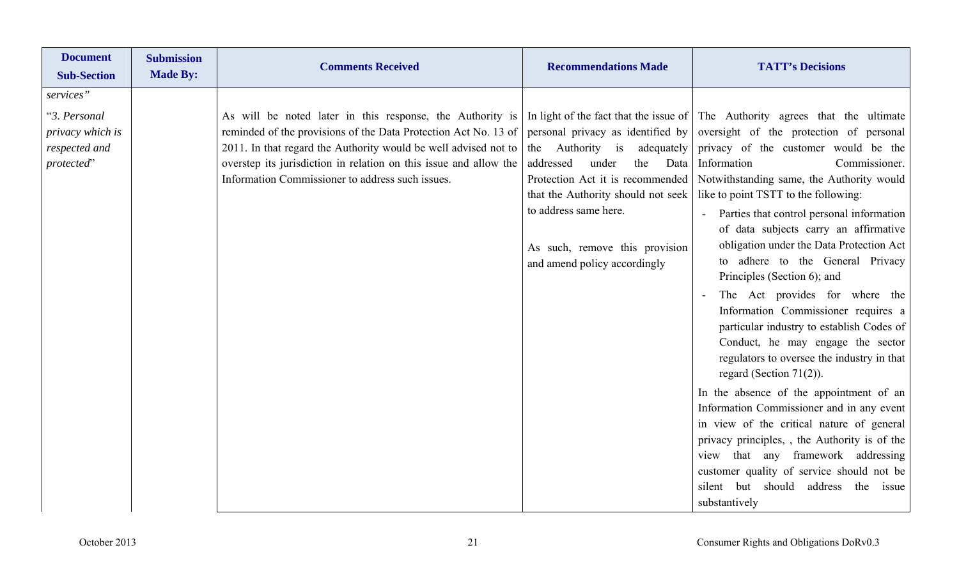| <b>Document</b><br><b>Submission</b><br><b>Made By:</b><br><b>Sub-Section</b> | <b>Comments Received</b>                                                                                                                                                                                                                                                                                                 | <b>Recommendations Made</b>                                                                                                                                                                                                                                                      | <b>TATT's Decisions</b>                                                                                                                                                                                                                                                                                                                                                                                                                                                                                                                                                                                                                                                                                                                                                                                                                                                                                                                                                                                                                                              |
|-------------------------------------------------------------------------------|--------------------------------------------------------------------------------------------------------------------------------------------------------------------------------------------------------------------------------------------------------------------------------------------------------------------------|----------------------------------------------------------------------------------------------------------------------------------------------------------------------------------------------------------------------------------------------------------------------------------|----------------------------------------------------------------------------------------------------------------------------------------------------------------------------------------------------------------------------------------------------------------------------------------------------------------------------------------------------------------------------------------------------------------------------------------------------------------------------------------------------------------------------------------------------------------------------------------------------------------------------------------------------------------------------------------------------------------------------------------------------------------------------------------------------------------------------------------------------------------------------------------------------------------------------------------------------------------------------------------------------------------------------------------------------------------------|
| services"<br>"3. Personal<br>privacy which is<br>respected and<br>protected"  | As will be noted later in this response, the Authority is<br>reminded of the provisions of the Data Protection Act No. 13 of<br>2011. In that regard the Authority would be well advised not to<br>overstep its jurisdiction in relation on this issue and allow the<br>Information Commissioner to address such issues. | personal privacy as identified by<br>adequately<br>Authority is<br>the<br>addressed<br>under<br>the<br>Data<br>Protection Act it is recommended<br>that the Authority should not seek<br>to address same here.<br>As such, remove this provision<br>and amend policy accordingly | In light of the fact that the issue of The Authority agrees that the ultimate<br>oversight of the protection of personal<br>privacy of the customer would be the<br>Information<br>Commissioner.<br>Notwithstanding same, the Authority would<br>like to point TSTT to the following:<br>Parties that control personal information<br>of data subjects carry an affirmative<br>obligation under the Data Protection Act<br>to adhere to the General Privacy<br>Principles (Section 6); and<br>The Act provides for where the<br>Information Commissioner requires a<br>particular industry to establish Codes of<br>Conduct, he may engage the sector<br>regulators to oversee the industry in that<br>regard (Section 71(2)).<br>In the absence of the appointment of an<br>Information Commissioner and in any event<br>in view of the critical nature of general<br>privacy principles,, the Authority is of the<br>view that any framework addressing<br>customer quality of service should not be<br>silent but should<br>address the<br>issue<br>substantively |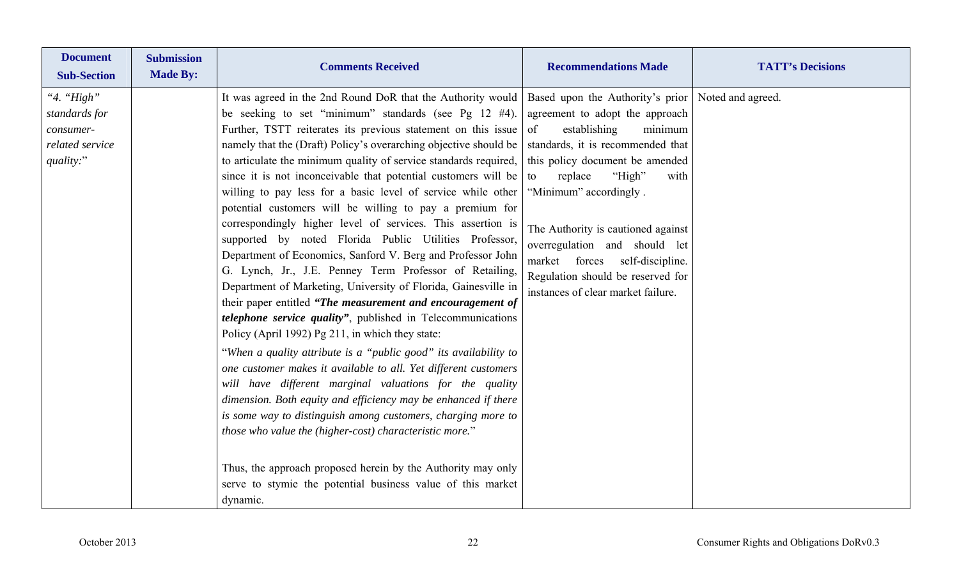| <b>Document</b><br><b>Sub-Section</b>                                    | <b>Submission</b><br><b>Made By:</b> | <b>Comments Received</b>                                                                                                                                                                                                                                                                                                                                                                                                                                                                                                                                                                                                                                                                                                                                                                                                                                                                                                                                                                                                                                                                                                                                                                                                                                                                                                                                                                                                                                                                                                                                                                | <b>Recommendations Made</b>                                                                                                                                                                                                                                                                                                                                                                                                         | <b>TATT's Decisions</b> |
|--------------------------------------------------------------------------|--------------------------------------|-----------------------------------------------------------------------------------------------------------------------------------------------------------------------------------------------------------------------------------------------------------------------------------------------------------------------------------------------------------------------------------------------------------------------------------------------------------------------------------------------------------------------------------------------------------------------------------------------------------------------------------------------------------------------------------------------------------------------------------------------------------------------------------------------------------------------------------------------------------------------------------------------------------------------------------------------------------------------------------------------------------------------------------------------------------------------------------------------------------------------------------------------------------------------------------------------------------------------------------------------------------------------------------------------------------------------------------------------------------------------------------------------------------------------------------------------------------------------------------------------------------------------------------------------------------------------------------------|-------------------------------------------------------------------------------------------------------------------------------------------------------------------------------------------------------------------------------------------------------------------------------------------------------------------------------------------------------------------------------------------------------------------------------------|-------------------------|
| "4. "High"<br>standards for<br>consumer-<br>related service<br>quality:" |                                      | It was agreed in the 2nd Round DoR that the Authority would<br>be seeking to set "minimum" standards (see Pg $12 \#4$ ).<br>Further, TSTT reiterates its previous statement on this issue<br>namely that the (Draft) Policy's overarching objective should be<br>to articulate the minimum quality of service standards required,<br>since it is not inconceivable that potential customers will be<br>willing to pay less for a basic level of service while other<br>potential customers will be willing to pay a premium for<br>correspondingly higher level of services. This assertion is<br>supported by noted Florida Public Utilities Professor,<br>Department of Economics, Sanford V. Berg and Professor John<br>G. Lynch, Jr., J.E. Penney Term Professor of Retailing,<br>Department of Marketing, University of Florida, Gainesville in<br>their paper entitled "The measurement and encouragement of<br><i>telephone service quality"</i> , published in Telecommunications<br>Policy (April 1992) Pg 211, in which they state:<br>"When a quality attribute is a "public good" its availability to<br>one customer makes it available to all. Yet different customers<br>will have different marginal valuations for the quality<br>dimension. Both equity and efficiency may be enhanced if there<br>is some way to distinguish among customers, charging more to<br>those who value the (higher-cost) characteristic more."<br>Thus, the approach proposed herein by the Authority may only<br>serve to stymie the potential business value of this market<br>dynamic. | Based upon the Authority's prior<br>agreement to adopt the approach<br>establishing<br>of<br>minimum<br>standards, it is recommended that<br>this policy document be amended<br>"High"<br>replace<br>to<br>with<br>"Minimum" accordingly.<br>The Authority is cautioned against<br>overregulation and should let<br>forces<br>self-discipline.<br>market<br>Regulation should be reserved for<br>instances of clear market failure. | Noted and agreed.       |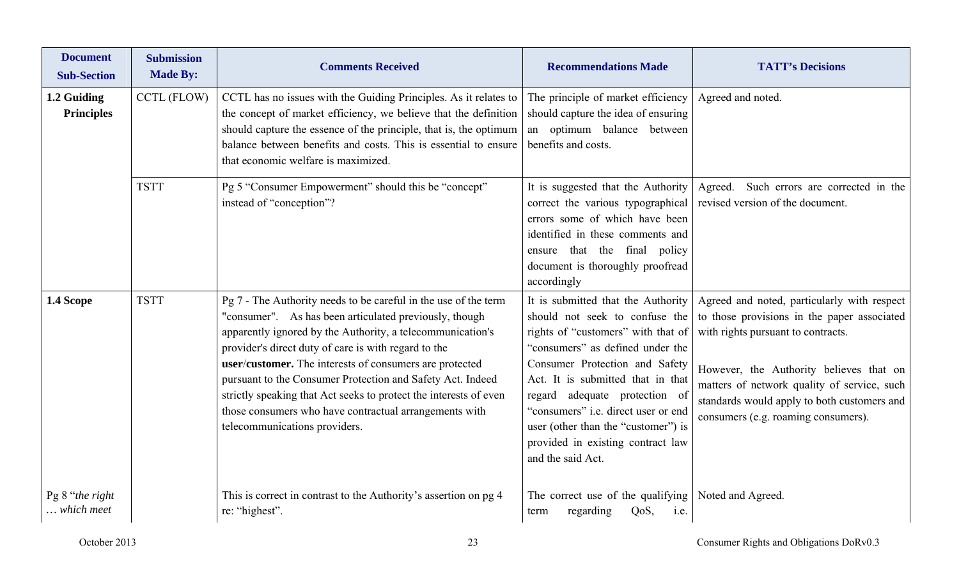| <b>Document</b><br><b>Sub-Section</b> | <b>Submission</b><br><b>Made By:</b> | <b>Comments Received</b>                                                                                                                                                                                                                                                                                                                                                                                                                                                                                                                 | <b>Recommendations Made</b>                                                                                                                                                                                                                                                                                                                                                                           | <b>TATT's Decisions</b>                                                                                                                                                                                                                                                                                          |
|---------------------------------------|--------------------------------------|------------------------------------------------------------------------------------------------------------------------------------------------------------------------------------------------------------------------------------------------------------------------------------------------------------------------------------------------------------------------------------------------------------------------------------------------------------------------------------------------------------------------------------------|-------------------------------------------------------------------------------------------------------------------------------------------------------------------------------------------------------------------------------------------------------------------------------------------------------------------------------------------------------------------------------------------------------|------------------------------------------------------------------------------------------------------------------------------------------------------------------------------------------------------------------------------------------------------------------------------------------------------------------|
| 1.2 Guiding<br><b>Principles</b>      | <b>CCTL (FLOW)</b>                   | CCTL has no issues with the Guiding Principles. As it relates to<br>the concept of market efficiency, we believe that the definition<br>should capture the essence of the principle, that is, the optimum<br>balance between benefits and costs. This is essential to ensure<br>that economic welfare is maximized.                                                                                                                                                                                                                      | The principle of market efficiency<br>should capture the idea of ensuring<br>an optimum balance between<br>benefits and costs.                                                                                                                                                                                                                                                                        | Agreed and noted.                                                                                                                                                                                                                                                                                                |
|                                       | <b>TSTT</b>                          | Pg 5 "Consumer Empowerment" should this be "concept"<br>instead of "conception"?                                                                                                                                                                                                                                                                                                                                                                                                                                                         | It is suggested that the Authority<br>correct the various typographical<br>errors some of which have been<br>identified in these comments and<br>ensure that the final policy<br>document is thoroughly proofread<br>accordingly                                                                                                                                                                      | Such errors are corrected in the<br>Agreed.<br>revised version of the document.                                                                                                                                                                                                                                  |
| 1.4 Scope                             | <b>TSTT</b>                          | Pg 7 - The Authority needs to be careful in the use of the term<br>"consumer". As has been articulated previously, though<br>apparently ignored by the Authority, a telecommunication's<br>provider's direct duty of care is with regard to the<br>user/customer. The interests of consumers are protected<br>pursuant to the Consumer Protection and Safety Act. Indeed<br>strictly speaking that Act seeks to protect the interests of even<br>those consumers who have contractual arrangements with<br>telecommunications providers. | It is submitted that the Authority<br>should not seek to confuse the<br>rights of "customers" with that of<br>"consumers" as defined under the<br>Consumer Protection and Safety<br>Act. It is submitted that in that<br>regard adequate protection of<br>"consumers" <i>i.e.</i> direct user or end<br>user (other than the "customer") is<br>provided in existing contract law<br>and the said Act. | Agreed and noted, particularly with respect<br>to those provisions in the paper associated<br>with rights pursuant to contracts.<br>However, the Authority believes that on<br>matters of network quality of service, such<br>standards would apply to both customers and<br>consumers (e.g. roaming consumers). |
| Pg 8 "the right<br>which meet         |                                      | This is correct in contrast to the Authority's assertion on pg 4<br>re: "highest".                                                                                                                                                                                                                                                                                                                                                                                                                                                       | The correct use of the qualifying<br>$QoS$ ,<br>regarding<br>i.e.<br>term                                                                                                                                                                                                                                                                                                                             | Noted and Agreed.                                                                                                                                                                                                                                                                                                |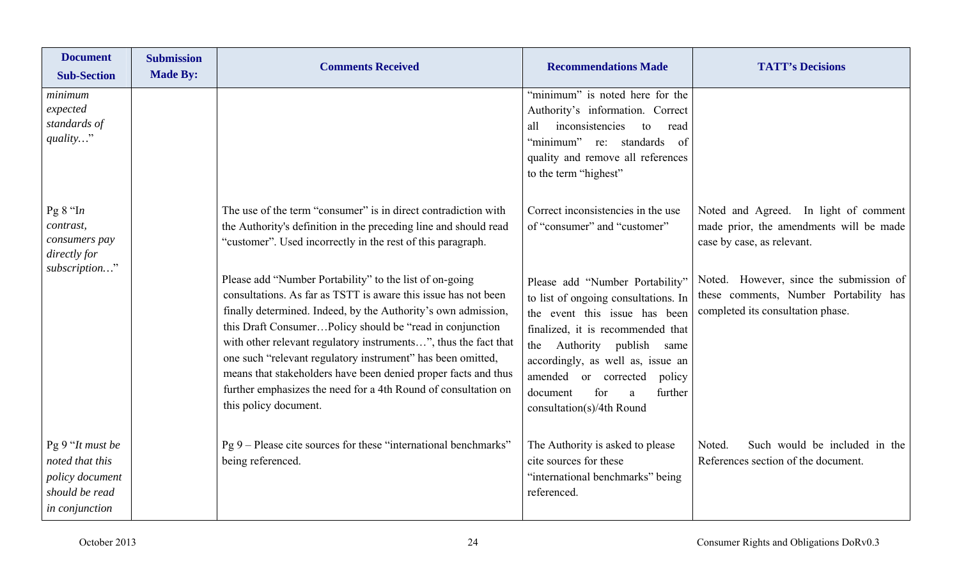| <b>Document</b><br><b>Sub-Section</b>                                                      | <b>Submission</b><br><b>Made By:</b> | <b>Comments Received</b>                                                                                                                                                                                                                                                                                                                                                                                                  | <b>Recommendations Made</b>                                                                                                                                                                                                                | <b>TATT's Decisions</b>                                                                                                                                                                             |
|--------------------------------------------------------------------------------------------|--------------------------------------|---------------------------------------------------------------------------------------------------------------------------------------------------------------------------------------------------------------------------------------------------------------------------------------------------------------------------------------------------------------------------------------------------------------------------|--------------------------------------------------------------------------------------------------------------------------------------------------------------------------------------------------------------------------------------------|-----------------------------------------------------------------------------------------------------------------------------------------------------------------------------------------------------|
| minimum<br>expected<br>standards of<br>quality"                                            |                                      |                                                                                                                                                                                                                                                                                                                                                                                                                           | "minimum" is noted here for the<br>Authority's information. Correct<br>inconsistencies<br>read<br>all<br>to<br>"minimum" re: standards of<br>quality and remove all references<br>to the term "highest"                                    |                                                                                                                                                                                                     |
| Pg $8$ "In<br>contrast,<br>consumers pay<br>directly for<br>subscription"                  |                                      | The use of the term "consumer" is in direct contradiction with<br>the Authority's definition in the preceding line and should read<br>"customer". Used incorrectly in the rest of this paragraph.<br>Please add "Number Portability" to the list of on-going<br>consultations. As far as TSTT is aware this issue has not been                                                                                            | Correct inconsistencies in the use<br>of "consumer" and "customer"<br>Please add "Number Portability"<br>to list of ongoing consultations. In                                                                                              | Noted and Agreed. In light of comment<br>made prior, the amendments will be made<br>case by case, as relevant.<br>Noted. However, since the submission of<br>these comments, Number Portability has |
|                                                                                            |                                      | finally determined. Indeed, by the Authority's own admission,<br>this Draft ConsumerPolicy should be "read in conjunction"<br>with other relevant regulatory instruments", thus the fact that<br>one such "relevant regulatory instrument" has been omitted,<br>means that stakeholders have been denied proper facts and thus<br>further emphasizes the need for a 4th Round of consultation on<br>this policy document. | the event this issue has been<br>finalized, it is recommended that<br>Authority publish same<br>the<br>accordingly, as well as, issue an<br>amended or corrected<br>policy<br>for<br>further<br>document<br>a<br>consultation(s)/4th Round | completed its consultation phase.                                                                                                                                                                   |
| Pg 9 "It must be<br>noted that this<br>policy document<br>should be read<br>in conjunction |                                      | Pg 9 – Please cite sources for these "international benchmarks"<br>being referenced.                                                                                                                                                                                                                                                                                                                                      | The Authority is asked to please<br>cite sources for these<br>"international benchmarks" being<br>referenced.                                                                                                                              | Such would be included in the<br>Noted.<br>References section of the document.                                                                                                                      |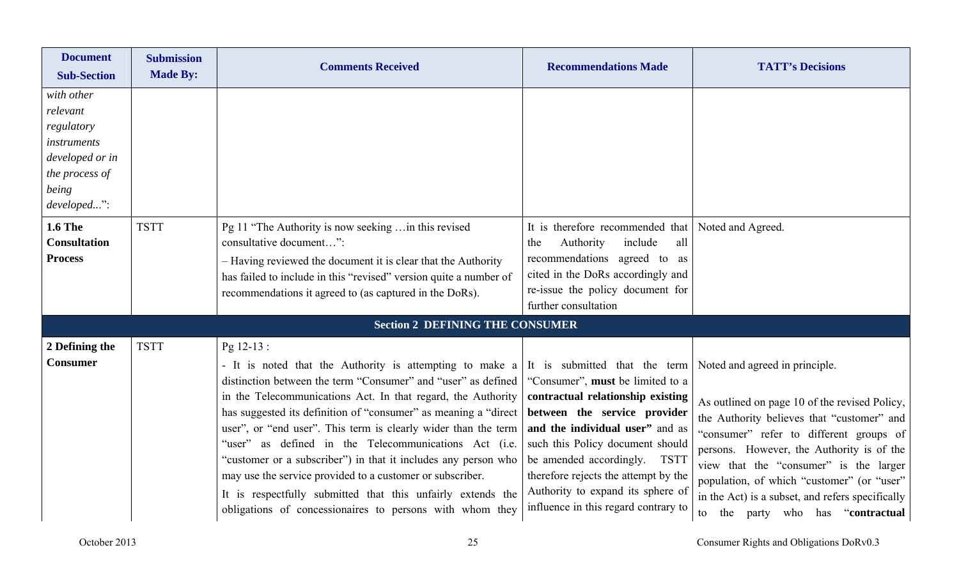| <b>Document</b><br><b>Sub-Section</b>                                                                                                     | <b>Submission</b><br><b>Made By:</b> | <b>Comments Received</b>                                                                                                                                                                                                                                                                                                                                                                                                                                                                                                                                                                                                                                        | <b>Recommendations Made</b>                                                                                                                                                                                                                                                                                                                                        | <b>TATT's Decisions</b>                                                                                                                                                                                                                                                                                                                                                                                    |
|-------------------------------------------------------------------------------------------------------------------------------------------|--------------------------------------|-----------------------------------------------------------------------------------------------------------------------------------------------------------------------------------------------------------------------------------------------------------------------------------------------------------------------------------------------------------------------------------------------------------------------------------------------------------------------------------------------------------------------------------------------------------------------------------------------------------------------------------------------------------------|--------------------------------------------------------------------------------------------------------------------------------------------------------------------------------------------------------------------------------------------------------------------------------------------------------------------------------------------------------------------|------------------------------------------------------------------------------------------------------------------------------------------------------------------------------------------------------------------------------------------------------------------------------------------------------------------------------------------------------------------------------------------------------------|
| with other<br>relevant<br>regulatory<br><i>instruments</i><br>developed or in<br>the process of<br>being<br>developed":<br><b>1.6 The</b> | <b>TSTT</b>                          | Pg 11 "The Authority is now seeking  in this revised                                                                                                                                                                                                                                                                                                                                                                                                                                                                                                                                                                                                            | It is therefore recommended that Noted and Agreed.                                                                                                                                                                                                                                                                                                                 |                                                                                                                                                                                                                                                                                                                                                                                                            |
| <b>Consultation</b><br><b>Process</b>                                                                                                     |                                      | consultative document":<br>- Having reviewed the document it is clear that the Authority<br>has failed to include in this "revised" version quite a number of<br>recommendations it agreed to (as captured in the DoRs).                                                                                                                                                                                                                                                                                                                                                                                                                                        | include<br>all<br>Authority<br>the<br>recommendations agreed to as<br>cited in the DoRs accordingly and<br>re-issue the policy document for<br>further consultation                                                                                                                                                                                                |                                                                                                                                                                                                                                                                                                                                                                                                            |
|                                                                                                                                           |                                      | <b>Section 2 DEFINING THE CONSUMER</b>                                                                                                                                                                                                                                                                                                                                                                                                                                                                                                                                                                                                                          |                                                                                                                                                                                                                                                                                                                                                                    |                                                                                                                                                                                                                                                                                                                                                                                                            |
| 2 Defining the<br><b>Consumer</b>                                                                                                         | <b>TSTT</b>                          | Pg 12-13 :<br>- It is noted that the Authority is attempting to make a<br>distinction between the term "Consumer" and "user" as defined<br>in the Telecommunications Act. In that regard, the Authority<br>has suggested its definition of "consumer" as meaning a "direct<br>user", or "end user". This term is clearly wider than the term<br>"user" as defined in the Telecommunications Act (i.e.<br>"customer or a subscriber") in that it includes any person who<br>may use the service provided to a customer or subscriber.<br>It is respectfully submitted that this unfairly extends the<br>obligations of concessionaires to persons with whom they | It is submitted that the term<br>"Consumer", must be limited to a<br>contractual relationship existing<br>between the service provider<br>and the individual user" and as<br>such this Policy document should<br>be amended accordingly. TSTT<br>therefore rejects the attempt by the<br>Authority to expand its sphere of<br>influence in this regard contrary to | Noted and agreed in principle.<br>As outlined on page 10 of the revised Policy,<br>the Authority believes that "customer" and<br>"consumer" refer to different groups of<br>persons. However, the Authority is of the<br>view that the "consumer" is the larger<br>population, of which "customer" (or "user"<br>in the Act) is a subset, and refers specifically<br>the party who has "contractual"<br>to |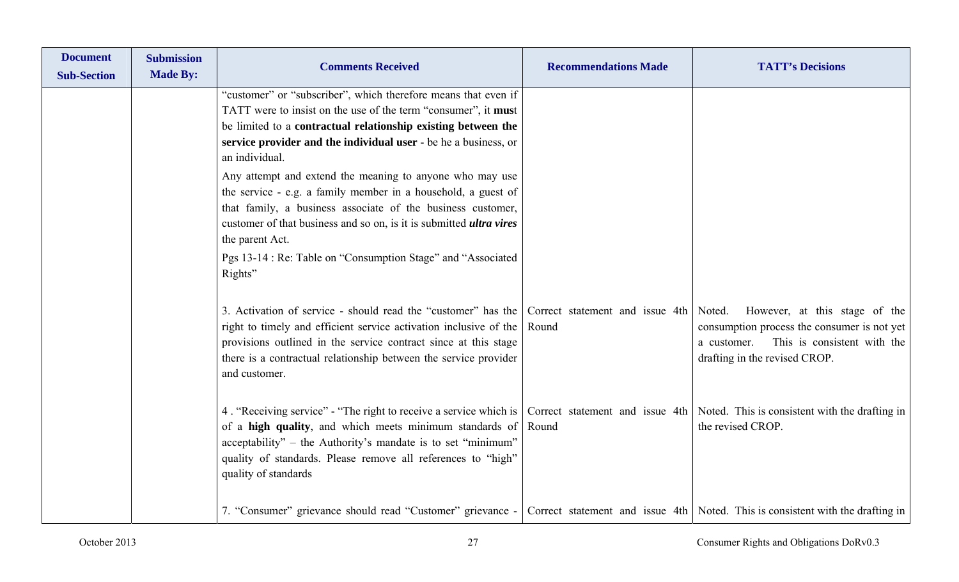| <b>Document</b><br><b>Sub-Section</b> | <b>Submission</b><br><b>Made By:</b> | <b>Comments Received</b>                                                                                                                                                                                                                                                                                                                                                                                                                                                                                                                                                                                                                                       | <b>Recommendations Made</b> | <b>TATT's Decisions</b>                                                                                                                                     |
|---------------------------------------|--------------------------------------|----------------------------------------------------------------------------------------------------------------------------------------------------------------------------------------------------------------------------------------------------------------------------------------------------------------------------------------------------------------------------------------------------------------------------------------------------------------------------------------------------------------------------------------------------------------------------------------------------------------------------------------------------------------|-----------------------------|-------------------------------------------------------------------------------------------------------------------------------------------------------------|
|                                       |                                      | "customer" or "subscriber", which therefore means that even if<br>TATT were to insist on the use of the term "consumer", it must<br>be limited to a contractual relationship existing between the<br>service provider and the individual user - be he a business, or<br>an individual.<br>Any attempt and extend the meaning to anyone who may use<br>the service - e.g. a family member in a household, a guest of<br>that family, a business associate of the business customer,<br>customer of that business and so on, is it is submitted <i>ultra vires</i><br>the parent Act.<br>Pgs 13-14 : Re: Table on "Consumption Stage" and "Associated<br>Rights" |                             |                                                                                                                                                             |
|                                       |                                      | 3. Activation of service - should read the "customer" has the Correct statement and issue 4th Noted.<br>right to timely and efficient service activation inclusive of the   Round<br>provisions outlined in the service contract since at this stage<br>there is a contractual relationship between the service provider<br>and customer.                                                                                                                                                                                                                                                                                                                      |                             | However, at this stage of the<br>consumption process the consumer is not yet<br>This is consistent with the<br>a customer.<br>drafting in the revised CROP. |
|                                       |                                      | 4. "Receiving service" - "The right to receive a service which is   Correct statement and issue 4th   Noted. This is consistent with the drafting in<br>of a high quality, and which meets minimum standards of<br>acceptability" – the Authority's mandate is to set "minimum"<br>quality of standards. Please remove all references to "high"<br>quality of standards                                                                                                                                                                                                                                                                                        | Round                       | the revised CROP.                                                                                                                                           |
|                                       |                                      | 7. "Consumer" grievance should read "Customer" grievance - Correct statement and issue 4th Noted. This is consistent with the drafting in                                                                                                                                                                                                                                                                                                                                                                                                                                                                                                                      |                             |                                                                                                                                                             |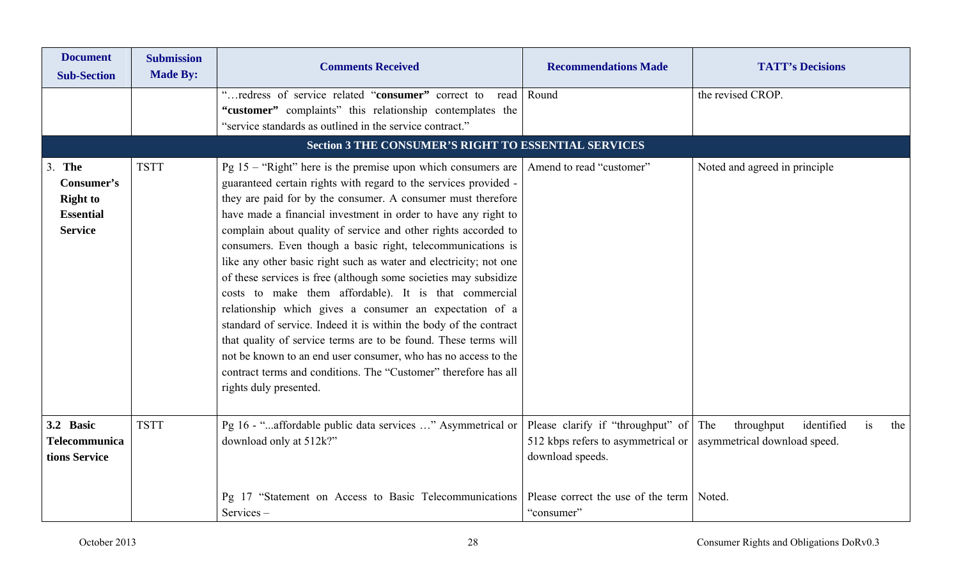| <b>Document</b><br><b>Sub-Section</b>                                      | <b>Submission</b><br><b>Made By:</b> | <b>Comments Received</b>                                                                                                                                                                                                                                                                                                                                                                                                                                                                                                                                                                                                                                                                                                                                                                                                                                                                                                                                                  | <b>Recommendations Made</b>                                                                 | <b>TATT's Decisions</b>                                                      |
|----------------------------------------------------------------------------|--------------------------------------|---------------------------------------------------------------------------------------------------------------------------------------------------------------------------------------------------------------------------------------------------------------------------------------------------------------------------------------------------------------------------------------------------------------------------------------------------------------------------------------------------------------------------------------------------------------------------------------------------------------------------------------------------------------------------------------------------------------------------------------------------------------------------------------------------------------------------------------------------------------------------------------------------------------------------------------------------------------------------|---------------------------------------------------------------------------------------------|------------------------------------------------------------------------------|
|                                                                            |                                      | "redress of service related "consumer" correct to<br>read<br>"customer" complaints" this relationship contemplates the<br>"service standards as outlined in the service contract."                                                                                                                                                                                                                                                                                                                                                                                                                                                                                                                                                                                                                                                                                                                                                                                        | Round                                                                                       | the revised CROP.                                                            |
|                                                                            |                                      | <b>Section 3 THE CONSUMER'S RIGHT TO ESSENTIAL SERVICES</b>                                                                                                                                                                                                                                                                                                                                                                                                                                                                                                                                                                                                                                                                                                                                                                                                                                                                                                               |                                                                                             |                                                                              |
| The<br>Consumer's<br><b>Right to</b><br><b>Essential</b><br><b>Service</b> | <b>TSTT</b>                          | Pg $15 -$ "Right" here is the premise upon which consumers are<br>guaranteed certain rights with regard to the services provided -<br>they are paid for by the consumer. A consumer must therefore<br>have made a financial investment in order to have any right to<br>complain about quality of service and other rights accorded to<br>consumers. Even though a basic right, telecommunications is<br>like any other basic right such as water and electricity; not one<br>of these services is free (although some societies may subsidize<br>costs to make them affordable). It is that commercial<br>relationship which gives a consumer an expectation of a<br>standard of service. Indeed it is within the body of the contract<br>that quality of service terms are to be found. These terms will<br>not be known to an end user consumer, who has no access to the<br>contract terms and conditions. The "Customer" therefore has all<br>rights duly presented. | Amend to read "customer"                                                                    | Noted and agreed in principle                                                |
| 3.2 Basic<br><b>Telecommunica</b><br>tions Service                         | <b>TSTT</b>                          | Pg 16 - "affordable public data services " Asymmetrical or<br>download only at 512k?"                                                                                                                                                                                                                                                                                                                                                                                                                                                                                                                                                                                                                                                                                                                                                                                                                                                                                     | Please clarify if "throughput" of<br>512 kbps refers to asymmetrical or<br>download speeds. | The<br>throughput<br>identified<br>is<br>the<br>asymmetrical download speed. |
|                                                                            |                                      | Pg 17 "Statement on Access to Basic Telecommunications<br>Services-                                                                                                                                                                                                                                                                                                                                                                                                                                                                                                                                                                                                                                                                                                                                                                                                                                                                                                       | Please correct the use of the term<br>"consumer"                                            | Noted.                                                                       |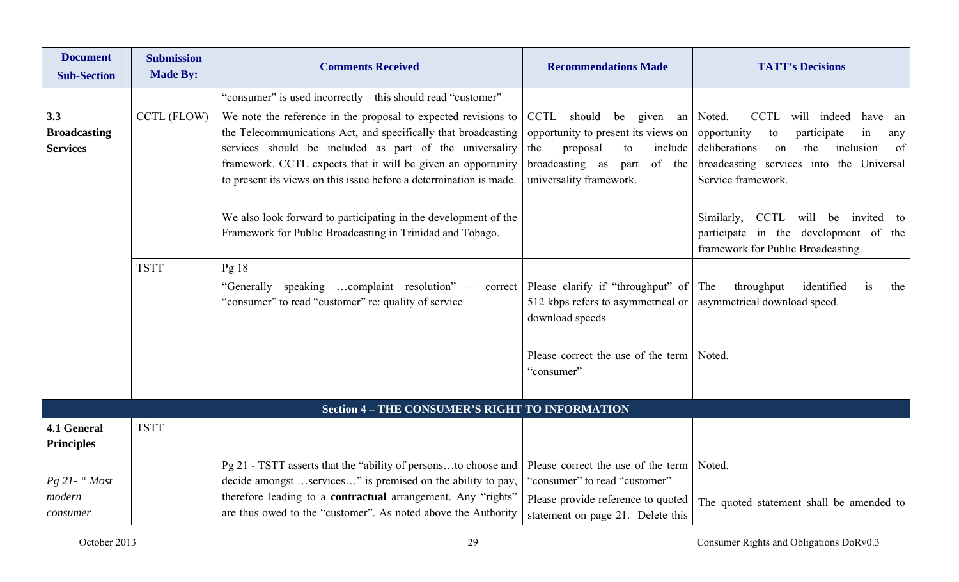| <b>Document</b><br><b>Sub-Section</b> | <b>Submission</b><br><b>Made By:</b> | <b>Comments Received</b>                                                                                                                          | <b>Recommendations Made</b>                                                          | <b>TATT's Decisions</b>                                                                                           |
|---------------------------------------|--------------------------------------|---------------------------------------------------------------------------------------------------------------------------------------------------|--------------------------------------------------------------------------------------|-------------------------------------------------------------------------------------------------------------------|
|                                       |                                      | "consumer" is used incorrectly – this should read "customer"                                                                                      |                                                                                      |                                                                                                                   |
| 3.3                                   | CCTL (FLOW)                          | We note the reference in the proposal to expected revisions to                                                                                    | CCTL should be given an Noted.                                                       | CCTL will indeed<br>have an                                                                                       |
| <b>Broadcasting</b>                   |                                      | the Telecommunications Act, and specifically that broadcasting                                                                                    | opportunity to present its views on                                                  | opportunity<br>participate<br>to<br>1n<br>any                                                                     |
| <b>Services</b>                       |                                      | services should be included as part of the universality                                                                                           | include<br>the<br>proposal<br>to                                                     | deliberations<br>the<br>inclusion<br>of<br>on                                                                     |
|                                       |                                      | framework. CCTL expects that it will be given an opportunity<br>to present its views on this issue before a determination is made.                | broadcasting as<br>of the<br>part<br>universality framework.                         | broadcasting services into the Universal<br>Service framework.                                                    |
|                                       |                                      |                                                                                                                                                   |                                                                                      |                                                                                                                   |
|                                       |                                      | We also look forward to participating in the development of the<br>Framework for Public Broadcasting in Trinidad and Tobago.                      |                                                                                      | Similarly, CCTL will be invited to<br>participate in the development of the<br>framework for Public Broadcasting. |
|                                       | <b>TSTT</b>                          | Pg <sub>18</sub>                                                                                                                                  |                                                                                      |                                                                                                                   |
|                                       |                                      | "Generally speaking complaint resolution" – correct Please clarify if "throughput" of The<br>"consumer" to read "customer" re: quality of service | 512 kbps refers to asymmetrical or   asymmetrical download speed.<br>download speeds | throughput<br>identified<br>is<br>the                                                                             |
|                                       |                                      |                                                                                                                                                   | Please correct the use of the term   Noted.<br>"consumer"                            |                                                                                                                   |
|                                       |                                      | <b>Section 4 - THE CONSUMER'S RIGHT TO INFORMATION</b>                                                                                            |                                                                                      |                                                                                                                   |
| 4.1 General<br><b>Principles</b>      | <b>TSTT</b>                          |                                                                                                                                                   |                                                                                      |                                                                                                                   |
|                                       |                                      | Pg 21 - TSTT asserts that the "ability of personsto choose and                                                                                    | Please correct the use of the term                                                   | Noted.                                                                                                            |
| $Pg$ 21 - " $Most$                    |                                      | decide amongst services" is premised on the ability to pay,                                                                                       | "consumer" to read "customer"                                                        |                                                                                                                   |
| modern<br>consumer                    |                                      | therefore leading to a contractual arrangement. Any "rights"<br>are thus owed to the "customer". As noted above the Authority                     | Please provide reference to quoted<br>statement on page 21. Delete this              | The quoted statement shall be amended to                                                                          |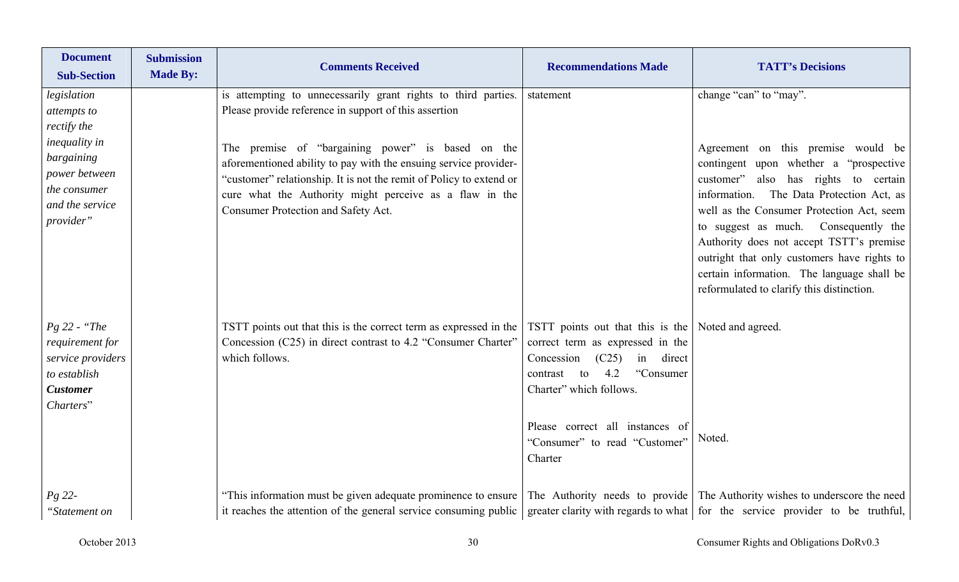| <b>Document</b><br><b>Sub-Section</b>                                                                  | <b>Submission</b><br><b>Made By:</b> | <b>Comments Received</b>                                                                                                                                                                                                                                                                       | <b>Recommendations Made</b>                                                                                                                                                                                                                                                | <b>TATT's Decisions</b>                                                                                                                                                                                                                                                                                                                                                                                                                         |
|--------------------------------------------------------------------------------------------------------|--------------------------------------|------------------------------------------------------------------------------------------------------------------------------------------------------------------------------------------------------------------------------------------------------------------------------------------------|----------------------------------------------------------------------------------------------------------------------------------------------------------------------------------------------------------------------------------------------------------------------------|-------------------------------------------------------------------------------------------------------------------------------------------------------------------------------------------------------------------------------------------------------------------------------------------------------------------------------------------------------------------------------------------------------------------------------------------------|
| legislation<br>attempts to<br>rectify the                                                              |                                      | is attempting to unnecessarily grant rights to third parties.<br>Please provide reference in support of this assertion                                                                                                                                                                         | statement                                                                                                                                                                                                                                                                  | change "can" to "may".                                                                                                                                                                                                                                                                                                                                                                                                                          |
| <i>inequality in</i><br>bargaining<br>power between<br>the consumer<br>and the service<br>provider"    |                                      | The premise of "bargaining power" is based on the<br>aforementioned ability to pay with the ensuing service provider-<br>"customer" relationship. It is not the remit of Policy to extend or<br>cure what the Authority might perceive as a flaw in the<br>Consumer Protection and Safety Act. |                                                                                                                                                                                                                                                                            | Agreement on this premise would be<br>contingent upon whether a "prospective"<br>also has rights to certain<br>customer"<br>information. The Data Protection Act, as<br>well as the Consumer Protection Act, seem<br>to suggest as much. Consequently the<br>Authority does not accept TSTT's premise<br>outright that only customers have rights to<br>certain information. The language shall be<br>reformulated to clarify this distinction. |
| $Pg$ 22 - "The<br>requirement for<br>service providers<br>to establish<br><b>Customer</b><br>Charters" |                                      | TSTT points out that this is the correct term as expressed in the<br>Concession (C25) in direct contrast to 4.2 "Consumer Charter"<br>which follows.                                                                                                                                           | TSTT points out that this is the Noted and agreed.<br>correct term as expressed in the<br>Concession<br>(C25)<br>in direct<br>4.2<br>"Consumer<br>to<br>contrast<br>Charter" which follows.<br>Please correct all instances of<br>"Consumer" to read "Customer"<br>Charter | Noted.                                                                                                                                                                                                                                                                                                                                                                                                                                          |
| $Pg$ 22-<br>"Statement on                                                                              |                                      | "This information must be given adequate prominence to ensure<br>it reaches the attention of the general service consuming public                                                                                                                                                              |                                                                                                                                                                                                                                                                            | The Authority needs to provide The Authority wishes to underscore the need<br>greater clarity with regards to what for the service provider to be truthful,                                                                                                                                                                                                                                                                                     |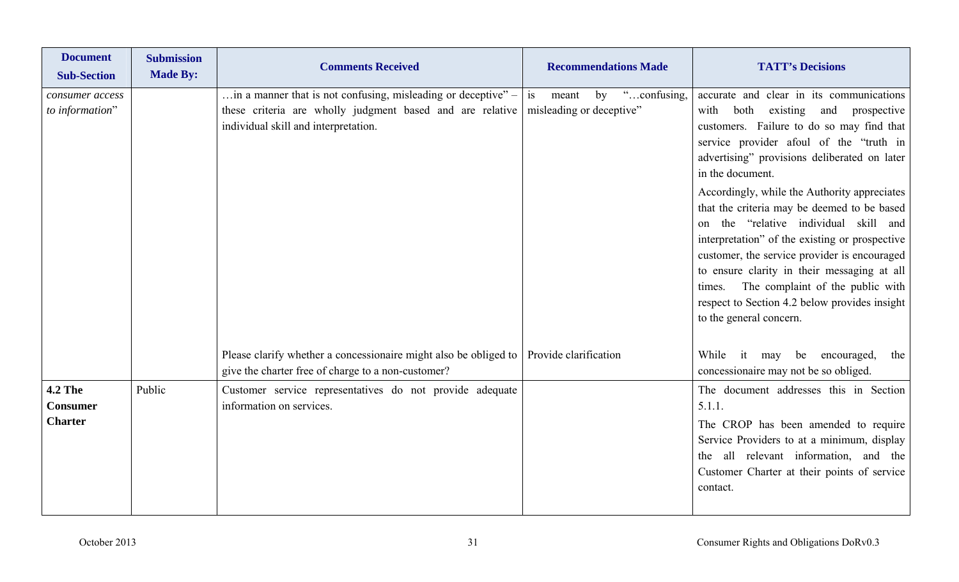| <b>Document</b><br><b>Sub-Section</b>               | <b>Submission</b><br><b>Made By:</b> | <b>Comments Received</b>                                                                                                                                                   | <b>Recommendations Made</b>                                  | <b>TATT's Decisions</b>                                                                                                                                                                                                                                                                                                                                                                                                                                                                                                                                                                                                                                                   |
|-----------------------------------------------------|--------------------------------------|----------------------------------------------------------------------------------------------------------------------------------------------------------------------------|--------------------------------------------------------------|---------------------------------------------------------------------------------------------------------------------------------------------------------------------------------------------------------------------------------------------------------------------------------------------------------------------------------------------------------------------------------------------------------------------------------------------------------------------------------------------------------------------------------------------------------------------------------------------------------------------------------------------------------------------------|
| consumer access<br>to information"                  |                                      | $\dots$ in a manner that is not confusing, misleading or deceptive" –<br>these criteria are wholly judgment based and are relative<br>individual skill and interpretation. | "confusing,<br>is<br>meant<br>by<br>misleading or deceptive" | accurate and clear in its communications<br>existing<br>with<br>both<br>and<br>prospective<br>customers. Failure to do so may find that<br>service provider afoul of the "truth in<br>advertising" provisions deliberated on later<br>in the document.<br>Accordingly, while the Authority appreciates<br>that the criteria may be deemed to be based<br>on the "relative individual skill and<br>interpretation" of the existing or prospective<br>customer, the service provider is encouraged<br>to ensure clarity in their messaging at all<br>The complaint of the public with<br>times.<br>respect to Section 4.2 below provides insight<br>to the general concern. |
|                                                     |                                      | Please clarify whether a concessionaire might also be obliged to<br>give the charter free of charge to a non-customer?                                                     | Provide clarification                                        | it may be encouraged,<br>While<br>the<br>concessionaire may not be so obliged.                                                                                                                                                                                                                                                                                                                                                                                                                                                                                                                                                                                            |
| <b>4.2 The</b><br><b>Consumer</b><br><b>Charter</b> | Public                               | Customer service representatives do not provide adequate<br>information on services.                                                                                       |                                                              | The document addresses this in Section<br>5.1.1.<br>The CROP has been amended to require<br>Service Providers to at a minimum, display<br>the all relevant information, and the<br>Customer Charter at their points of service<br>contact.                                                                                                                                                                                                                                                                                                                                                                                                                                |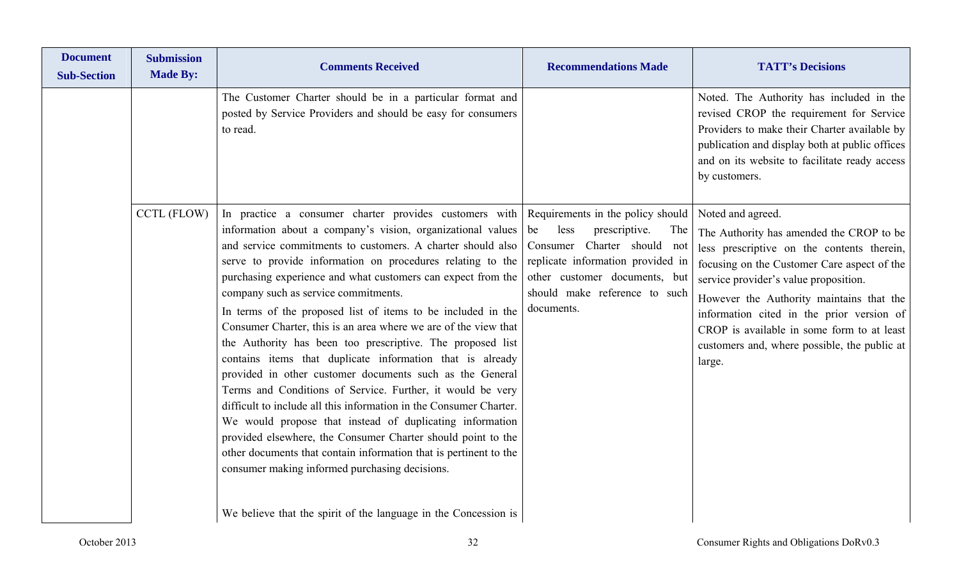| <b>Document</b><br><b>Sub-Section</b> | <b>Submission</b><br><b>Made By:</b> | <b>Comments Received</b>                                                                                                                                                                                                                                                                                                                                                                                                                                                                                                                                                                                                                                                                                                                                                                                                                                                                                                                                                                                                                                                                                                                       | <b>Recommendations Made</b>                                                                                                                                                                                                    | <b>TATT's Decisions</b>                                                                                                                                                                                                                                                                                                                                                                              |
|---------------------------------------|--------------------------------------|------------------------------------------------------------------------------------------------------------------------------------------------------------------------------------------------------------------------------------------------------------------------------------------------------------------------------------------------------------------------------------------------------------------------------------------------------------------------------------------------------------------------------------------------------------------------------------------------------------------------------------------------------------------------------------------------------------------------------------------------------------------------------------------------------------------------------------------------------------------------------------------------------------------------------------------------------------------------------------------------------------------------------------------------------------------------------------------------------------------------------------------------|--------------------------------------------------------------------------------------------------------------------------------------------------------------------------------------------------------------------------------|------------------------------------------------------------------------------------------------------------------------------------------------------------------------------------------------------------------------------------------------------------------------------------------------------------------------------------------------------------------------------------------------------|
|                                       |                                      | The Customer Charter should be in a particular format and<br>posted by Service Providers and should be easy for consumers<br>to read.                                                                                                                                                                                                                                                                                                                                                                                                                                                                                                                                                                                                                                                                                                                                                                                                                                                                                                                                                                                                          |                                                                                                                                                                                                                                | Noted. The Authority has included in the<br>revised CROP the requirement for Service<br>Providers to make their Charter available by<br>publication and display both at public offices<br>and on its website to facilitate ready access<br>by customers.                                                                                                                                             |
|                                       | CCTL (FLOW)                          | In practice a consumer charter provides customers with<br>information about a company's vision, organizational values<br>and service commitments to customers. A charter should also<br>serve to provide information on procedures relating to the<br>purchasing experience and what customers can expect from the<br>company such as service commitments.<br>In terms of the proposed list of items to be included in the<br>Consumer Charter, this is an area where we are of the view that<br>the Authority has been too prescriptive. The proposed list<br>contains items that duplicate information that is already<br>provided in other customer documents such as the General<br>Terms and Conditions of Service. Further, it would be very<br>difficult to include all this information in the Consumer Charter.<br>We would propose that instead of duplicating information<br>provided elsewhere, the Consumer Charter should point to the<br>other documents that contain information that is pertinent to the<br>consumer making informed purchasing decisions.<br>We believe that the spirit of the language in the Concession is | Requirements in the policy should<br>prescriptive.<br>be<br>less<br>The<br>Charter should not<br>Consumer<br>replicate information provided in<br>other customer documents, but<br>should make reference to such<br>documents. | Noted and agreed.<br>The Authority has amended the CROP to be<br>less prescriptive on the contents therein,<br>focusing on the Customer Care aspect of the<br>service provider's value proposition.<br>However the Authority maintains that the<br>information cited in the prior version of<br>CROP is available in some form to at least<br>customers and, where possible, the public at<br>large. |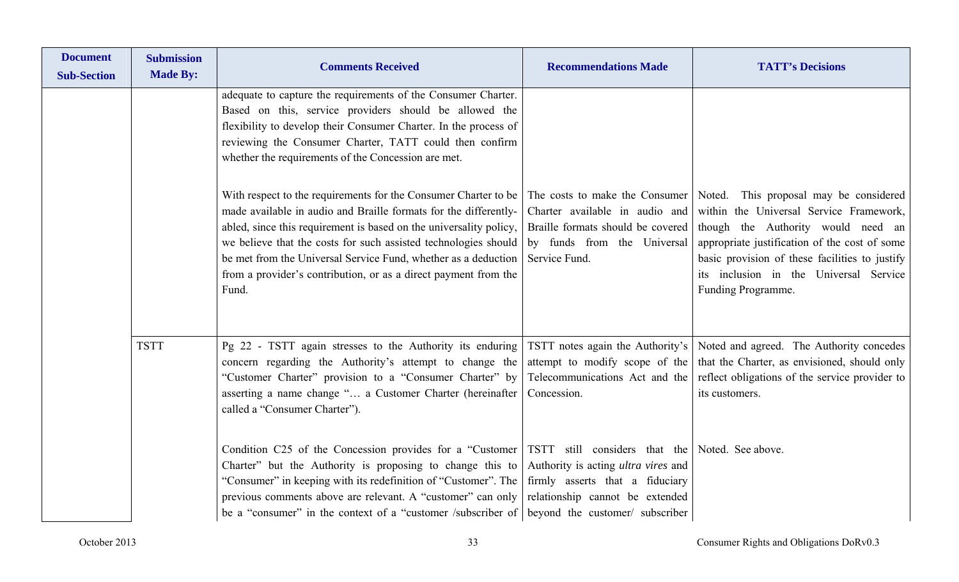| <b>Document</b><br><b>Sub-Section</b> | <b>Submission</b><br><b>Made By:</b> | <b>Comments Received</b>                                                                                                                                                                                                                                                                                                                                                                                                   | <b>Recommendations Made</b>                                                                                                                           | <b>TATT's Decisions</b>                                                                                                                                                                                                                                                                    |
|---------------------------------------|--------------------------------------|----------------------------------------------------------------------------------------------------------------------------------------------------------------------------------------------------------------------------------------------------------------------------------------------------------------------------------------------------------------------------------------------------------------------------|-------------------------------------------------------------------------------------------------------------------------------------------------------|--------------------------------------------------------------------------------------------------------------------------------------------------------------------------------------------------------------------------------------------------------------------------------------------|
|                                       |                                      | adequate to capture the requirements of the Consumer Charter.<br>Based on this, service providers should be allowed the<br>flexibility to develop their Consumer Charter. In the process of<br>reviewing the Consumer Charter, TATT could then confirm<br>whether the requirements of the Concession are met.                                                                                                              |                                                                                                                                                       |                                                                                                                                                                                                                                                                                            |
|                                       |                                      | With respect to the requirements for the Consumer Charter to be<br>made available in audio and Braille formats for the differently-<br>abled, since this requirement is based on the universality policy,<br>we believe that the costs for such assisted technologies should<br>be met from the Universal Service Fund, whether as a deduction<br>from a provider's contribution, or as a direct payment from the<br>Fund. | The costs to make the Consumer<br>Charter available in audio and<br>Braille formats should be covered<br>by funds from the Universal<br>Service Fund. | Noted. This proposal may be considered<br>within the Universal Service Framework,<br>though the Authority would need an<br>appropriate justification of the cost of some<br>basic provision of these facilities to justify<br>its inclusion in the Universal Service<br>Funding Programme. |
|                                       | <b>TSTT</b>                          | Pg 22 - TSTT again stresses to the Authority its enduring<br>concern regarding the Authority's attempt to change the<br>"Customer Charter" provision to a "Consumer Charter" by<br>asserting a name change " a Customer Charter (hereinafter<br>called a "Consumer Charter").                                                                                                                                              | TSTT notes again the Authority's<br>attempt to modify scope of the<br>Telecommunications Act and the<br>Concession.                                   | Noted and agreed. The Authority concedes<br>that the Charter, as envisioned, should only<br>reflect obligations of the service provider to<br>its customers.                                                                                                                               |
|                                       |                                      | Condition C25 of the Concession provides for a "Customer TSTT still considers that the Noted. See above.<br>Charter" but the Authority is proposing to change this to<br>"Consumer" in keeping with its redefinition of "Customer". The<br>previous comments above are relevant. A "customer" can only<br>be a "consumer" in the context of a "customer /subscriber of                                                     | Authority is acting <i>ultra vires</i> and<br>firmly asserts that a fiduciary<br>relationship cannot be extended<br>beyond the customer/ subscriber   |                                                                                                                                                                                                                                                                                            |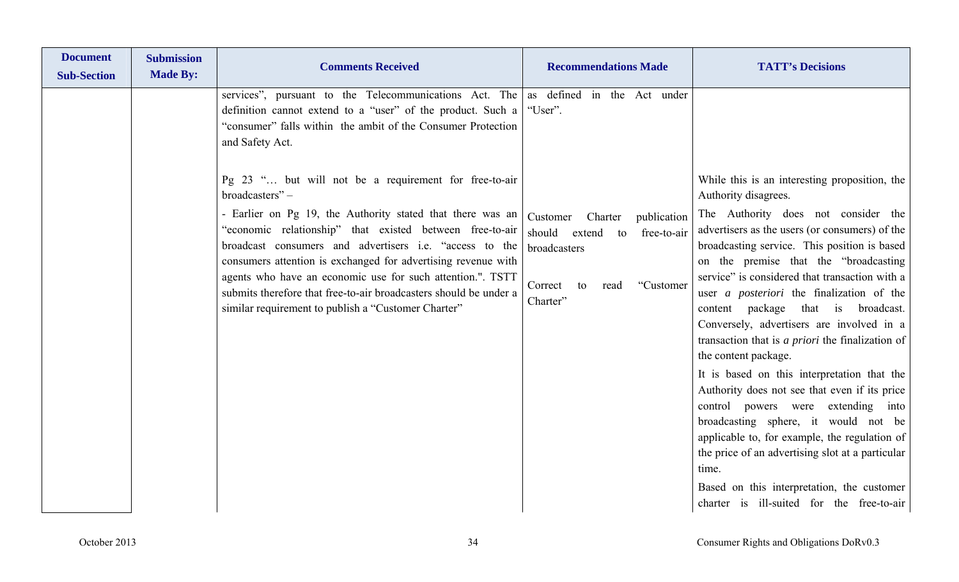| services", pursuant to the Telecommunications Act. The<br>definition cannot extend to a "user" of the product. Such a<br>"consumer" falls within the ambit of the Consumer Protection<br>and Safety Act.<br>Pg 23 " but will not be a requirement for free-to-air<br>broadcasters"-<br>- Earlier on Pg 19, the Authority stated that there was an<br>"economic relationship" that existed between free-to-air<br>broadcast consumers and advertisers <i>i.e.</i> "access to the<br>consumers attention is exchanged for advertising revenue with<br>agents who have an economic use for such attention.". TSTT<br>submits therefore that free-to-air broadcasters should be under a<br>similar requirement to publish a "Customer Charter" | as defined in the Act under<br>"User".<br>Charter<br>publication<br>Customer<br>free-to-air<br>should<br>extend<br>to<br>broadcasters<br>Correct<br>"Customer"<br>to<br>read<br>Charter" | While this is an interesting proposition, the<br>Authority disagrees.<br>The Authority does not consider the<br>advertisers as the users (or consumers) of the<br>broadcasting service. This position is based<br>on the premise that the "broadcasting<br>service" is considered that transaction with a<br>user <i>a posteriori</i> the finalization of the<br>package<br>that is broadcast.<br>content<br>Conversely, advertisers are involved in a<br>transaction that is <i>a priori</i> the finalization of<br>the content package.<br>It is based on this interpretation that the<br>Authority does not see that even if its price |
|--------------------------------------------------------------------------------------------------------------------------------------------------------------------------------------------------------------------------------------------------------------------------------------------------------------------------------------------------------------------------------------------------------------------------------------------------------------------------------------------------------------------------------------------------------------------------------------------------------------------------------------------------------------------------------------------------------------------------------------------|------------------------------------------------------------------------------------------------------------------------------------------------------------------------------------------|-------------------------------------------------------------------------------------------------------------------------------------------------------------------------------------------------------------------------------------------------------------------------------------------------------------------------------------------------------------------------------------------------------------------------------------------------------------------------------------------------------------------------------------------------------------------------------------------------------------------------------------------|
|                                                                                                                                                                                                                                                                                                                                                                                                                                                                                                                                                                                                                                                                                                                                            |                                                                                                                                                                                          | control powers were extending into<br>broadcasting sphere, it would not be<br>applicable to, for example, the regulation of<br>the price of an advertising slot at a particular<br>time.<br>Based on this interpretation, the customer<br>charter is ill-suited for the free-to-air                                                                                                                                                                                                                                                                                                                                                       |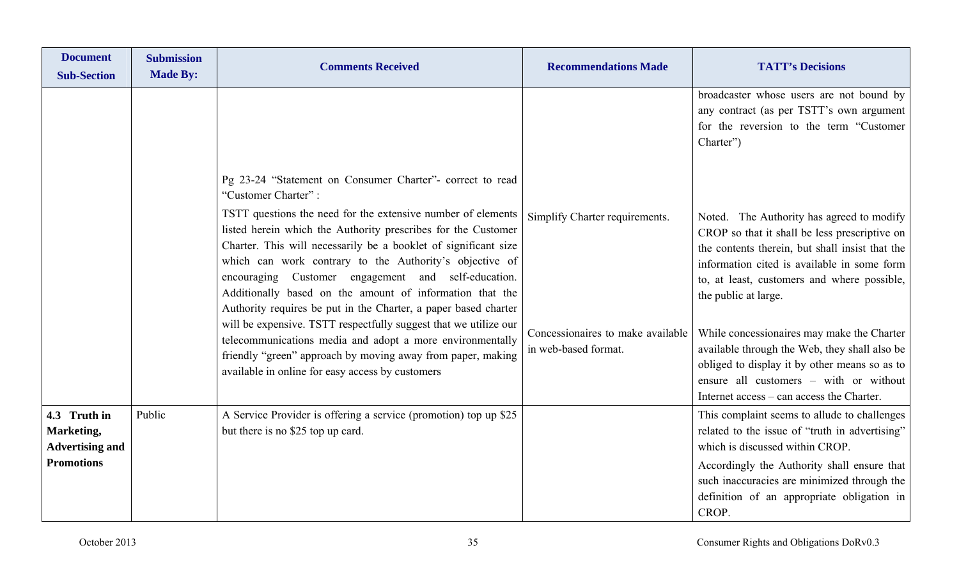| <b>Document</b><br><b>Sub-Section</b>                                     | <b>Submission</b><br><b>Made By:</b> | <b>Comments Received</b>                                                                                                                                                                                                                                                                                                                                                                                                                                                                                                                                                                                                                                                                                                     | <b>Recommendations Made</b>                                                                 | <b>TATT's Decisions</b>                                                                                                                                                                                                                                                                                                                                                                                                                                                                                    |
|---------------------------------------------------------------------------|--------------------------------------|------------------------------------------------------------------------------------------------------------------------------------------------------------------------------------------------------------------------------------------------------------------------------------------------------------------------------------------------------------------------------------------------------------------------------------------------------------------------------------------------------------------------------------------------------------------------------------------------------------------------------------------------------------------------------------------------------------------------------|---------------------------------------------------------------------------------------------|------------------------------------------------------------------------------------------------------------------------------------------------------------------------------------------------------------------------------------------------------------------------------------------------------------------------------------------------------------------------------------------------------------------------------------------------------------------------------------------------------------|
|                                                                           |                                      | Pg 23-24 "Statement on Consumer Charter"- correct to read                                                                                                                                                                                                                                                                                                                                                                                                                                                                                                                                                                                                                                                                    |                                                                                             | broadcaster whose users are not bound by<br>any contract (as per TSTT's own argument<br>for the reversion to the term "Customer<br>Charter")                                                                                                                                                                                                                                                                                                                                                               |
|                                                                           |                                      | "Customer Charter":<br>TSTT questions the need for the extensive number of elements<br>listed herein which the Authority prescribes for the Customer<br>Charter. This will necessarily be a booklet of significant size<br>which can work contrary to the Authority's objective of<br>encouraging Customer engagement and self-education.<br>Additionally based on the amount of information that the<br>Authority requires be put in the Charter, a paper based charter<br>will be expensive. TSTT respectfully suggest that we utilize our<br>telecommunications media and adopt a more environmentally<br>friendly "green" approach by moving away from paper, making<br>available in online for easy access by customers | Simplify Charter requirements.<br>Concessionaires to make available<br>in web-based format. | Noted. The Authority has agreed to modify<br>CROP so that it shall be less prescriptive on<br>the contents therein, but shall insist that the<br>information cited is available in some form<br>to, at least, customers and where possible,<br>the public at large.<br>While concessionaires may make the Charter<br>available through the Web, they shall also be<br>obliged to display it by other means so as to<br>ensure all customers - with or without<br>Internet access – can access the Charter. |
| 4.3 Truth in<br>Marketing,<br><b>Advertising and</b><br><b>Promotions</b> | Public                               | A Service Provider is offering a service (promotion) top up \$25<br>but there is no \$25 top up card.                                                                                                                                                                                                                                                                                                                                                                                                                                                                                                                                                                                                                        |                                                                                             | This complaint seems to allude to challenges<br>related to the issue of "truth in advertising"<br>which is discussed within CROP.<br>Accordingly the Authority shall ensure that<br>such inaccuracies are minimized through the<br>definition of an appropriate obligation in<br>CROP.                                                                                                                                                                                                                     |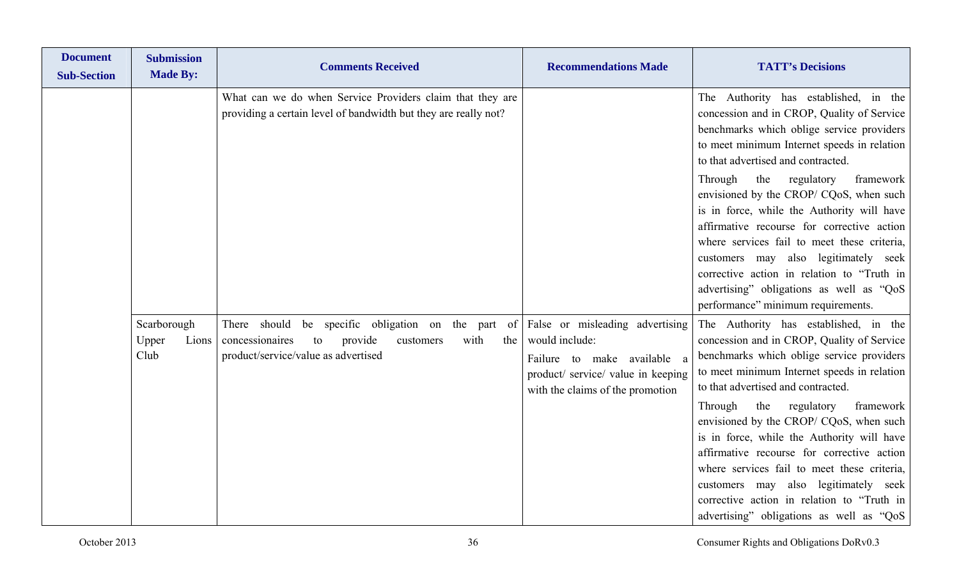| <b>Document</b><br><b>Sub-Section</b> | <b>Submission</b><br><b>Made By:</b>  | <b>Comments Received</b>                                                                                                                                  | <b>Recommendations Made</b>                                                                                                                                | <b>TATT's Decisions</b>                                                                                                                                                                                                                                                                                                                                                                                                                                                                                                                                                                    |
|---------------------------------------|---------------------------------------|-----------------------------------------------------------------------------------------------------------------------------------------------------------|------------------------------------------------------------------------------------------------------------------------------------------------------------|--------------------------------------------------------------------------------------------------------------------------------------------------------------------------------------------------------------------------------------------------------------------------------------------------------------------------------------------------------------------------------------------------------------------------------------------------------------------------------------------------------------------------------------------------------------------------------------------|
|                                       |                                       | What can we do when Service Providers claim that they are<br>providing a certain level of bandwidth but they are really not?                              |                                                                                                                                                            | The Authority has established, in the<br>concession and in CROP, Quality of Service<br>benchmarks which oblige service providers<br>to meet minimum Internet speeds in relation<br>to that advertised and contracted.                                                                                                                                                                                                                                                                                                                                                                      |
|                                       |                                       |                                                                                                                                                           |                                                                                                                                                            | the regulatory<br>framework<br>Through<br>envisioned by the CROP/ CQoS, when such<br>is in force, while the Authority will have<br>affirmative recourse for corrective action<br>where services fail to meet these criteria,<br>customers may also legitimately seek<br>corrective action in relation to "Truth in<br>advertising" obligations as well as "QoS<br>performance" minimum requirements.                                                                                                                                                                                       |
|                                       | Scarborough<br>Upper<br>Lions<br>Club | There should be specific obligation on the part of<br>provide<br>concessionaires<br>to<br>with<br>the<br>customers<br>product/service/value as advertised | False or misleading advertising<br>would include:<br>Failure to make available a<br>product/ service/ value in keeping<br>with the claims of the promotion | The Authority has established, in the<br>concession and in CROP, Quality of Service<br>benchmarks which oblige service providers<br>to meet minimum Internet speeds in relation<br>to that advertised and contracted.<br>framework<br>Through<br>the<br>regulatory<br>envisioned by the CROP/ CQoS, when such<br>is in force, while the Authority will have<br>affirmative recourse for corrective action<br>where services fail to meet these criteria,<br>customers may also legitimately seek<br>corrective action in relation to "Truth in<br>advertising" obligations as well as "QoS |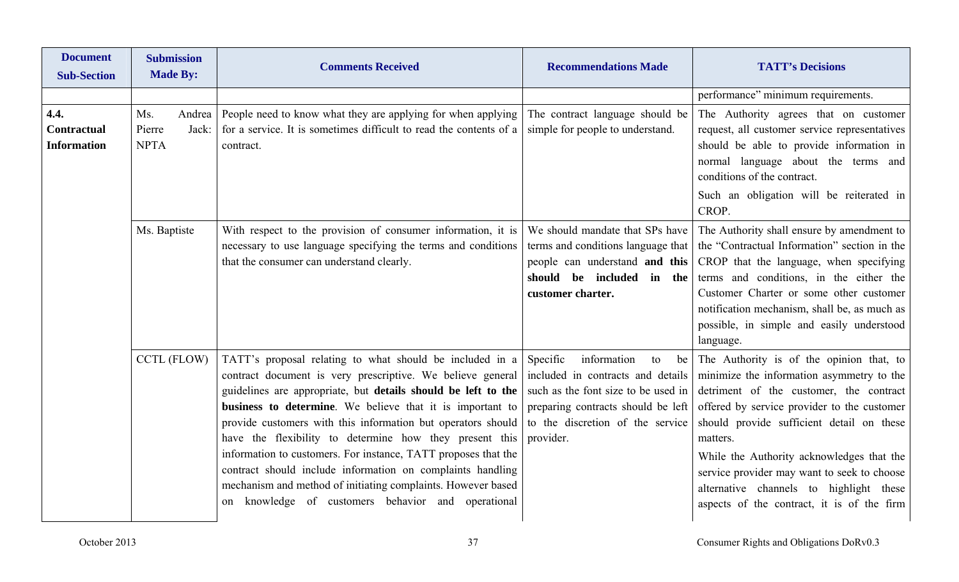| <b>Document</b><br><b>Sub-Section</b>            | <b>Submission</b><br><b>Made By:</b>            | <b>Comments Received</b>                                                                                                                                                                                                                                                                                                                                                                                                                                                                                                                                                                                                                 | <b>Recommendations Made</b>                                                                                                                                                                            | <b>TATT's Decisions</b>                                                                                                                                                                                                                                                                                                                                                                                                       |
|--------------------------------------------------|-------------------------------------------------|------------------------------------------------------------------------------------------------------------------------------------------------------------------------------------------------------------------------------------------------------------------------------------------------------------------------------------------------------------------------------------------------------------------------------------------------------------------------------------------------------------------------------------------------------------------------------------------------------------------------------------------|--------------------------------------------------------------------------------------------------------------------------------------------------------------------------------------------------------|-------------------------------------------------------------------------------------------------------------------------------------------------------------------------------------------------------------------------------------------------------------------------------------------------------------------------------------------------------------------------------------------------------------------------------|
|                                                  |                                                 |                                                                                                                                                                                                                                                                                                                                                                                                                                                                                                                                                                                                                                          |                                                                                                                                                                                                        | performance" minimum requirements.                                                                                                                                                                                                                                                                                                                                                                                            |
| 4.4.<br><b>Contractual</b><br><b>Information</b> | Ms.<br>Andrea<br>Pierre<br>Jack:<br><b>NPTA</b> | People need to know what they are applying for when applying<br>for a service. It is sometimes difficult to read the contents of a<br>contract.                                                                                                                                                                                                                                                                                                                                                                                                                                                                                          | The contract language should be<br>simple for people to understand.                                                                                                                                    | The Authority agrees that on customer<br>request, all customer service representatives<br>should be able to provide information in<br>normal language about the terms and<br>conditions of the contract.<br>Such an obligation will be reiterated in<br>CROP.                                                                                                                                                                 |
|                                                  | Ms. Baptiste                                    | With respect to the provision of consumer information, it is<br>necessary to use language specifying the terms and conditions<br>that the consumer can understand clearly.                                                                                                                                                                                                                                                                                                                                                                                                                                                               | We should mandate that SPs have<br>terms and conditions language that<br>people can understand and this<br>should be included in the<br>customer charter.                                              | The Authority shall ensure by amendment to<br>the "Contractual Information" section in the<br>CROP that the language, when specifying<br>terms and conditions, in the either the<br>Customer Charter or some other customer<br>notification mechanism, shall be, as much as<br>possible, in simple and easily understood<br>language.                                                                                         |
|                                                  | <b>CCTL (FLOW)</b>                              | TATT's proposal relating to what should be included in a<br>contract document is very prescriptive. We believe general<br>guidelines are appropriate, but details should be left to the<br>business to determine. We believe that it is important to<br>provide customers with this information but operators should<br>have the flexibility to determine how they present this<br>information to customers. For instance, TATT proposes that the<br>contract should include information on complaints handling<br>mechanism and method of initiating complaints. However based<br>knowledge of customers behavior and operational<br>on | Specific<br>information<br>to<br>be<br>included in contracts and details<br>such as the font size to be used in<br>preparing contracts should be left<br>to the discretion of the service<br>provider. | The Authority is of the opinion that, to<br>minimize the information asymmetry to the<br>detriment of the customer, the contract<br>offered by service provider to the customer<br>should provide sufficient detail on these<br>matters.<br>While the Authority acknowledges that the<br>service provider may want to seek to choose<br>alternative channels to highlight these<br>aspects of the contract, it is of the firm |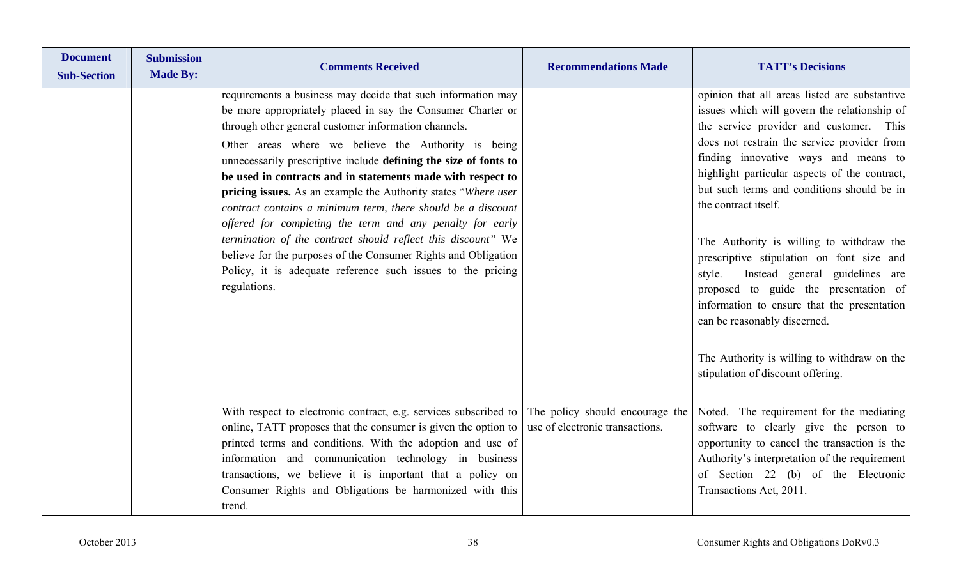| <b>Document</b><br><b>Sub-Section</b> | <b>Submission</b><br><b>Made By:</b> | <b>Comments Received</b>                                                                                                                                                                                                                                                                                                                                                                                                                                                                                        | <b>Recommendations Made</b>                                        | <b>TATT's Decisions</b>                                                                                                                                                                                                                                                                                                                                |
|---------------------------------------|--------------------------------------|-----------------------------------------------------------------------------------------------------------------------------------------------------------------------------------------------------------------------------------------------------------------------------------------------------------------------------------------------------------------------------------------------------------------------------------------------------------------------------------------------------------------|--------------------------------------------------------------------|--------------------------------------------------------------------------------------------------------------------------------------------------------------------------------------------------------------------------------------------------------------------------------------------------------------------------------------------------------|
|                                       |                                      | requirements a business may decide that such information may<br>be more appropriately placed in say the Consumer Charter or<br>through other general customer information channels.<br>Other areas where we believe the Authority is being<br>unnecessarily prescriptive include defining the size of fonts to<br>be used in contracts and in statements made with respect to<br>pricing issues. As an example the Authority states "Where user<br>contract contains a minimum term, there should be a discount |                                                                    | opinion that all areas listed are substantive<br>issues which will govern the relationship of<br>the service provider and customer. This<br>does not restrain the service provider from<br>finding innovative ways and means to<br>highlight particular aspects of the contract,<br>but such terms and conditions should be in<br>the contract itself. |
|                                       |                                      | offered for completing the term and any penalty for early<br>termination of the contract should reflect this discount" We<br>believe for the purposes of the Consumer Rights and Obligation<br>Policy, it is adequate reference such issues to the pricing<br>regulations.                                                                                                                                                                                                                                      |                                                                    | The Authority is willing to withdraw the<br>prescriptive stipulation on font size and<br>Instead general guidelines are<br>style.<br>proposed to guide the presentation of<br>information to ensure that the presentation<br>can be reasonably discerned.                                                                                              |
|                                       |                                      |                                                                                                                                                                                                                                                                                                                                                                                                                                                                                                                 |                                                                    | The Authority is willing to withdraw on the<br>stipulation of discount offering.                                                                                                                                                                                                                                                                       |
|                                       |                                      | With respect to electronic contract, e.g. services subscribed to<br>online, TATT proposes that the consumer is given the option to<br>printed terms and conditions. With the adoption and use of<br>information and communication technology in business<br>transactions, we believe it is important that a policy on<br>Consumer Rights and Obligations be harmonized with this<br>trend.                                                                                                                      | The policy should encourage the<br>use of electronic transactions. | Noted. The requirement for the mediating<br>software to clearly give the person to<br>opportunity to cancel the transaction is the<br>Authority's interpretation of the requirement<br>of Section 22 (b) of the Electronic<br>Transactions Act, 2011.                                                                                                  |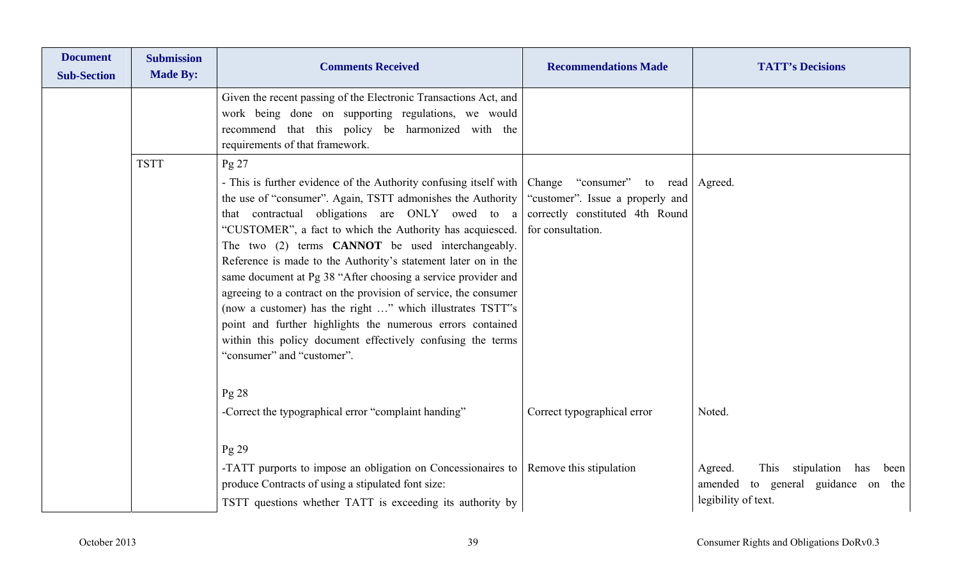| <b>Document</b><br><b>Sub-Section</b> | <b>Submission</b><br><b>Made By:</b> | <b>Comments Received</b>                                                                                                                                                                                                                                                                                                                                                                                                                                                                                                                                                                                                                                                                                                                                                   | <b>Recommendations Made</b>                                                                                   | <b>TATT's Decisions</b>                                                                                    |
|---------------------------------------|--------------------------------------|----------------------------------------------------------------------------------------------------------------------------------------------------------------------------------------------------------------------------------------------------------------------------------------------------------------------------------------------------------------------------------------------------------------------------------------------------------------------------------------------------------------------------------------------------------------------------------------------------------------------------------------------------------------------------------------------------------------------------------------------------------------------------|---------------------------------------------------------------------------------------------------------------|------------------------------------------------------------------------------------------------------------|
|                                       |                                      | Given the recent passing of the Electronic Transactions Act, and<br>work being done on supporting regulations, we would<br>recommend that this policy be harmonized with the<br>requirements of that framework.                                                                                                                                                                                                                                                                                                                                                                                                                                                                                                                                                            |                                                                                                               |                                                                                                            |
|                                       | <b>TSTT</b>                          | $Pg$ 27<br>- This is further evidence of the Authority confusing itself with   Change "consumer"<br>the use of "consumer". Again, TSTT admonishes the Authority<br>that contractual obligations are ONLY owed to a<br>"CUSTOMER", a fact to which the Authority has acquiesced.<br>The two (2) terms <b>CANNOT</b> be used interchangeably.<br>Reference is made to the Authority's statement later on in the<br>same document at Pg 38 "After choosing a service provider and<br>agreeing to a contract on the provision of service, the consumer<br>(now a customer) has the right " which illustrates TSTT"s<br>point and further highlights the numerous errors contained<br>within this policy document effectively confusing the terms<br>"consumer" and "customer". | to read   Agreed.<br>"customer". Issue a properly and<br>correctly constituted 4th Round<br>for consultation. |                                                                                                            |
|                                       |                                      | $Pg$ 28<br>-Correct the typographical error "complaint handing"                                                                                                                                                                                                                                                                                                                                                                                                                                                                                                                                                                                                                                                                                                            | Correct typographical error                                                                                   | Noted.                                                                                                     |
|                                       |                                      | $Pg$ 29<br>-TATT purports to impose an obligation on Concessionaires to Remove this stipulation<br>produce Contracts of using a stipulated font size:<br>TSTT questions whether TATT is exceeding its authority by                                                                                                                                                                                                                                                                                                                                                                                                                                                                                                                                                         |                                                                                                               | This stipulation<br>Agreed.<br>has<br>been<br>to general guidance on the<br>amended<br>legibility of text. |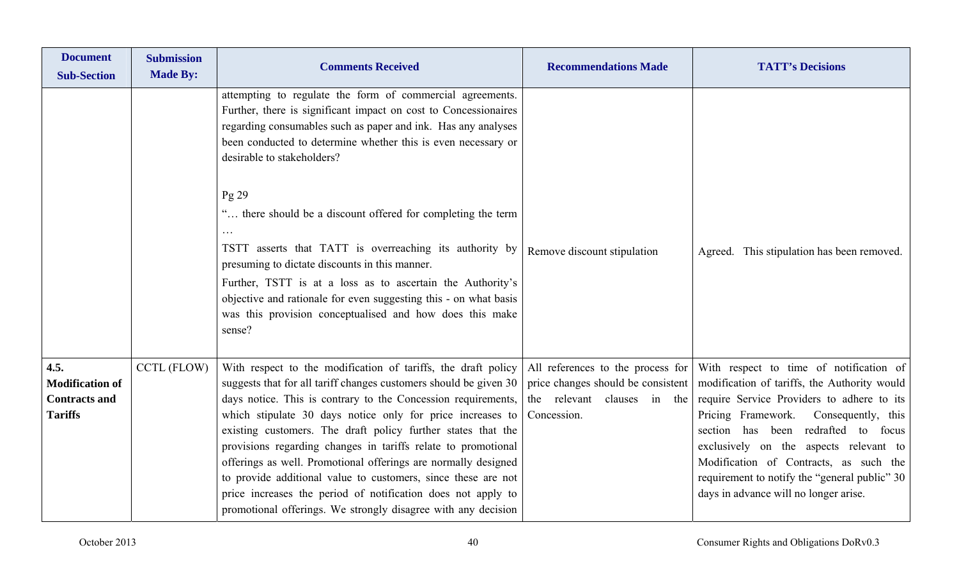| <b>Document</b><br><b>Sub-Section</b>                                    | <b>Submission</b><br><b>Made By:</b> | <b>Comments Received</b>                                                                                                                                                                                                                                                                                                                                                                                                                                                                                                                                                                                                                                               | <b>Recommendations Made</b>                                                                                           | <b>TATT's Decisions</b>                                                                                                                                                                                                                                                                                                                                                                                      |
|--------------------------------------------------------------------------|--------------------------------------|------------------------------------------------------------------------------------------------------------------------------------------------------------------------------------------------------------------------------------------------------------------------------------------------------------------------------------------------------------------------------------------------------------------------------------------------------------------------------------------------------------------------------------------------------------------------------------------------------------------------------------------------------------------------|-----------------------------------------------------------------------------------------------------------------------|--------------------------------------------------------------------------------------------------------------------------------------------------------------------------------------------------------------------------------------------------------------------------------------------------------------------------------------------------------------------------------------------------------------|
|                                                                          |                                      | attempting to regulate the form of commercial agreements.<br>Further, there is significant impact on cost to Concessionaires<br>regarding consumables such as paper and ink. Has any analyses<br>been conducted to determine whether this is even necessary or<br>desirable to stakeholders?                                                                                                                                                                                                                                                                                                                                                                           |                                                                                                                       |                                                                                                                                                                                                                                                                                                                                                                                                              |
|                                                                          |                                      | Pg 29<br>" there should be a discount offered for completing the term<br>TSTT asserts that TATT is overreaching its authority by<br>presuming to dictate discounts in this manner.<br>Further, TSTT is at a loss as to ascertain the Authority's<br>objective and rationale for even suggesting this - on what basis<br>was this provision conceptualised and how does this make<br>sense?                                                                                                                                                                                                                                                                             | Remove discount stipulation                                                                                           | Agreed. This stipulation has been removed.                                                                                                                                                                                                                                                                                                                                                                   |
| 4.5.<br><b>Modification of</b><br><b>Contracts and</b><br><b>Tariffs</b> | <b>CCTL (FLOW)</b>                   | With respect to the modification of tariffs, the draft policy<br>suggests that for all tariff changes customers should be given 30<br>days notice. This is contrary to the Concession requirements,<br>which stipulate 30 days notice only for price increases to<br>existing customers. The draft policy further states that the<br>provisions regarding changes in tariffs relate to promotional<br>offerings as well. Promotional offerings are normally designed<br>to provide additional value to customers, since these are not<br>price increases the period of notification does not apply to<br>promotional offerings. We strongly disagree with any decision | All references to the process for<br>price changes should be consistent<br>the relevant clauses in the<br>Concession. | With respect to time of notification of<br>modification of tariffs, the Authority would<br>require Service Providers to adhere to its<br>Pricing Framework.<br>Consequently, this<br>redrafted to<br>section has been<br>focus<br>exclusively on the aspects relevant to<br>Modification of Contracts, as such the<br>requirement to notify the "general public" 30<br>days in advance will no longer arise. |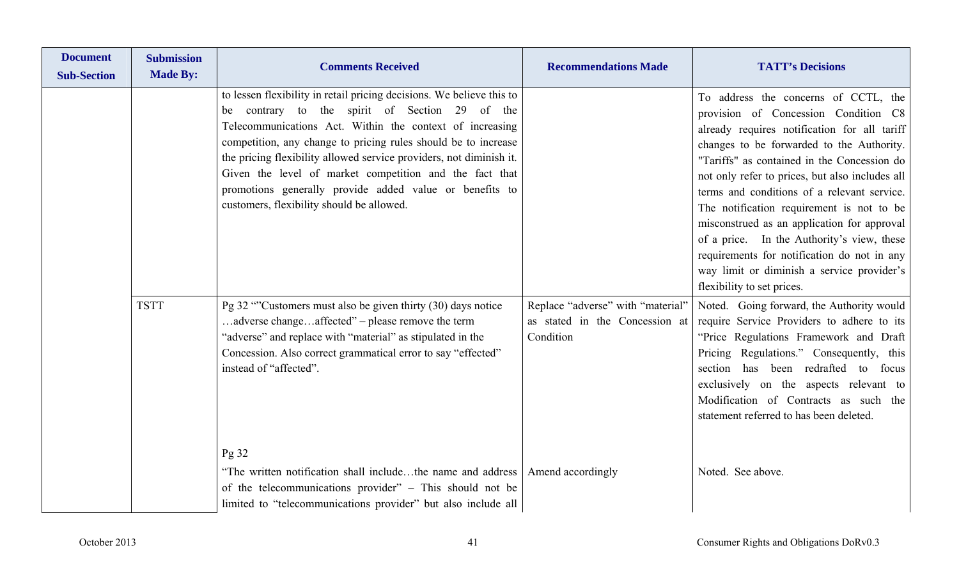| <b>Document</b><br><b>Sub-Section</b> | <b>Submission</b><br><b>Made By:</b> | <b>Comments Received</b>                                                                                                                                                                                                                                                                                                                                                                                                                                                                        | <b>Recommendations Made</b>                                                      | <b>TATT's Decisions</b>                                                                                                                                                                                                                                                                                                                                                                                                                                                                                                                                                                         |
|---------------------------------------|--------------------------------------|-------------------------------------------------------------------------------------------------------------------------------------------------------------------------------------------------------------------------------------------------------------------------------------------------------------------------------------------------------------------------------------------------------------------------------------------------------------------------------------------------|----------------------------------------------------------------------------------|-------------------------------------------------------------------------------------------------------------------------------------------------------------------------------------------------------------------------------------------------------------------------------------------------------------------------------------------------------------------------------------------------------------------------------------------------------------------------------------------------------------------------------------------------------------------------------------------------|
|                                       |                                      | to lessen flexibility in retail pricing decisions. We believe this to<br>be contrary to the spirit of Section 29 of the<br>Telecommunications Act. Within the context of increasing<br>competition, any change to pricing rules should be to increase<br>the pricing flexibility allowed service providers, not diminish it.<br>Given the level of market competition and the fact that<br>promotions generally provide added value or benefits to<br>customers, flexibility should be allowed. |                                                                                  | To address the concerns of CCTL, the<br>provision of Concession Condition C8<br>already requires notification for all tariff<br>changes to be forwarded to the Authority.<br>"Tariffs" as contained in the Concession do<br>not only refer to prices, but also includes all<br>terms and conditions of a relevant service.<br>The notification requirement is not to be<br>misconstrued as an application for approval<br>of a price. In the Authority's view, these<br>requirements for notification do not in any<br>way limit or diminish a service provider's<br>flexibility to set prices. |
|                                       | <b>TSTT</b>                          | Pg 32 "Customers must also be given thirty (30) days notice<br>adverse changeaffected" - please remove the term<br>"adverse" and replace with "material" as stipulated in the<br>Concession. Also correct grammatical error to say "effected"<br>instead of "affected".                                                                                                                                                                                                                         | Replace "adverse" with "material"<br>as stated in the Concession at<br>Condition | Noted. Going forward, the Authority would<br>require Service Providers to adhere to its<br>"Price Regulations Framework and Draft<br>Pricing Regulations." Consequently, this<br>section has been redrafted to focus<br>exclusively on the aspects relevant to<br>Modification of Contracts as such the<br>statement referred to has been deleted.                                                                                                                                                                                                                                              |
|                                       |                                      | Pg32<br>"The written notification shall includethe name and address   Amend accordingly<br>of the telecommunications provider" - This should not be<br>limited to "telecommunications provider" but also include all                                                                                                                                                                                                                                                                            |                                                                                  | Noted. See above.                                                                                                                                                                                                                                                                                                                                                                                                                                                                                                                                                                               |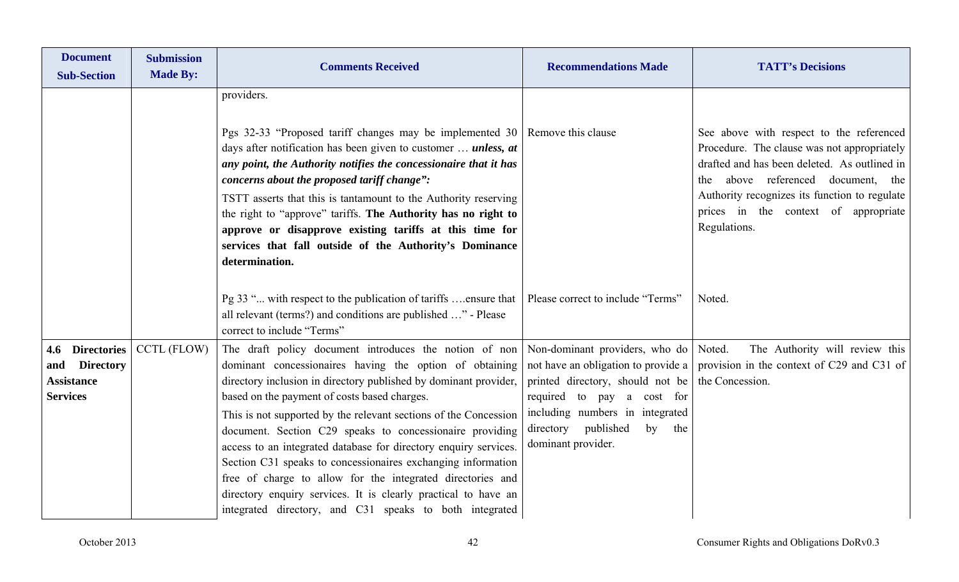| <b>Document</b><br><b>Sub-Section</b>                                              | <b>Submission</b><br><b>Made By:</b> | <b>Comments Received</b>                                                                                                                                                                                                                                                                                                                                                                                                                                                                                                                                                                                                                                                                             | <b>Recommendations Made</b>                                                                                                                                                                                            | <b>TATT's Decisions</b>                                                                                                                                                                                                                                                                   |
|------------------------------------------------------------------------------------|--------------------------------------|------------------------------------------------------------------------------------------------------------------------------------------------------------------------------------------------------------------------------------------------------------------------------------------------------------------------------------------------------------------------------------------------------------------------------------------------------------------------------------------------------------------------------------------------------------------------------------------------------------------------------------------------------------------------------------------------------|------------------------------------------------------------------------------------------------------------------------------------------------------------------------------------------------------------------------|-------------------------------------------------------------------------------------------------------------------------------------------------------------------------------------------------------------------------------------------------------------------------------------------|
|                                                                                    |                                      | providers.<br>Pgs 32-33 "Proposed tariff changes may be implemented 30 Remove this clause<br>days after notification has been given to customer  unless, at<br>any point, the Authority notifies the concessionaire that it has<br>concerns about the proposed tariff change":<br>TSTT asserts that this is tantamount to the Authority reserving<br>the right to "approve" tariffs. The Authority has no right to<br>approve or disapprove existing tariffs at this time for<br>services that fall outside of the Authority's Dominance<br>determination.                                                                                                                                           |                                                                                                                                                                                                                        | See above with respect to the referenced<br>Procedure. The clause was not appropriately<br>drafted and has been deleted. As outlined in<br>above referenced document, the<br>the<br>Authority recognizes its function to regulate<br>prices in the context of appropriate<br>Regulations. |
|                                                                                    |                                      | Pg 33 " with respect to the publication of tariffs ensure that   Please correct to include "Terms"<br>all relevant (terms?) and conditions are published " - Please<br>correct to include "Terms"                                                                                                                                                                                                                                                                                                                                                                                                                                                                                                    |                                                                                                                                                                                                                        | Noted.                                                                                                                                                                                                                                                                                    |
| 4.6 Directories<br><b>Directory</b><br>and<br><b>Assistance</b><br><b>Services</b> | <b>CCTL (FLOW)</b>                   | The draft policy document introduces the notion of non<br>dominant concessionaires having the option of obtaining<br>directory inclusion in directory published by dominant provider,<br>based on the payment of costs based charges.<br>This is not supported by the relevant sections of the Concession<br>document. Section C29 speaks to concessionaire providing<br>access to an integrated database for directory enquiry services.<br>Section C31 speaks to concessionaires exchanging information<br>free of charge to allow for the integrated directories and<br>directory enquiry services. It is clearly practical to have an<br>integrated directory, and C31 speaks to both integrated | Non-dominant providers, who do Noted.<br>printed directory, should not be   the Concession.<br>required to pay a cost for<br>including numbers in integrated<br>directory published<br>by<br>the<br>dominant provider. | The Authority will review this<br>not have an obligation to provide a provision in the context of C29 and C31 of                                                                                                                                                                          |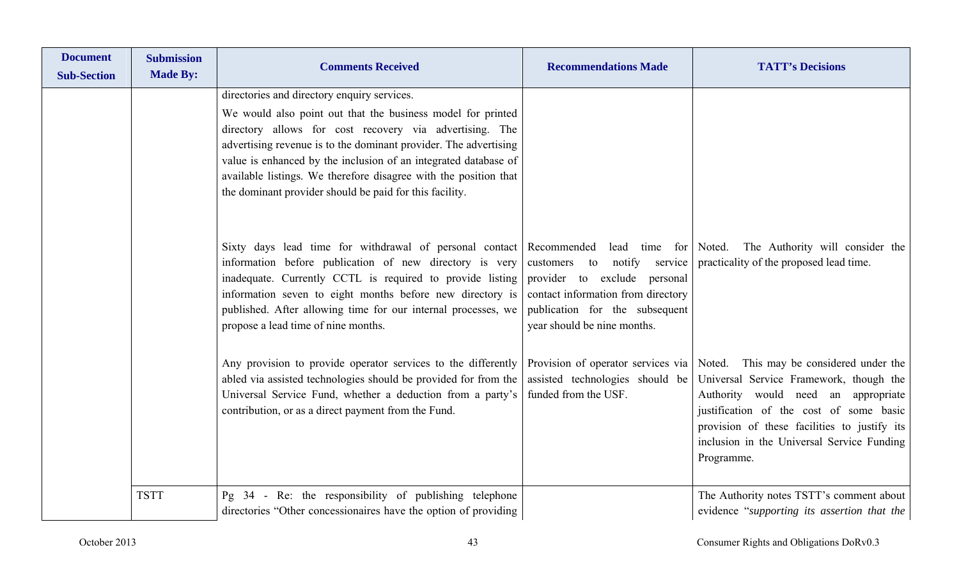| <b>Document</b><br><b>Sub-Section</b> | <b>Submission</b><br><b>Made By:</b> | <b>Comments Received</b>                                                                                                                                                                                                                                                                                                                                                                                                                    | <b>Recommendations Made</b>                                                                                                           | <b>TATT's Decisions</b>                                                                                                                                                                                                                                                                                             |
|---------------------------------------|--------------------------------------|---------------------------------------------------------------------------------------------------------------------------------------------------------------------------------------------------------------------------------------------------------------------------------------------------------------------------------------------------------------------------------------------------------------------------------------------|---------------------------------------------------------------------------------------------------------------------------------------|---------------------------------------------------------------------------------------------------------------------------------------------------------------------------------------------------------------------------------------------------------------------------------------------------------------------|
|                                       |                                      | directories and directory enquiry services.<br>We would also point out that the business model for printed<br>directory allows for cost recovery via advertising. The<br>advertising revenue is to the dominant provider. The advertising<br>value is enhanced by the inclusion of an integrated database of<br>available listings. We therefore disagree with the position that<br>the dominant provider should be paid for this facility. |                                                                                                                                       |                                                                                                                                                                                                                                                                                                                     |
|                                       |                                      | Sixty days lead time for withdrawal of personal contact Recommended<br>information before publication of new directory is very<br>inadequate. Currently CCTL is required to provide listing provider to exclude personal<br>information seven to eight months before new directory is<br>published. After allowing time for our internal processes, we<br>propose a lead time of nine months.                                               | to notify service<br>customers<br>contact information from directory<br>publication for the subsequent<br>year should be nine months. | lead time for Noted. The Authority will consider the<br>practicality of the proposed lead time.                                                                                                                                                                                                                     |
|                                       |                                      | Any provision to provide operator services to the differently<br>abled via assisted technologies should be provided for from the<br>Universal Service Fund, whether a deduction from a party's<br>contribution, or as a direct payment from the Fund.                                                                                                                                                                                       | assisted technologies should be<br>funded from the USF.                                                                               | Provision of operator services via Noted. This may be considered under the<br>Universal Service Framework, though the<br>Authority would need an appropriate<br>justification of the cost of some basic<br>provision of these facilities to justify its<br>inclusion in the Universal Service Funding<br>Programme. |
|                                       | <b>TSTT</b>                          | Pg 34 - Re: the responsibility of publishing telephone<br>directories "Other concessionaires have the option of providing                                                                                                                                                                                                                                                                                                                   |                                                                                                                                       | The Authority notes TSTT's comment about<br>evidence "supporting its assertion that the                                                                                                                                                                                                                             |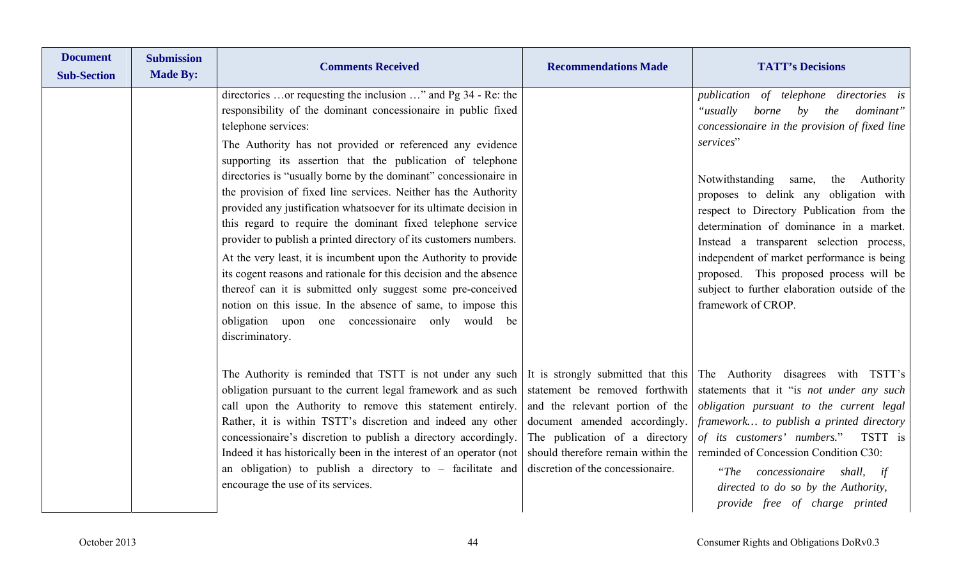| <b>Document</b><br><b>Sub-Section</b> | <b>Submission</b><br><b>Made By:</b> | <b>Comments Received</b>                                                                                                                                                                                                                                                                                                                                                                                                                                                                                                                                                                                                                                                                                                                                                                                                                                                                                                                                                           | <b>Recommendations Made</b>                                                                                                                                                                                     | <b>TATT's Decisions</b>                                                                                                                                                                                                                                                                                                                                                                                                                                                                                                                        |
|---------------------------------------|--------------------------------------|------------------------------------------------------------------------------------------------------------------------------------------------------------------------------------------------------------------------------------------------------------------------------------------------------------------------------------------------------------------------------------------------------------------------------------------------------------------------------------------------------------------------------------------------------------------------------------------------------------------------------------------------------------------------------------------------------------------------------------------------------------------------------------------------------------------------------------------------------------------------------------------------------------------------------------------------------------------------------------|-----------------------------------------------------------------------------------------------------------------------------------------------------------------------------------------------------------------|------------------------------------------------------------------------------------------------------------------------------------------------------------------------------------------------------------------------------------------------------------------------------------------------------------------------------------------------------------------------------------------------------------------------------------------------------------------------------------------------------------------------------------------------|
|                                       |                                      | directories  or requesting the inclusion " and Pg 34 - Re: the<br>responsibility of the dominant concessionaire in public fixed<br>telephone services:<br>The Authority has not provided or referenced any evidence<br>supporting its assertion that the publication of telephone<br>directories is "usually borne by the dominant" concessionaire in<br>the provision of fixed line services. Neither has the Authority<br>provided any justification whatsoever for its ultimate decision in<br>this regard to require the dominant fixed telephone service<br>provider to publish a printed directory of its customers numbers.<br>At the very least, it is incumbent upon the Authority to provide<br>its cogent reasons and rationale for this decision and the absence<br>thereof can it is submitted only suggest some pre-conceived<br>notion on this issue. In the absence of same, to impose this<br>obligation upon one concessionaire only would be<br>discriminatory. |                                                                                                                                                                                                                 | publication of telephone directories is<br>"usually<br>borne<br>$by$ the<br>dominant"<br>concessionaire in the provision of fixed line<br>services"<br>Notwithstanding<br>the Authority<br>same,<br>proposes to delink any obligation with<br>respect to Directory Publication from the<br>determination of dominance in a market.<br>Instead a transparent selection process,<br>independent of market performance is being<br>proposed. This proposed process will be<br>subject to further elaboration outside of the<br>framework of CROP. |
|                                       |                                      | The Authority is reminded that TSTT is not under any such<br>obligation pursuant to the current legal framework and as such<br>call upon the Authority to remove this statement entirely.<br>Rather, it is within TSTT's discretion and indeed any other<br>concessionaire's discretion to publish a directory accordingly.<br>Indeed it has historically been in the interest of an operator (not<br>an obligation) to publish a directory to $-$ facilitate and<br>encourage the use of its services.                                                                                                                                                                                                                                                                                                                                                                                                                                                                            | statement be removed forthwith<br>and the relevant portion of the<br>document amended accordingly.<br>The publication of a directory<br>should therefore remain within the<br>discretion of the concessionaire. | It is strongly submitted that this The Authority disagrees with TSTT's<br>statements that it "is not under any such<br>obligation pursuant to the current legal<br>framework to publish a printed directory<br>of its customers' numbers." TSTT is<br>reminded of Concession Condition C30:<br>"The concessionaire<br>shall, if<br>directed to do so by the Authority,<br>provide free of charge printed                                                                                                                                       |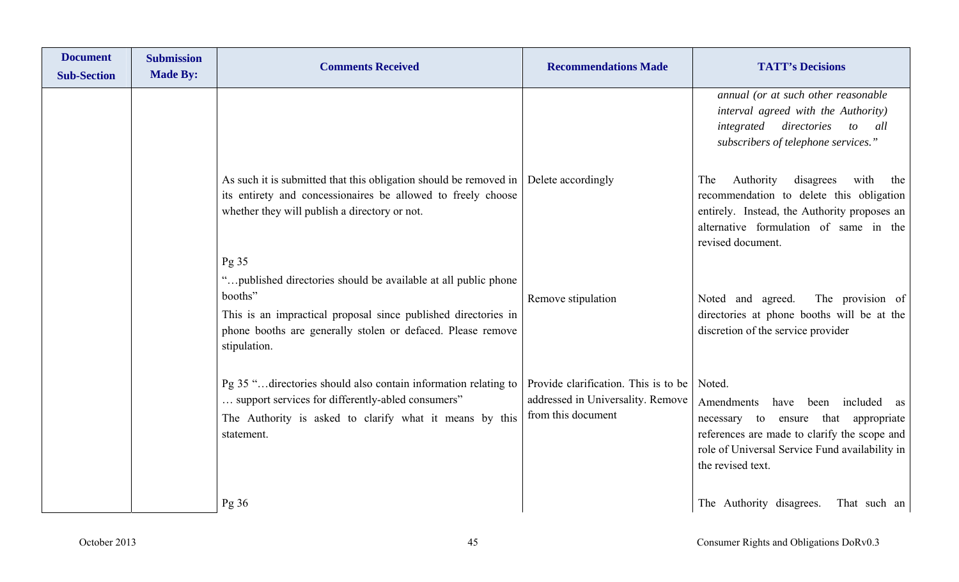| <b>Document</b><br><b>Sub-Section</b> | <b>Submission</b><br><b>Made By:</b> | <b>Comments Received</b>                                                                                                                                                                                                    | <b>Recommendations Made</b>                                                                     | <b>TATT's Decisions</b>                                                                                                                                                                                               |
|---------------------------------------|--------------------------------------|-----------------------------------------------------------------------------------------------------------------------------------------------------------------------------------------------------------------------------|-------------------------------------------------------------------------------------------------|-----------------------------------------------------------------------------------------------------------------------------------------------------------------------------------------------------------------------|
|                                       |                                      |                                                                                                                                                                                                                             |                                                                                                 | annual (or at such other reasonable<br>interval agreed with the Authority)<br>integrated directories<br>to all<br>subscribers of telephone services."                                                                 |
|                                       |                                      | As such it is submitted that this obligation should be removed in<br>its entirety and concessionaires be allowed to freely choose<br>whether they will publish a directory or not.<br>Pg 35                                 | Delete accordingly                                                                              | disagrees<br>Authority<br>with<br>The<br>the<br>recommendation to delete this obligation<br>entirely. Instead, the Authority proposes an<br>alternative formulation of same in the<br>revised document.               |
|                                       |                                      | " published directories should be available at all public phone<br>booths"<br>This is an impractical proposal since published directories in<br>phone booths are generally stolen or defaced. Please remove<br>stipulation. | Remove stipulation                                                                              | Noted and agreed.<br>The provision of<br>directories at phone booths will be at the<br>discretion of the service provider                                                                                             |
|                                       |                                      | Pg 35 " directories should also contain information relating to<br>support services for differently-abled consumers"<br>The Authority is asked to clarify what it means by this<br>statement.                               | Provide clarification. This is to be<br>addressed in Universality. Remove<br>from this document | Noted.<br>Amendments<br>included<br>have<br>been<br>as<br>necessary to ensure that appropriate<br>references are made to clarify the scope and<br>role of Universal Service Fund availability in<br>the revised text. |
|                                       |                                      | Pg36                                                                                                                                                                                                                        |                                                                                                 | The Authority disagrees.<br>That such an                                                                                                                                                                              |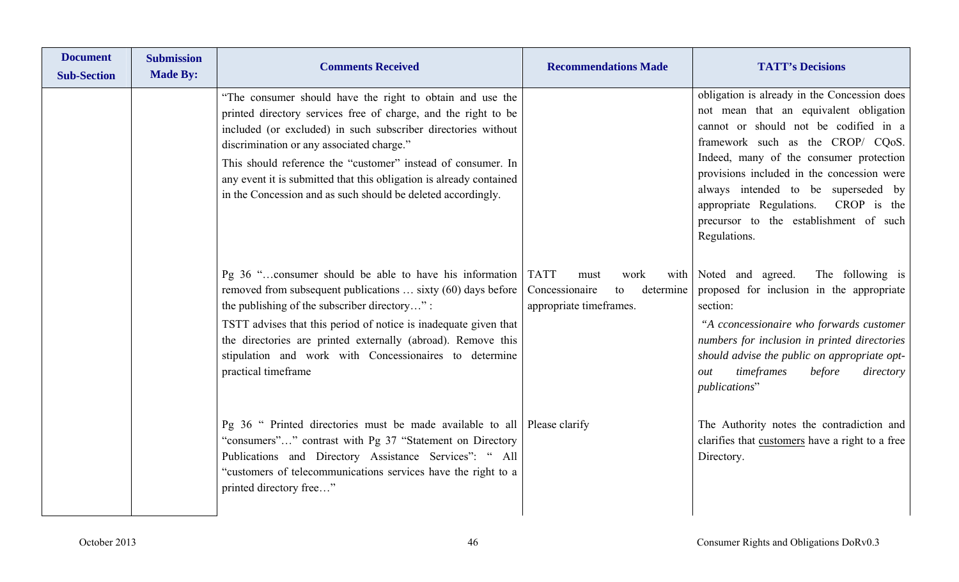| <b>Document</b><br><b>Sub-Section</b> | <b>Submission</b><br><b>Made By:</b> | <b>Comments Received</b>                                                                                                                                                                                                                                                                                                                                                                                                                         | <b>Recommendations Made</b>                                                                         | <b>TATT's Decisions</b>                                                                                                                                                                                                                                                                                                                                                                                |
|---------------------------------------|--------------------------------------|--------------------------------------------------------------------------------------------------------------------------------------------------------------------------------------------------------------------------------------------------------------------------------------------------------------------------------------------------------------------------------------------------------------------------------------------------|-----------------------------------------------------------------------------------------------------|--------------------------------------------------------------------------------------------------------------------------------------------------------------------------------------------------------------------------------------------------------------------------------------------------------------------------------------------------------------------------------------------------------|
|                                       |                                      | "The consumer should have the right to obtain and use the<br>printed directory services free of charge, and the right to be<br>included (or excluded) in such subscriber directories without<br>discrimination or any associated charge."<br>This should reference the "customer" instead of consumer. In<br>any event it is submitted that this obligation is already contained<br>in the Concession and as such should be deleted accordingly. |                                                                                                     | obligation is already in the Concession does<br>not mean that an equivalent obligation<br>cannot or should not be codified in a<br>framework such as the CROP/ CQoS.<br>Indeed, many of the consumer protection<br>provisions included in the concession were<br>always intended to be superseded by<br>appropriate Regulations. CROP is the<br>precursor to the establishment of such<br>Regulations. |
|                                       |                                      | Pg 36 "consumer should be able to have his information<br>removed from subsequent publications  sixty (60) days before<br>the publishing of the subscriber directory":<br>TSTT advises that this period of notice is inadequate given that<br>the directories are printed externally (abroad). Remove this<br>stipulation and work with Concessionaires to determine<br>practical timeframe                                                      | <b>TATT</b><br>work<br>with<br>must<br>Concessionaire<br>determine<br>to<br>appropriate timeframes. | Noted and agreed.<br>The following is<br>proposed for inclusion in the appropriate<br>section:<br>"A cconcessionaire who forwards customer<br>numbers for inclusion in printed directories<br>should advise the public on appropriate opt-<br>timeframes<br>before<br>directory<br>out<br><i>publications</i> "                                                                                        |
|                                       |                                      | Pg 36 " Printed directories must be made available to all   Please clarify<br>"consumers"" contrast with Pg 37 "Statement on Directory<br>Publications and Directory Assistance Services": " All<br>"customers of telecommunications services have the right to a<br>printed directory free"                                                                                                                                                     |                                                                                                     | The Authority notes the contradiction and<br>clarifies that customers have a right to a free<br>Directory.                                                                                                                                                                                                                                                                                             |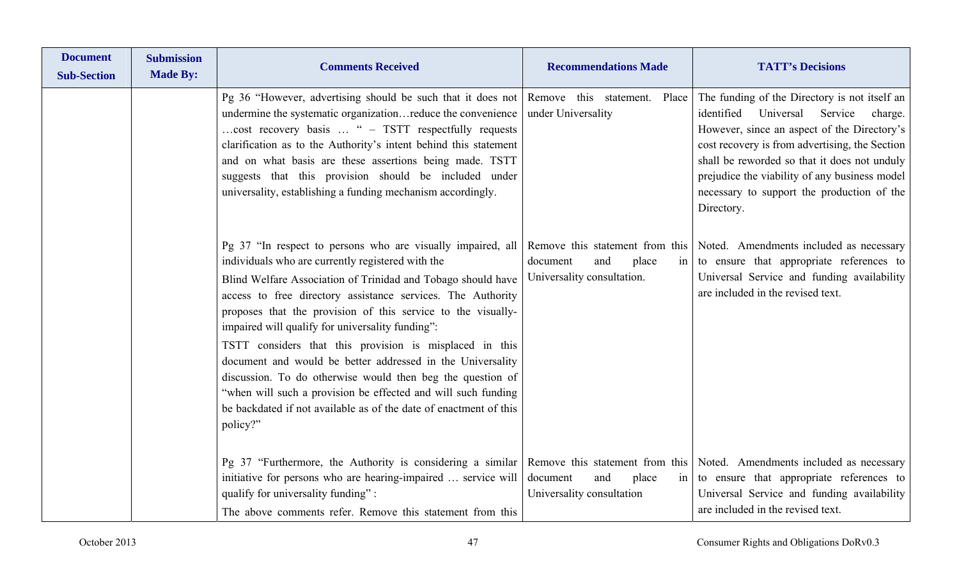| <b>Document</b><br><b>Sub-Section</b> | <b>Submission</b><br><b>Made By:</b> | <b>Comments Received</b>                                                                                                                                                                                                                                                                                                                                                                                                                 | <b>Recommendations Made</b>                            | <b>TATT's Decisions</b>                                                                                                                                                                                                                                                                                                                                      |
|---------------------------------------|--------------------------------------|------------------------------------------------------------------------------------------------------------------------------------------------------------------------------------------------------------------------------------------------------------------------------------------------------------------------------------------------------------------------------------------------------------------------------------------|--------------------------------------------------------|--------------------------------------------------------------------------------------------------------------------------------------------------------------------------------------------------------------------------------------------------------------------------------------------------------------------------------------------------------------|
|                                       |                                      | Pg 36 "However, advertising should be such that it does not<br>undermine the systematic organizationreduce the convenience<br>cost recovery basis  " - TSTT respectfully requests<br>clarification as to the Authority's intent behind this statement<br>and on what basis are these assertions being made. TSTT<br>suggests that this provision should be included under<br>universality, establishing a funding mechanism accordingly. | Remove this statement. Place<br>under Universality     | The funding of the Directory is not itself an<br>identified<br>Universal<br>Service<br>charge.<br>However, since an aspect of the Directory's<br>cost recovery is from advertising, the Section<br>shall be reworded so that it does not unduly<br>prejudice the viability of any business model<br>necessary to support the production of the<br>Directory. |
|                                       |                                      | Pg 37 "In respect to persons who are visually impaired, all<br>individuals who are currently registered with the<br>Blind Welfare Association of Trinidad and Tobago should have<br>access to free directory assistance services. The Authority<br>proposes that the provision of this service to the visually-<br>impaired will qualify for universality funding":                                                                      | document<br>and<br>place<br>Universality consultation. | Remove this statement from this Noted. Amendments included as necessary<br>in $\vert$ to ensure that appropriate references to<br>Universal Service and funding availability<br>are included in the revised text.                                                                                                                                            |
|                                       |                                      | TSTT considers that this provision is misplaced in this<br>document and would be better addressed in the Universality<br>discussion. To do otherwise would then beg the question of<br>"when will such a provision be effected and will such funding<br>be backdated if not available as of the date of enactment of this<br>policy?"                                                                                                    |                                                        |                                                                                                                                                                                                                                                                                                                                                              |
|                                       |                                      | Pg 37 "Furthermore, the Authority is considering a similar Remove this statement from this Noted. Amendments included as necessary<br>initiative for persons who are hearing-impaired  service will<br>qualify for universality funding":<br>The above comments refer. Remove this statement from this                                                                                                                                   | and<br>place<br>document<br>Universality consultation  | in to ensure that appropriate references to<br>Universal Service and funding availability<br>are included in the revised text.                                                                                                                                                                                                                               |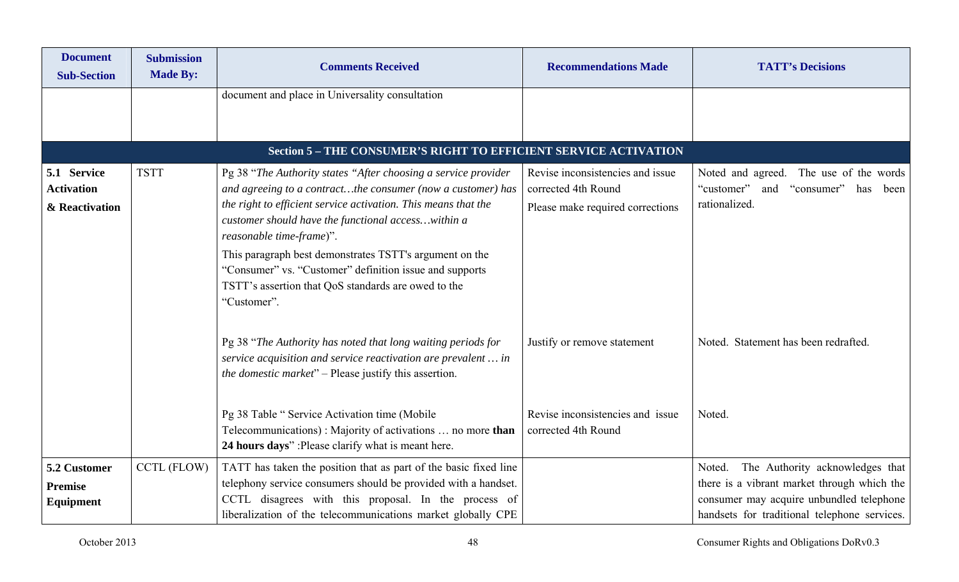| <b>Document</b><br><b>Sub-Section</b>              | <b>Submission</b><br><b>Made By:</b> | <b>Comments Received</b>                                                                                                                                                                                                                                                                                                                                                                                                                                                      | <b>Recommendations Made</b>                                                                 | <b>TATT's Decisions</b>                                                                                                                                                              |
|----------------------------------------------------|--------------------------------------|-------------------------------------------------------------------------------------------------------------------------------------------------------------------------------------------------------------------------------------------------------------------------------------------------------------------------------------------------------------------------------------------------------------------------------------------------------------------------------|---------------------------------------------------------------------------------------------|--------------------------------------------------------------------------------------------------------------------------------------------------------------------------------------|
|                                                    |                                      | document and place in Universality consultation                                                                                                                                                                                                                                                                                                                                                                                                                               |                                                                                             |                                                                                                                                                                                      |
|                                                    |                                      | Section 5 - THE CONSUMER'S RIGHT TO EFFICIENT SERVICE ACTIVATION                                                                                                                                                                                                                                                                                                                                                                                                              |                                                                                             |                                                                                                                                                                                      |
| 5.1 Service<br><b>Activation</b><br>& Reactivation | <b>TSTT</b>                          | Pg 38 "The Authority states "After choosing a service provider<br>and agreeing to a contractthe consumer (now a customer) has<br>the right to efficient service activation. This means that the<br>customer should have the functional accesswithin a<br>reasonable time-frame)".<br>This paragraph best demonstrates TSTT's argument on the<br>"Consumer" vs. "Customer" definition issue and supports<br>TSTT's assertion that QoS standards are owed to the<br>"Customer". | Revise inconsistencies and issue<br>corrected 4th Round<br>Please make required corrections | Noted and agreed. The use of the words<br>"customer" and "consumer"<br>has<br>been<br>rationalized.                                                                                  |
|                                                    |                                      | Pg 38 "The Authority has noted that long waiting periods for<br>service acquisition and service reactivation are prevalent  in<br><i>the domestic market</i> " – Please justify this assertion.<br>Pg 38 Table "Service Activation time (Mobile<br>Telecommunications): Majority of activations  no more than<br>24 hours days": Please clarify what is meant here.                                                                                                           | Justify or remove statement<br>Revise inconsistencies and issue<br>corrected 4th Round      | Noted. Statement has been redrafted.<br>Noted.                                                                                                                                       |
| 5.2 Customer<br><b>Premise</b><br>Equipment        | <b>CCTL (FLOW)</b>                   | TATT has taken the position that as part of the basic fixed line<br>telephony service consumers should be provided with a handset.<br>CCTL disagrees with this proposal. In the process of<br>liberalization of the telecommunications market globally CPE                                                                                                                                                                                                                    |                                                                                             | The Authority acknowledges that<br>Noted.<br>there is a vibrant market through which the<br>consumer may acquire unbundled telephone<br>handsets for traditional telephone services. |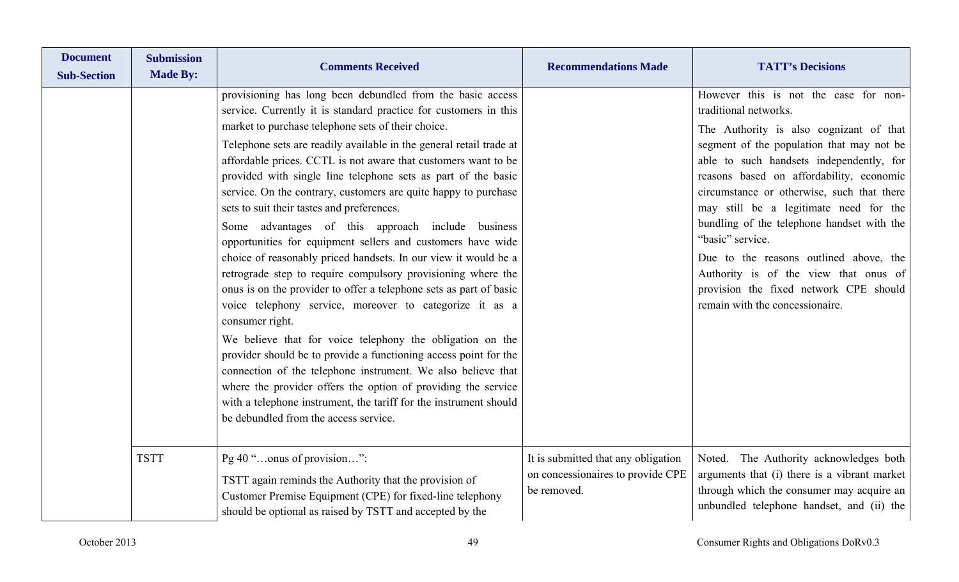| <b>Document</b><br><b>Sub-Section</b> | <b>Submission</b><br><b>Made By:</b> | <b>Comments Received</b>                                                                                                                                                                                                                                                                                                                                                                                                                                                                                                                                                                                                                                                                                                                                                                                                                                                                                                                                                                                                                                                                                                                                                                                                                                                                                   | <b>Recommendations Made</b>                                                             | <b>TATT's Decisions</b>                                                                                                                                                                                                                                                                                                                                                                                                                                                                                                                                                  |
|---------------------------------------|--------------------------------------|------------------------------------------------------------------------------------------------------------------------------------------------------------------------------------------------------------------------------------------------------------------------------------------------------------------------------------------------------------------------------------------------------------------------------------------------------------------------------------------------------------------------------------------------------------------------------------------------------------------------------------------------------------------------------------------------------------------------------------------------------------------------------------------------------------------------------------------------------------------------------------------------------------------------------------------------------------------------------------------------------------------------------------------------------------------------------------------------------------------------------------------------------------------------------------------------------------------------------------------------------------------------------------------------------------|-----------------------------------------------------------------------------------------|--------------------------------------------------------------------------------------------------------------------------------------------------------------------------------------------------------------------------------------------------------------------------------------------------------------------------------------------------------------------------------------------------------------------------------------------------------------------------------------------------------------------------------------------------------------------------|
|                                       |                                      | provisioning has long been debundled from the basic access<br>service. Currently it is standard practice for customers in this<br>market to purchase telephone sets of their choice.<br>Telephone sets are readily available in the general retail trade at<br>affordable prices. CCTL is not aware that customers want to be<br>provided with single line telephone sets as part of the basic<br>service. On the contrary, customers are quite happy to purchase<br>sets to suit their tastes and preferences.<br>Some advantages of this approach include business<br>opportunities for equipment sellers and customers have wide<br>choice of reasonably priced handsets. In our view it would be a<br>retrograde step to require compulsory provisioning where the<br>onus is on the provider to offer a telephone sets as part of basic<br>voice telephony service, moreover to categorize it as a<br>consumer right.<br>We believe that for voice telephony the obligation on the<br>provider should be to provide a functioning access point for the<br>connection of the telephone instrument. We also believe that<br>where the provider offers the option of providing the service<br>with a telephone instrument, the tariff for the instrument should<br>be debundled from the access service. |                                                                                         | However this is not the case for non-<br>traditional networks.<br>The Authority is also cognizant of that<br>segment of the population that may not be<br>able to such handsets independently, for<br>reasons based on affordability, economic<br>circumstance or otherwise, such that there<br>may still be a legitimate need for the<br>bundling of the telephone handset with the<br>"basic" service.<br>Due to the reasons outlined above, the<br>Authority is of the view that onus of<br>provision the fixed network CPE should<br>remain with the concessionaire. |
|                                       | <b>TSTT</b>                          | Pg 40 "onus of provision":<br>TSTT again reminds the Authority that the provision of<br>Customer Premise Equipment (CPE) for fixed-line telephony<br>should be optional as raised by TSTT and accepted by the                                                                                                                                                                                                                                                                                                                                                                                                                                                                                                                                                                                                                                                                                                                                                                                                                                                                                                                                                                                                                                                                                              | It is submitted that any obligation<br>on concessionaires to provide CPE<br>be removed. | Noted. The Authority acknowledges both<br>arguments that (i) there is a vibrant market<br>through which the consumer may acquire an<br>unbundled telephone handset, and (ii) the                                                                                                                                                                                                                                                                                                                                                                                         |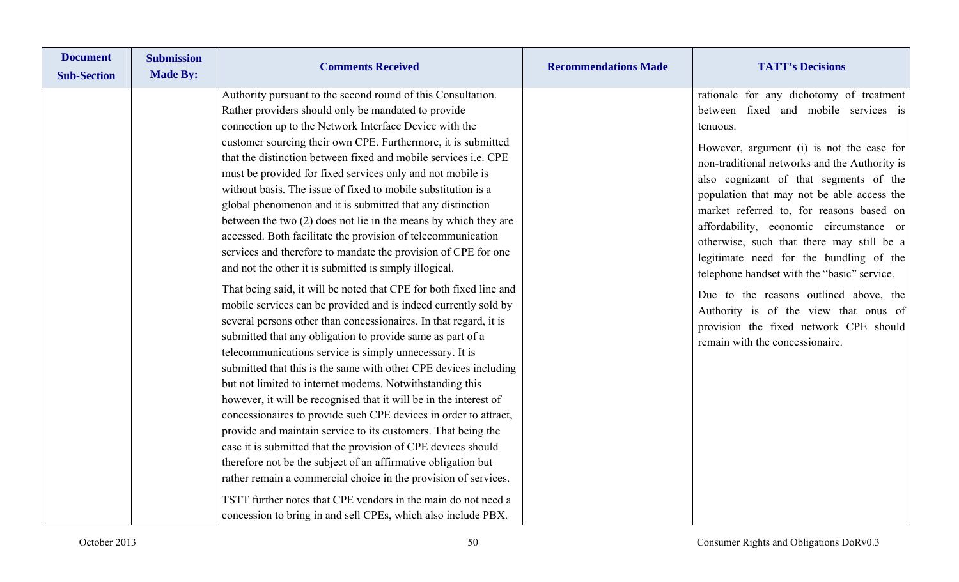| <b>Document</b><br><b>Sub-Section</b> | <b>Submission</b><br><b>Made By:</b> | <b>Comments Received</b>                                                                                                                                                                                                                                                                                                                                                                                                                                                                                                                                                                                                                                                                                                                                                                                                                                                                                                                                                                                                                                                                                                                                                                                                                                                                                                                                                                                                                                                                                                                                                                                                                                                                                                                      | <b>Recommendations Made</b> | <b>TATT's Decisions</b>                                                                                                                                                                                                                                                                                                                                                                                                                                                                                                                                                                                                                                                          |
|---------------------------------------|--------------------------------------|-----------------------------------------------------------------------------------------------------------------------------------------------------------------------------------------------------------------------------------------------------------------------------------------------------------------------------------------------------------------------------------------------------------------------------------------------------------------------------------------------------------------------------------------------------------------------------------------------------------------------------------------------------------------------------------------------------------------------------------------------------------------------------------------------------------------------------------------------------------------------------------------------------------------------------------------------------------------------------------------------------------------------------------------------------------------------------------------------------------------------------------------------------------------------------------------------------------------------------------------------------------------------------------------------------------------------------------------------------------------------------------------------------------------------------------------------------------------------------------------------------------------------------------------------------------------------------------------------------------------------------------------------------------------------------------------------------------------------------------------------|-----------------------------|----------------------------------------------------------------------------------------------------------------------------------------------------------------------------------------------------------------------------------------------------------------------------------------------------------------------------------------------------------------------------------------------------------------------------------------------------------------------------------------------------------------------------------------------------------------------------------------------------------------------------------------------------------------------------------|
|                                       |                                      | Authority pursuant to the second round of this Consultation.<br>Rather providers should only be mandated to provide<br>connection up to the Network Interface Device with the<br>customer sourcing their own CPE. Furthermore, it is submitted<br>that the distinction between fixed and mobile services <i>i.e.</i> CPE<br>must be provided for fixed services only and not mobile is<br>without basis. The issue of fixed to mobile substitution is a<br>global phenomenon and it is submitted that any distinction<br>between the two $(2)$ does not lie in the means by which they are<br>accessed. Both facilitate the provision of telecommunication<br>services and therefore to mandate the provision of CPE for one<br>and not the other it is submitted is simply illogical.<br>That being said, it will be noted that CPE for both fixed line and<br>mobile services can be provided and is indeed currently sold by<br>several persons other than concessionaires. In that regard, it is<br>submitted that any obligation to provide same as part of a<br>telecommunications service is simply unnecessary. It is<br>submitted that this is the same with other CPE devices including<br>but not limited to internet modems. Notwithstanding this<br>however, it will be recognised that it will be in the interest of<br>concessionaires to provide such CPE devices in order to attract,<br>provide and maintain service to its customers. That being the<br>case it is submitted that the provision of CPE devices should<br>therefore not be the subject of an affirmative obligation but<br>rather remain a commercial choice in the provision of services.<br>TSTT further notes that CPE vendors in the main do not need a |                             | rationale for any dichotomy of treatment<br>between fixed and mobile services is<br>tenuous.<br>However, argument (i) is not the case for<br>non-traditional networks and the Authority is<br>also cognizant of that segments of the<br>population that may not be able access the<br>market referred to, for reasons based on<br>affordability, economic circumstance or<br>otherwise, such that there may still be a<br>legitimate need for the bundling of the<br>telephone handset with the "basic" service.<br>Due to the reasons outlined above, the<br>Authority is of the view that onus of<br>provision the fixed network CPE should<br>remain with the concessionaire. |
|                                       |                                      | concession to bring in and sell CPEs, which also include PBX.                                                                                                                                                                                                                                                                                                                                                                                                                                                                                                                                                                                                                                                                                                                                                                                                                                                                                                                                                                                                                                                                                                                                                                                                                                                                                                                                                                                                                                                                                                                                                                                                                                                                                 |                             |                                                                                                                                                                                                                                                                                                                                                                                                                                                                                                                                                                                                                                                                                  |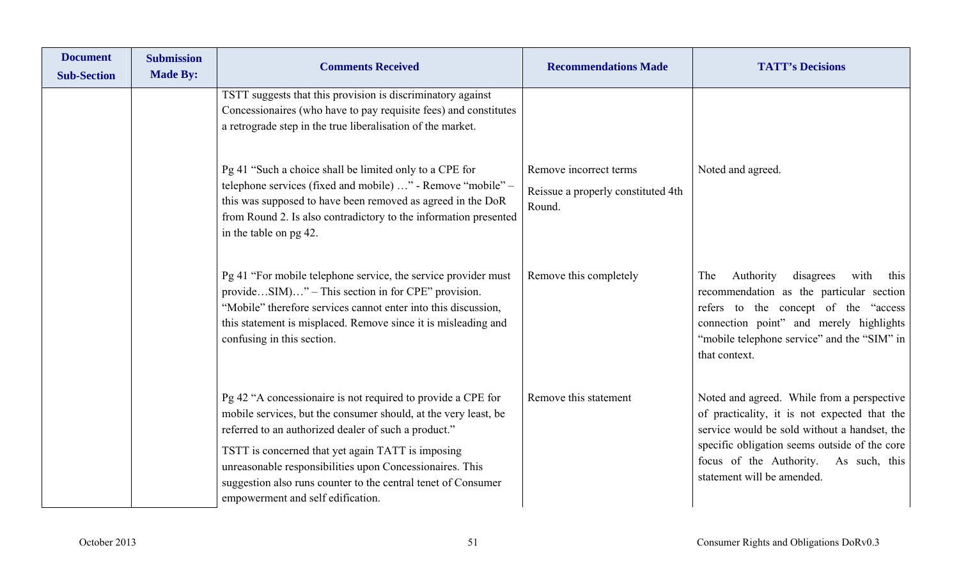| <b>Document</b><br><b>Sub-Section</b> | <b>Submission</b><br><b>Made By:</b> | <b>Comments Received</b>                                                                                                                                                                                                                                                                                                                                                                                       | <b>Recommendations Made</b>                                            | <b>TATT's Decisions</b>                                                                                                                                                                                                                                               |
|---------------------------------------|--------------------------------------|----------------------------------------------------------------------------------------------------------------------------------------------------------------------------------------------------------------------------------------------------------------------------------------------------------------------------------------------------------------------------------------------------------------|------------------------------------------------------------------------|-----------------------------------------------------------------------------------------------------------------------------------------------------------------------------------------------------------------------------------------------------------------------|
|                                       |                                      | TSTT suggests that this provision is discriminatory against<br>Concessionaires (who have to pay requisite fees) and constitutes<br>a retrograde step in the true liberalisation of the market.                                                                                                                                                                                                                 |                                                                        |                                                                                                                                                                                                                                                                       |
|                                       |                                      | Pg 41 "Such a choice shall be limited only to a CPE for<br>telephone services (fixed and mobile) " - Remove "mobile" –<br>this was supposed to have been removed as agreed in the DoR<br>from Round 2. Is also contradictory to the information presented<br>in the table on pg 42.                                                                                                                            | Remove incorrect terms<br>Reissue a properly constituted 4th<br>Round. | Noted and agreed.                                                                                                                                                                                                                                                     |
|                                       |                                      | Pg 41 "For mobile telephone service, the service provider must<br>provideSIM)" – This section in for CPE" provision.<br>"Mobile" therefore services cannot enter into this discussion,<br>this statement is misplaced. Remove since it is misleading and<br>confusing in this section.                                                                                                                         | Remove this completely                                                 | Authority<br>disagrees<br>with<br>The<br>this<br>recommendation as the particular section<br>refers to the concept of the "access<br>connection point" and merely highlights<br>"mobile telephone service" and the "SIM" in<br>that context.                          |
|                                       |                                      | Pg 42 "A concessionaire is not required to provide a CPE for<br>mobile services, but the consumer should, at the very least, be<br>referred to an authorized dealer of such a product."<br>TSTT is concerned that yet again TATT is imposing<br>unreasonable responsibilities upon Concessionaires. This<br>suggestion also runs counter to the central tenet of Consumer<br>empowerment and self edification. | Remove this statement                                                  | Noted and agreed. While from a perspective<br>of practicality, it is not expected that the<br>service would be sold without a handset, the<br>specific obligation seems outside of the core<br>focus of the Authority.<br>As such, this<br>statement will be amended. |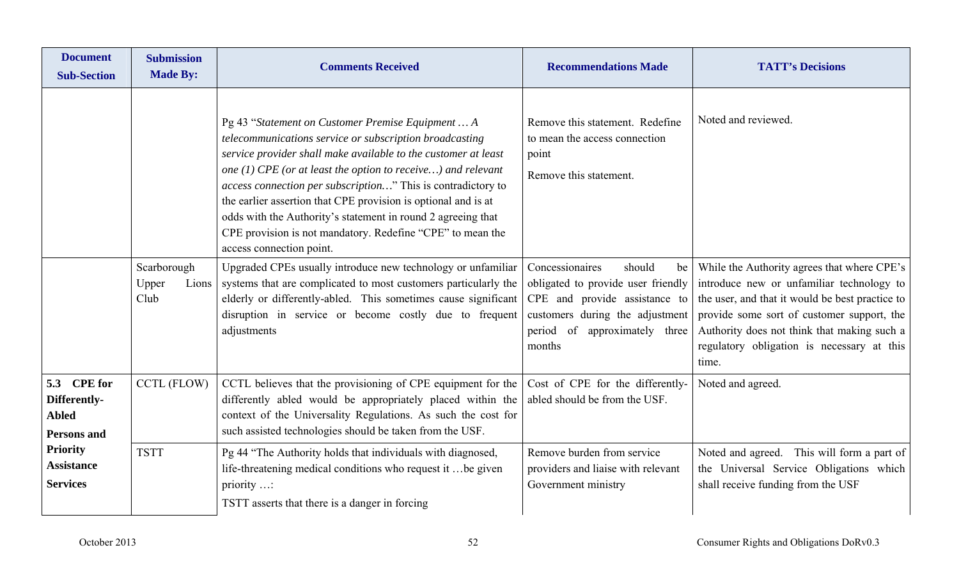| <b>Document</b><br><b>Sub-Section</b>                             | <b>Submission</b><br><b>Made By:</b>  | <b>Comments Received</b>                                                                                                                                                                                                                                                                                                                                                                                                                                                                                                                                                                                                                                                                                                                                                                                                 | <b>Recommendations Made</b>                                                                                                                                                                                                                                                                 | <b>TATT's Decisions</b>                                                                                                                                                                                                                                                                                       |
|-------------------------------------------------------------------|---------------------------------------|--------------------------------------------------------------------------------------------------------------------------------------------------------------------------------------------------------------------------------------------------------------------------------------------------------------------------------------------------------------------------------------------------------------------------------------------------------------------------------------------------------------------------------------------------------------------------------------------------------------------------------------------------------------------------------------------------------------------------------------------------------------------------------------------------------------------------|---------------------------------------------------------------------------------------------------------------------------------------------------------------------------------------------------------------------------------------------------------------------------------------------|---------------------------------------------------------------------------------------------------------------------------------------------------------------------------------------------------------------------------------------------------------------------------------------------------------------|
|                                                                   | Scarborough<br>Upper<br>Lions<br>Club | Pg 43 "Statement on Customer Premise Equipment  A<br>telecommunications service or subscription broadcasting<br>service provider shall make available to the customer at least<br>one (1) CPE (or at least the option to receive) and relevant<br>access connection per subscription" This is contradictory to<br>the earlier assertion that CPE provision is optional and is at<br>odds with the Authority's statement in round 2 agreeing that<br>CPE provision is not mandatory. Redefine "CPE" to mean the<br>access connection point.<br>Upgraded CPEs usually introduce new technology or unfamiliar<br>systems that are complicated to most customers particularly the<br>elderly or differently-abled. This sometimes cause significant<br>disruption in service or become costly due to frequent<br>adjustments | Remove this statement. Redefine<br>to mean the access connection<br>point<br>Remove this statement.<br>Concessionaires<br>should<br>be<br>obligated to provide user friendly<br>CPE and provide assistance to<br>customers during the adjustment<br>period of approximately three<br>months | Noted and reviewed.<br>While the Authority agrees that where CPE's<br>introduce new or unfamiliar technology to<br>the user, and that it would be best practice to<br>provide some sort of customer support, the<br>Authority does not think that making such a<br>regulatory obligation is necessary at this |
| 5.3 CPE for<br>Differently-<br><b>Abled</b><br><b>Persons and</b> | CCTL (FLOW)                           | CCTL believes that the provisioning of CPE equipment for the<br>differently abled would be appropriately placed within the<br>context of the Universality Regulations. As such the cost for<br>such assisted technologies should be taken from the USF.                                                                                                                                                                                                                                                                                                                                                                                                                                                                                                                                                                  | Cost of CPE for the differently-<br>abled should be from the USF.                                                                                                                                                                                                                           | time.<br>Noted and agreed.                                                                                                                                                                                                                                                                                    |
| <b>Priority</b><br><b>Assistance</b><br><b>Services</b>           | <b>TSTT</b>                           | Pg 44 "The Authority holds that individuals with diagnosed,<br>life-threatening medical conditions who request it  be given<br>priority $\dots$<br>TSTT asserts that there is a danger in forcing                                                                                                                                                                                                                                                                                                                                                                                                                                                                                                                                                                                                                        | Remove burden from service<br>providers and liaise with relevant<br>Government ministry                                                                                                                                                                                                     | Noted and agreed. This will form a part of<br>the Universal Service Obligations which<br>shall receive funding from the USF                                                                                                                                                                                   |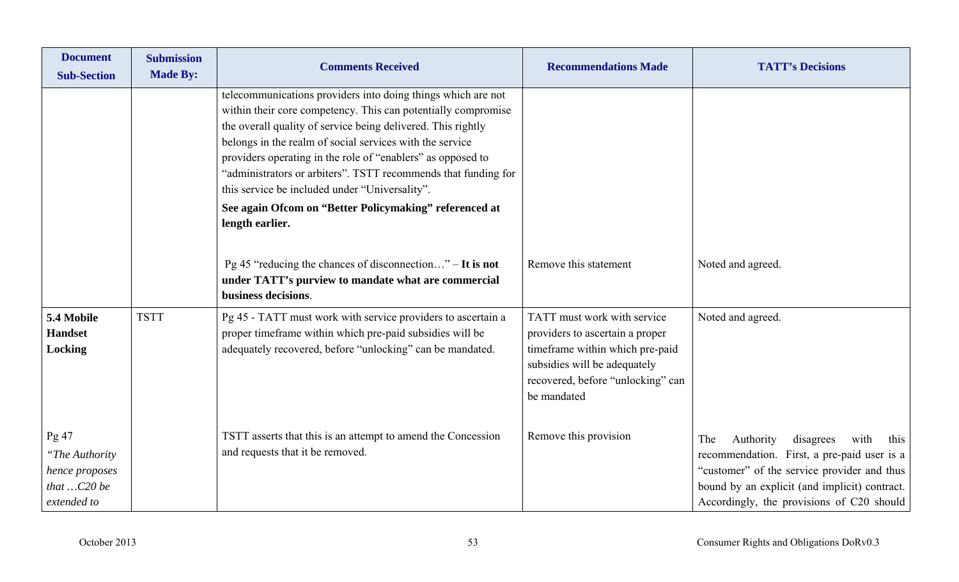| <b>Document</b><br><b>Sub-Section</b>                                      | <b>Submission</b><br><b>Made By:</b> | <b>Comments Received</b>                                                                                                                                                                                                                                                                                                                                                                                                                                                                                                  | <b>Recommendations Made</b>                                                                                                                                                           | <b>TATT's Decisions</b>                                                                                                                                                                                                                   |
|----------------------------------------------------------------------------|--------------------------------------|---------------------------------------------------------------------------------------------------------------------------------------------------------------------------------------------------------------------------------------------------------------------------------------------------------------------------------------------------------------------------------------------------------------------------------------------------------------------------------------------------------------------------|---------------------------------------------------------------------------------------------------------------------------------------------------------------------------------------|-------------------------------------------------------------------------------------------------------------------------------------------------------------------------------------------------------------------------------------------|
|                                                                            |                                      | telecommunications providers into doing things which are not<br>within their core competency. This can potentially compromise<br>the overall quality of service being delivered. This rightly<br>belongs in the realm of social services with the service<br>providers operating in the role of "enablers" as opposed to<br>"administrators or arbiters". TSTT recommends that funding for<br>this service be included under "Universality".<br>See again Ofcom on "Better Policymaking" referenced at<br>length earlier. |                                                                                                                                                                                       |                                                                                                                                                                                                                                           |
|                                                                            |                                      | Pg 45 "reducing the chances of disconnection" $-$ It is not<br>under TATT's purview to mandate what are commercial<br>business decisions.                                                                                                                                                                                                                                                                                                                                                                                 | Remove this statement                                                                                                                                                                 | Noted and agreed.                                                                                                                                                                                                                         |
| 5.4 Mobile<br><b>Handset</b><br>Locking                                    | <b>TSTT</b>                          | Pg 45 - TATT must work with service providers to ascertain a<br>proper timeframe within which pre-paid subsidies will be<br>adequately recovered, before "unlocking" can be mandated.                                                                                                                                                                                                                                                                                                                                     | TATT must work with service<br>providers to ascertain a proper<br>timeframe within which pre-paid<br>subsidies will be adequately<br>recovered, before "unlocking" can<br>be mandated | Noted and agreed.                                                                                                                                                                                                                         |
| Pg 47<br>"The Authority<br>hence proposes<br>that $$ C20 be<br>extended to |                                      | TSTT asserts that this is an attempt to amend the Concession<br>and requests that it be removed.                                                                                                                                                                                                                                                                                                                                                                                                                          | Remove this provision                                                                                                                                                                 | Authority<br>disagrees<br>with<br>The<br>this<br>recommendation. First, a pre-paid user is a<br>"customer" of the service provider and thus<br>bound by an explicit (and implicit) contract.<br>Accordingly, the provisions of C20 should |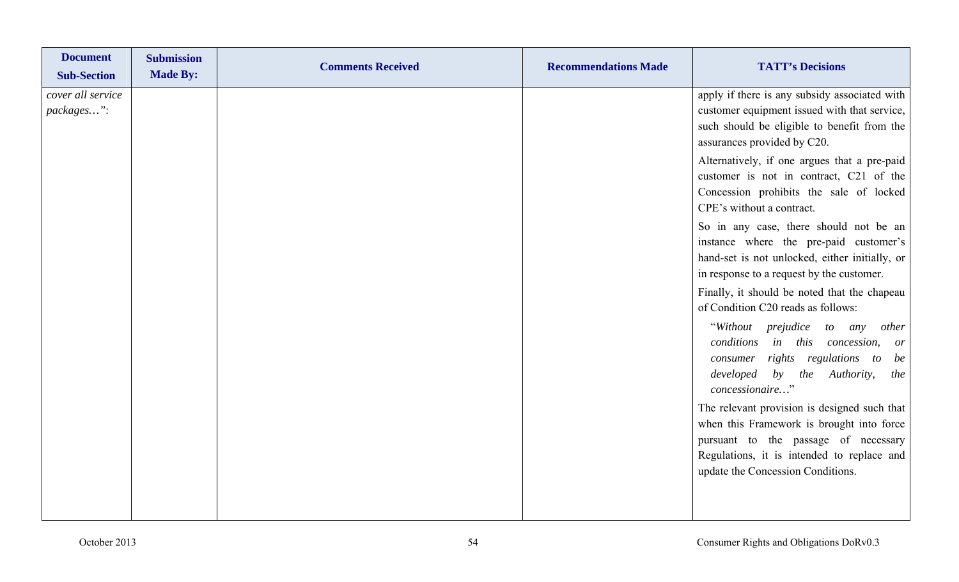| <b>Document</b><br><b>Sub-Section</b> | <b>Submission</b><br><b>Made By:</b> | <b>Comments Received</b> | <b>Recommendations Made</b> | <b>TATT's Decisions</b>                                                                                                                                                                                              |
|---------------------------------------|--------------------------------------|--------------------------|-----------------------------|----------------------------------------------------------------------------------------------------------------------------------------------------------------------------------------------------------------------|
| cover all service<br>packages":       |                                      |                          |                             | apply if there is any subsidy associated with<br>customer equipment issued with that service,<br>such should be eligible to benefit from the<br>assurances provided by C20.                                          |
|                                       |                                      |                          |                             | Alternatively, if one argues that a pre-paid<br>customer is not in contract, C21 of the<br>Concession prohibits the sale of locked<br>CPE's without a contract.                                                      |
|                                       |                                      |                          |                             | So in any case, there should not be an<br>instance where the pre-paid customer's<br>hand-set is not unlocked, either initially, or<br>in response to a request by the customer.                                      |
|                                       |                                      |                          |                             | Finally, it should be noted that the chapeau<br>of Condition C20 reads as follows:                                                                                                                                   |
|                                       |                                      |                          |                             | "Without prejudice to any<br>other<br>conditions in this concession,<br><i>or</i><br>rights regulations to<br>be<br>consumer<br>developed by the Authority,<br>the<br>concessionaire"                                |
|                                       |                                      |                          |                             | The relevant provision is designed such that<br>when this Framework is brought into force<br>pursuant to the passage of necessary<br>Regulations, it is intended to replace and<br>update the Concession Conditions. |
|                                       |                                      |                          |                             |                                                                                                                                                                                                                      |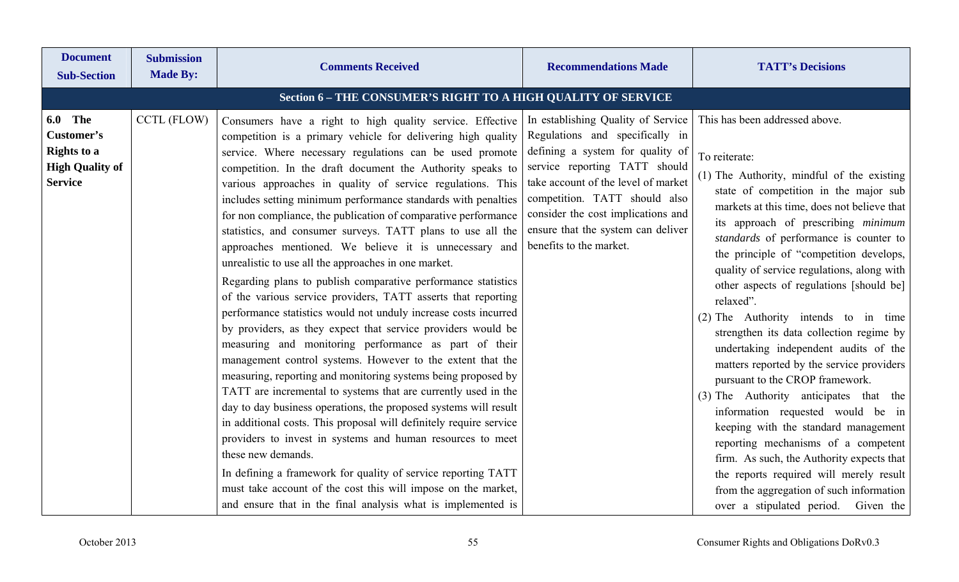| <b>Document</b><br><b>Sub-Section</b>                                                          | <b>Submission</b><br><b>Made By:</b> | <b>Comments Received</b>                                                                                                                                                                                                                                                                                                                                                                                                                                                                                                                                                                                                                                                                                                                                                                                                                                                                                                                                                                                                                                                                                                                                                                                                                                                                                                                                                                                                                                                                                                                                                                             | <b>Recommendations Made</b>                                                                                                                                                                                                                                                                                               | <b>TATT's Decisions</b>                                                                                                                                                                                                                                                                                                                                                                                                                                                                                                                                                                                                                                                                                                                                                                                                                                                                                                                                                        |
|------------------------------------------------------------------------------------------------|--------------------------------------|------------------------------------------------------------------------------------------------------------------------------------------------------------------------------------------------------------------------------------------------------------------------------------------------------------------------------------------------------------------------------------------------------------------------------------------------------------------------------------------------------------------------------------------------------------------------------------------------------------------------------------------------------------------------------------------------------------------------------------------------------------------------------------------------------------------------------------------------------------------------------------------------------------------------------------------------------------------------------------------------------------------------------------------------------------------------------------------------------------------------------------------------------------------------------------------------------------------------------------------------------------------------------------------------------------------------------------------------------------------------------------------------------------------------------------------------------------------------------------------------------------------------------------------------------------------------------------------------------|---------------------------------------------------------------------------------------------------------------------------------------------------------------------------------------------------------------------------------------------------------------------------------------------------------------------------|--------------------------------------------------------------------------------------------------------------------------------------------------------------------------------------------------------------------------------------------------------------------------------------------------------------------------------------------------------------------------------------------------------------------------------------------------------------------------------------------------------------------------------------------------------------------------------------------------------------------------------------------------------------------------------------------------------------------------------------------------------------------------------------------------------------------------------------------------------------------------------------------------------------------------------------------------------------------------------|
|                                                                                                |                                      | Section 6 - THE CONSUMER'S RIGHT TO A HIGH QUALITY OF SERVICE                                                                                                                                                                                                                                                                                                                                                                                                                                                                                                                                                                                                                                                                                                                                                                                                                                                                                                                                                                                                                                                                                                                                                                                                                                                                                                                                                                                                                                                                                                                                        |                                                                                                                                                                                                                                                                                                                           |                                                                                                                                                                                                                                                                                                                                                                                                                                                                                                                                                                                                                                                                                                                                                                                                                                                                                                                                                                                |
| <b>6.0 The</b><br>Customer's<br><b>Rights to a</b><br><b>High Quality of</b><br><b>Service</b> | <b>CCTL (FLOW)</b>                   | Consumers have a right to high quality service. Effective<br>competition is a primary vehicle for delivering high quality<br>service. Where necessary regulations can be used promote<br>competition. In the draft document the Authority speaks to<br>various approaches in quality of service regulations. This<br>includes setting minimum performance standards with penalties<br>for non compliance, the publication of comparative performance<br>statistics, and consumer surveys. TATT plans to use all the<br>approaches mentioned. We believe it is unnecessary and<br>unrealistic to use all the approaches in one market.<br>Regarding plans to publish comparative performance statistics<br>of the various service providers, TATT asserts that reporting<br>performance statistics would not unduly increase costs incurred<br>by providers, as they expect that service providers would be<br>measuring and monitoring performance as part of their<br>management control systems. However to the extent that the<br>measuring, reporting and monitoring systems being proposed by<br>TATT are incremental to systems that are currently used in the<br>day to day business operations, the proposed systems will result<br>in additional costs. This proposal will definitely require service<br>providers to invest in systems and human resources to meet<br>these new demands.<br>In defining a framework for quality of service reporting TATT<br>must take account of the cost this will impose on the market,<br>and ensure that in the final analysis what is implemented is | In establishing Quality of Service<br>Regulations and specifically in<br>defining a system for quality of<br>service reporting TATT should<br>take account of the level of market<br>competition. TATT should also<br>consider the cost implications and<br>ensure that the system can deliver<br>benefits to the market. | This has been addressed above.<br>To reiterate:<br>(1) The Authority, mindful of the existing<br>state of competition in the major sub<br>markets at this time, does not believe that<br>its approach of prescribing minimum<br>standards of performance is counter to<br>the principle of "competition develops,<br>quality of service regulations, along with<br>other aspects of regulations [should be]<br>relaxed".<br>(2) The Authority intends to in time<br>strengthen its data collection regime by<br>undertaking independent audits of the<br>matters reported by the service providers<br>pursuant to the CROP framework.<br>(3) The Authority anticipates that the<br>information requested would be in<br>keeping with the standard management<br>reporting mechanisms of a competent<br>firm. As such, the Authority expects that<br>the reports required will merely result<br>from the aggregation of such information<br>over a stipulated period. Given the |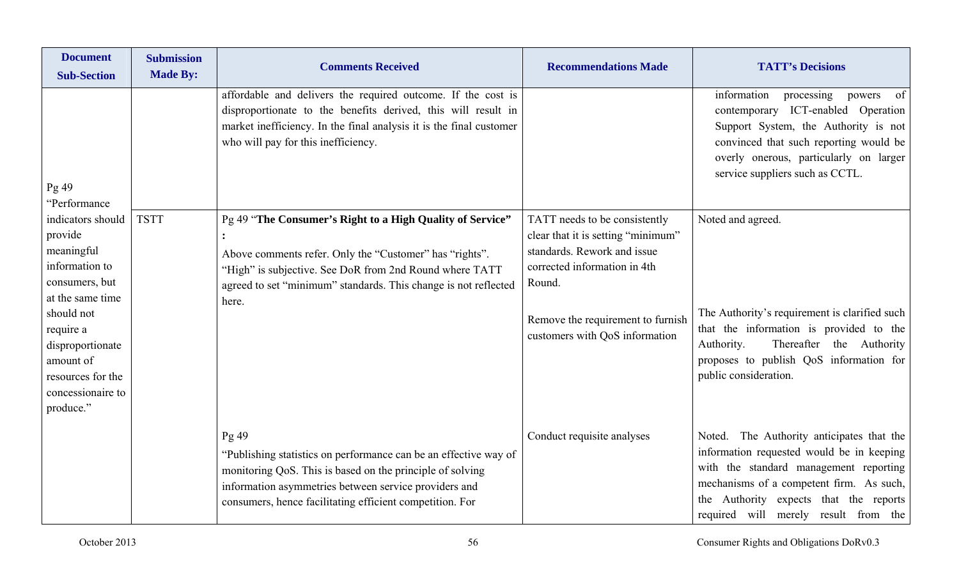| <b>Document</b><br><b>Sub-Section</b>                                                                                                                                                                                 | <b>Submission</b><br><b>Made By:</b> | <b>Comments Received</b>                                                                                                                                                                                                                                    | <b>Recommendations Made</b>                                                                                                                                                                                         | <b>TATT's Decisions</b>                                                                                                                                                                                                                                        |
|-----------------------------------------------------------------------------------------------------------------------------------------------------------------------------------------------------------------------|--------------------------------------|-------------------------------------------------------------------------------------------------------------------------------------------------------------------------------------------------------------------------------------------------------------|---------------------------------------------------------------------------------------------------------------------------------------------------------------------------------------------------------------------|----------------------------------------------------------------------------------------------------------------------------------------------------------------------------------------------------------------------------------------------------------------|
| Pg 49<br>'Performance                                                                                                                                                                                                 |                                      | affordable and delivers the required outcome. If the cost is<br>disproportionate to the benefits derived, this will result in<br>market inefficiency. In the final analysis it is the final customer<br>who will pay for this inefficiency.                 |                                                                                                                                                                                                                     | information<br>processing<br>powers<br><sub>of</sub><br>contemporary ICT-enabled Operation<br>Support System, the Authority is not<br>convinced that such reporting would be<br>overly onerous, particularly on larger<br>service suppliers such as CCTL.      |
| indicators should<br>provide<br>meaningful<br>information to<br>consumers, but<br>at the same time<br>should not<br>require a<br>disproportionate<br>amount of<br>resources for the<br>concessionaire to<br>produce." | <b>TSTT</b>                          | Pg 49 "The Consumer's Right to a High Quality of Service"<br>Above comments refer. Only the "Customer" has "rights".<br>"High" is subjective. See DoR from 2nd Round where TATT<br>agreed to set "minimum" standards. This change is not reflected<br>here. | TATT needs to be consistently<br>clear that it is setting "minimum"<br>standards. Rework and issue<br>corrected information in 4th<br>Round.<br>Remove the requirement to furnish<br>customers with QoS information | Noted and agreed.<br>The Authority's requirement is clarified such<br>that the information is provided to the<br>Thereafter the Authority<br>Authority.<br>proposes to publish QoS information for<br>public consideration.                                    |
|                                                                                                                                                                                                                       |                                      | Pg49<br>"Publishing statistics on performance can be an effective way of<br>monitoring QoS. This is based on the principle of solving<br>information asymmetries between service providers and<br>consumers, hence facilitating efficient competition. For  | Conduct requisite analyses                                                                                                                                                                                          | Noted. The Authority anticipates that the<br>information requested would be in keeping<br>with the standard management reporting<br>mechanisms of a competent firm. As such,<br>the Authority expects that the reports<br>required will merely result from the |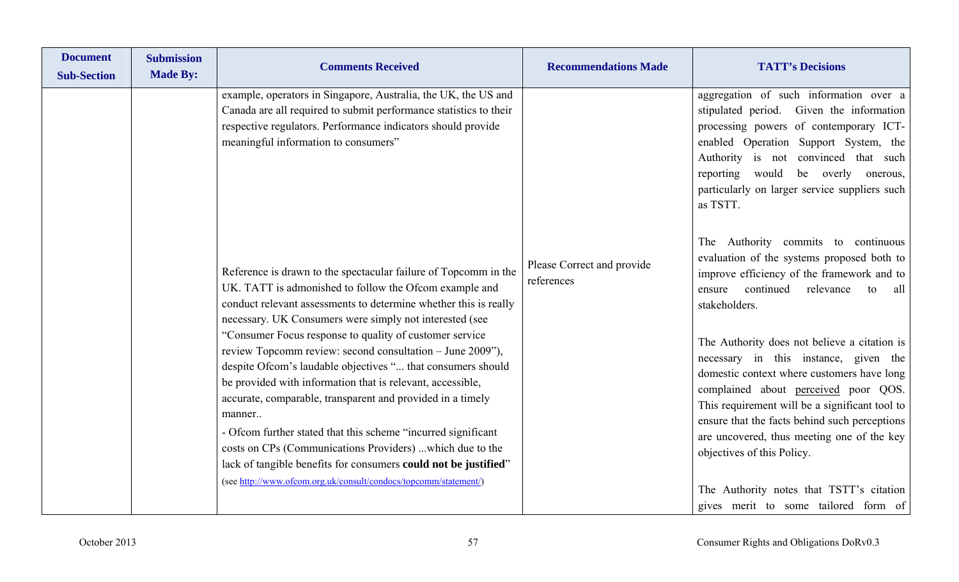|                                          | <b>TATT's Decisions</b>                                                                                                                                                                                                                                                                                                                                                                                                                                                                                                                                                                                                                                                                                                                                                                                                                                                                                                                                                       |
|------------------------------------------|-------------------------------------------------------------------------------------------------------------------------------------------------------------------------------------------------------------------------------------------------------------------------------------------------------------------------------------------------------------------------------------------------------------------------------------------------------------------------------------------------------------------------------------------------------------------------------------------------------------------------------------------------------------------------------------------------------------------------------------------------------------------------------------------------------------------------------------------------------------------------------------------------------------------------------------------------------------------------------|
| Please Correct and provide<br>references | aggregation of such information over a<br>stipulated period. Given the information<br>processing powers of contemporary ICT-<br>enabled Operation Support System, the<br>Authority is not convinced that such<br>reporting<br>would<br>be overly onerous,<br>particularly on larger service suppliers such<br>as TSTT.<br>The Authority commits to continuous<br>evaluation of the systems proposed both to<br>improve efficiency of the framework and to<br>continued<br>relevance<br>ensure<br>to<br>all<br>stakeholders.<br>The Authority does not believe a citation is<br>necessary in this instance, given the<br>domestic context where customers have long<br>complained about perceived poor QOS.<br>This requirement will be a significant tool to<br>ensure that the facts behind such perceptions<br>are uncovered, thus meeting one of the key<br>objectives of this Policy.<br>The Authority notes that TSTT's citation<br>gives merit to some tailored form of |
|                                          | <b>Recommendations Made</b>                                                                                                                                                                                                                                                                                                                                                                                                                                                                                                                                                                                                                                                                                                                                                                                                                                                                                                                                                   |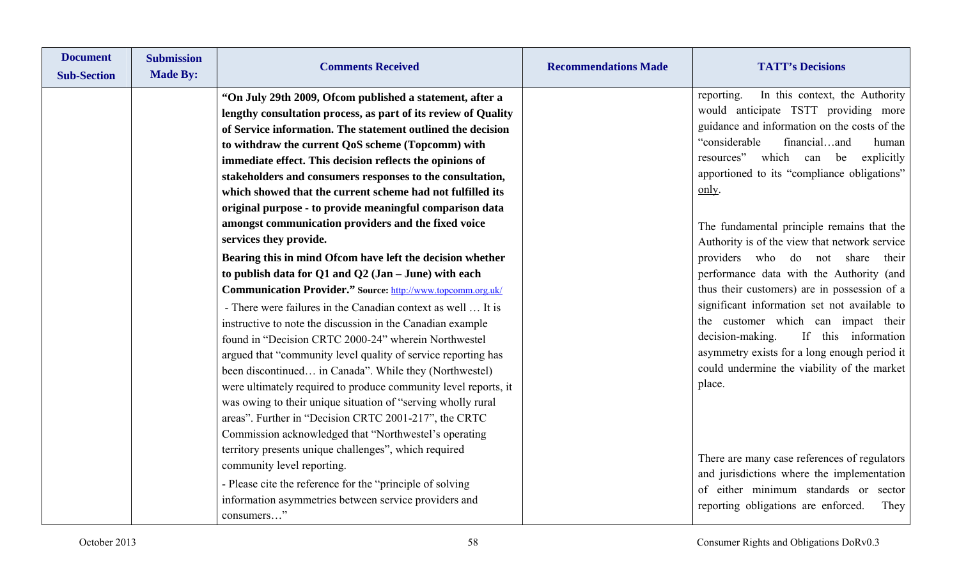| <b>Document</b><br><b>Sub-Section</b> | <b>Submission</b><br><b>Made By:</b> | <b>Comments Received</b>                                                                                                                                                                                                                                                                                                                                                                                                                                                                                                                                                                                                                                                                          | <b>Recommendations Made</b> | <b>TATT's Decisions</b>                                                                                                                                                                                                                                                                                                                                                                                                  |
|---------------------------------------|--------------------------------------|---------------------------------------------------------------------------------------------------------------------------------------------------------------------------------------------------------------------------------------------------------------------------------------------------------------------------------------------------------------------------------------------------------------------------------------------------------------------------------------------------------------------------------------------------------------------------------------------------------------------------------------------------------------------------------------------------|-----------------------------|--------------------------------------------------------------------------------------------------------------------------------------------------------------------------------------------------------------------------------------------------------------------------------------------------------------------------------------------------------------------------------------------------------------------------|
|                                       |                                      | "On July 29th 2009, Ofcom published a statement, after a<br>lengthy consultation process, as part of its review of Quality<br>of Service information. The statement outlined the decision<br>to withdraw the current QoS scheme (Topcomm) with<br>immediate effect. This decision reflects the opinions of<br>stakeholders and consumers responses to the consultation,<br>which showed that the current scheme had not fulfilled its<br>original purpose - to provide meaningful comparison data<br>amongst communication providers and the fixed voice<br>services they provide.                                                                                                                |                             | In this context, the Authority<br>reporting.<br>would anticipate TSTT providing more<br>guidance and information on the costs of the<br>"considerable<br>financialand<br>human<br>resources" which can be<br>explicitly<br>apportioned to its "compliance obligations"<br>only.<br>The fundamental principle remains that the                                                                                            |
|                                       |                                      | Bearing this in mind Ofcom have left the decision whether<br>to publish data for $Q1$ and $Q2$ (Jan – June) with each<br>Communication Provider." Source: http://www.topcomm.org.uk/<br>- There were failures in the Canadian context as well  It is<br>instructive to note the discussion in the Canadian example<br>found in "Decision CRTC 2000-24" wherein Northwestel<br>argued that "community level quality of service reporting has<br>been discontinued in Canada". While they (Northwestel)<br>were ultimately required to produce community level reports, it<br>was owing to their unique situation of "serving wholly rural<br>areas". Further in "Decision CRTC 2001-217", the CRTC |                             | Authority is of the view that network service<br>providers who do not share their<br>performance data with the Authority (and<br>thus their customers) are in possession of a<br>significant information set not available to<br>the customer which can impact their<br>decision-making.<br>If this information<br>asymmetry exists for a long enough period it<br>could undermine the viability of the market<br>place. |
|                                       |                                      | Commission acknowledged that "Northwestel's operating<br>territory presents unique challenges", which required<br>community level reporting.<br>- Please cite the reference for the "principle of solving"<br>information asymmetries between service providers and<br>consumers"                                                                                                                                                                                                                                                                                                                                                                                                                 |                             | There are many case references of regulators<br>and jurisdictions where the implementation<br>of either minimum standards or sector<br>reporting obligations are enforced.<br>They                                                                                                                                                                                                                                       |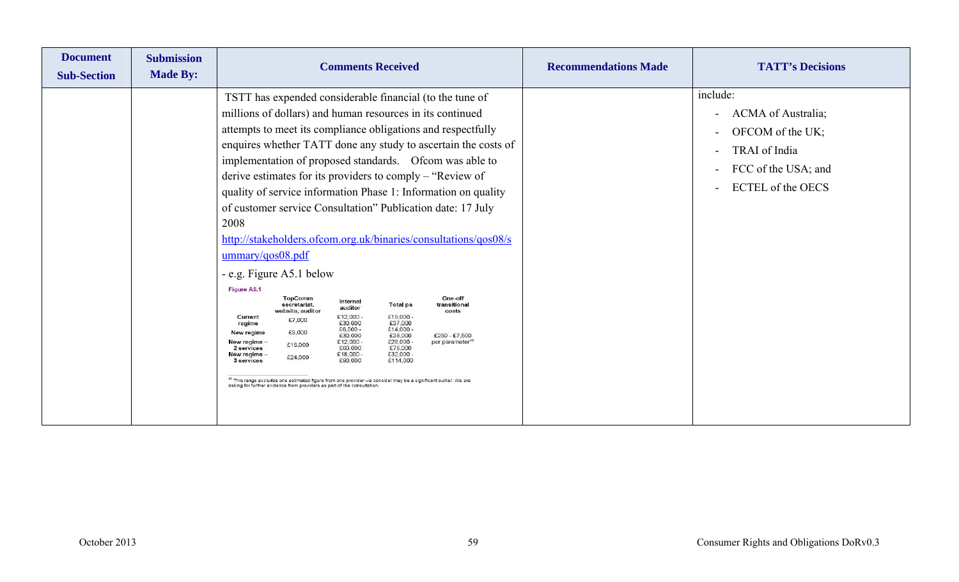| <b>Document</b><br><b>Sub-Section</b> | <b>Submission</b><br><b>Made By:</b> | <b>Comments Received</b>                                                                                                                                                                                                                                                                                                                                                                                                                                                                                                                                                                                                                                                                                                                                                                                                                                                                                                                                                                                                                                                                                                                                                                                                                                                                                                                                                              | <b>Recommendations Made</b> | <b>TATT's Decisions</b>                                                                                                                                                                            |
|---------------------------------------|--------------------------------------|---------------------------------------------------------------------------------------------------------------------------------------------------------------------------------------------------------------------------------------------------------------------------------------------------------------------------------------------------------------------------------------------------------------------------------------------------------------------------------------------------------------------------------------------------------------------------------------------------------------------------------------------------------------------------------------------------------------------------------------------------------------------------------------------------------------------------------------------------------------------------------------------------------------------------------------------------------------------------------------------------------------------------------------------------------------------------------------------------------------------------------------------------------------------------------------------------------------------------------------------------------------------------------------------------------------------------------------------------------------------------------------|-----------------------------|----------------------------------------------------------------------------------------------------------------------------------------------------------------------------------------------------|
|                                       |                                      | TSTT has expended considerable financial (to the tune of<br>millions of dollars) and human resources in its continued<br>attempts to meet its compliance obligations and respectfully<br>enquires whether TATT done any study to ascertain the costs of<br>implementation of proposed standards. Of com was able to<br>derive estimates for its providers to comply – "Review of<br>quality of service information Phase 1: Information on quality<br>of customer service Consultation" Publication date: 17 July<br>2008<br>http://stakeholders.ofcom.org.uk/binaries/consultations/qos08/s<br>ummary/qos08.pdf<br>- e.g. Figure A5.1 below<br>Figure A5.1<br><b>TopComm</b><br>One-off<br>Internal<br><b>Total</b> pa<br>transitional<br>secretariat.<br>auditor<br>website, auditor<br>costs<br>£12,000 -<br>£19,000-<br>Current<br>£7,000<br>£30,000<br>£37,000<br>regime<br>$£6,000 -$<br>$£14,000 -$<br>£8,000<br>New regime<br>£30,000<br>£38,000<br>$£250 - £7,500$<br>£28,000 -<br>New regime<br>£12,000 -<br>per parameter <sup>48</sup><br>£16,000<br>£76,000<br>2 services<br>£60,000<br>£32,000 -<br>£18,000 -<br>New regime<br>£24,000<br>£114,000<br>£90,000<br>3 services<br>49 This range excludes one estimated figure from one provider we consider may be a significant outlier. We are<br>asking for further evidence from providers as part of the consultation |                             | include:<br>ACMA of Australia;<br>$\overline{\phantom{a}}$<br>OFCOM of the UK;<br>$\sim$<br>TRAI of India<br>$\overline{\phantom{a}}$<br>FCC of the USA; and<br><b>ECTEL</b> of the OECS<br>$\sim$ |
|                                       |                                      |                                                                                                                                                                                                                                                                                                                                                                                                                                                                                                                                                                                                                                                                                                                                                                                                                                                                                                                                                                                                                                                                                                                                                                                                                                                                                                                                                                                       |                             |                                                                                                                                                                                                    |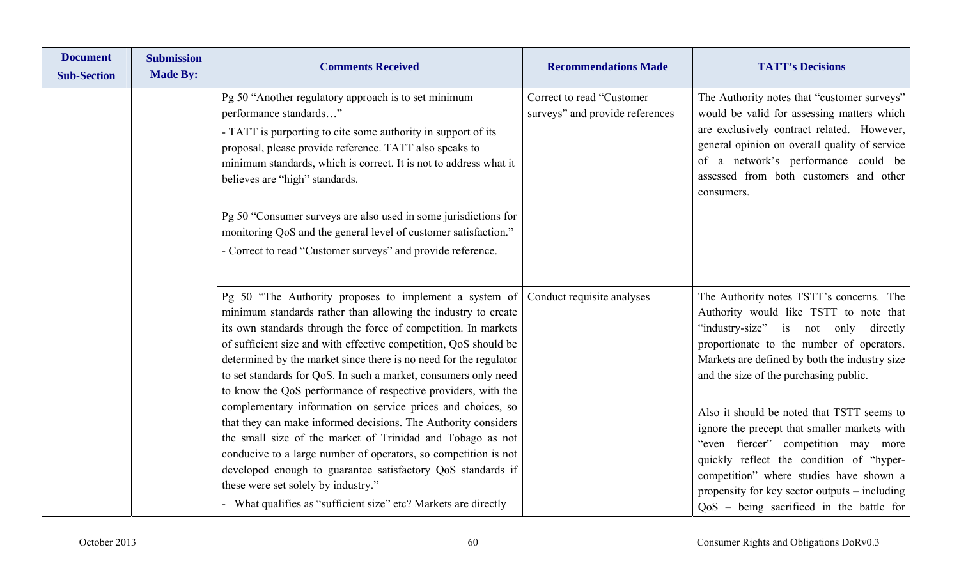| <b>Document</b><br><b>Sub-Section</b> | <b>Submission</b><br><b>Made By:</b> | <b>Comments Received</b>                                                                                                                                                                                                                                                                                                                                                                                                                                                                                                                                                                                                                                                                                                                                                                                                                                                                                                                     | <b>Recommendations Made</b>                                  | <b>TATT's Decisions</b>                                                                                                                                                                                                                                                                                                                                                                                                                                                                                                                                                                     |
|---------------------------------------|--------------------------------------|----------------------------------------------------------------------------------------------------------------------------------------------------------------------------------------------------------------------------------------------------------------------------------------------------------------------------------------------------------------------------------------------------------------------------------------------------------------------------------------------------------------------------------------------------------------------------------------------------------------------------------------------------------------------------------------------------------------------------------------------------------------------------------------------------------------------------------------------------------------------------------------------------------------------------------------------|--------------------------------------------------------------|---------------------------------------------------------------------------------------------------------------------------------------------------------------------------------------------------------------------------------------------------------------------------------------------------------------------------------------------------------------------------------------------------------------------------------------------------------------------------------------------------------------------------------------------------------------------------------------------|
|                                       |                                      | Pg 50 "Another regulatory approach is to set minimum<br>performance standards"<br>- TATT is purporting to cite some authority in support of its<br>proposal, please provide reference. TATT also speaks to<br>minimum standards, which is correct. It is not to address what it<br>believes are "high" standards.<br>Pg 50 "Consumer surveys are also used in some jurisdictions for<br>monitoring QoS and the general level of customer satisfaction."<br>- Correct to read "Customer surveys" and provide reference.                                                                                                                                                                                                                                                                                                                                                                                                                       | Correct to read "Customer<br>surveys" and provide references | The Authority notes that "customer surveys"<br>would be valid for assessing matters which<br>are exclusively contract related. However,<br>general opinion on overall quality of service<br>of a network's performance could be<br>assessed from both customers and other<br>consumers.                                                                                                                                                                                                                                                                                                     |
|                                       |                                      | Pg 50 "The Authority proposes to implement a system of Conduct requisite analyses<br>minimum standards rather than allowing the industry to create<br>its own standards through the force of competition. In markets<br>of sufficient size and with effective competition, QoS should be<br>determined by the market since there is no need for the regulator<br>to set standards for QoS. In such a market, consumers only need<br>to know the QoS performance of respective providers, with the<br>complementary information on service prices and choices, so<br>that they can make informed decisions. The Authority considers<br>the small size of the market of Trinidad and Tobago as not<br>conducive to a large number of operators, so competition is not<br>developed enough to guarantee satisfactory QoS standards if<br>these were set solely by industry."<br>- What qualifies as "sufficient size" etc? Markets are directly |                                                              | The Authority notes TSTT's concerns. The<br>Authority would like TSTT to note that<br>"industry-size" is not only directly<br>proportionate to the number of operators.<br>Markets are defined by both the industry size<br>and the size of the purchasing public.<br>Also it should be noted that TSTT seems to<br>ignore the precept that smaller markets with<br>"even fiercer" competition may more<br>quickly reflect the condition of "hyper-<br>competition" where studies have shown a<br>propensity for key sector outputs – including<br>QoS - being sacrificed in the battle for |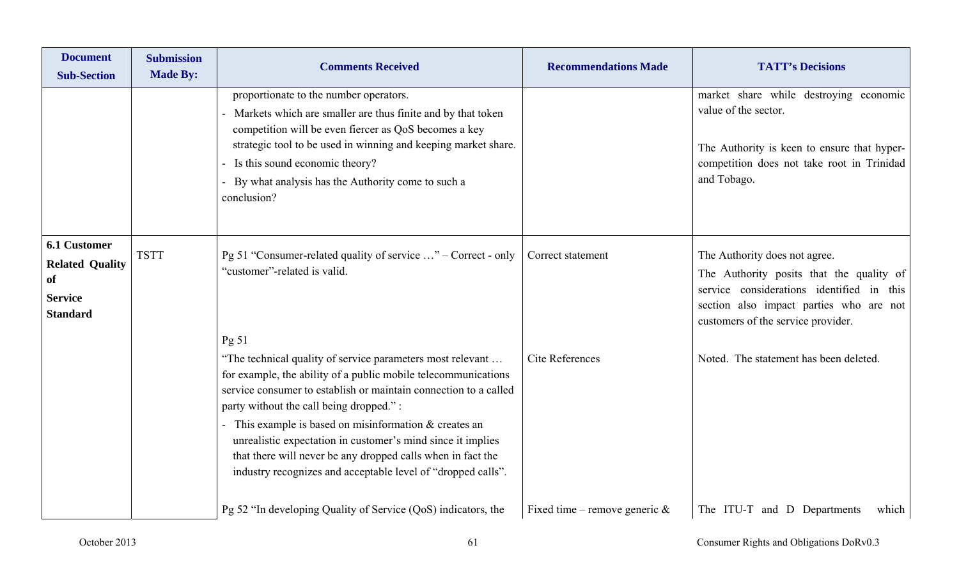| <b>Document</b><br><b>Sub-Section</b>                                                    | <b>Submission</b><br><b>Made By:</b> | <b>Comments Received</b>                                                                                                                                                                                                                                                                                                                                                                                                                                                                            | <b>Recommendations Made</b>      | <b>TATT's Decisions</b>                                                                                                                                                                                 |
|------------------------------------------------------------------------------------------|--------------------------------------|-----------------------------------------------------------------------------------------------------------------------------------------------------------------------------------------------------------------------------------------------------------------------------------------------------------------------------------------------------------------------------------------------------------------------------------------------------------------------------------------------------|----------------------------------|---------------------------------------------------------------------------------------------------------------------------------------------------------------------------------------------------------|
|                                                                                          |                                      | proportionate to the number operators.<br>Markets which are smaller are thus finite and by that token<br>competition will be even fiercer as QoS becomes a key<br>strategic tool to be used in winning and keeping market share.<br>Is this sound economic theory?<br>By what analysis has the Authority come to such a<br>conclusion?                                                                                                                                                              |                                  | market share while destroying economic<br>value of the sector.<br>The Authority is keen to ensure that hyper-<br>competition does not take root in Trinidad<br>and Tobago.                              |
| <b>6.1 Customer</b><br><b>Related Quality</b><br>of<br><b>Service</b><br><b>Standard</b> | <b>TSTT</b>                          | Pg 51 "Consumer-related quality of service " – Correct - only<br>"customer"-related is valid.<br>Pg 51                                                                                                                                                                                                                                                                                                                                                                                              | Correct statement                | The Authority does not agree.<br>The Authority posits that the quality of<br>service considerations identified in this<br>section also impact parties who are not<br>customers of the service provider. |
|                                                                                          |                                      | "The technical quality of service parameters most relevant<br>for example, the ability of a public mobile telecommunications<br>service consumer to establish or maintain connection to a called<br>party without the call being dropped.":<br>This example is based on misinformation $&$ creates an<br>unrealistic expectation in customer's mind since it implies<br>that there will never be any dropped calls when in fact the<br>industry recognizes and acceptable level of "dropped calls". | Cite References                  | Noted. The statement has been deleted.                                                                                                                                                                  |
|                                                                                          |                                      | Pg 52 "In developing Quality of Service (QoS) indicators, the                                                                                                                                                                                                                                                                                                                                                                                                                                       | Fixed time – remove generic $\&$ | The ITU-T and D Departments<br>which                                                                                                                                                                    |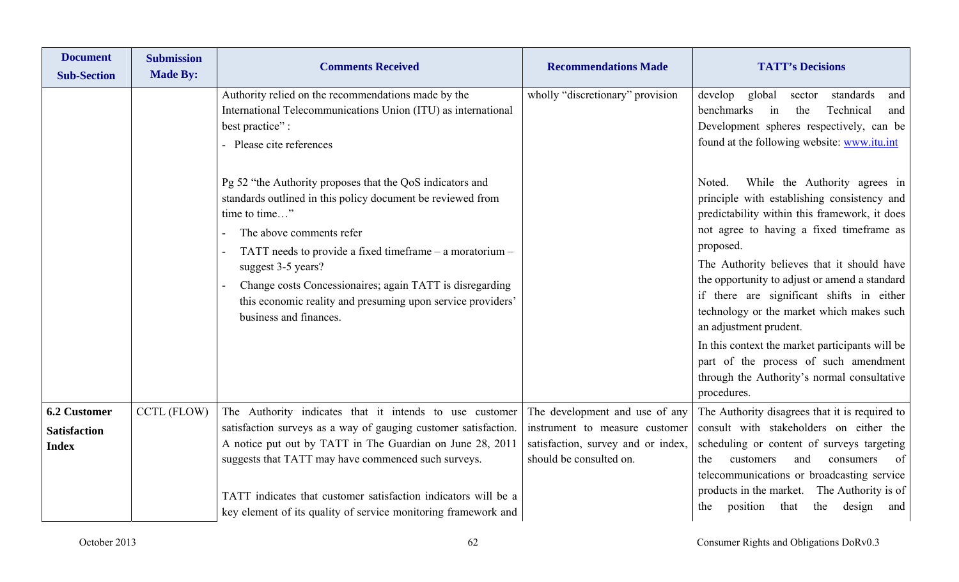| <b>Document</b><br><b>Sub-Section</b>                      | <b>Submission</b><br><b>Made By:</b> | <b>Comments Received</b>                                                                                                                                                                                                                                                                                                                                                                                                                                                                                                                                                                 | <b>Recommendations Made</b>                                                                                                       | <b>TATT's Decisions</b>                                                                                                                                                                                                                                                                                                                                                                                                                                                                                                                                                                                                                                                                                                                                                    |
|------------------------------------------------------------|--------------------------------------|------------------------------------------------------------------------------------------------------------------------------------------------------------------------------------------------------------------------------------------------------------------------------------------------------------------------------------------------------------------------------------------------------------------------------------------------------------------------------------------------------------------------------------------------------------------------------------------|-----------------------------------------------------------------------------------------------------------------------------------|----------------------------------------------------------------------------------------------------------------------------------------------------------------------------------------------------------------------------------------------------------------------------------------------------------------------------------------------------------------------------------------------------------------------------------------------------------------------------------------------------------------------------------------------------------------------------------------------------------------------------------------------------------------------------------------------------------------------------------------------------------------------------|
|                                                            |                                      | Authority relied on the recommendations made by the<br>International Telecommunications Union (ITU) as international<br>best practice":<br>- Please cite references<br>Pg 52 "the Authority proposes that the QoS indicators and<br>standards outlined in this policy document be reviewed from<br>time to time"<br>The above comments refer<br>TATT needs to provide a fixed time frame $-$ a moratorium $-$<br>suggest 3-5 years?<br>Change costs Concessionaires; again TATT is disregarding<br>this economic reality and presuming upon service providers'<br>business and finances. | wholly "discretionary" provision                                                                                                  | develop<br>global<br>standards<br>sector<br>and<br>benchmarks<br>the<br>Technical<br>in<br>and<br>Development spheres respectively, can be<br>found at the following website: www.itu.int<br>While the Authority agrees in<br>Noted.<br>principle with establishing consistency and<br>predictability within this framework, it does<br>not agree to having a fixed timeframe as<br>proposed.<br>The Authority believes that it should have<br>the opportunity to adjust or amend a standard<br>if there are significant shifts in either<br>technology or the market which makes such<br>an adjustment prudent.<br>In this context the market participants will be<br>part of the process of such amendment<br>through the Authority's normal consultative<br>procedures. |
| <b>6.2 Customer</b><br><b>Satisfaction</b><br><b>Index</b> | CCTL (FLOW)                          | The Authority indicates that it intends to use customer<br>satisfaction surveys as a way of gauging customer satisfaction.<br>A notice put out by TATT in The Guardian on June 28, 2011<br>suggests that TATT may have commenced such surveys.<br>TATT indicates that customer satisfaction indicators will be a<br>key element of its quality of service monitoring framework and                                                                                                                                                                                                       | The development and use of any<br>instrument to measure customer<br>satisfaction, survey and or index,<br>should be consulted on. | The Authority disagrees that it is required to<br>consult with stakeholders on either the<br>scheduling or content of surveys targeting<br>and<br>of<br>customers<br>consumers<br>the<br>telecommunications or broadcasting service<br>products in the market. The Authority is of<br>that<br>the<br>position<br>design<br>the<br>and                                                                                                                                                                                                                                                                                                                                                                                                                                      |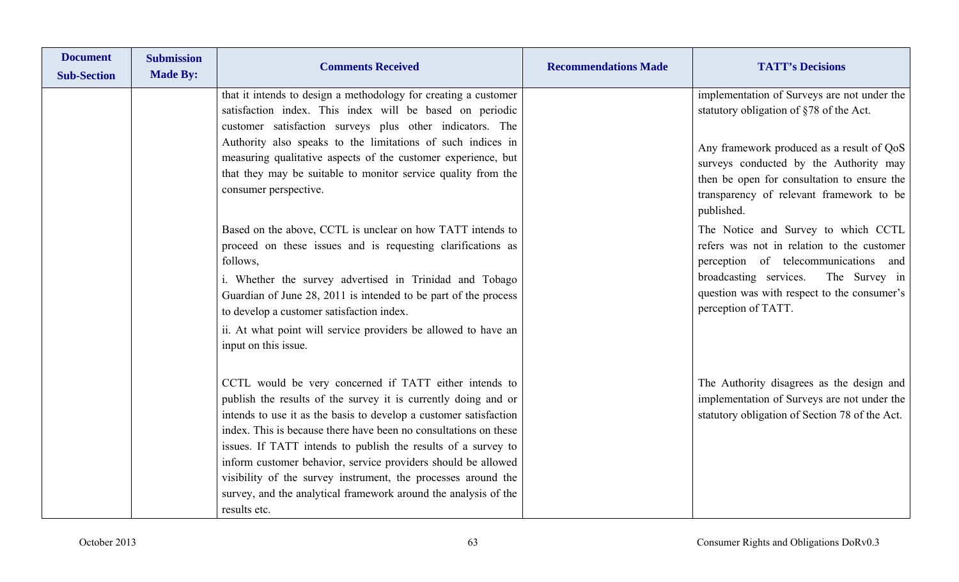| <b>Document</b><br><b>Sub-Section</b> | <b>Submission</b><br><b>Made By:</b> | <b>Comments Received</b>                                                                                                                                                                                                                                                                                                                                                                                                                                                                                                                                | <b>Recommendations Made</b> | <b>TATT's Decisions</b>                                                                                                                                                                                                                    |
|---------------------------------------|--------------------------------------|---------------------------------------------------------------------------------------------------------------------------------------------------------------------------------------------------------------------------------------------------------------------------------------------------------------------------------------------------------------------------------------------------------------------------------------------------------------------------------------------------------------------------------------------------------|-----------------------------|--------------------------------------------------------------------------------------------------------------------------------------------------------------------------------------------------------------------------------------------|
|                                       |                                      | that it intends to design a methodology for creating a customer<br>satisfaction index. This index will be based on periodic<br>customer satisfaction surveys plus other indicators. The                                                                                                                                                                                                                                                                                                                                                                 |                             | implementation of Surveys are not under the<br>statutory obligation of §78 of the Act.                                                                                                                                                     |
|                                       |                                      | Authority also speaks to the limitations of such indices in<br>measuring qualitative aspects of the customer experience, but<br>that they may be suitable to monitor service quality from the<br>consumer perspective.                                                                                                                                                                                                                                                                                                                                  |                             | Any framework produced as a result of QoS<br>surveys conducted by the Authority may<br>then be open for consultation to ensure the<br>transparency of relevant framework to be<br>published.                                               |
|                                       |                                      | Based on the above, CCTL is unclear on how TATT intends to<br>proceed on these issues and is requesting clarifications as<br>follows,<br>i. Whether the survey advertised in Trinidad and Tobago<br>Guardian of June 28, 2011 is intended to be part of the process<br>to develop a customer satisfaction index.<br>ii. At what point will service providers be allowed to have an<br>input on this issue.                                                                                                                                              |                             | The Notice and Survey to which CCTL<br>refers was not in relation to the customer<br>perception of telecommunications and<br>The Survey in<br>broadcasting services.<br>question was with respect to the consumer's<br>perception of TATT. |
|                                       |                                      | CCTL would be very concerned if TATT either intends to<br>publish the results of the survey it is currently doing and or<br>intends to use it as the basis to develop a customer satisfaction<br>index. This is because there have been no consultations on these<br>issues. If TATT intends to publish the results of a survey to<br>inform customer behavior, service providers should be allowed<br>visibility of the survey instrument, the processes around the<br>survey, and the analytical framework around the analysis of the<br>results etc. |                             | The Authority disagrees as the design and<br>implementation of Surveys are not under the<br>statutory obligation of Section 78 of the Act.                                                                                                 |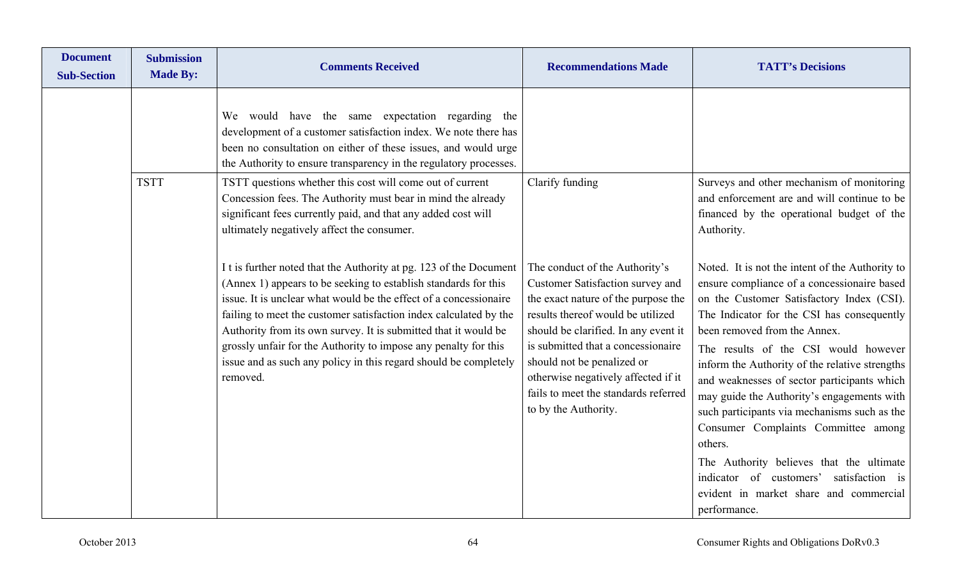| <b>Document</b><br><b>Sub-Section</b> | <b>Submission</b><br><b>Made By:</b> | <b>Comments Received</b>                                                                                                                                                                                                                                                                                                                                                                                                                                                                              | <b>Recommendations Made</b>                                                                                                                                                                                                                                                                                                                                       | <b>TATT's Decisions</b>                                                                                                                                                                                                                                                                                                                                                                                                                                                                                            |
|---------------------------------------|--------------------------------------|-------------------------------------------------------------------------------------------------------------------------------------------------------------------------------------------------------------------------------------------------------------------------------------------------------------------------------------------------------------------------------------------------------------------------------------------------------------------------------------------------------|-------------------------------------------------------------------------------------------------------------------------------------------------------------------------------------------------------------------------------------------------------------------------------------------------------------------------------------------------------------------|--------------------------------------------------------------------------------------------------------------------------------------------------------------------------------------------------------------------------------------------------------------------------------------------------------------------------------------------------------------------------------------------------------------------------------------------------------------------------------------------------------------------|
|                                       |                                      | We would have the same expectation regarding the<br>development of a customer satisfaction index. We note there has<br>been no consultation on either of these issues, and would urge<br>the Authority to ensure transparency in the regulatory processes.                                                                                                                                                                                                                                            |                                                                                                                                                                                                                                                                                                                                                                   |                                                                                                                                                                                                                                                                                                                                                                                                                                                                                                                    |
|                                       | <b>TSTT</b>                          | TSTT questions whether this cost will come out of current<br>Concession fees. The Authority must bear in mind the already<br>significant fees currently paid, and that any added cost will<br>ultimately negatively affect the consumer.                                                                                                                                                                                                                                                              | Clarify funding                                                                                                                                                                                                                                                                                                                                                   | Surveys and other mechanism of monitoring<br>and enforcement are and will continue to be<br>financed by the operational budget of the<br>Authority.                                                                                                                                                                                                                                                                                                                                                                |
|                                       |                                      | I t is further noted that the Authority at pg. 123 of the Document<br>(Annex 1) appears to be seeking to establish standards for this<br>issue. It is unclear what would be the effect of a concessionaire<br>failing to meet the customer satisfaction index calculated by the<br>Authority from its own survey. It is submitted that it would be<br>grossly unfair for the Authority to impose any penalty for this<br>issue and as such any policy in this regard should be completely<br>removed. | The conduct of the Authority's<br>Customer Satisfaction survey and<br>the exact nature of the purpose the<br>results thereof would be utilized<br>should be clarified. In any event it<br>is submitted that a concessionaire<br>should not be penalized or<br>otherwise negatively affected if it<br>fails to meet the standards referred<br>to by the Authority. | Noted. It is not the intent of the Authority to<br>ensure compliance of a concessionaire based<br>on the Customer Satisfactory Index (CSI).<br>The Indicator for the CSI has consequently<br>been removed from the Annex.<br>The results of the CSI would however<br>inform the Authority of the relative strengths<br>and weaknesses of sector participants which<br>may guide the Authority's engagements with<br>such participants via mechanisms such as the<br>Consumer Complaints Committee among<br>others. |
|                                       |                                      |                                                                                                                                                                                                                                                                                                                                                                                                                                                                                                       |                                                                                                                                                                                                                                                                                                                                                                   | The Authority believes that the ultimate<br>indicator of customers'<br>satisfaction is<br>evident in market share and commercial<br>performance.                                                                                                                                                                                                                                                                                                                                                                   |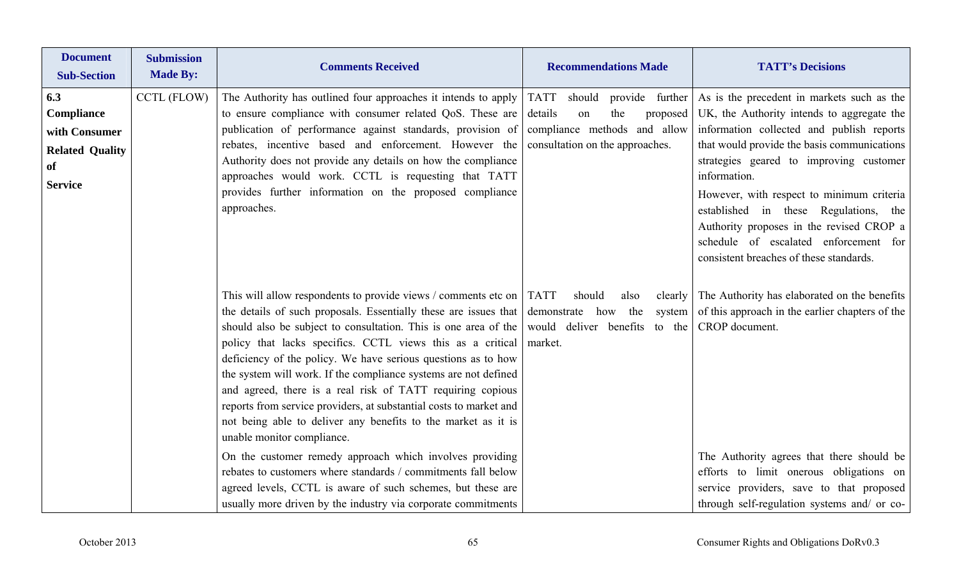| <b>Document</b><br><b>Sub-Section</b>                                                | <b>Submission</b><br><b>Made By:</b> | <b>Comments Received</b>                                                                                                                                                                                                                                                                                                                                                                                                                                                                                                                                                                                                                                                                                                                                                                                                                                                                                | <b>Recommendations Made</b>                                                                                                             | <b>TATT's Decisions</b>                                                                                                                                                                                                                                                                                                                                                                                                                                                               |
|--------------------------------------------------------------------------------------|--------------------------------------|---------------------------------------------------------------------------------------------------------------------------------------------------------------------------------------------------------------------------------------------------------------------------------------------------------------------------------------------------------------------------------------------------------------------------------------------------------------------------------------------------------------------------------------------------------------------------------------------------------------------------------------------------------------------------------------------------------------------------------------------------------------------------------------------------------------------------------------------------------------------------------------------------------|-----------------------------------------------------------------------------------------------------------------------------------------|---------------------------------------------------------------------------------------------------------------------------------------------------------------------------------------------------------------------------------------------------------------------------------------------------------------------------------------------------------------------------------------------------------------------------------------------------------------------------------------|
| 6.3<br>Compliance<br>with Consumer<br><b>Related Quality</b><br>of<br><b>Service</b> | <b>CCTL (FLOW)</b>                   | The Authority has outlined four approaches it intends to apply<br>to ensure compliance with consumer related QoS. These are<br>publication of performance against standards, provision of<br>rebates, incentive based and enforcement. However the<br>Authority does not provide any details on how the compliance<br>approaches would work. CCTL is requesting that TATT<br>provides further information on the proposed compliance<br>approaches.                                                                                                                                                                                                                                                                                                                                                                                                                                                     | <b>TATT</b><br>should<br>details<br>the<br>on<br>proposed<br>compliance methods and allow<br>consultation on the approaches.            | provide further As is the precedent in markets such as the<br>UK, the Authority intends to aggregate the<br>information collected and publish reports<br>that would provide the basis communications<br>strategies geared to improving customer<br>information.<br>However, with respect to minimum criteria<br>established in these Regulations, the<br>Authority proposes in the revised CROP a<br>schedule of escalated enforcement for<br>consistent breaches of these standards. |
|                                                                                      |                                      | This will allow respondents to provide views / comments etc on<br>the details of such proposals. Essentially these are issues that<br>should also be subject to consultation. This is one area of the<br>policy that lacks specifics. CCTL views this as a critical<br>deficiency of the policy. We have serious questions as to how<br>the system will work. If the compliance systems are not defined<br>and agreed, there is a real risk of TATT requiring copious<br>reports from service providers, at substantial costs to market and<br>not being able to deliver any benefits to the market as it is<br>unable monitor compliance.<br>On the customer remedy approach which involves providing<br>rebates to customers where standards / commitments fall below<br>agreed levels, CCTL is aware of such schemes, but these are<br>usually more driven by the industry via corporate commitments | <b>TATT</b><br>should<br>clearly $\parallel$<br>also<br>demonstrate<br>the<br>system<br>how<br>would deliver benefits to the<br>market. | The Authority has elaborated on the benefits<br>of this approach in the earlier chapters of the<br>CROP document.<br>The Authority agrees that there should be<br>efforts to limit onerous obligations on<br>service providers, save to that proposed<br>through self-regulation systems and/ or co-                                                                                                                                                                                  |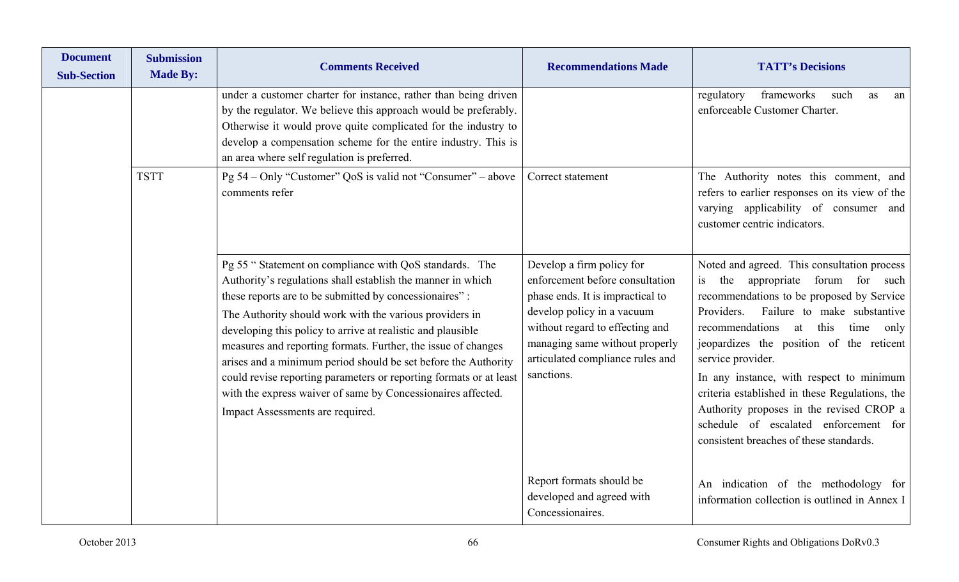| <b>Document</b><br><b>Sub-Section</b> | <b>Submission</b><br><b>Made By:</b> | <b>Comments Received</b>                                                                                                                                                                                                                                                                                                                                                                                                                                                                                                                                                                                               | <b>Recommendations Made</b>                                                                                                                                                                                                                           | <b>TATT's Decisions</b>                                                                                                                                                                                                                                                                                                                                                                                                                                                                                                       |
|---------------------------------------|--------------------------------------|------------------------------------------------------------------------------------------------------------------------------------------------------------------------------------------------------------------------------------------------------------------------------------------------------------------------------------------------------------------------------------------------------------------------------------------------------------------------------------------------------------------------------------------------------------------------------------------------------------------------|-------------------------------------------------------------------------------------------------------------------------------------------------------------------------------------------------------------------------------------------------------|-------------------------------------------------------------------------------------------------------------------------------------------------------------------------------------------------------------------------------------------------------------------------------------------------------------------------------------------------------------------------------------------------------------------------------------------------------------------------------------------------------------------------------|
|                                       |                                      | under a customer charter for instance, rather than being driven<br>by the regulator. We believe this approach would be preferably.<br>Otherwise it would prove quite complicated for the industry to<br>develop a compensation scheme for the entire industry. This is<br>an area where self regulation is preferred.                                                                                                                                                                                                                                                                                                  |                                                                                                                                                                                                                                                       | frameworks<br>regulatory<br>such<br>as<br>an<br>enforceable Customer Charter.                                                                                                                                                                                                                                                                                                                                                                                                                                                 |
|                                       | <b>TSTT</b>                          | Pg 54 – Only "Customer" QoS is valid not "Consumer" – above<br>comments refer                                                                                                                                                                                                                                                                                                                                                                                                                                                                                                                                          | Correct statement                                                                                                                                                                                                                                     | The Authority notes this comment, and<br>refers to earlier responses on its view of the<br>varying applicability of consumer and<br>customer centric indicators.                                                                                                                                                                                                                                                                                                                                                              |
|                                       |                                      | Pg 55 "Statement on compliance with QoS standards. The<br>Authority's regulations shall establish the manner in which<br>these reports are to be submitted by concessionaires":<br>The Authority should work with the various providers in<br>developing this policy to arrive at realistic and plausible<br>measures and reporting formats. Further, the issue of changes<br>arises and a minimum period should be set before the Authority<br>could revise reporting parameters or reporting formats or at least<br>with the express waiver of same by Concessionaires affected.<br>Impact Assessments are required. | Develop a firm policy for<br>enforcement before consultation<br>phase ends. It is impractical to<br>develop policy in a vacuum<br>without regard to effecting and<br>managing same without properly<br>articulated compliance rules and<br>sanctions. | Noted and agreed. This consultation process<br>appropriate forum for such<br>is the<br>recommendations to be proposed by Service<br>Failure to make substantive<br>Providers.<br>recommendations<br>this<br>at<br>time<br>only<br>jeopardizes the position of the reticent<br>service provider.<br>In any instance, with respect to minimum<br>criteria established in these Regulations, the<br>Authority proposes in the revised CROP a<br>schedule of escalated enforcement for<br>consistent breaches of these standards. |
|                                       |                                      |                                                                                                                                                                                                                                                                                                                                                                                                                                                                                                                                                                                                                        | Report formats should be<br>developed and agreed with<br>Concessionaires.                                                                                                                                                                             | An indication of the methodology for<br>information collection is outlined in Annex I                                                                                                                                                                                                                                                                                                                                                                                                                                         |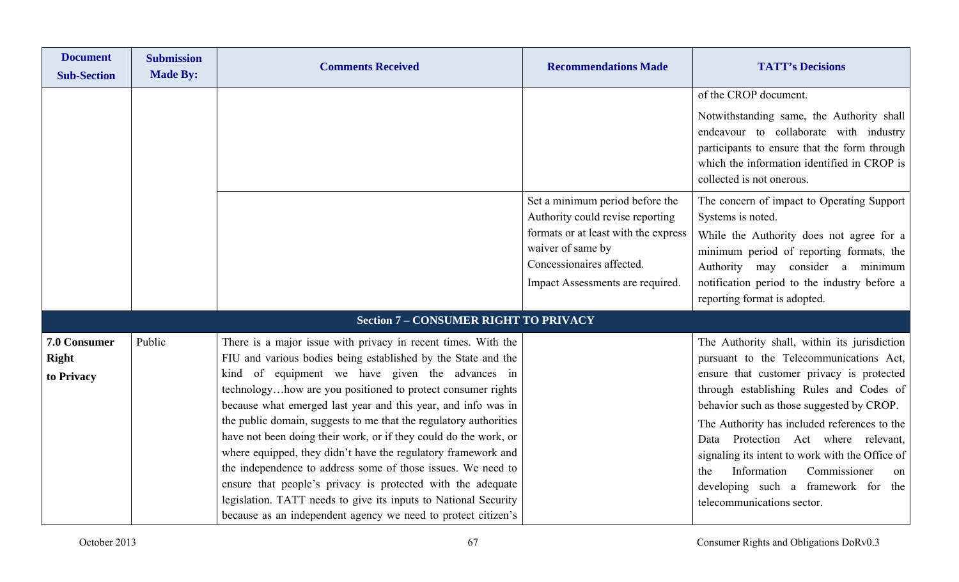| <b>Document</b><br><b>Sub-Section</b>      | <b>Submission</b><br><b>Made By:</b> | <b>Comments Received</b>                                                                                                                                                                                                                                                                                                                                                                                                                                                                                                                                                                                                                                                                                                                                                                       | <b>Recommendations Made</b>                                                                                                                                                                       | <b>TATT's Decisions</b>                                                                                                                                                                                                                                                                                                                                                                                                                                                                 |
|--------------------------------------------|--------------------------------------|------------------------------------------------------------------------------------------------------------------------------------------------------------------------------------------------------------------------------------------------------------------------------------------------------------------------------------------------------------------------------------------------------------------------------------------------------------------------------------------------------------------------------------------------------------------------------------------------------------------------------------------------------------------------------------------------------------------------------------------------------------------------------------------------|---------------------------------------------------------------------------------------------------------------------------------------------------------------------------------------------------|-----------------------------------------------------------------------------------------------------------------------------------------------------------------------------------------------------------------------------------------------------------------------------------------------------------------------------------------------------------------------------------------------------------------------------------------------------------------------------------------|
|                                            |                                      |                                                                                                                                                                                                                                                                                                                                                                                                                                                                                                                                                                                                                                                                                                                                                                                                |                                                                                                                                                                                                   | of the CROP document.<br>Notwithstanding same, the Authority shall<br>endeavour to collaborate with industry<br>participants to ensure that the form through<br>which the information identified in CROP is<br>collected is not onerous.                                                                                                                                                                                                                                                |
|                                            |                                      |                                                                                                                                                                                                                                                                                                                                                                                                                                                                                                                                                                                                                                                                                                                                                                                                | Set a minimum period before the<br>Authority could revise reporting<br>formats or at least with the express<br>waiver of same by<br>Concessionaires affected.<br>Impact Assessments are required. | The concern of impact to Operating Support<br>Systems is noted.<br>While the Authority does not agree for a<br>minimum period of reporting formats, the<br>Authority may consider a minimum<br>notification period to the industry before a<br>reporting format is adopted.                                                                                                                                                                                                             |
|                                            |                                      | <b>Section 7 - CONSUMER RIGHT TO PRIVACY</b>                                                                                                                                                                                                                                                                                                                                                                                                                                                                                                                                                                                                                                                                                                                                                   |                                                                                                                                                                                                   |                                                                                                                                                                                                                                                                                                                                                                                                                                                                                         |
| 7.0 Consumer<br><b>Right</b><br>to Privacy | Public                               | There is a major issue with privacy in recent times. With the<br>FIU and various bodies being established by the State and the<br>kind of equipment we have given the advances in<br>technologyhow are you positioned to protect consumer rights<br>because what emerged last year and this year, and info was in<br>the public domain, suggests to me that the regulatory authorities<br>have not been doing their work, or if they could do the work, or<br>where equipped, they didn't have the regulatory framework and<br>the independence to address some of those issues. We need to<br>ensure that people's privacy is protected with the adequate<br>legislation. TATT needs to give its inputs to National Security<br>because as an independent agency we need to protect citizen's |                                                                                                                                                                                                   | The Authority shall, within its jurisdiction<br>pursuant to the Telecommunications Act,<br>ensure that customer privacy is protected<br>through establishing Rules and Codes of<br>behavior such as those suggested by CROP.<br>The Authority has included references to the<br>Data Protection Act where relevant,<br>signaling its intent to work with the Office of<br>Information<br>Commissioner<br>the<br>on<br>developing such a framework for the<br>telecommunications sector. |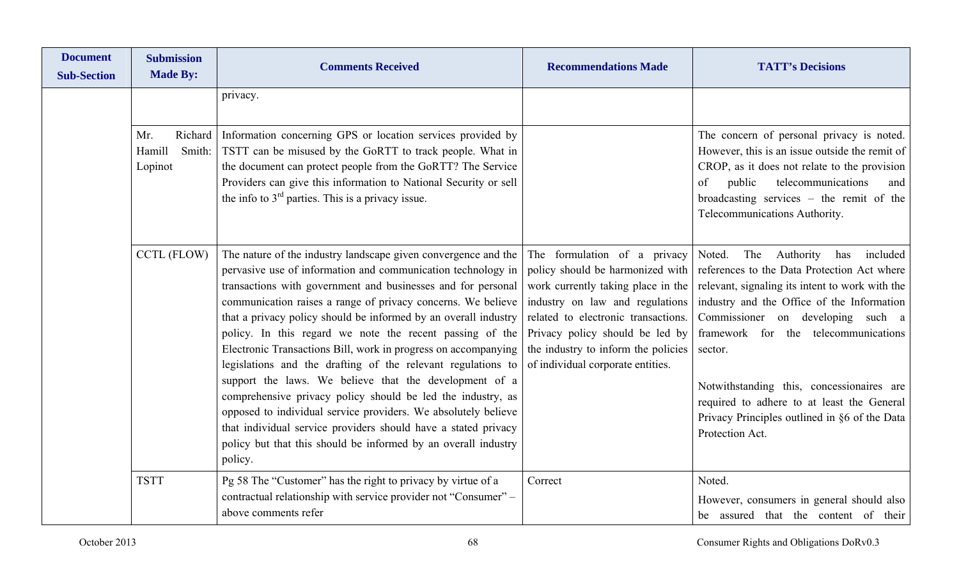| <b>Document</b><br><b>Sub-Section</b> | <b>Submission</b><br><b>Made By:</b>          | <b>Comments Received</b>                                                                                                                                                                                                                                                                                                                                                                                                                                                                                                                                                                                                                                                                                                                                                                                                                                                  | <b>Recommendations Made</b>                                                                                                                                                                                                                                                                     | <b>TATT's Decisions</b>                                                                                                                                                                                                                                                                                                                                                                                                                              |
|---------------------------------------|-----------------------------------------------|---------------------------------------------------------------------------------------------------------------------------------------------------------------------------------------------------------------------------------------------------------------------------------------------------------------------------------------------------------------------------------------------------------------------------------------------------------------------------------------------------------------------------------------------------------------------------------------------------------------------------------------------------------------------------------------------------------------------------------------------------------------------------------------------------------------------------------------------------------------------------|-------------------------------------------------------------------------------------------------------------------------------------------------------------------------------------------------------------------------------------------------------------------------------------------------|------------------------------------------------------------------------------------------------------------------------------------------------------------------------------------------------------------------------------------------------------------------------------------------------------------------------------------------------------------------------------------------------------------------------------------------------------|
|                                       |                                               | privacy.                                                                                                                                                                                                                                                                                                                                                                                                                                                                                                                                                                                                                                                                                                                                                                                                                                                                  |                                                                                                                                                                                                                                                                                                 |                                                                                                                                                                                                                                                                                                                                                                                                                                                      |
|                                       | Richard<br>Mr.<br>Hamill<br>Smith:<br>Lopinot | Information concerning GPS or location services provided by<br>TSTT can be misused by the GoRTT to track people. What in<br>the document can protect people from the GoRTT? The Service<br>Providers can give this information to National Security or sell<br>the info to $3rd$ parties. This is a privacy issue.                                                                                                                                                                                                                                                                                                                                                                                                                                                                                                                                                        |                                                                                                                                                                                                                                                                                                 | The concern of personal privacy is noted.<br>However, this is an issue outside the remit of<br>CROP, as it does not relate to the provision<br>public<br>telecommunications<br>of<br>and<br>broadcasting services - the remit of the<br>Telecommunications Authority.                                                                                                                                                                                |
|                                       | CCTL (FLOW)                                   | The nature of the industry landscape given convergence and the<br>pervasive use of information and communication technology in<br>transactions with government and businesses and for personal<br>communication raises a range of privacy concerns. We believe<br>that a privacy policy should be informed by an overall industry<br>policy. In this regard we note the recent passing of the<br>Electronic Transactions Bill, work in progress on accompanying<br>legislations and the drafting of the relevant regulations to<br>support the laws. We believe that the development of a<br>comprehensive privacy policy should be led the industry, as<br>opposed to individual service providers. We absolutely believe<br>that individual service providers should have a stated privacy<br>policy but that this should be informed by an overall industry<br>policy. | The formulation of a privacy<br>policy should be harmonized with<br>work currently taking place in the<br>industry on law and regulations<br>related to electronic transactions.<br>Privacy policy should be led by<br>the industry to inform the policies<br>of individual corporate entities. | The<br>Authority<br>included<br>Noted.<br>has<br>references to the Data Protection Act where<br>relevant, signaling its intent to work with the<br>industry and the Office of the Information<br>Commissioner on developing such a<br>framework for the telecommunications<br>sector.<br>Notwithstanding this, concessionaires are<br>required to adhere to at least the General<br>Privacy Principles outlined in §6 of the Data<br>Protection Act. |
|                                       | <b>TSTT</b>                                   | Pg 58 The "Customer" has the right to privacy by virtue of a<br>contractual relationship with service provider not "Consumer" -<br>above comments refer                                                                                                                                                                                                                                                                                                                                                                                                                                                                                                                                                                                                                                                                                                                   | Correct                                                                                                                                                                                                                                                                                         | Noted.<br>However, consumers in general should also<br>be assured that the content of their                                                                                                                                                                                                                                                                                                                                                          |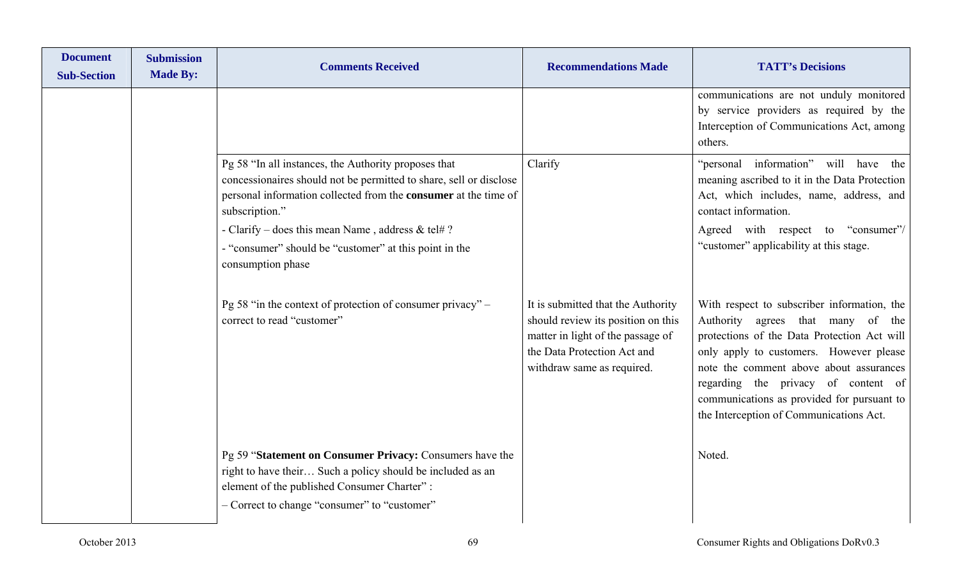| <b>Document</b><br><b>Sub-Section</b> | <b>Submission</b><br><b>Made By:</b> | <b>Comments Received</b>                                                                                                                                                                                                                                                                                                                           | <b>Recommendations Made</b>                                                                                                                                                | <b>TATT's Decisions</b>                                                                                                                                                                                                                                                                                                                               |
|---------------------------------------|--------------------------------------|----------------------------------------------------------------------------------------------------------------------------------------------------------------------------------------------------------------------------------------------------------------------------------------------------------------------------------------------------|----------------------------------------------------------------------------------------------------------------------------------------------------------------------------|-------------------------------------------------------------------------------------------------------------------------------------------------------------------------------------------------------------------------------------------------------------------------------------------------------------------------------------------------------|
|                                       |                                      |                                                                                                                                                                                                                                                                                                                                                    |                                                                                                                                                                            | communications are not unduly monitored<br>by service providers as required by the<br>Interception of Communications Act, among<br>others.                                                                                                                                                                                                            |
|                                       |                                      | Pg 58 "In all instances, the Authority proposes that<br>concessionaires should not be permitted to share, sell or disclose<br>personal information collected from the consumer at the time of<br>subscription."<br>- Clarify – does this mean Name, address & tel#?<br>- "consumer" should be "customer" at this point in the<br>consumption phase | Clarify                                                                                                                                                                    | "personal information" will have the<br>meaning ascribed to it in the Data Protection<br>Act, which includes, name, address, and<br>contact information.<br>Agreed with respect to "consumer"/<br>"customer" applicability at this stage.                                                                                                             |
|                                       |                                      | Pg 58 "in the context of protection of consumer privacy" –<br>correct to read "customer"                                                                                                                                                                                                                                                           | It is submitted that the Authority<br>should review its position on this<br>matter in light of the passage of<br>the Data Protection Act and<br>withdraw same as required. | With respect to subscriber information, the<br>Authority agrees that many of the<br>protections of the Data Protection Act will<br>only apply to customers. However please<br>note the comment above about assurances<br>regarding the privacy of content of<br>communications as provided for pursuant to<br>the Interception of Communications Act. |
|                                       |                                      | Pg 59 "Statement on Consumer Privacy: Consumers have the<br>right to have their Such a policy should be included as an<br>element of the published Consumer Charter":<br>- Correct to change "consumer" to "customer"                                                                                                                              |                                                                                                                                                                            | Noted.                                                                                                                                                                                                                                                                                                                                                |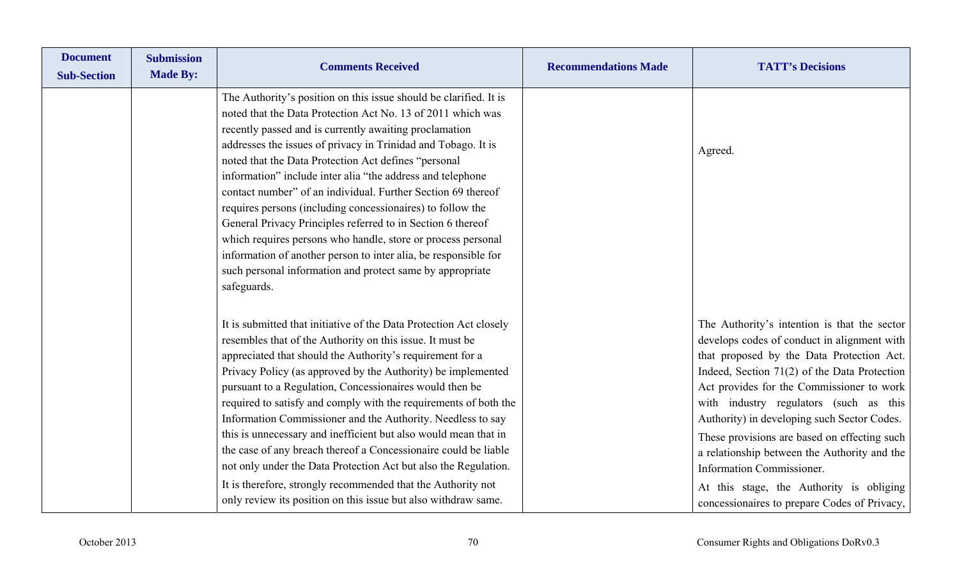| <b>Document</b><br><b>Sub-Section</b> | <b>Submission</b><br><b>Made By:</b> | <b>Comments Received</b>                                                                                                                                                                                                                                                                                                                                                                                                                                                                                                                                                                                                                                                                                                                                                                              | <b>Recommendations Made</b> | <b>TATT's Decisions</b>                                                                                                                                                                                                                                                                                                                                                                                                                                                                                                                                   |
|---------------------------------------|--------------------------------------|-------------------------------------------------------------------------------------------------------------------------------------------------------------------------------------------------------------------------------------------------------------------------------------------------------------------------------------------------------------------------------------------------------------------------------------------------------------------------------------------------------------------------------------------------------------------------------------------------------------------------------------------------------------------------------------------------------------------------------------------------------------------------------------------------------|-----------------------------|-----------------------------------------------------------------------------------------------------------------------------------------------------------------------------------------------------------------------------------------------------------------------------------------------------------------------------------------------------------------------------------------------------------------------------------------------------------------------------------------------------------------------------------------------------------|
|                                       |                                      | The Authority's position on this issue should be clarified. It is<br>noted that the Data Protection Act No. 13 of 2011 which was<br>recently passed and is currently awaiting proclamation<br>addresses the issues of privacy in Trinidad and Tobago. It is<br>noted that the Data Protection Act defines "personal<br>information" include inter alia "the address and telephone<br>contact number" of an individual. Further Section 69 thereof<br>requires persons (including concessionaires) to follow the<br>General Privacy Principles referred to in Section 6 thereof<br>which requires persons who handle, store or process personal<br>information of another person to inter alia, be responsible for<br>such personal information and protect same by appropriate<br>safeguards.         |                             | Agreed.                                                                                                                                                                                                                                                                                                                                                                                                                                                                                                                                                   |
|                                       |                                      | It is submitted that initiative of the Data Protection Act closely<br>resembles that of the Authority on this issue. It must be<br>appreciated that should the Authority's requirement for a<br>Privacy Policy (as approved by the Authority) be implemented<br>pursuant to a Regulation, Concessionaires would then be<br>required to satisfy and comply with the requirements of both the<br>Information Commissioner and the Authority. Needless to say<br>this is unnecessary and inefficient but also would mean that in<br>the case of any breach thereof a Concessionaire could be liable<br>not only under the Data Protection Act but also the Regulation.<br>It is therefore, strongly recommended that the Authority not<br>only review its position on this issue but also withdraw same. |                             | The Authority's intention is that the sector<br>develops codes of conduct in alignment with<br>that proposed by the Data Protection Act.<br>Indeed, Section $71(2)$ of the Data Protection<br>Act provides for the Commissioner to work<br>with industry regulators (such as this<br>Authority) in developing such Sector Codes.<br>These provisions are based on effecting such<br>a relationship between the Authority and the<br>Information Commissioner.<br>At this stage, the Authority is obliging<br>concessionaires to prepare Codes of Privacy, |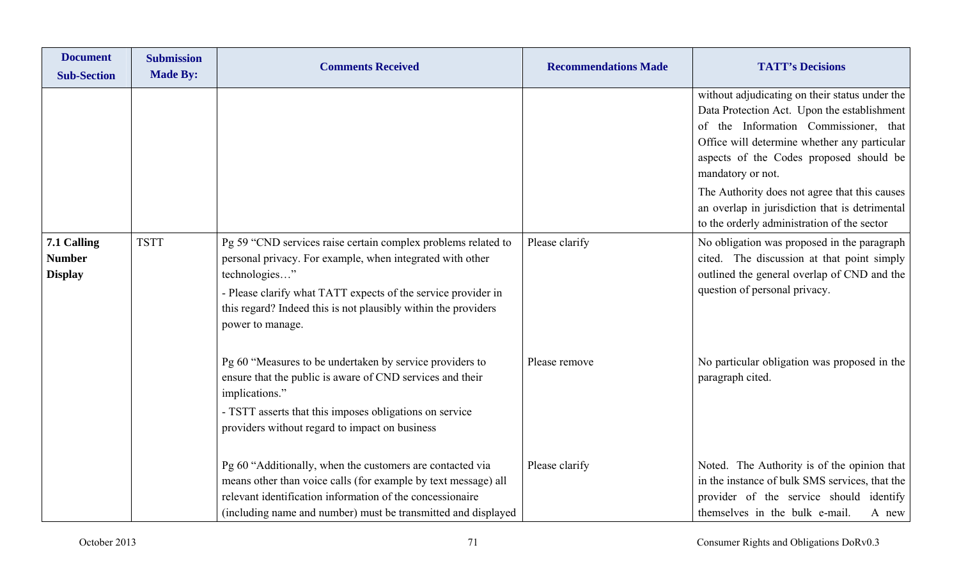| <b>Document</b><br><b>Sub-Section</b>          | <b>Submission</b><br><b>Made By:</b> | <b>Comments Received</b>                                                                                                                                                                                                                                                                           | <b>Recommendations Made</b> | <b>TATT's Decisions</b>                                                                                                                                                                                                                                |
|------------------------------------------------|--------------------------------------|----------------------------------------------------------------------------------------------------------------------------------------------------------------------------------------------------------------------------------------------------------------------------------------------------|-----------------------------|--------------------------------------------------------------------------------------------------------------------------------------------------------------------------------------------------------------------------------------------------------|
|                                                |                                      |                                                                                                                                                                                                                                                                                                    |                             | without adjudicating on their status under the<br>Data Protection Act. Upon the establishment<br>of the Information Commissioner, that<br>Office will determine whether any particular<br>aspects of the Codes proposed should be<br>mandatory or not. |
|                                                |                                      |                                                                                                                                                                                                                                                                                                    |                             | The Authority does not agree that this causes<br>an overlap in jurisdiction that is detrimental<br>to the orderly administration of the sector                                                                                                         |
| 7.1 Calling<br><b>Number</b><br><b>Display</b> | <b>TSTT</b>                          | Pg 59 "CND services raise certain complex problems related to<br>personal privacy. For example, when integrated with other<br>technologies"<br>- Please clarify what TATT expects of the service provider in<br>this regard? Indeed this is not plausibly within the providers<br>power to manage. | Please clarify              | No obligation was proposed in the paragraph<br>cited. The discussion at that point simply<br>outlined the general overlap of CND and the<br>question of personal privacy.                                                                              |
|                                                |                                      | Pg 60 "Measures to be undertaken by service providers to<br>ensure that the public is aware of CND services and their<br>implications."<br>- TSTT asserts that this imposes obligations on service<br>providers without regard to impact on business                                               | Please remove               | No particular obligation was proposed in the<br>paragraph cited.                                                                                                                                                                                       |
|                                                |                                      | Pg 60 "Additionally, when the customers are contacted via<br>means other than voice calls (for example by text message) all<br>relevant identification information of the concessionaire<br>(including name and number) must be transmitted and displayed                                          | Please clarify              | Noted. The Authority is of the opinion that<br>in the instance of bulk SMS services, that the<br>provider of the service should identify<br>themselves in the bulk e-mail.<br>A new                                                                    |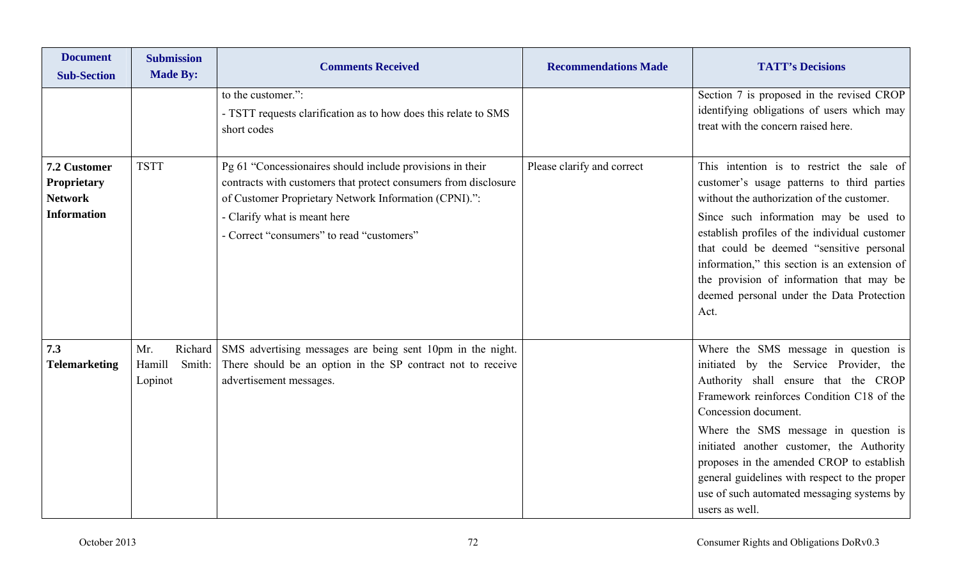| <b>Document</b><br><b>Sub-Section</b>                               | <b>Submission</b><br><b>Made By:</b>          | <b>Comments Received</b>                                                                                                                                                                                                                                           | <b>Recommendations Made</b> | <b>TATT's Decisions</b>                                                                                                                                                                                                                                                                                                                                                                                                                        |
|---------------------------------------------------------------------|-----------------------------------------------|--------------------------------------------------------------------------------------------------------------------------------------------------------------------------------------------------------------------------------------------------------------------|-----------------------------|------------------------------------------------------------------------------------------------------------------------------------------------------------------------------------------------------------------------------------------------------------------------------------------------------------------------------------------------------------------------------------------------------------------------------------------------|
|                                                                     |                                               | to the customer.":<br>- TSTT requests clarification as to how does this relate to SMS<br>short codes                                                                                                                                                               |                             | Section 7 is proposed in the revised CROP<br>identifying obligations of users which may<br>treat with the concern raised here.                                                                                                                                                                                                                                                                                                                 |
| 7.2 Customer<br>Proprietary<br><b>Network</b><br><b>Information</b> | <b>TSTT</b>                                   | Pg 61 "Concessionaires should include provisions in their<br>contracts with customers that protect consumers from disclosure<br>of Customer Proprietary Network Information (CPNI).":<br>- Clarify what is meant here<br>- Correct "consumers" to read "customers" | Please clarify and correct  | This intention is to restrict the sale of<br>customer's usage patterns to third parties<br>without the authorization of the customer.<br>Since such information may be used to<br>establish profiles of the individual customer<br>that could be deemed "sensitive personal<br>information," this section is an extension of<br>the provision of information that may be<br>deemed personal under the Data Protection<br>Act.                  |
| 7.3<br><b>Telemarketing</b>                                         | Richard<br>Mr.<br>Hamill<br>Smith:<br>Lopinot | SMS advertising messages are being sent 10pm in the night.<br>There should be an option in the SP contract not to receive<br>advertisement messages.                                                                                                               |                             | Where the SMS message in question is<br>initiated by the Service Provider, the<br>Authority shall ensure that the CROP<br>Framework reinforces Condition C18 of the<br>Concession document.<br>Where the SMS message in question is<br>initiated another customer, the Authority<br>proposes in the amended CROP to establish<br>general guidelines with respect to the proper<br>use of such automated messaging systems by<br>users as well. |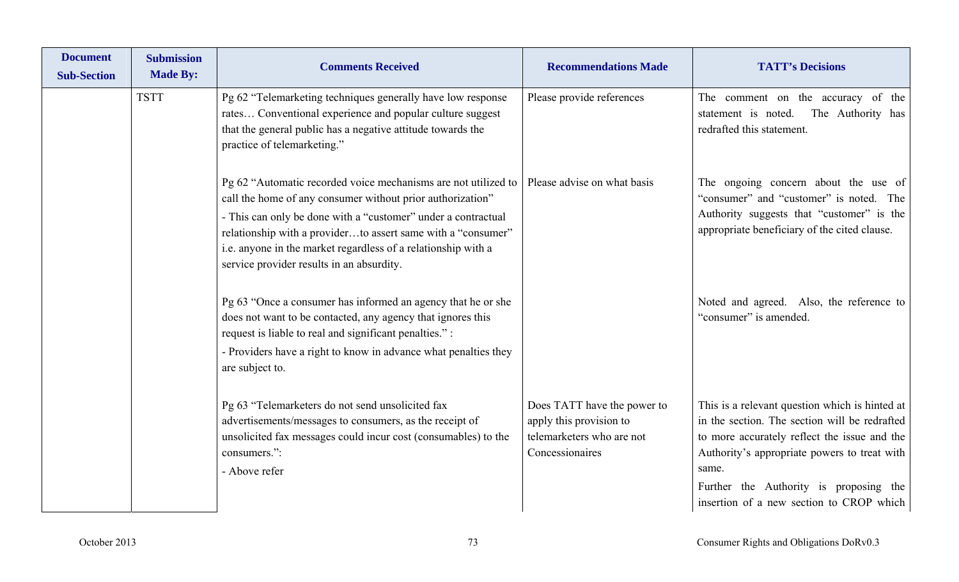| <b>Document</b><br><b>Sub-Section</b> | <b>Submission</b><br><b>Made By:</b> | <b>Comments Received</b>                                                                                                                                                                                                                                                                                                                                                    | <b>Recommendations Made</b>                                                                            | <b>TATT's Decisions</b>                                                                                                                                                                                                                                                                        |
|---------------------------------------|--------------------------------------|-----------------------------------------------------------------------------------------------------------------------------------------------------------------------------------------------------------------------------------------------------------------------------------------------------------------------------------------------------------------------------|--------------------------------------------------------------------------------------------------------|------------------------------------------------------------------------------------------------------------------------------------------------------------------------------------------------------------------------------------------------------------------------------------------------|
|                                       | <b>TSTT</b>                          | Pg 62 "Telemarketing techniques generally have low response<br>rates Conventional experience and popular culture suggest<br>that the general public has a negative attitude towards the<br>practice of telemarketing."                                                                                                                                                      | Please provide references                                                                              | The comment on the accuracy of the<br>statement is noted.<br>The Authority has<br>redrafted this statement.                                                                                                                                                                                    |
|                                       |                                      | Pg 62 "Automatic recorded voice mechanisms are not utilized to<br>call the home of any consumer without prior authorization"<br>- This can only be done with a "customer" under a contractual<br>relationship with a providerto assert same with a "consumer"<br>i.e. anyone in the market regardless of a relationship with a<br>service provider results in an absurdity. | Please advise on what basis                                                                            | The ongoing concern about the use of<br>"consumer" and "customer" is noted. The<br>Authority suggests that "customer" is the<br>appropriate beneficiary of the cited clause.                                                                                                                   |
|                                       |                                      | Pg 63 "Once a consumer has informed an agency that he or she<br>does not want to be contacted, any agency that ignores this<br>request is liable to real and significant penalties.":<br>- Providers have a right to know in advance what penalties they<br>are subject to.                                                                                                 |                                                                                                        | Noted and agreed. Also, the reference to<br>"consumer" is amended.                                                                                                                                                                                                                             |
|                                       |                                      | Pg 63 "Telemarketers do not send unsolicited fax<br>advertisements/messages to consumers, as the receipt of<br>unsolicited fax messages could incur cost (consumables) to the<br>consumers.":<br>- Above refer                                                                                                                                                              | Does TATT have the power to<br>apply this provision to<br>telemarketers who are not<br>Concessionaires | This is a relevant question which is hinted at<br>in the section. The section will be redrafted<br>to more accurately reflect the issue and the<br>Authority's appropriate powers to treat with<br>same.<br>Further the Authority is proposing the<br>insertion of a new section to CROP which |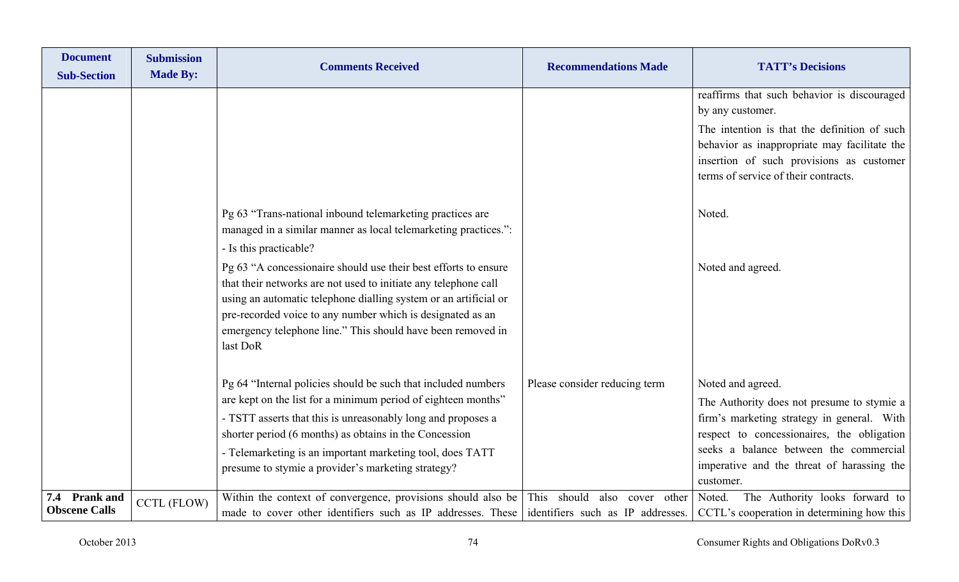| <b>Document</b><br><b>Sub-Section</b> | <b>Submission</b><br><b>Made By:</b> | <b>Comments Received</b>                                                                                                                                                                                                                                                                                                                        | <b>Recommendations Made</b>        | <b>TATT's Decisions</b>                                                                                                                                                          |
|---------------------------------------|--------------------------------------|-------------------------------------------------------------------------------------------------------------------------------------------------------------------------------------------------------------------------------------------------------------------------------------------------------------------------------------------------|------------------------------------|----------------------------------------------------------------------------------------------------------------------------------------------------------------------------------|
|                                       |                                      |                                                                                                                                                                                                                                                                                                                                                 |                                    | reaffirms that such behavior is discouraged<br>by any customer.                                                                                                                  |
|                                       |                                      |                                                                                                                                                                                                                                                                                                                                                 |                                    | The intention is that the definition of such<br>behavior as inappropriate may facilitate the<br>insertion of such provisions as customer<br>terms of service of their contracts. |
|                                       |                                      | Pg 63 "Trans-national inbound telemarketing practices are<br>managed in a similar manner as local telemarketing practices.":<br>- Is this practicable?                                                                                                                                                                                          |                                    | Noted.                                                                                                                                                                           |
|                                       |                                      | Pg 63 "A concessionaire should use their best efforts to ensure<br>that their networks are not used to initiate any telephone call<br>using an automatic telephone dialling system or an artificial or<br>pre-recorded voice to any number which is designated as an<br>emergency telephone line." This should have been removed in<br>last DoR |                                    | Noted and agreed.                                                                                                                                                                |
|                                       |                                      | Pg 64 "Internal policies should be such that included numbers                                                                                                                                                                                                                                                                                   | Please consider reducing term      | Noted and agreed.                                                                                                                                                                |
|                                       |                                      | are kept on the list for a minimum period of eighteen months"<br>- TSTT asserts that this is unreasonably long and proposes a                                                                                                                                                                                                                   |                                    | The Authority does not presume to stymie a<br>firm's marketing strategy in general. With                                                                                         |
|                                       |                                      | shorter period (6 months) as obtains in the Concession                                                                                                                                                                                                                                                                                          |                                    | respect to concessionaires, the obligation                                                                                                                                       |
|                                       |                                      | - Telemarketing is an important marketing tool, does TATT                                                                                                                                                                                                                                                                                       |                                    | seeks a balance between the commercial                                                                                                                                           |
|                                       |                                      | presume to stymie a provider's marketing strategy?                                                                                                                                                                                                                                                                                              |                                    | imperative and the threat of harassing the<br>customer.                                                                                                                          |
| 7.4 Prank and                         |                                      | Within the context of convergence, provisions should also be                                                                                                                                                                                                                                                                                    | This should<br>also<br>cover other | The Authority looks forward to<br>Noted.                                                                                                                                         |
| <b>Obscene Calls</b>                  | <b>CCTL (FLOW)</b>                   | made to cover other identifiers such as IP addresses. These identifiers such as IP addresses.                                                                                                                                                                                                                                                   |                                    | CCTL's cooperation in determining how this                                                                                                                                       |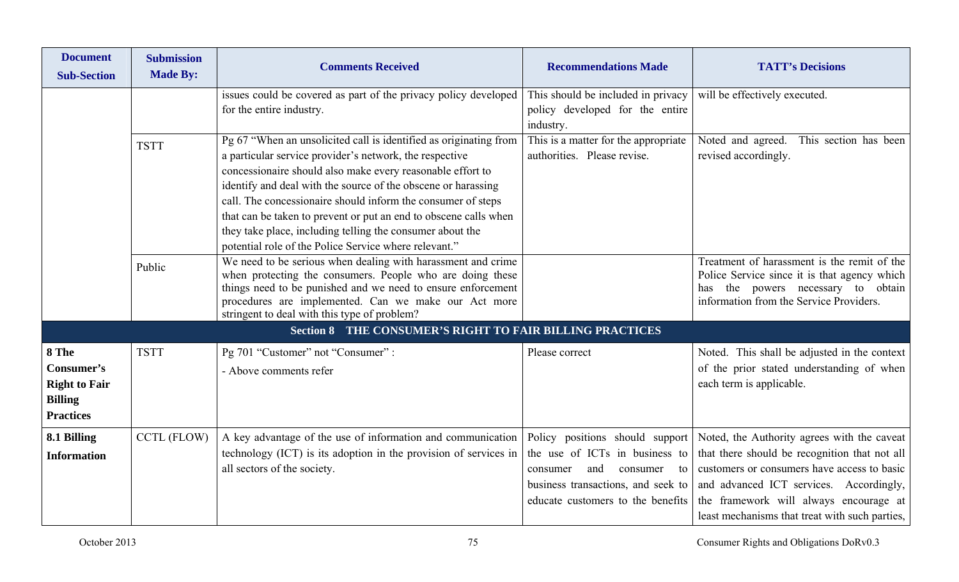| <b>Document</b><br><b>Sub-Section</b>                                             | <b>Submission</b><br><b>Made By:</b> | <b>Comments Received</b>                                                                                                                                                                                                                                                                                                                                                                                                                                                                                              | <b>Recommendations Made</b>                                                                                                                                                       | <b>TATT's Decisions</b>                                                                                                                                                                                                                                                            |
|-----------------------------------------------------------------------------------|--------------------------------------|-----------------------------------------------------------------------------------------------------------------------------------------------------------------------------------------------------------------------------------------------------------------------------------------------------------------------------------------------------------------------------------------------------------------------------------------------------------------------------------------------------------------------|-----------------------------------------------------------------------------------------------------------------------------------------------------------------------------------|------------------------------------------------------------------------------------------------------------------------------------------------------------------------------------------------------------------------------------------------------------------------------------|
|                                                                                   |                                      | issues could be covered as part of the privacy policy developed<br>for the entire industry.                                                                                                                                                                                                                                                                                                                                                                                                                           | This should be included in privacy<br>policy developed for the entire<br>industry.                                                                                                | will be effectively executed.                                                                                                                                                                                                                                                      |
|                                                                                   | <b>TSTT</b>                          | Pg 67 "When an unsolicited call is identified as originating from<br>a particular service provider's network, the respective<br>concessionaire should also make every reasonable effort to<br>identify and deal with the source of the obscene or harassing<br>call. The concessionaire should inform the consumer of steps<br>that can be taken to prevent or put an end to obscene calls when<br>they take place, including telling the consumer about the<br>potential role of the Police Service where relevant." | This is a matter for the appropriate<br>authorities. Please revise.                                                                                                               | Noted and agreed. This section has been<br>revised accordingly.                                                                                                                                                                                                                    |
|                                                                                   | Public                               | We need to be serious when dealing with harassment and crime<br>when protecting the consumers. People who are doing these<br>things need to be punished and we need to ensure enforcement<br>procedures are implemented. Can we make our Act more<br>stringent to deal with this type of problem?                                                                                                                                                                                                                     |                                                                                                                                                                                   | Treatment of harassment is the remit of the<br>Police Service since it is that agency which<br>the powers necessary to obtain<br>has<br>information from the Service Providers.                                                                                                    |
|                                                                                   |                                      | <b>Section 8 THE CONSUMER'S RIGHT TO FAIR BILLING PRACTICES</b>                                                                                                                                                                                                                                                                                                                                                                                                                                                       |                                                                                                                                                                                   |                                                                                                                                                                                                                                                                                    |
| 8 The<br>Consumer's<br><b>Right to Fair</b><br><b>Billing</b><br><b>Practices</b> | <b>TSTT</b>                          | Pg 701 "Customer" not "Consumer" :<br>- Above comments refer                                                                                                                                                                                                                                                                                                                                                                                                                                                          | Please correct                                                                                                                                                                    | Noted. This shall be adjusted in the context<br>of the prior stated understanding of when<br>each term is applicable.                                                                                                                                                              |
| 8.1 Billing<br><b>Information</b>                                                 | <b>CCTL (FLOW)</b>                   | A key advantage of the use of information and communication<br>technology (ICT) is its adoption in the provision of services in<br>all sectors of the society.                                                                                                                                                                                                                                                                                                                                                        | Policy positions should support<br>the use of ICTs in business to<br>and<br>consumer<br>consumer<br>to<br>business transactions, and seek to<br>educate customers to the benefits | Noted, the Authority agrees with the caveat<br>that there should be recognition that not all<br>customers or consumers have access to basic<br>and advanced ICT services. Accordingly,<br>the framework will always encourage at<br>least mechanisms that treat with such parties, |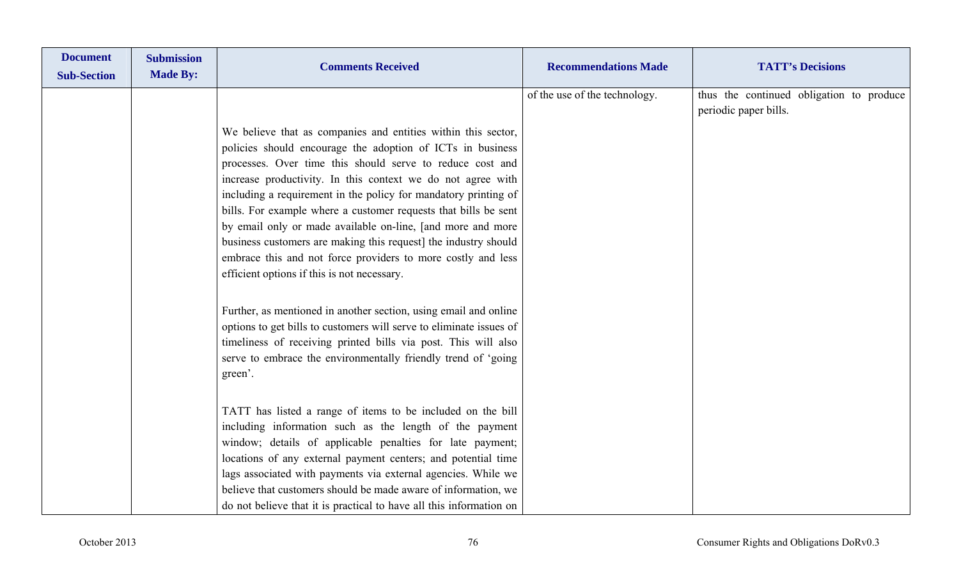| <b>Document</b><br><b>Sub-Section</b> | <b>Submission</b><br><b>Made By:</b> | <b>Comments Received</b>                                                                                                                                                                                                                                                                                                                                                                                                                                                                                                                                                                                                                       | <b>Recommendations Made</b>   | <b>TATT's Decisions</b>                                           |
|---------------------------------------|--------------------------------------|------------------------------------------------------------------------------------------------------------------------------------------------------------------------------------------------------------------------------------------------------------------------------------------------------------------------------------------------------------------------------------------------------------------------------------------------------------------------------------------------------------------------------------------------------------------------------------------------------------------------------------------------|-------------------------------|-------------------------------------------------------------------|
|                                       |                                      |                                                                                                                                                                                                                                                                                                                                                                                                                                                                                                                                                                                                                                                | of the use of the technology. | thus the continued obligation to produce<br>periodic paper bills. |
|                                       |                                      | We believe that as companies and entities within this sector,<br>policies should encourage the adoption of ICTs in business<br>processes. Over time this should serve to reduce cost and<br>increase productivity. In this context we do not agree with<br>including a requirement in the policy for mandatory printing of<br>bills. For example where a customer requests that bills be sent<br>by email only or made available on-line, [and more and more<br>business customers are making this request] the industry should<br>embrace this and not force providers to more costly and less<br>efficient options if this is not necessary. |                               |                                                                   |
|                                       |                                      | Further, as mentioned in another section, using email and online<br>options to get bills to customers will serve to eliminate issues of<br>timeliness of receiving printed bills via post. This will also<br>serve to embrace the environmentally friendly trend of 'going<br>green'.                                                                                                                                                                                                                                                                                                                                                          |                               |                                                                   |
|                                       |                                      | TATT has listed a range of items to be included on the bill<br>including information such as the length of the payment<br>window; details of applicable penalties for late payment;<br>locations of any external payment centers; and potential time<br>lags associated with payments via external agencies. While we<br>believe that customers should be made aware of information, we<br>do not believe that it is practical to have all this information on                                                                                                                                                                                 |                               |                                                                   |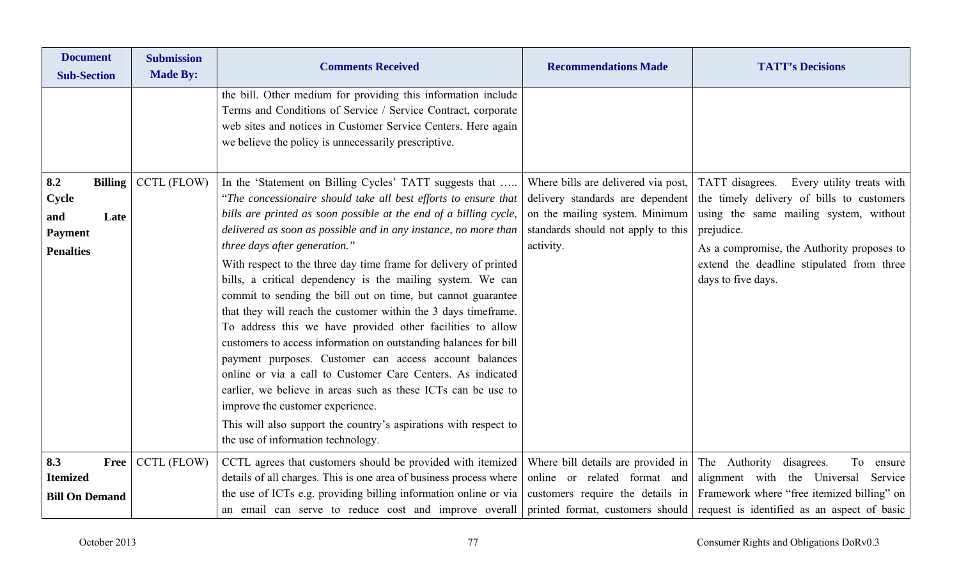| <b>Document</b><br><b>Sub-Section</b>                                               | <b>Submission</b><br><b>Made By:</b> | <b>Comments Received</b>                                                                                                                                                                                                                                                                                                                                                                                                                                                                                                                                                                                                                                                                                                                                                                                                                                                                                                                                                                                                                          | <b>Recommendations Made</b>                                                                                                                                  | <b>TATT's Decisions</b>                                                                                                                                                                                                                                         |
|-------------------------------------------------------------------------------------|--------------------------------------|---------------------------------------------------------------------------------------------------------------------------------------------------------------------------------------------------------------------------------------------------------------------------------------------------------------------------------------------------------------------------------------------------------------------------------------------------------------------------------------------------------------------------------------------------------------------------------------------------------------------------------------------------------------------------------------------------------------------------------------------------------------------------------------------------------------------------------------------------------------------------------------------------------------------------------------------------------------------------------------------------------------------------------------------------|--------------------------------------------------------------------------------------------------------------------------------------------------------------|-----------------------------------------------------------------------------------------------------------------------------------------------------------------------------------------------------------------------------------------------------------------|
|                                                                                     |                                      | the bill. Other medium for providing this information include<br>Terms and Conditions of Service / Service Contract, corporate<br>web sites and notices in Customer Service Centers. Here again<br>we believe the policy is unnecessarily prescriptive.                                                                                                                                                                                                                                                                                                                                                                                                                                                                                                                                                                                                                                                                                                                                                                                           |                                                                                                                                                              |                                                                                                                                                                                                                                                                 |
| 8.2<br><b>Billing</b><br>Cycle<br>and<br>Late<br><b>Payment</b><br><b>Penalties</b> | CCTL (FLOW)                          | In the 'Statement on Billing Cycles' TATT suggests that<br>"The concessionaire should take all best efforts to ensure that<br>bills are printed as soon possible at the end of a billing cycle,<br>delivered as soon as possible and in any instance, no more than<br>three days after generation."<br>With respect to the three day time frame for delivery of printed<br>bills, a critical dependency is the mailing system. We can<br>commit to sending the bill out on time, but cannot guarantee<br>that they will reach the customer within the 3 days timeframe.<br>To address this we have provided other facilities to allow<br>customers to access information on outstanding balances for bill<br>payment purposes. Customer can access account balances<br>online or via a call to Customer Care Centers. As indicated<br>earlier, we believe in areas such as these ICTs can be use to<br>improve the customer experience.<br>This will also support the country's aspirations with respect to<br>the use of information technology. | Where bills are delivered via post,<br>delivery standards are dependent<br>on the mailing system. Minimum<br>standards should not apply to this<br>activity. | TATT disagrees. Every utility treats with<br>the timely delivery of bills to customers<br>using the same mailing system, without<br>prejudice.<br>As a compromise, the Authority proposes to<br>extend the deadline stipulated from three<br>days to five days. |
| 8.3<br>Free<br><b>Itemized</b><br><b>Bill On Demand</b>                             | CCTL (FLOW)                          | CCTL agrees that customers should be provided with itemized<br>details of all charges. This is one area of business process where<br>the use of ICTs e.g. providing billing information online or via<br>an email can serve to reduce cost and improve overall                                                                                                                                                                                                                                                                                                                                                                                                                                                                                                                                                                                                                                                                                                                                                                                    | Where bill details are provided in<br>online or related format and<br>customers require the details in                                                       | The Authority disagrees.<br>To<br>ensure<br>alignment with the Universal Service<br>Framework where "free itemized billing" on<br>printed format, customers should request is identified as an aspect of basic                                                  |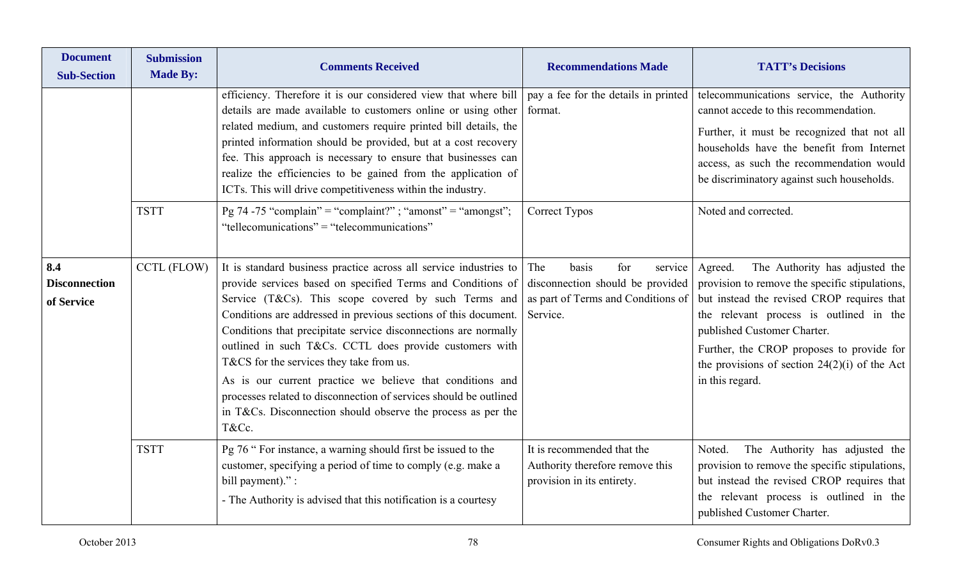| <b>Document</b><br><b>Sub-Section</b>     | <b>Submission</b><br><b>Made By:</b> | <b>Comments Received</b>                                                                                                                                                                                                                                                                                                                                                                                                                                                                                                                                                                                                                         | <b>Recommendations Made</b>                                                                                          | <b>TATT's Decisions</b>                                                                                                                                                                                                                                                                                                                |
|-------------------------------------------|--------------------------------------|--------------------------------------------------------------------------------------------------------------------------------------------------------------------------------------------------------------------------------------------------------------------------------------------------------------------------------------------------------------------------------------------------------------------------------------------------------------------------------------------------------------------------------------------------------------------------------------------------------------------------------------------------|----------------------------------------------------------------------------------------------------------------------|----------------------------------------------------------------------------------------------------------------------------------------------------------------------------------------------------------------------------------------------------------------------------------------------------------------------------------------|
|                                           |                                      | efficiency. Therefore it is our considered view that where bill<br>details are made available to customers online or using other<br>related medium, and customers require printed bill details, the<br>printed information should be provided, but at a cost recovery<br>fee. This approach is necessary to ensure that businesses can<br>realize the efficiencies to be gained from the application of<br>ICTs. This will drive competitiveness within the industry.                                                                                                                                                                            | pay a fee for the details in printed<br>format.                                                                      | telecommunications service, the Authority<br>cannot accede to this recommendation.<br>Further, it must be recognized that not all<br>households have the benefit from Internet<br>access, as such the recommendation would<br>be discriminatory against such households.                                                               |
|                                           | <b>TSTT</b>                          | Pg 74 -75 "complain" = "complaint?"; "amonst" = "amongst";<br>"tellecomunications" = "telecommunications"                                                                                                                                                                                                                                                                                                                                                                                                                                                                                                                                        | Correct Typos                                                                                                        | Noted and corrected.                                                                                                                                                                                                                                                                                                                   |
| 8.4<br><b>Disconnection</b><br>of Service | <b>CCTL (FLOW)</b>                   | It is standard business practice across all service industries to<br>provide services based on specified Terms and Conditions of<br>Service (T&Cs). This scope covered by such Terms and<br>Conditions are addressed in previous sections of this document.<br>Conditions that precipitate service disconnections are normally<br>outlined in such T&Cs. CCTL does provide customers with<br>T&CS for the services they take from us.<br>As is our current practice we believe that conditions and<br>processes related to disconnection of services should be outlined<br>in T&Cs. Disconnection should observe the process as per the<br>T&Cc. | basis<br>for<br>The<br>service<br>disconnection should be provided<br>as part of Terms and Conditions of<br>Service. | The Authority has adjusted the<br>Agreed.<br>provision to remove the specific stipulations,<br>but instead the revised CROP requires that<br>the relevant process is outlined in the<br>published Customer Charter.<br>Further, the CROP proposes to provide for<br>the provisions of section $24(2)(i)$ of the Act<br>in this regard. |
|                                           | <b>TSTT</b>                          | Pg 76 " For instance, a warning should first be issued to the<br>customer, specifying a period of time to comply (e.g. make a<br>bill payment)." :<br>- The Authority is advised that this notification is a courtesy                                                                                                                                                                                                                                                                                                                                                                                                                            | It is recommended that the<br>Authority therefore remove this<br>provision in its entirety.                          | The Authority has adjusted the<br>Noted.<br>provision to remove the specific stipulations,<br>but instead the revised CROP requires that<br>the relevant process is outlined in the<br>published Customer Charter.                                                                                                                     |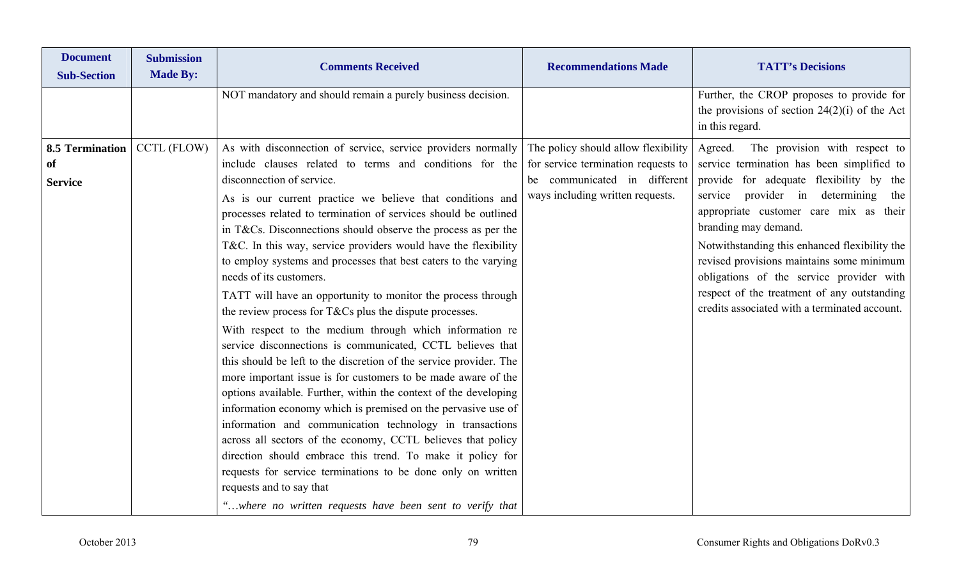| <b>Document</b><br><b>Sub-Section</b> | <b>Submission</b><br><b>Made By:</b> | <b>Comments Received</b>                                                                                                 | <b>Recommendations Made</b>         | <b>TATT's Decisions</b>                                                                      |
|---------------------------------------|--------------------------------------|--------------------------------------------------------------------------------------------------------------------------|-------------------------------------|----------------------------------------------------------------------------------------------|
|                                       |                                      | NOT mandatory and should remain a purely business decision.                                                              |                                     | Further, the CROP proposes to provide for<br>the provisions of section $24(2)(i)$ of the Act |
|                                       |                                      |                                                                                                                          |                                     | in this regard.                                                                              |
| <b>8.5 Termination</b>                | CCTL (FLOW)                          | As with disconnection of service, service providers normally                                                             | The policy should allow flexibility | The provision with respect to<br>Agreed.                                                     |
| <b>of</b>                             |                                      | include clauses related to terms and conditions for the                                                                  | for service termination requests to | service termination has been simplified to                                                   |
| <b>Service</b>                        |                                      | disconnection of service.                                                                                                | be communicated in different        | provide for adequate flexibility by the                                                      |
|                                       |                                      | As is our current practice we believe that conditions and                                                                | ways including written requests.    | service provider in determining<br>the                                                       |
|                                       |                                      | processes related to termination of services should be outlined                                                          |                                     | appropriate customer care mix as their                                                       |
|                                       |                                      | in T&Cs. Disconnections should observe the process as per the                                                            |                                     | branding may demand.                                                                         |
|                                       |                                      | T&C. In this way, service providers would have the flexibility                                                           |                                     | Notwithstanding this enhanced flexibility the                                                |
|                                       |                                      | to employ systems and processes that best caters to the varying                                                          |                                     | revised provisions maintains some minimum                                                    |
|                                       |                                      | needs of its customers.                                                                                                  |                                     | obligations of the service provider with                                                     |
|                                       |                                      | TATT will have an opportunity to monitor the process through                                                             |                                     | respect of the treatment of any outstanding                                                  |
|                                       |                                      | the review process for T&Cs plus the dispute processes.                                                                  |                                     | credits associated with a terminated account.                                                |
|                                       |                                      | With respect to the medium through which information re                                                                  |                                     |                                                                                              |
|                                       |                                      | service disconnections is communicated, CCTL believes that                                                               |                                     |                                                                                              |
|                                       |                                      | this should be left to the discretion of the service provider. The                                                       |                                     |                                                                                              |
|                                       |                                      | more important issue is for customers to be made aware of the                                                            |                                     |                                                                                              |
|                                       |                                      | options available. Further, within the context of the developing                                                         |                                     |                                                                                              |
|                                       |                                      | information economy which is premised on the pervasive use of                                                            |                                     |                                                                                              |
|                                       |                                      | information and communication technology in transactions<br>across all sectors of the economy, CCTL believes that policy |                                     |                                                                                              |
|                                       |                                      | direction should embrace this trend. To make it policy for                                                               |                                     |                                                                                              |
|                                       |                                      | requests for service terminations to be done only on written                                                             |                                     |                                                                                              |
|                                       |                                      | requests and to say that                                                                                                 |                                     |                                                                                              |
|                                       |                                      | "where no written requests have been sent to verify that                                                                 |                                     |                                                                                              |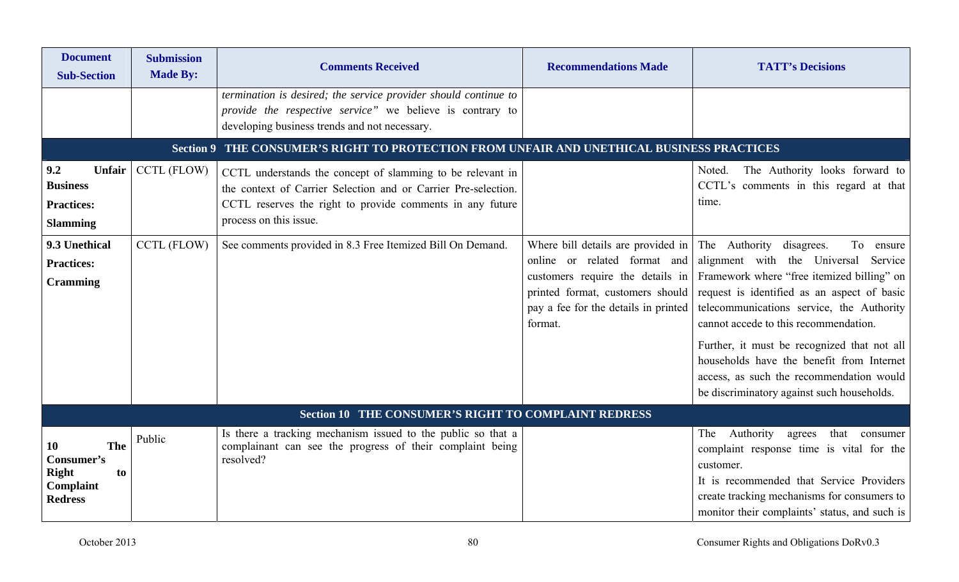| <b>Document</b><br><b>Sub-Section</b>                                        | <b>Submission</b><br><b>Made By:</b> | <b>Comments Received</b>                                                                                                                                                                                            | <b>Recommendations Made</b>                                                                                                                                                                           | <b>TATT's Decisions</b>                                                                                                                                                                                                                                                                                                                                                                                                                                      |
|------------------------------------------------------------------------------|--------------------------------------|---------------------------------------------------------------------------------------------------------------------------------------------------------------------------------------------------------------------|-------------------------------------------------------------------------------------------------------------------------------------------------------------------------------------------------------|--------------------------------------------------------------------------------------------------------------------------------------------------------------------------------------------------------------------------------------------------------------------------------------------------------------------------------------------------------------------------------------------------------------------------------------------------------------|
|                                                                              |                                      | termination is desired; the service provider should continue to<br>provide the respective service" we believe is contrary to<br>developing business trends and not necessary.                                       |                                                                                                                                                                                                       |                                                                                                                                                                                                                                                                                                                                                                                                                                                              |
|                                                                              | <b>Section 9</b>                     | THE CONSUMER'S RIGHT TO PROTECTION FROM UNFAIR AND UNETHICAL BUSINESS PRACTICES                                                                                                                                     |                                                                                                                                                                                                       |                                                                                                                                                                                                                                                                                                                                                                                                                                                              |
| 9.2<br>Unfair<br><b>Business</b><br><b>Practices:</b><br><b>Slamming</b>     | CCTL (FLOW)                          | CCTL understands the concept of slamming to be relevant in<br>the context of Carrier Selection and or Carrier Pre-selection.<br>CCTL reserves the right to provide comments in any future<br>process on this issue. |                                                                                                                                                                                                       | The Authority looks forward to<br>Noted.<br>CCTL's comments in this regard at that<br>time.                                                                                                                                                                                                                                                                                                                                                                  |
| 9.3 Unethical<br><b>Practices:</b><br><b>Cramming</b>                        | <b>CCTL (FLOW)</b>                   | See comments provided in 8.3 Free Itemized Bill On Demand.                                                                                                                                                          | Where bill details are provided in $\vert$<br>online or related format and<br>customers require the details in<br>printed format, customers should<br>pay a fee for the details in printed<br>format. | The Authority<br>disagrees.<br>To<br>ensure<br>alignment with the Universal Service<br>Framework where "free itemized billing" on<br>request is identified as an aspect of basic<br>telecommunications service, the Authority<br>cannot accede to this recommendation.<br>Further, it must be recognized that not all<br>households have the benefit from Internet<br>access, as such the recommendation would<br>be discriminatory against such households. |
|                                                                              |                                      | Section 10 THE CONSUMER'S RIGHT TO COMPLAINT REDRESS                                                                                                                                                                |                                                                                                                                                                                                       |                                                                                                                                                                                                                                                                                                                                                                                                                                                              |
| The<br>10<br>Consumer's<br><b>Right</b><br>to<br>Complaint<br><b>Redress</b> | Public                               | Is there a tracking mechanism issued to the public so that a<br>complainant can see the progress of their complaint being<br>resolved?                                                                              |                                                                                                                                                                                                       | Authority agrees<br>that consumer<br>The<br>complaint response time is vital for the<br>customer.<br>It is recommended that Service Providers<br>create tracking mechanisms for consumers to<br>monitor their complaints' status, and such is                                                                                                                                                                                                                |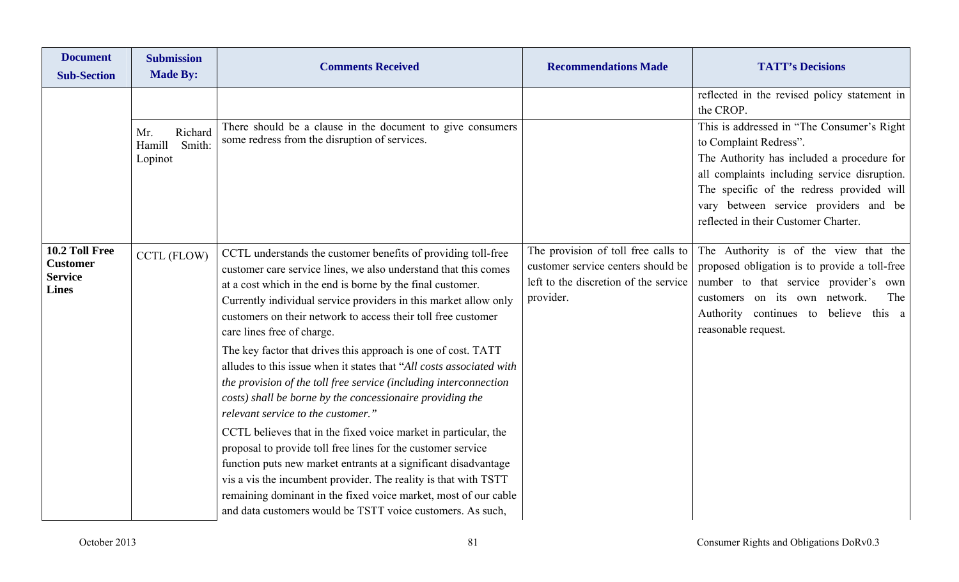| <b>Document</b><br><b>Sub-Section</b>                               | <b>Submission</b><br><b>Made By:</b>          | <b>Comments Received</b>                                                                                                                                                                                                                                                                                                                                                                                                                                                                                                                                                                                                                                                                                                                                                                                                                                                                                                                                                                                                                                                                     | <b>Recommendations Made</b>                                                                                                     | <b>TATT's Decisions</b>                                                                                                                                                                                                                                                                           |
|---------------------------------------------------------------------|-----------------------------------------------|----------------------------------------------------------------------------------------------------------------------------------------------------------------------------------------------------------------------------------------------------------------------------------------------------------------------------------------------------------------------------------------------------------------------------------------------------------------------------------------------------------------------------------------------------------------------------------------------------------------------------------------------------------------------------------------------------------------------------------------------------------------------------------------------------------------------------------------------------------------------------------------------------------------------------------------------------------------------------------------------------------------------------------------------------------------------------------------------|---------------------------------------------------------------------------------------------------------------------------------|---------------------------------------------------------------------------------------------------------------------------------------------------------------------------------------------------------------------------------------------------------------------------------------------------|
|                                                                     |                                               |                                                                                                                                                                                                                                                                                                                                                                                                                                                                                                                                                                                                                                                                                                                                                                                                                                                                                                                                                                                                                                                                                              |                                                                                                                                 | reflected in the revised policy statement in<br>the CROP.                                                                                                                                                                                                                                         |
|                                                                     | Richard<br>Mr.<br>Hamill<br>Smith:<br>Lopinot | There should be a clause in the document to give consumers<br>some redress from the disruption of services.                                                                                                                                                                                                                                                                                                                                                                                                                                                                                                                                                                                                                                                                                                                                                                                                                                                                                                                                                                                  |                                                                                                                                 | This is addressed in "The Consumer's Right"<br>to Complaint Redress".<br>The Authority has included a procedure for<br>all complaints including service disruption.<br>The specific of the redress provided will<br>vary between service providers and be<br>reflected in their Customer Charter. |
| 10.2 Toll Free<br><b>Customer</b><br><b>Service</b><br><b>Lines</b> | CCTL (FLOW)                                   | CCTL understands the customer benefits of providing toll-free<br>customer care service lines, we also understand that this comes<br>at a cost which in the end is borne by the final customer.<br>Currently individual service providers in this market allow only<br>customers on their network to access their toll free customer<br>care lines free of charge.<br>The key factor that drives this approach is one of cost. TATT<br>alludes to this issue when it states that "All costs associated with<br>the provision of the toll free service (including interconnection<br>costs) shall be borne by the concessionaire providing the<br>relevant service to the customer."<br>CCTL believes that in the fixed voice market in particular, the<br>proposal to provide toll free lines for the customer service<br>function puts new market entrants at a significant disadvantage<br>vis a vis the incumbent provider. The reality is that with TSTT<br>remaining dominant in the fixed voice market, most of our cable<br>and data customers would be TSTT voice customers. As such, | The provision of toll free calls to<br>customer service centers should be<br>left to the discretion of the service<br>provider. | The Authority is of the view that the<br>proposed obligation is to provide a toll-free<br>number to that service provider's own<br>customers on its own network.<br>The<br>Authority continues to believe this a<br>reasonable request.                                                           |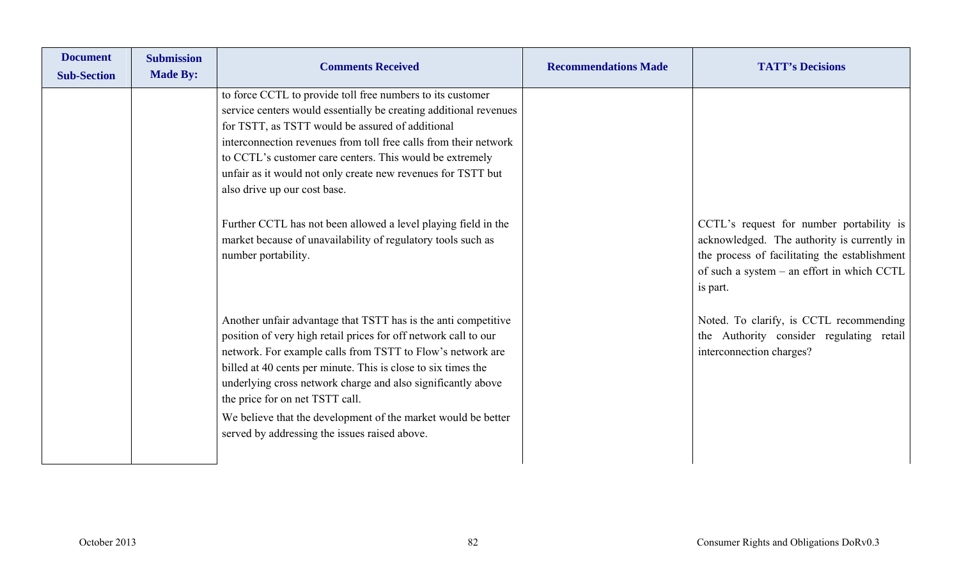| <b>Document</b><br><b>Sub-Section</b> | <b>Submission</b><br><b>Made By:</b> | <b>Comments Received</b>                                                                                                                                                                                                                                                                                                                                                                                                                                                                                                                                                     | <b>Recommendations Made</b> | <b>TATT's Decisions</b>                                                                                                                                                                            |
|---------------------------------------|--------------------------------------|------------------------------------------------------------------------------------------------------------------------------------------------------------------------------------------------------------------------------------------------------------------------------------------------------------------------------------------------------------------------------------------------------------------------------------------------------------------------------------------------------------------------------------------------------------------------------|-----------------------------|----------------------------------------------------------------------------------------------------------------------------------------------------------------------------------------------------|
|                                       |                                      | to force CCTL to provide toll free numbers to its customer<br>service centers would essentially be creating additional revenues<br>for TSTT, as TSTT would be assured of additional<br>interconnection revenues from toll free calls from their network<br>to CCTL's customer care centers. This would be extremely<br>unfair as it would not only create new revenues for TSTT but<br>also drive up our cost base.<br>Further CCTL has not been allowed a level playing field in the<br>market because of unavailability of regulatory tools such as<br>number portability. |                             | CCTL's request for number portability is<br>acknowledged. The authority is currently in<br>the process of facilitating the establishment<br>of such a system – an effort in which CCTL<br>is part. |
|                                       |                                      | Another unfair advantage that TSTT has is the anti competitive<br>position of very high retail prices for off network call to our<br>network. For example calls from TSTT to Flow's network are<br>billed at 40 cents per minute. This is close to six times the<br>underlying cross network charge and also significantly above<br>the price for on net TSTT call.<br>We believe that the development of the market would be better<br>served by addressing the issues raised above.                                                                                        |                             | Noted. To clarify, is CCTL recommending<br>the Authority consider regulating retail<br>interconnection charges?                                                                                    |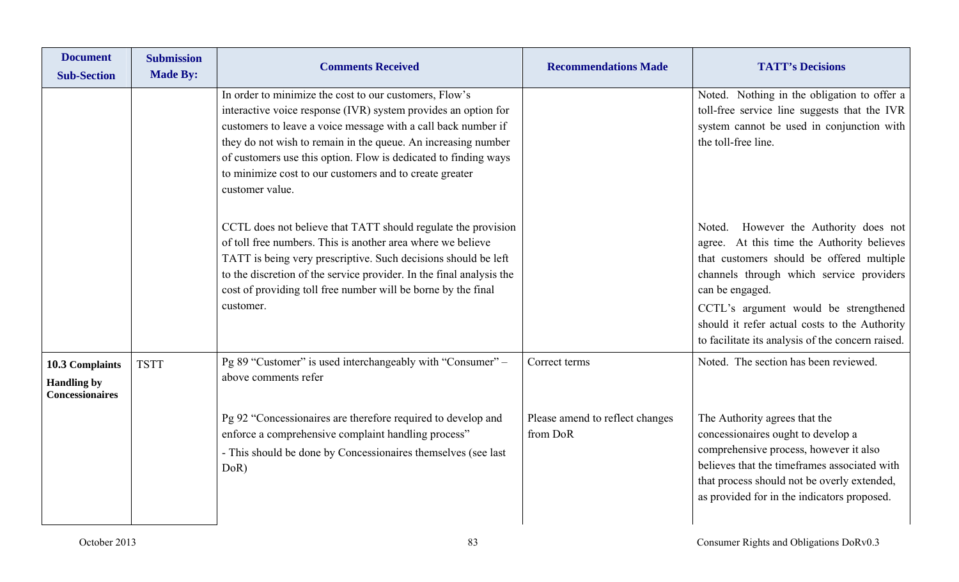| <b>Document</b><br><b>Sub-Section</b>                           | <b>Submission</b><br><b>Made By:</b> | <b>Comments Received</b>                                                                                                                                                                                                                                                                                                                                                                                    | <b>Recommendations Made</b>                 | <b>TATT's Decisions</b>                                                                                                                                                                                                                                                                                                                           |
|-----------------------------------------------------------------|--------------------------------------|-------------------------------------------------------------------------------------------------------------------------------------------------------------------------------------------------------------------------------------------------------------------------------------------------------------------------------------------------------------------------------------------------------------|---------------------------------------------|---------------------------------------------------------------------------------------------------------------------------------------------------------------------------------------------------------------------------------------------------------------------------------------------------------------------------------------------------|
|                                                                 |                                      | In order to minimize the cost to our customers, Flow's<br>interactive voice response (IVR) system provides an option for<br>customers to leave a voice message with a call back number if<br>they do not wish to remain in the queue. An increasing number<br>of customers use this option. Flow is dedicated to finding ways<br>to minimize cost to our customers and to create greater<br>customer value. |                                             | Noted. Nothing in the obligation to offer a<br>toll-free service line suggests that the IVR<br>system cannot be used in conjunction with<br>the toll-free line.                                                                                                                                                                                   |
|                                                                 |                                      | CCTL does not believe that TATT should regulate the provision<br>of toll free numbers. This is another area where we believe<br>TATT is being very prescriptive. Such decisions should be left<br>to the discretion of the service provider. In the final analysis the<br>cost of providing toll free number will be borne by the final<br>customer.                                                        |                                             | However the Authority does not<br>Noted.<br>agree. At this time the Authority believes<br>that customers should be offered multiple<br>channels through which service providers<br>can be engaged.<br>CCTL's argument would be strengthened<br>should it refer actual costs to the Authority<br>to facilitate its analysis of the concern raised. |
| 10.3 Complaints<br><b>Handling by</b><br><b>Concessionaires</b> | <b>TSTT</b>                          | Pg 89 "Customer" is used interchangeably with "Consumer" -<br>above comments refer                                                                                                                                                                                                                                                                                                                          | Correct terms                               | Noted. The section has been reviewed.                                                                                                                                                                                                                                                                                                             |
|                                                                 |                                      | Pg 92 "Concessionaires are therefore required to develop and<br>enforce a comprehensive complaint handling process"<br>- This should be done by Concessionaires themselves (see last<br>DoR)                                                                                                                                                                                                                | Please amend to reflect changes<br>from DoR | The Authority agrees that the<br>concessionaires ought to develop a<br>comprehensive process, however it also<br>believes that the timeframes associated with<br>that process should not be overly extended,<br>as provided for in the indicators proposed.                                                                                       |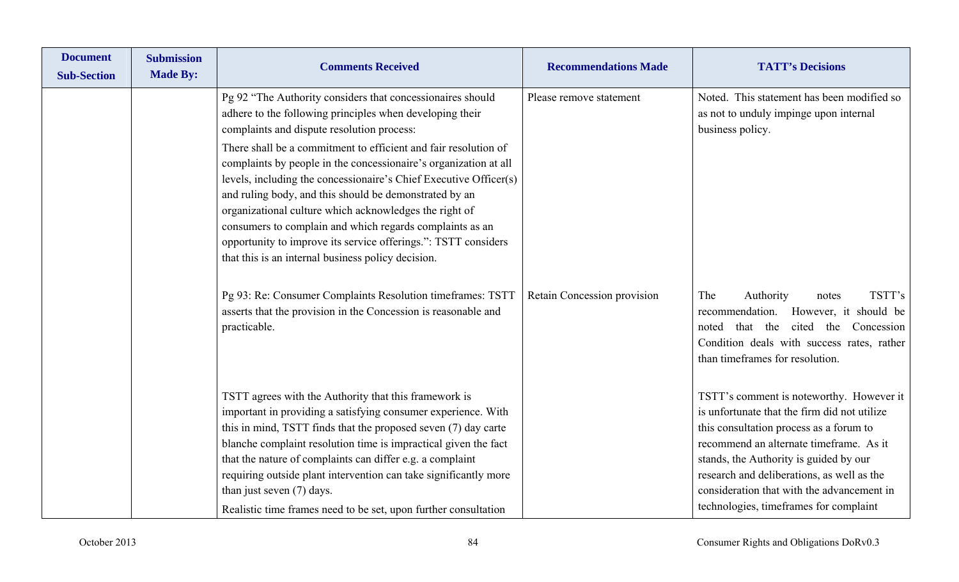| <b>Document</b><br><b>Sub-Section</b> | <b>Submission</b><br><b>Made By:</b> | <b>Comments Received</b>                                                                                                                                                                                                                                                                                                                                                                                                                                                                                                                                                                                                                                                                 | <b>Recommendations Made</b> | <b>TATT's Decisions</b>                                                                                                                                                                                                                                                                                                                                        |
|---------------------------------------|--------------------------------------|------------------------------------------------------------------------------------------------------------------------------------------------------------------------------------------------------------------------------------------------------------------------------------------------------------------------------------------------------------------------------------------------------------------------------------------------------------------------------------------------------------------------------------------------------------------------------------------------------------------------------------------------------------------------------------------|-----------------------------|----------------------------------------------------------------------------------------------------------------------------------------------------------------------------------------------------------------------------------------------------------------------------------------------------------------------------------------------------------------|
|                                       |                                      | Pg 92 "The Authority considers that concessionaires should<br>adhere to the following principles when developing their<br>complaints and dispute resolution process:<br>There shall be a commitment to efficient and fair resolution of<br>complaints by people in the concessionaire's organization at all<br>levels, including the concessionaire's Chief Executive Officer(s)<br>and ruling body, and this should be demonstrated by an<br>organizational culture which acknowledges the right of<br>consumers to complain and which regards complaints as an<br>opportunity to improve its service offerings.": TSTT considers<br>that this is an internal business policy decision. | Please remove statement     | Noted. This statement has been modified so<br>as not to unduly impinge upon internal<br>business policy.                                                                                                                                                                                                                                                       |
|                                       |                                      | Pg 93: Re: Consumer Complaints Resolution timeframes: TSTT<br>asserts that the provision in the Concession is reasonable and<br>practicable.                                                                                                                                                                                                                                                                                                                                                                                                                                                                                                                                             | Retain Concession provision | TSTT's<br>The<br>Authority<br>notes<br>recommendation.<br>However, it should be<br>that the<br>Concession<br>cited<br>the<br>noted<br>Condition deals with success rates, rather<br>than timeframes for resolution.                                                                                                                                            |
|                                       |                                      | TSTT agrees with the Authority that this framework is<br>important in providing a satisfying consumer experience. With<br>this in mind, TSTT finds that the proposed seven (7) day carte<br>blanche complaint resolution time is impractical given the fact<br>that the nature of complaints can differ e.g. a complaint<br>requiring outside plant intervention can take significantly more<br>than just seven (7) days.<br>Realistic time frames need to be set, upon further consultation                                                                                                                                                                                             |                             | TSTT's comment is noteworthy. However it<br>is unfortunate that the firm did not utilize<br>this consultation process as a forum to<br>recommend an alternate timeframe. As it<br>stands, the Authority is guided by our<br>research and deliberations, as well as the<br>consideration that with the advancement in<br>technologies, timeframes for complaint |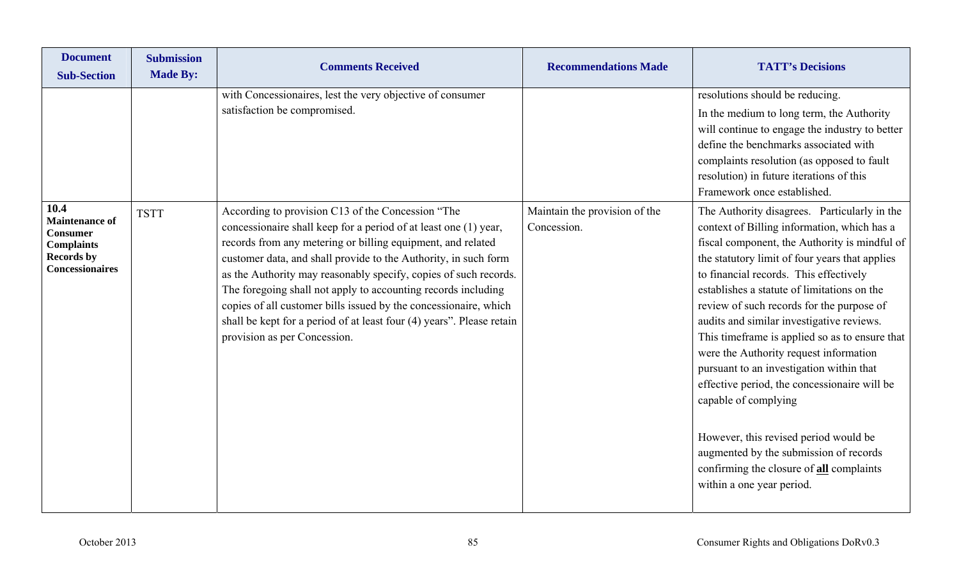| <b>Document</b><br><b>Sub-Section</b>                                                                                | <b>Submission</b><br><b>Made By:</b> | <b>Comments Received</b>                                                                                                                                                                                                                                                                                                                                                                                                                                                                                                                                                  | <b>Recommendations Made</b>                  | <b>TATT's Decisions</b>                                                                                                                                                                                                                                                                                                                                                                                                                                                                                                                                                                                                                                                                                                                                              |
|----------------------------------------------------------------------------------------------------------------------|--------------------------------------|---------------------------------------------------------------------------------------------------------------------------------------------------------------------------------------------------------------------------------------------------------------------------------------------------------------------------------------------------------------------------------------------------------------------------------------------------------------------------------------------------------------------------------------------------------------------------|----------------------------------------------|----------------------------------------------------------------------------------------------------------------------------------------------------------------------------------------------------------------------------------------------------------------------------------------------------------------------------------------------------------------------------------------------------------------------------------------------------------------------------------------------------------------------------------------------------------------------------------------------------------------------------------------------------------------------------------------------------------------------------------------------------------------------|
|                                                                                                                      |                                      | with Concessionaires, lest the very objective of consumer<br>satisfaction be compromised.                                                                                                                                                                                                                                                                                                                                                                                                                                                                                 |                                              | resolutions should be reducing.<br>In the medium to long term, the Authority<br>will continue to engage the industry to better<br>define the benchmarks associated with<br>complaints resolution (as opposed to fault<br>resolution) in future iterations of this<br>Framework once established.                                                                                                                                                                                                                                                                                                                                                                                                                                                                     |
| 10.4<br><b>Maintenance of</b><br><b>Consumer</b><br><b>Complaints</b><br><b>Records by</b><br><b>Concessionaires</b> | <b>TSTT</b>                          | According to provision C13 of the Concession "The<br>concessionaire shall keep for a period of at least one (1) year,<br>records from any metering or billing equipment, and related<br>customer data, and shall provide to the Authority, in such form<br>as the Authority may reasonably specify, copies of such records.<br>The foregoing shall not apply to accounting records including<br>copies of all customer bills issued by the concessionaire, which<br>shall be kept for a period of at least four (4) years". Please retain<br>provision as per Concession. | Maintain the provision of the<br>Concession. | The Authority disagrees. Particularly in the<br>context of Billing information, which has a<br>fiscal component, the Authority is mindful of<br>the statutory limit of four years that applies<br>to financial records. This effectively<br>establishes a statute of limitations on the<br>review of such records for the purpose of<br>audits and similar investigative reviews.<br>This timeframe is applied so as to ensure that<br>were the Authority request information<br>pursuant to an investigation within that<br>effective period, the concessionaire will be<br>capable of complying<br>However, this revised period would be<br>augmented by the submission of records<br>confirming the closure of <b>all</b> complaints<br>within a one year period. |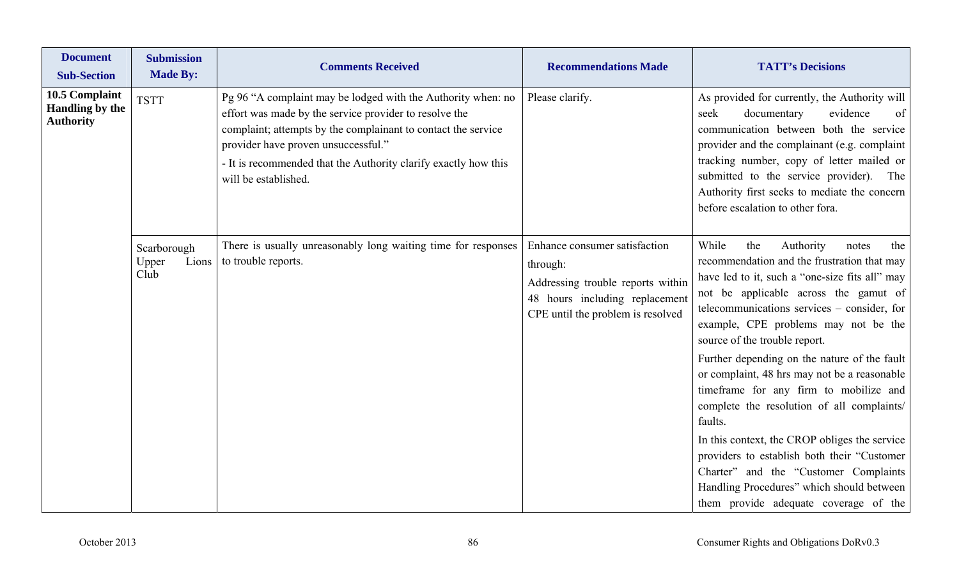| <b>Document</b><br><b>Sub-Section</b>                        | <b>Submission</b><br><b>Made By:</b>  | <b>Comments Received</b>                                                                                                                                                                                                                                                                                                  | <b>Recommendations Made</b>                                                                                                                           | <b>TATT's Decisions</b>                                                                                                                                                                                                                                                                                                                                      |
|--------------------------------------------------------------|---------------------------------------|---------------------------------------------------------------------------------------------------------------------------------------------------------------------------------------------------------------------------------------------------------------------------------------------------------------------------|-------------------------------------------------------------------------------------------------------------------------------------------------------|--------------------------------------------------------------------------------------------------------------------------------------------------------------------------------------------------------------------------------------------------------------------------------------------------------------------------------------------------------------|
| 10.5 Complaint<br><b>Handling by the</b><br><b>Authority</b> | <b>TSTT</b>                           | Pg 96 "A complaint may be lodged with the Authority when: no<br>effort was made by the service provider to resolve the<br>complaint; attempts by the complainant to contact the service<br>provider have proven unsuccessful."<br>- It is recommended that the Authority clarify exactly how this<br>will be established. | Please clarify.                                                                                                                                       | As provided for currently, the Authority will<br>seek<br>documentary<br>evidence<br>of<br>communication between both the service<br>provider and the complainant (e.g. complaint<br>tracking number, copy of letter mailed or<br>submitted to the service provider). The<br>Authority first seeks to mediate the concern<br>before escalation to other fora. |
|                                                              | Scarborough<br>Upper<br>Lions<br>Club | There is usually unreasonably long waiting time for responses<br>to trouble reports.                                                                                                                                                                                                                                      | Enhance consumer satisfaction<br>through:<br>Addressing trouble reports within<br>48 hours including replacement<br>CPE until the problem is resolved | While<br>Authority<br>the<br>the<br>notes<br>recommendation and the frustration that may<br>have led to it, such a "one-size fits all" may<br>not be applicable across the gamut of<br>telecommunications services – consider, for<br>example, CPE problems may not be the<br>source of the trouble report.                                                  |
|                                                              |                                       |                                                                                                                                                                                                                                                                                                                           |                                                                                                                                                       | Further depending on the nature of the fault<br>or complaint, 48 hrs may not be a reasonable<br>timeframe for any firm to mobilize and<br>complete the resolution of all complaints/<br>faults.<br>In this context, the CROP obliges the service<br>providers to establish both their "Customer<br>Charter" and the "Customer Complaints                     |
|                                                              |                                       |                                                                                                                                                                                                                                                                                                                           |                                                                                                                                                       | Handling Procedures" which should between<br>them provide adequate coverage of the                                                                                                                                                                                                                                                                           |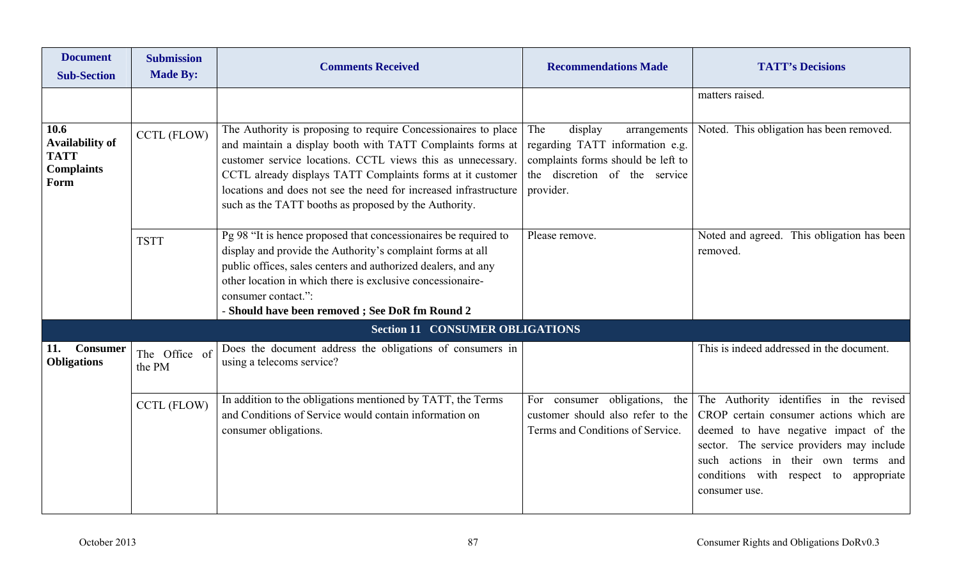| <b>Document</b><br><b>Sub-Section</b>                                      | <b>Submission</b><br><b>Made By:</b> | <b>Comments Received</b>                                                                                                                                                                                                                                                                                                                                                               | <b>Recommendations Made</b>                                                                                                                           | <b>TATT's Decisions</b>                                                                                                                                                                                                                                                       |
|----------------------------------------------------------------------------|--------------------------------------|----------------------------------------------------------------------------------------------------------------------------------------------------------------------------------------------------------------------------------------------------------------------------------------------------------------------------------------------------------------------------------------|-------------------------------------------------------------------------------------------------------------------------------------------------------|-------------------------------------------------------------------------------------------------------------------------------------------------------------------------------------------------------------------------------------------------------------------------------|
|                                                                            |                                      |                                                                                                                                                                                                                                                                                                                                                                                        |                                                                                                                                                       | matters raised.                                                                                                                                                                                                                                                               |
| 10.6<br><b>Availability of</b><br><b>TATT</b><br><b>Complaints</b><br>Form | <b>CCTL (FLOW)</b>                   | The Authority is proposing to require Concessionaires to place<br>and maintain a display booth with TATT Complaints forms at<br>customer service locations. CCTL views this as unnecessary.<br>CCTL already displays TATT Complaints forms at it customer<br>locations and does not see the need for increased infrastructure<br>such as the TATT booths as proposed by the Authority. | display<br>The<br>arrangements<br>regarding TATT information e.g.<br>complaints forms should be left to<br>the discretion of the service<br>provider. | Noted. This obligation has been removed.                                                                                                                                                                                                                                      |
|                                                                            | <b>TSTT</b>                          | Pg 98 "It is hence proposed that concessionaires be required to<br>display and provide the Authority's complaint forms at all<br>public offices, sales centers and authorized dealers, and any<br>other location in which there is exclusive concessionaire-<br>consumer contact.":<br>- Should have been removed; See DoR fm Round 2                                                  | Please remove.                                                                                                                                        | Noted and agreed. This obligation has been<br>removed.                                                                                                                                                                                                                        |
|                                                                            |                                      | <b>Section 11 CONSUMER OBLIGATIONS</b>                                                                                                                                                                                                                                                                                                                                                 |                                                                                                                                                       |                                                                                                                                                                                                                                                                               |
| <b>Consumer</b><br>11.<br><b>Obligations</b>                               | The Office of<br>the PM              | Does the document address the obligations of consumers in<br>using a telecoms service?                                                                                                                                                                                                                                                                                                 |                                                                                                                                                       | This is indeed addressed in the document.                                                                                                                                                                                                                                     |
|                                                                            | CCTL (FLOW)                          | In addition to the obligations mentioned by TATT, the Terms<br>and Conditions of Service would contain information on<br>consumer obligations.                                                                                                                                                                                                                                         | For consumer obligations, the<br>customer should also refer to the<br>Terms and Conditions of Service.                                                | The Authority identifies in the revised<br>CROP certain consumer actions which are<br>deemed to have negative impact of the<br>sector. The service providers may include<br>such actions in their own terms and<br>conditions with respect to<br>appropriate<br>consumer use. |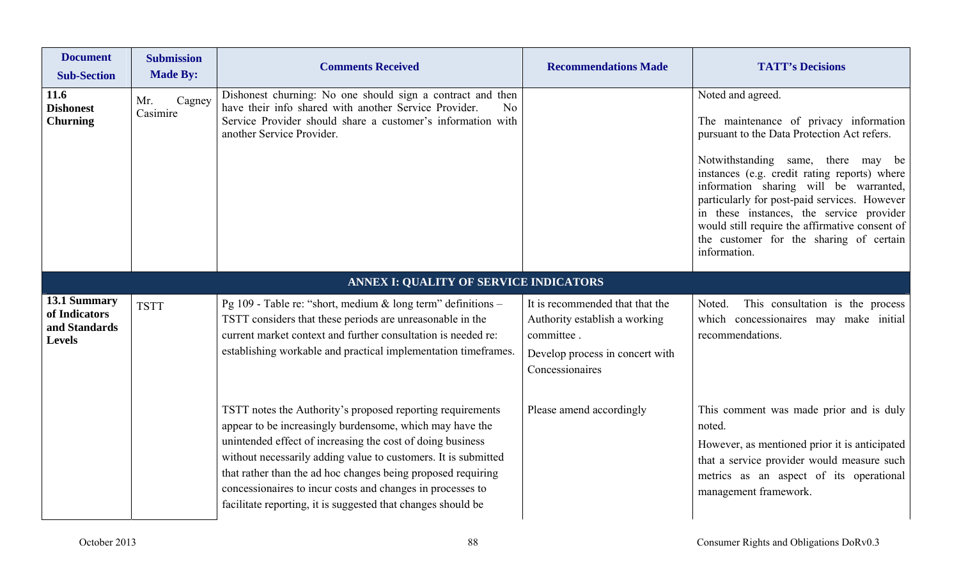| <b>Document</b><br><b>Sub-Section</b>                           | <b>Submission</b><br><b>Made By:</b> | <b>Comments Received</b>                                                                                                                                                                                                                                                                                                                                                                                                                             | <b>Recommendations Made</b>                                                                                                          | <b>TATT's Decisions</b>                                                                                                                                                                                                                                                                                                                                                                                                                             |
|-----------------------------------------------------------------|--------------------------------------|------------------------------------------------------------------------------------------------------------------------------------------------------------------------------------------------------------------------------------------------------------------------------------------------------------------------------------------------------------------------------------------------------------------------------------------------------|--------------------------------------------------------------------------------------------------------------------------------------|-----------------------------------------------------------------------------------------------------------------------------------------------------------------------------------------------------------------------------------------------------------------------------------------------------------------------------------------------------------------------------------------------------------------------------------------------------|
| 11.6<br><b>Dishonest</b><br><b>Churning</b>                     | Cagney<br>Mr.<br>Casimire            | Dishonest churning: No one should sign a contract and then<br>have their info shared with another Service Provider.<br>No<br>Service Provider should share a customer's information with<br>another Service Provider.                                                                                                                                                                                                                                |                                                                                                                                      | Noted and agreed.<br>The maintenance of privacy information<br>pursuant to the Data Protection Act refers.<br>Notwithstanding same, there may be<br>instances (e.g. credit rating reports) where<br>information sharing will be warranted,<br>particularly for post-paid services. However<br>in these instances, the service provider<br>would still require the affirmative consent of<br>the customer for the sharing of certain<br>information. |
|                                                                 |                                      | ANNEX I: QUALITY OF SERVICE INDICATORS                                                                                                                                                                                                                                                                                                                                                                                                               |                                                                                                                                      |                                                                                                                                                                                                                                                                                                                                                                                                                                                     |
| 13.1 Summary<br>of Indicators<br>and Standards<br><b>Levels</b> | <b>TSTT</b>                          | Pg 109 - Table re: "short, medium & long term" definitions -<br>TSTT considers that these periods are unreasonable in the<br>current market context and further consultation is needed re:<br>establishing workable and practical implementation timeframes.                                                                                                                                                                                         | It is recommended that that the<br>Authority establish a working<br>committee.<br>Develop process in concert with<br>Concessionaires | Noted.<br>This consultation is the process<br>which concessionaires may make initial<br>recommendations.                                                                                                                                                                                                                                                                                                                                            |
|                                                                 |                                      | TSTT notes the Authority's proposed reporting requirements<br>appear to be increasingly burdensome, which may have the<br>unintended effect of increasing the cost of doing business<br>without necessarily adding value to customers. It is submitted<br>that rather than the ad hoc changes being proposed requiring<br>concessionaires to incur costs and changes in processes to<br>facilitate reporting, it is suggested that changes should be | Please amend accordingly                                                                                                             | This comment was made prior and is duly<br>noted.<br>However, as mentioned prior it is anticipated<br>that a service provider would measure such<br>metrics as an aspect of its operational<br>management framework.                                                                                                                                                                                                                                |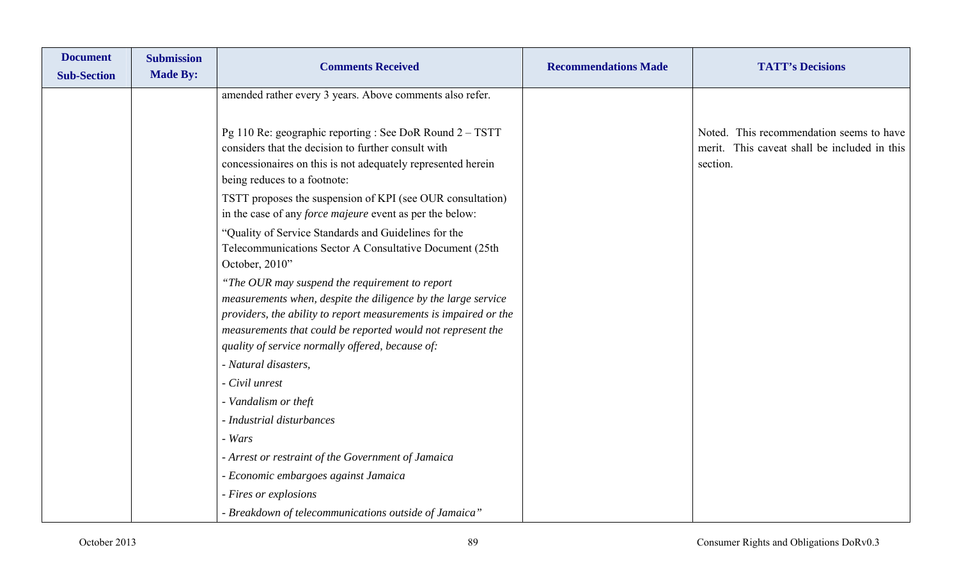| <b>Document</b><br><b>Sub-Section</b> | <b>Submission</b><br><b>Made By:</b> | <b>Comments Received</b>                                                                                                                                                                                        | <b>Recommendations Made</b> | <b>TATT's Decisions</b>                                                                              |
|---------------------------------------|--------------------------------------|-----------------------------------------------------------------------------------------------------------------------------------------------------------------------------------------------------------------|-----------------------------|------------------------------------------------------------------------------------------------------|
|                                       |                                      | amended rather every 3 years. Above comments also refer.                                                                                                                                                        |                             |                                                                                                      |
|                                       |                                      | Pg 110 Re: geographic reporting : See DoR Round 2 - TSTT<br>considers that the decision to further consult with<br>concessionaires on this is not adequately represented herein<br>being reduces to a footnote: |                             | Noted. This recommendation seems to have<br>merit. This caveat shall be included in this<br>section. |
|                                       |                                      | TSTT proposes the suspension of KPI (see OUR consultation)<br>in the case of any <i>force majeure</i> event as per the below:                                                                                   |                             |                                                                                                      |
|                                       |                                      | "Quality of Service Standards and Guidelines for the<br>Telecommunications Sector A Consultative Document (25th<br>October, 2010"                                                                               |                             |                                                                                                      |
|                                       |                                      | "The OUR may suspend the requirement to report<br>measurements when, despite the diligence by the large service                                                                                                 |                             |                                                                                                      |
|                                       |                                      | providers, the ability to report measurements is impaired or the<br>measurements that could be reported would not represent the<br>quality of service normally offered, because of:                             |                             |                                                                                                      |
|                                       |                                      | - Natural disasters,                                                                                                                                                                                            |                             |                                                                                                      |
|                                       |                                      | - Civil unrest                                                                                                                                                                                                  |                             |                                                                                                      |
|                                       |                                      | - Vandalism or theft                                                                                                                                                                                            |                             |                                                                                                      |
|                                       |                                      | - Industrial disturbances                                                                                                                                                                                       |                             |                                                                                                      |
|                                       |                                      | - Wars                                                                                                                                                                                                          |                             |                                                                                                      |
|                                       |                                      | - Arrest or restraint of the Government of Jamaica                                                                                                                                                              |                             |                                                                                                      |
|                                       |                                      | - Economic embargoes against Jamaica                                                                                                                                                                            |                             |                                                                                                      |
|                                       |                                      | - Fires or explosions                                                                                                                                                                                           |                             |                                                                                                      |
|                                       |                                      | - Breakdown of telecommunications outside of Jamaica"                                                                                                                                                           |                             |                                                                                                      |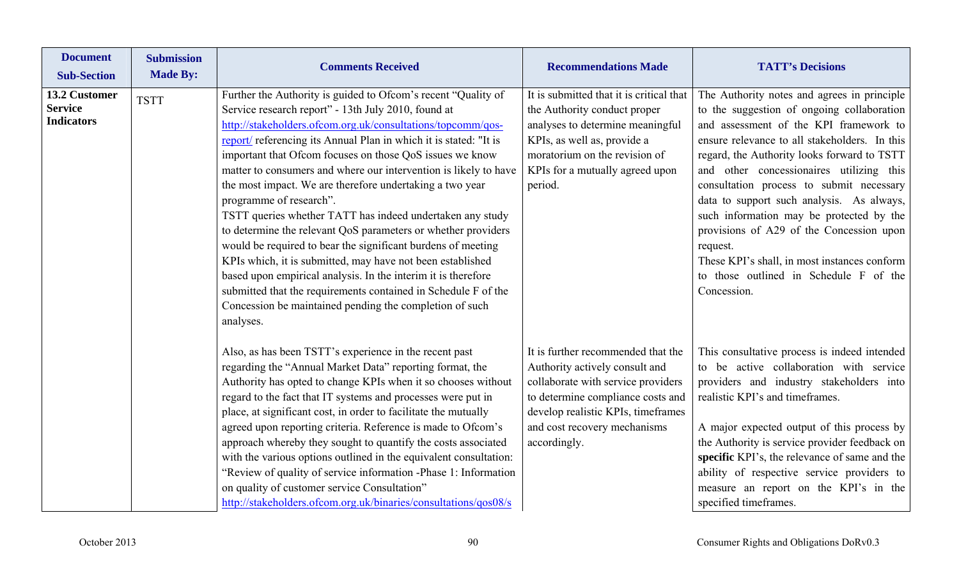| <b>Document</b><br><b>Sub-Section</b>                | <b>Submission</b><br><b>Made By:</b> | <b>Comments Received</b>                                                                                                                                                                                                                                                                                                                                                                                                                                                                                                                                                                                                                                                                                                                                                                                                                                                                                                                               | <b>Recommendations Made</b>                                                                                                                                                                                                           | <b>TATT's Decisions</b>                                                                                                                                                                                                                                                                                                                                                                                                                                                                                                                                                               |
|------------------------------------------------------|--------------------------------------|--------------------------------------------------------------------------------------------------------------------------------------------------------------------------------------------------------------------------------------------------------------------------------------------------------------------------------------------------------------------------------------------------------------------------------------------------------------------------------------------------------------------------------------------------------------------------------------------------------------------------------------------------------------------------------------------------------------------------------------------------------------------------------------------------------------------------------------------------------------------------------------------------------------------------------------------------------|---------------------------------------------------------------------------------------------------------------------------------------------------------------------------------------------------------------------------------------|---------------------------------------------------------------------------------------------------------------------------------------------------------------------------------------------------------------------------------------------------------------------------------------------------------------------------------------------------------------------------------------------------------------------------------------------------------------------------------------------------------------------------------------------------------------------------------------|
| 13.2 Customer<br><b>Service</b><br><b>Indicators</b> | <b>TSTT</b>                          | Further the Authority is guided to Ofcom's recent "Quality of<br>Service research report" - 13th July 2010, found at<br>http://stakeholders.ofcom.org.uk/consultations/topcomm/qos-<br>report/ referencing its Annual Plan in which it is stated: "It is<br>important that Ofcom focuses on those QoS issues we know<br>matter to consumers and where our intervention is likely to have<br>the most impact. We are therefore undertaking a two year<br>programme of research".<br>TSTT queries whether TATT has indeed undertaken any study<br>to determine the relevant QoS parameters or whether providers<br>would be required to bear the significant burdens of meeting<br>KPIs which, it is submitted, may have not been established<br>based upon empirical analysis. In the interim it is therefore<br>submitted that the requirements contained in Schedule F of the<br>Concession be maintained pending the completion of such<br>analyses. | It is submitted that it is critical that<br>the Authority conduct proper<br>analyses to determine meaningful<br>KPIs, as well as, provide a<br>moratorium on the revision of<br>KPIs for a mutually agreed upon<br>period.            | The Authority notes and agrees in principle<br>to the suggestion of ongoing collaboration<br>and assessment of the KPI framework to<br>ensure relevance to all stakeholders. In this<br>regard, the Authority looks forward to TSTT<br>and other concessionaires utilizing this<br>consultation process to submit necessary<br>data to support such analysis. As always,<br>such information may be protected by the<br>provisions of A29 of the Concession upon<br>request.<br>These KPI's shall, in most instances conform<br>to those outlined in Schedule F of the<br>Concession. |
|                                                      |                                      | Also, as has been TSTT's experience in the recent past<br>regarding the "Annual Market Data" reporting format, the<br>Authority has opted to change KPIs when it so chooses without<br>regard to the fact that IT systems and processes were put in<br>place, at significant cost, in order to facilitate the mutually<br>agreed upon reporting criteria. Reference is made to Ofcom's<br>approach whereby they sought to quantify the costs associated<br>with the various options outlined in the equivalent consultation:<br>"Review of quality of service information -Phase 1: Information<br>on quality of customer service Consultation"<br>http://stakeholders.ofcom.org.uk/binaries/consultations/qos08/s                                                                                                                                                                                                                                     | It is further recommended that the<br>Authority actively consult and<br>collaborate with service providers<br>to determine compliance costs and<br>develop realistic KPIs, timeframes<br>and cost recovery mechanisms<br>accordingly. | This consultative process is indeed intended<br>to be active collaboration with service<br>providers and industry stakeholders into<br>realistic KPI's and timeframes.<br>A major expected output of this process by<br>the Authority is service provider feedback on<br>specific KPI's, the relevance of same and the<br>ability of respective service providers to<br>measure an report on the KPI's in the<br>specified timeframes.                                                                                                                                                |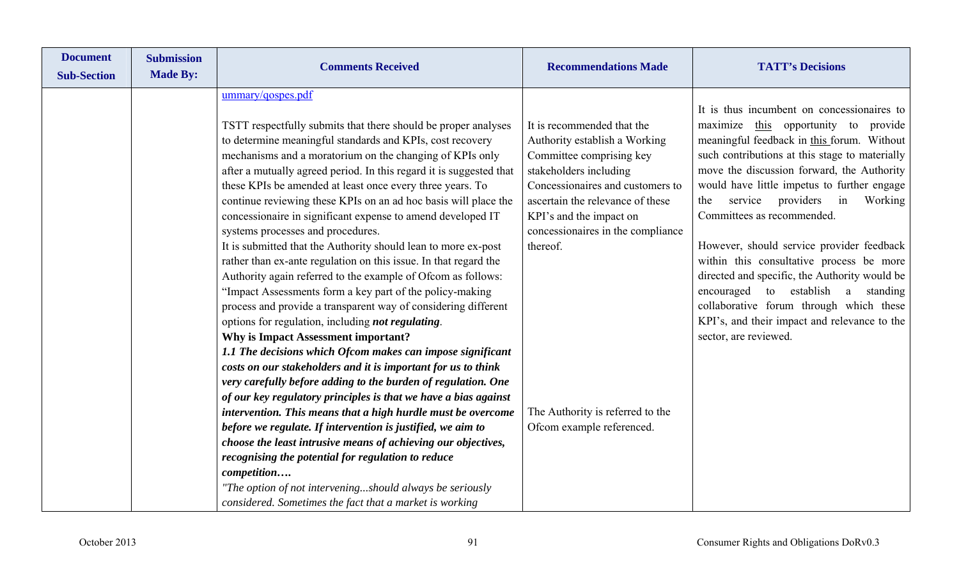| <b>Document</b><br><b>Sub-Section</b> | <b>Submission</b><br><b>Made By:</b> | <b>Comments Received</b>                                                                                                         | <b>Recommendations Made</b>                                | <b>TATT's Decisions</b>                                                                      |
|---------------------------------------|--------------------------------------|----------------------------------------------------------------------------------------------------------------------------------|------------------------------------------------------------|----------------------------------------------------------------------------------------------|
|                                       |                                      |                                                                                                                                  |                                                            |                                                                                              |
|                                       |                                      | ummary/qospes.pdf                                                                                                                |                                                            |                                                                                              |
|                                       |                                      |                                                                                                                                  |                                                            | It is thus incumbent on concessionaires to                                                   |
|                                       |                                      | TSTT respectfully submits that there should be proper analyses                                                                   | It is recommended that the                                 | maximize this opportunity to provide                                                         |
|                                       |                                      | to determine meaningful standards and KPIs, cost recovery                                                                        | Authority establish a Working                              | meaningful feedback in this forum. Without                                                   |
|                                       |                                      | mechanisms and a moratorium on the changing of KPIs only                                                                         | Committee comprising key                                   | such contributions at this stage to materially<br>move the discussion forward, the Authority |
|                                       |                                      | after a mutually agreed period. In this regard it is suggested that<br>these KPIs be amended at least once every three years. To | stakeholders including<br>Concessionaires and customers to | would have little impetus to further engage                                                  |
|                                       |                                      | continue reviewing these KPIs on an ad hoc basis will place the                                                                  | ascertain the relevance of these                           | providers<br>Working<br>the<br>service<br>in                                                 |
|                                       |                                      | concessionaire in significant expense to amend developed IT                                                                      | KPI's and the impact on                                    | Committees as recommended.                                                                   |
|                                       |                                      | systems processes and procedures.                                                                                                | concessionaires in the compliance                          |                                                                                              |
|                                       |                                      | It is submitted that the Authority should lean to more ex-post                                                                   | thereof.                                                   | However, should service provider feedback                                                    |
|                                       |                                      | rather than ex-ante regulation on this issue. In that regard the                                                                 |                                                            | within this consultative process be more                                                     |
|                                       |                                      | Authority again referred to the example of Ofcom as follows:                                                                     |                                                            | directed and specific, the Authority would be                                                |
|                                       |                                      | "Impact Assessments form a key part of the policy-making                                                                         |                                                            | encouraged<br>to establish a standing                                                        |
|                                       |                                      | process and provide a transparent way of considering different                                                                   |                                                            | collaborative forum through which these                                                      |
|                                       |                                      | options for regulation, including not regulating.                                                                                |                                                            | KPI's, and their impact and relevance to the                                                 |
|                                       |                                      | <b>Why is Impact Assessment important?</b>                                                                                       |                                                            | sector, are reviewed.                                                                        |
|                                       |                                      | 1.1 The decisions which Ofcom makes can impose significant                                                                       |                                                            |                                                                                              |
|                                       |                                      | costs on our stakeholders and it is important for us to think                                                                    |                                                            |                                                                                              |
|                                       |                                      | very carefully before adding to the burden of regulation. One                                                                    |                                                            |                                                                                              |
|                                       |                                      | of our key regulatory principles is that we have a bias against                                                                  |                                                            |                                                                                              |
|                                       |                                      | intervention. This means that a high hurdle must be overcome                                                                     | The Authority is referred to the                           |                                                                                              |
|                                       |                                      | before we regulate. If intervention is justified, we aim to                                                                      | Ofcom example referenced.                                  |                                                                                              |
|                                       |                                      | choose the least intrusive means of achieving our objectives,                                                                    |                                                            |                                                                                              |
|                                       |                                      | recognising the potential for regulation to reduce                                                                               |                                                            |                                                                                              |
|                                       |                                      | competition                                                                                                                      |                                                            |                                                                                              |
|                                       |                                      | "The option of not interveningshould always be seriously                                                                         |                                                            |                                                                                              |
|                                       |                                      | considered. Sometimes the fact that a market is working                                                                          |                                                            |                                                                                              |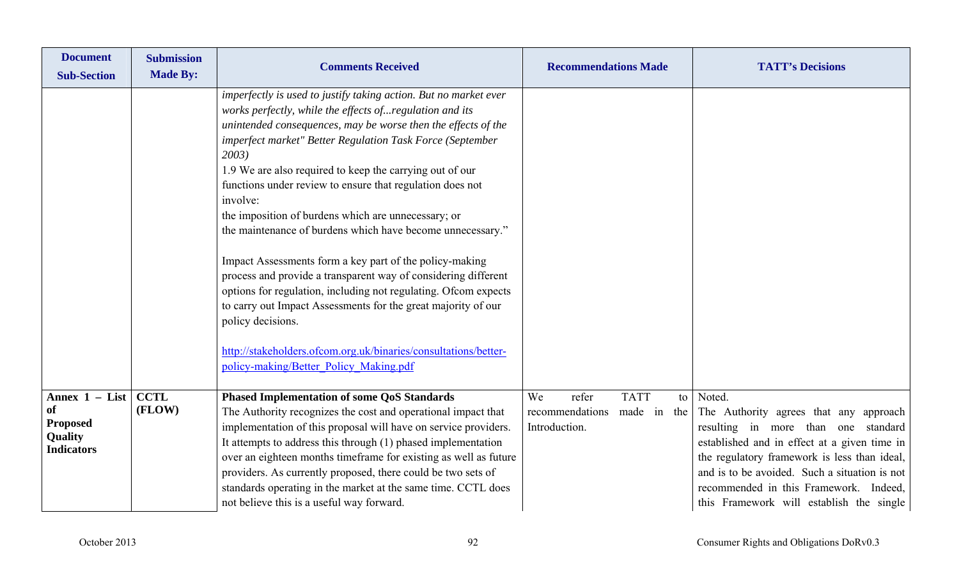| <b>Document</b><br><b>Sub-Section</b>                                            | <b>Submission</b><br><b>Made By:</b> | <b>Comments Received</b>                                                                                                                                                                                                                                                                                                                                                                                                                                                                                                                                                                                                                                                                                                                                                                                                                                                                                                        | <b>Recommendations Made</b>                                                         | <b>TATT's Decisions</b>                                                                                                                                                                                                                                                                                                        |
|----------------------------------------------------------------------------------|--------------------------------------|---------------------------------------------------------------------------------------------------------------------------------------------------------------------------------------------------------------------------------------------------------------------------------------------------------------------------------------------------------------------------------------------------------------------------------------------------------------------------------------------------------------------------------------------------------------------------------------------------------------------------------------------------------------------------------------------------------------------------------------------------------------------------------------------------------------------------------------------------------------------------------------------------------------------------------|-------------------------------------------------------------------------------------|--------------------------------------------------------------------------------------------------------------------------------------------------------------------------------------------------------------------------------------------------------------------------------------------------------------------------------|
|                                                                                  |                                      | imperfectly is used to justify taking action. But no market ever<br>works perfectly, while the effects ofregulation and its<br>unintended consequences, may be worse then the effects of the<br>imperfect market" Better Regulation Task Force (September<br>2003)<br>1.9 We are also required to keep the carrying out of our<br>functions under review to ensure that regulation does not<br>involve:<br>the imposition of burdens which are unnecessary; or<br>the maintenance of burdens which have become unnecessary."<br>Impact Assessments form a key part of the policy-making<br>process and provide a transparent way of considering different<br>options for regulation, including not regulating. Ofcom expects<br>to carry out Impact Assessments for the great majority of our<br>policy decisions.<br>http://stakeholders.ofcom.org.uk/binaries/consultations/better-<br>policy-making/Better_Policy_Making.pdf |                                                                                     |                                                                                                                                                                                                                                                                                                                                |
| Annex $1 - List$<br><b>of</b><br><b>Proposed</b><br>Quality<br><b>Indicators</b> | <b>CCTL</b><br>(FLOW)                | <b>Phased Implementation of some QoS Standards</b><br>The Authority recognizes the cost and operational impact that<br>implementation of this proposal will have on service providers.<br>It attempts to address this through (1) phased implementation<br>over an eighteen months timeframe for existing as well as future<br>providers. As currently proposed, there could be two sets of<br>standards operating in the market at the same time. CCTL does<br>not believe this is a useful way forward.                                                                                                                                                                                                                                                                                                                                                                                                                       | <b>TATT</b><br>refer<br>We<br>to<br>recommendations<br>made in the<br>Introduction. | Noted.<br>The Authority agrees that any approach<br>resulting in more than one standard<br>established and in effect at a given time in<br>the regulatory framework is less than ideal,<br>and is to be avoided. Such a situation is not<br>recommended in this Framework. Indeed,<br>this Framework will establish the single |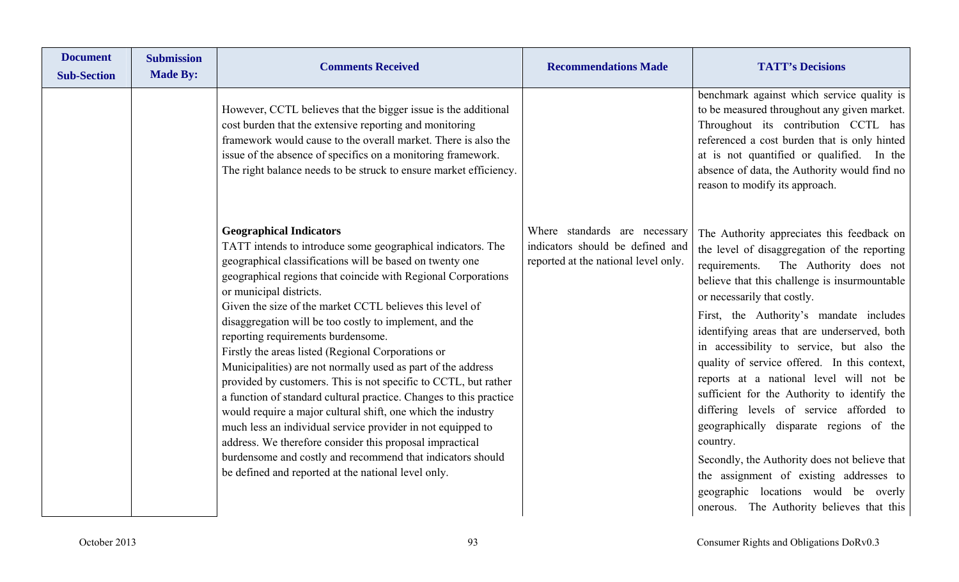| <b>Document</b><br><b>Submission</b><br><b>Made By:</b><br><b>Sub-Section</b> | <b>Comments Received</b>                                                                                                                                                                                                                                                                                                                                                                                                                                                                                                                                                                                                                                                                                                                                                                                                                                                                                                                                                                          | <b>Recommendations Made</b>                                                                               | <b>TATT's Decisions</b>                                                                                                                                                                                                                                                                                                                                                                                                                                                                                                                                                                                                                                                                                                                                                                     |
|-------------------------------------------------------------------------------|---------------------------------------------------------------------------------------------------------------------------------------------------------------------------------------------------------------------------------------------------------------------------------------------------------------------------------------------------------------------------------------------------------------------------------------------------------------------------------------------------------------------------------------------------------------------------------------------------------------------------------------------------------------------------------------------------------------------------------------------------------------------------------------------------------------------------------------------------------------------------------------------------------------------------------------------------------------------------------------------------|-----------------------------------------------------------------------------------------------------------|---------------------------------------------------------------------------------------------------------------------------------------------------------------------------------------------------------------------------------------------------------------------------------------------------------------------------------------------------------------------------------------------------------------------------------------------------------------------------------------------------------------------------------------------------------------------------------------------------------------------------------------------------------------------------------------------------------------------------------------------------------------------------------------------|
|                                                                               | However, CCTL believes that the bigger issue is the additional<br>cost burden that the extensive reporting and monitoring<br>framework would cause to the overall market. There is also the<br>issue of the absence of specifics on a monitoring framework.<br>The right balance needs to be struck to ensure market efficiency.                                                                                                                                                                                                                                                                                                                                                                                                                                                                                                                                                                                                                                                                  |                                                                                                           | benchmark against which service quality is<br>to be measured throughout any given market.<br>Throughout its contribution CCTL has<br>referenced a cost burden that is only hinted<br>at is not quantified or qualified. In the<br>absence of data, the Authority would find no<br>reason to modify its approach.                                                                                                                                                                                                                                                                                                                                                                                                                                                                            |
|                                                                               | <b>Geographical Indicators</b><br>TATT intends to introduce some geographical indicators. The<br>geographical classifications will be based on twenty one<br>geographical regions that coincide with Regional Corporations<br>or municipal districts.<br>Given the size of the market CCTL believes this level of<br>disaggregation will be too costly to implement, and the<br>reporting requirements burdensome.<br>Firstly the areas listed (Regional Corporations or<br>Municipalities) are not normally used as part of the address<br>provided by customers. This is not specific to CCTL, but rather<br>a function of standard cultural practice. Changes to this practice<br>would require a major cultural shift, one which the industry<br>much less an individual service provider in not equipped to<br>address. We therefore consider this proposal impractical<br>burdensome and costly and recommend that indicators should<br>be defined and reported at the national level only. | Where standards are necessary<br>indicators should be defined and<br>reported at the national level only. | The Authority appreciates this feedback on<br>the level of disaggregation of the reporting<br>The Authority does not<br>requirements.<br>believe that this challenge is insurmountable<br>or necessarily that costly.<br>First, the Authority's mandate includes<br>identifying areas that are underserved, both<br>in accessibility to service, but also the<br>quality of service offered. In this context,<br>reports at a national level will not be<br>sufficient for the Authority to identify the<br>differing levels of service afforded to<br>geographically disparate regions of the<br>country.<br>Secondly, the Authority does not believe that<br>the assignment of existing addresses to<br>geographic locations would be overly<br>onerous. The Authority believes that this |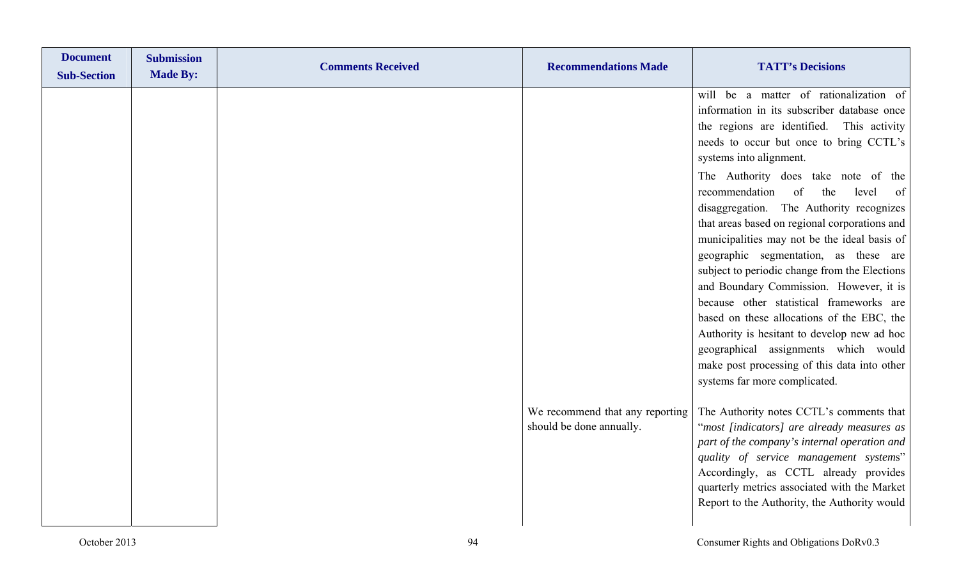| <b>Document</b><br><b>Sub-Section</b> | <b>Submission</b><br><b>Made By:</b> | <b>Comments Received</b> | <b>Recommendations Made</b>                                 | <b>TATT's Decisions</b>                                                                                                                                                                                                                                                                                                                                                                                                                                                                                                                                                                                                                                                                                                                                                                                                                           |
|---------------------------------------|--------------------------------------|--------------------------|-------------------------------------------------------------|---------------------------------------------------------------------------------------------------------------------------------------------------------------------------------------------------------------------------------------------------------------------------------------------------------------------------------------------------------------------------------------------------------------------------------------------------------------------------------------------------------------------------------------------------------------------------------------------------------------------------------------------------------------------------------------------------------------------------------------------------------------------------------------------------------------------------------------------------|
|                                       |                                      |                          |                                                             | will be a matter of rationalization of<br>information in its subscriber database once<br>the regions are identified. This activity<br>needs to occur but once to bring CCTL's<br>systems into alignment.<br>The Authority does take note of the<br>recommendation<br>of<br>the<br>level<br>of<br>disaggregation. The Authority recognizes<br>that areas based on regional corporations and<br>municipalities may not be the ideal basis of<br>geographic segmentation, as these are<br>subject to periodic change from the Elections<br>and Boundary Commission. However, it is<br>because other statistical frameworks are<br>based on these allocations of the EBC, the<br>Authority is hesitant to develop new ad hoc<br>geographical assignments which would<br>make post processing of this data into other<br>systems far more complicated. |
|                                       |                                      |                          | We recommend that any reporting<br>should be done annually. | The Authority notes CCTL's comments that<br>"most [indicators] are already measures as<br>part of the company's internal operation and<br>quality of service management systems"<br>Accordingly, as CCTL already provides<br>quarterly metrics associated with the Market<br>Report to the Authority, the Authority would                                                                                                                                                                                                                                                                                                                                                                                                                                                                                                                         |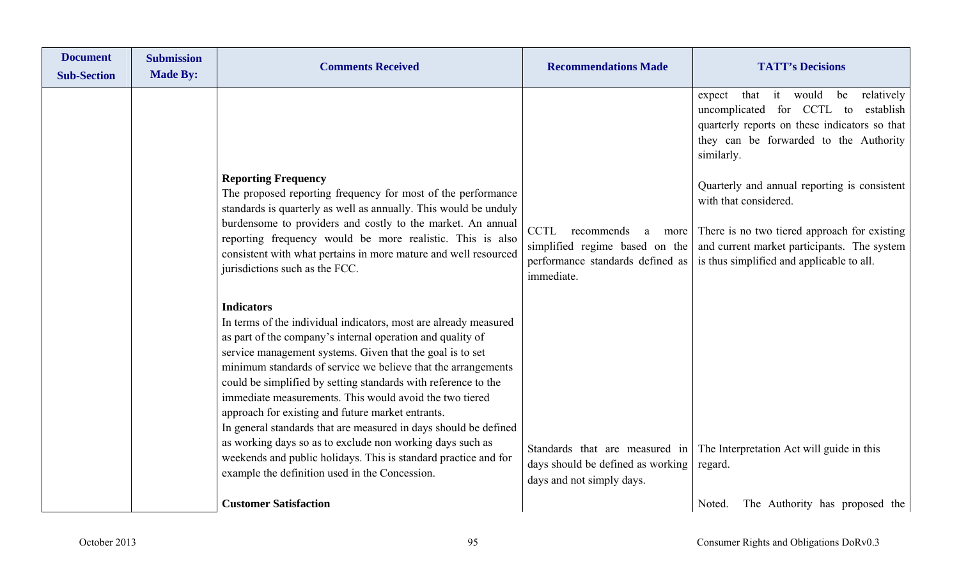| <b>Document</b><br><b>Sub-Section</b> | <b>Submission</b><br><b>Made By:</b> | <b>Comments Received</b>                                                                                                                                                                                                                                                                                                                                                                                                                                                                                                                                                                                                                                                                                                  | <b>Recommendations Made</b>                                                       | <b>TATT's Decisions</b>                                                                                                                                                                                                                           |
|---------------------------------------|--------------------------------------|---------------------------------------------------------------------------------------------------------------------------------------------------------------------------------------------------------------------------------------------------------------------------------------------------------------------------------------------------------------------------------------------------------------------------------------------------------------------------------------------------------------------------------------------------------------------------------------------------------------------------------------------------------------------------------------------------------------------------|-----------------------------------------------------------------------------------|---------------------------------------------------------------------------------------------------------------------------------------------------------------------------------------------------------------------------------------------------|
|                                       |                                      | <b>Reporting Frequency</b>                                                                                                                                                                                                                                                                                                                                                                                                                                                                                                                                                                                                                                                                                                |                                                                                   | it would<br>relatively<br>that<br>be<br>expect<br>uncomplicated for CCTL to<br>establish<br>quarterly reports on these indicators so that<br>they can be forwarded to the Authority<br>similarly.<br>Quarterly and annual reporting is consistent |
|                                       |                                      | The proposed reporting frequency for most of the performance<br>standards is quarterly as well as annually. This would be unduly                                                                                                                                                                                                                                                                                                                                                                                                                                                                                                                                                                                          |                                                                                   | with that considered.                                                                                                                                                                                                                             |
|                                       |                                      | burdensome to providers and costly to the market. An annual<br>reporting frequency would be more realistic. This is also<br>consistent with what pertains in more mature and well resourced<br>jurisdictions such as the FCC.                                                                                                                                                                                                                                                                                                                                                                                                                                                                                             | CCTL<br>recommends<br>more<br>a<br>performance standards defined as<br>immediate. | There is no two tiered approach for existing<br>simplified regime based on the $\vert$ and current market participants. The system<br>is thus simplified and applicable to all.                                                                   |
|                                       |                                      | <b>Indicators</b><br>In terms of the individual indicators, most are already measured<br>as part of the company's internal operation and quality of<br>service management systems. Given that the goal is to set<br>minimum standards of service we believe that the arrangements<br>could be simplified by setting standards with reference to the<br>immediate measurements. This would avoid the two tiered<br>approach for existing and future market entrants.<br>In general standards that are measured in days should be defined<br>as working days so as to exclude non working days such as<br>weekends and public holidays. This is standard practice and for<br>example the definition used in the Concession. | days should be defined as working                                                 | Standards that are measured in The Interpretation Act will guide in this<br>regard.                                                                                                                                                               |
|                                       |                                      | <b>Customer Satisfaction</b>                                                                                                                                                                                                                                                                                                                                                                                                                                                                                                                                                                                                                                                                                              | days and not simply days.                                                         | The Authority has proposed the<br>Noted.                                                                                                                                                                                                          |